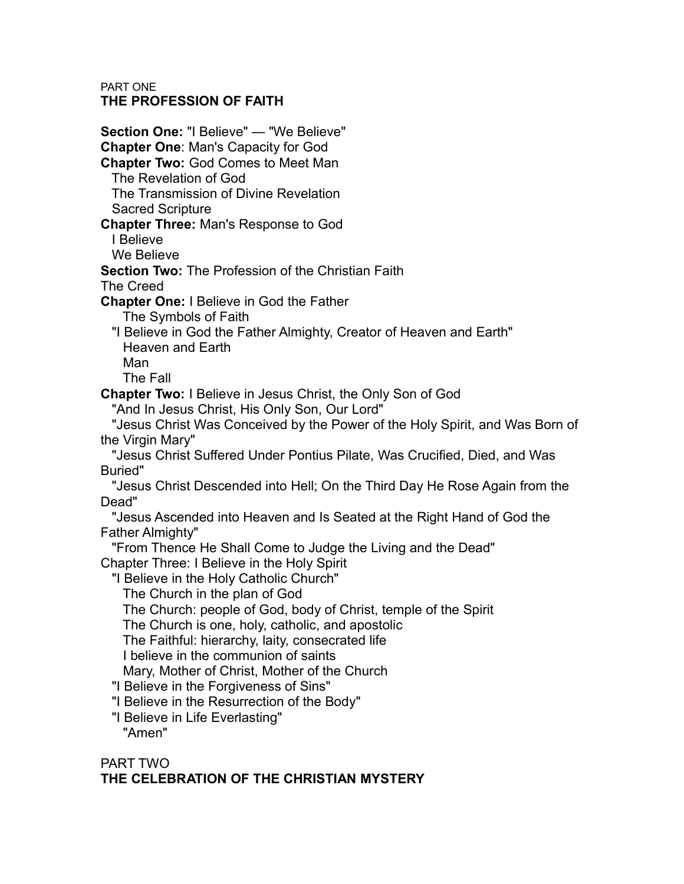PART ONE **THE PROFESSION OF FAITH**

**Section One:** "I Believe" — "We Believe" **Chapter One**: Man's Capacity for God **Chapter Two:** God Comes to Meet Man The Revelation of God The Transmission of Divine Revelation Sacred Scripture **Chapter Three:** Man's Response to God I Believe We Believe **Section Two:** The Profession of the Christian Faith The Creed **Chapter One:** I Believe in God the Father The Symbols of Faith "I Believe in God the Father Almighty, Creator of Heaven and Earth" Heaven and Earth Man The Fall **Chapter Two:** I Believe in Jesus Christ, the Only Son of God "And In Jesus Christ, His Only Son, Our Lord" "Jesus Christ Was Conceived by the Power of the Holy Spirit, and Was Born of the Virgin Mary" "Jesus Christ Suffered Under Pontius Pilate, Was Crucified, Died, and Was Buried" "Jesus Christ Descended into Hell; On the Third Day He Rose Again from the Dead" "Jesus Ascended into Heaven and Is Seated at the Right Hand of God the Father Almighty" "From Thence He Shall Come to Judge the Living and the Dead" Chapter Three: I Believe in the Holy Spirit "I Believe in the Holy Catholic Church" The Church in the plan of God The Church: people of God, body of Christ, temple of the Spirit The Church is one, holy, catholic, and apostolic The Faithful: hierarchy, laity, consecrated life I believe in the communion of saints Mary, Mother of Christ, Mother of the Church "I Believe in the Forgiveness of Sins" "I Believe in the Resurrection of the Body" "I Believe in Life Everlasting" "Amen" PART TWO

**THE CELEBRATION OF THE CHRISTIAN MYSTERY**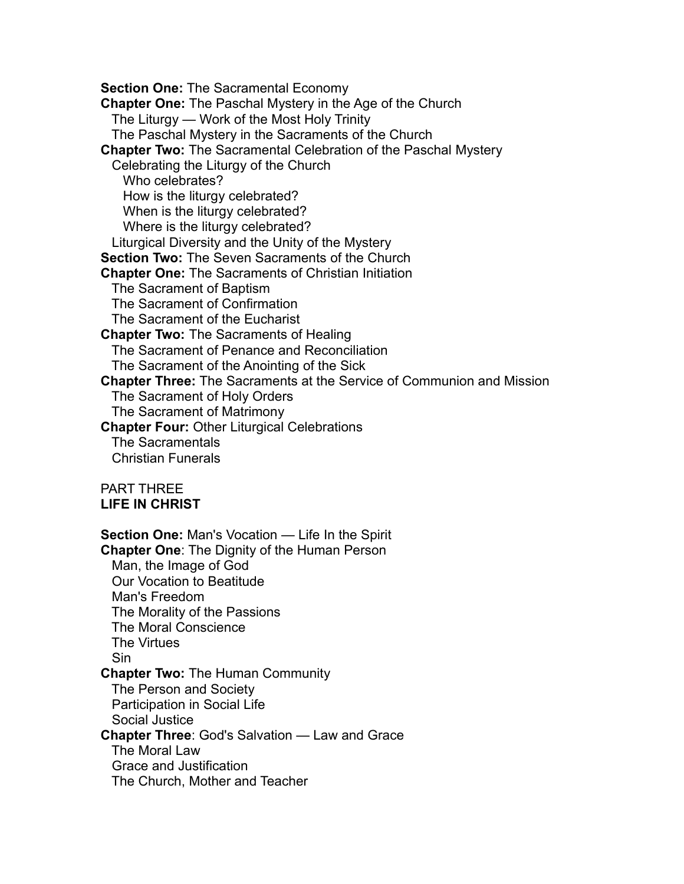**Section One:** The Sacramental Economy **Chapter One:** The Paschal Mystery in the Age of the Church The Liturgy — Work of the Most Holy Trinity The Paschal Mystery in the Sacraments of the Church **Chapter Two:** The Sacramental Celebration of the Paschal Mystery Celebrating the Liturgy of the Church Who celebrates? How is the liturgy celebrated? When is the liturgy celebrated? Where is the liturgy celebrated? Liturgical Diversity and the Unity of the Mystery **Section Two:** The Seven Sacraments of the Church **Chapter One:** The Sacraments of Christian Initiation The Sacrament of Baptism The Sacrament of Confirmation The Sacrament of the Eucharist **Chapter Two:** The Sacraments of Healing The Sacrament of Penance and Reconciliation The Sacrament of the Anointing of the Sick **Chapter Three:** The Sacraments at the Service of Communion and Mission The Sacrament of Holy Orders The Sacrament of Matrimony **Chapter Four:** Other Liturgical Celebrations The Sacramentals Christian Funerals PART THREE **LIFE IN CHRIST Section One:** Man's Vocation — Life In the Spirit **Chapter One**: The Dignity of the Human Person Man, the Image of God Our Vocation to Beatitude Man's Freedom The Morality of the Passions The Moral Conscience The Virtues Sin **Chapter Two:** The Human Community The Person and Society Participation in Social Life Social Justice **Chapter Three**: God's Salvation — Law and Grace The Moral Law Grace and Justification

The Church, Mother and Teacher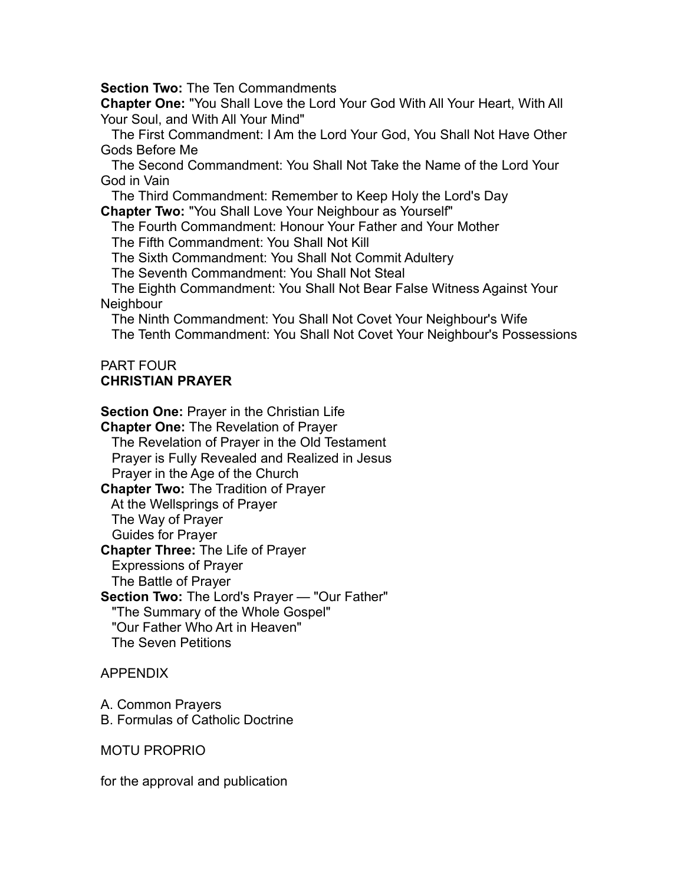**Section Two:** The Ten Commandments

**Chapter One:** "You Shall Love the Lord Your God With All Your Heart, With All Your Soul, and With All Your Mind"

 The First Commandment: I Am the Lord Your God, You Shall Not Have Other Gods Before Me

 The Second Commandment: You Shall Not Take the Name of the Lord Your God in Vain

 The Third Commandment: Remember to Keep Holy the Lord's Day **Chapter Two:** "You Shall Love Your Neighbour as Yourself"

The Fourth Commandment: Honour Your Father and Your Mother

The Fifth Commandment: You Shall Not Kill

The Sixth Commandment: You Shall Not Commit Adultery

The Seventh Commandment: You Shall Not Steal

 The Eighth Commandment: You Shall Not Bear False Witness Against Your **Neighbour** 

 The Ninth Commandment: You Shall Not Covet Your Neighbour's Wife The Tenth Commandment: You Shall Not Covet Your Neighbour's Possessions

#### PART FOUR **CHRISTIAN PRAYER**

**Section One:** Prayer in the Christian Life

**Chapter One:** The Revelation of Prayer The Revelation of Prayer in the Old Testament Prayer is Fully Revealed and Realized in Jesus Prayer in the Age of the Church

**Chapter Two:** The Tradition of Prayer At the Wellsprings of Prayer The Way of Prayer

Guides for Prayer

**Chapter Three:** The Life of Prayer

Expressions of Prayer

The Battle of Prayer

**Section Two:** The Lord's Prayer — "Our Father" "The Summary of the Whole Gospel" "Our Father Who Art in Heaven"

The Seven Petitions

#### APPENDIX

A. Common Prayers

B. Formulas of Catholic Doctrine

MOTU PROPRIO

for the approval and publication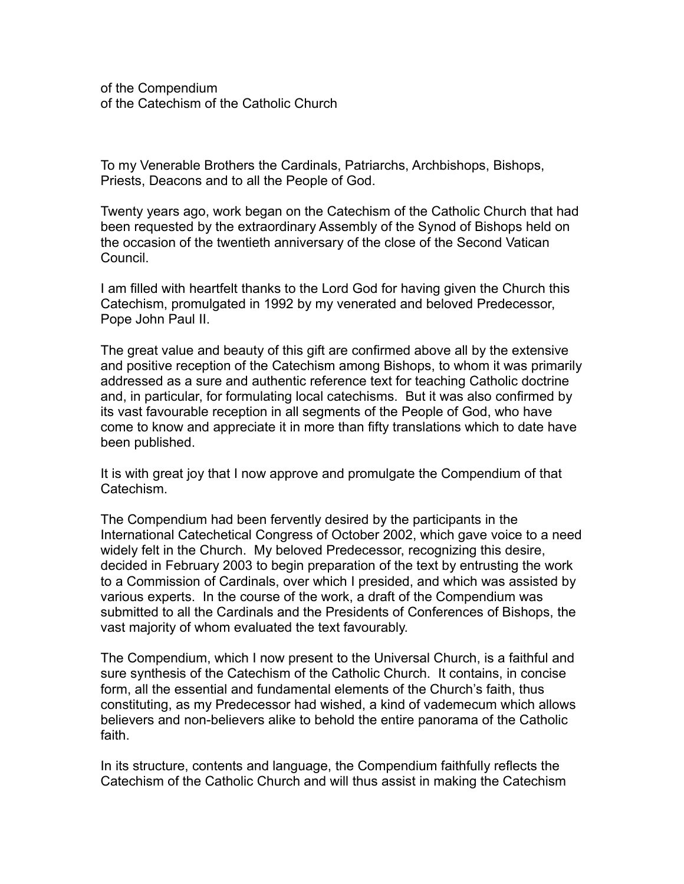of the Compendium of the Catechism of the Catholic Church

To my Venerable Brothers the Cardinals, Patriarchs, Archbishops, Bishops, Priests, Deacons and to all the People of God.

Twenty years ago, work began on the Catechism of the Catholic Church that had been requested by the extraordinary Assembly of the Synod of Bishops held on the occasion of the twentieth anniversary of the close of the Second Vatican Council.

I am filled with heartfelt thanks to the Lord God for having given the Church this Catechism, promulgated in 1992 by my venerated and beloved Predecessor, Pope John Paul II.

The great value and beauty of this gift are confirmed above all by the extensive and positive reception of the Catechism among Bishops, to whom it was primarily addressed as a sure and authentic reference text for teaching Catholic doctrine and, in particular, for formulating local catechisms. But it was also confirmed by its vast favourable reception in all segments of the People of God, who have come to know and appreciate it in more than fifty translations which to date have been published.

It is with great joy that I now approve and promulgate the Compendium of that **Catechism** 

The Compendium had been fervently desired by the participants in the International Catechetical Congress of October 2002, which gave voice to a need widely felt in the Church. My beloved Predecessor, recognizing this desire, decided in February 2003 to begin preparation of the text by entrusting the work to a Commission of Cardinals, over which I presided, and which was assisted by various experts. In the course of the work, a draft of the Compendium was submitted to all the Cardinals and the Presidents of Conferences of Bishops, the vast majority of whom evaluated the text favourably.

The Compendium, which I now present to the Universal Church, is a faithful and sure synthesis of the Catechism of the Catholic Church. It contains, in concise form, all the essential and fundamental elements of the Church's faith, thus constituting, as my Predecessor had wished, a kind of vademecum which allows believers and non-believers alike to behold the entire panorama of the Catholic faith.

In its structure, contents and language, the Compendium faithfully reflects the Catechism of the Catholic Church and will thus assist in making the Catechism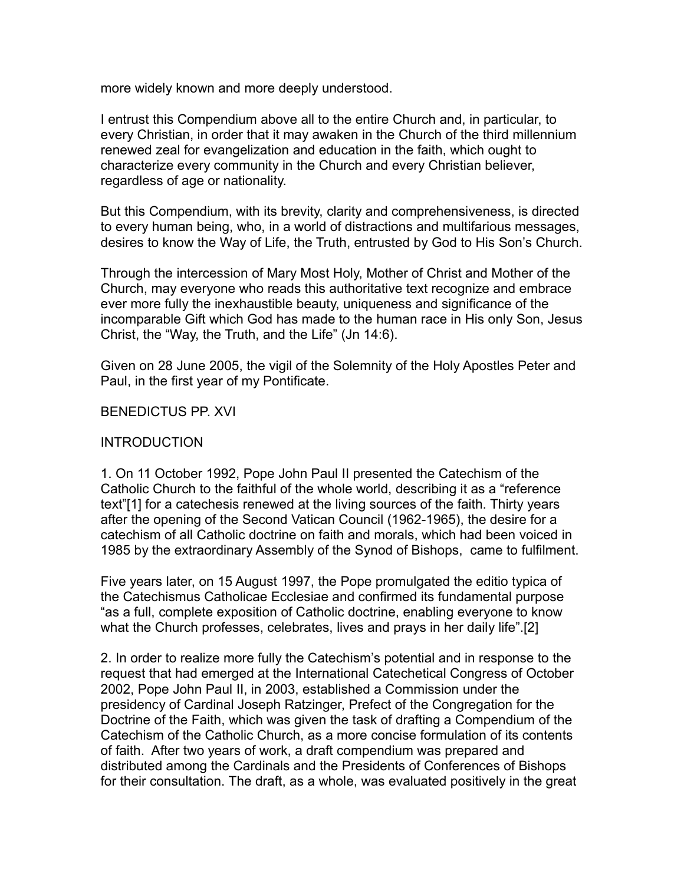more widely known and more deeply understood.

I entrust this Compendium above all to the entire Church and, in particular, to every Christian, in order that it may awaken in the Church of the third millennium renewed zeal for evangelization and education in the faith, which ought to characterize every community in the Church and every Christian believer, regardless of age or nationality.

But this Compendium, with its brevity, clarity and comprehensiveness, is directed to every human being, who, in a world of distractions and multifarious messages, desires to know the Way of Life, the Truth, entrusted by God to His Son's Church.

Through the intercession of Mary Most Holy, Mother of Christ and Mother of the Church, may everyone who reads this authoritative text recognize and embrace ever more fully the inexhaustible beauty, uniqueness and significance of the incomparable Gift which God has made to the human race in His only Son, Jesus Christ, the "Way, the Truth, and the Life" (Jn 14:6).

Given on 28 June 2005, the vigil of the Solemnity of the Holy Apostles Peter and Paul, in the first year of my Pontificate.

#### BENEDICTUS PP. XVI

#### INTRODUCTION

1. On 11 October 1992, Pope John Paul II presented the Catechism of the Catholic Church to the faithful of the whole world, describing it as a "reference text"[1] for a catechesis renewed at the living sources of the faith. Thirty years after the opening of the Second Vatican Council (1962-1965), the desire for a catechism of all Catholic doctrine on faith and morals, which had been voiced in 1985 by the extraordinary Assembly of the Synod of Bishops, came to fulfilment.

Five years later, on 15 August 1997, the Pope promulgated the editio typica of the Catechismus Catholicae Ecclesiae and confirmed its fundamental purpose "as a full, complete exposition of Catholic doctrine, enabling everyone to know what the Church professes, celebrates, lives and prays in her daily life".[2]

2. In order to realize more fully the Catechism's potential and in response to the request that had emerged at the International Catechetical Congress of October 2002, Pope John Paul II, in 2003, established a Commission under the presidency of Cardinal Joseph Ratzinger, Prefect of the Congregation for the Doctrine of the Faith, which was given the task of drafting a Compendium of the Catechism of the Catholic Church, as a more concise formulation of its contents of faith. After two years of work, a draft compendium was prepared and distributed among the Cardinals and the Presidents of Conferences of Bishops for their consultation. The draft, as a whole, was evaluated positively in the great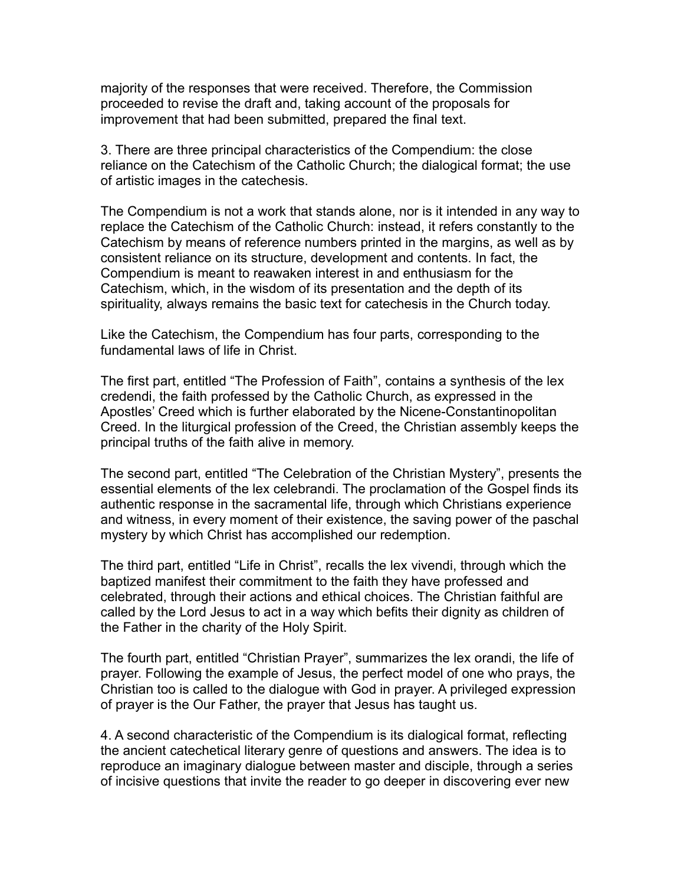majority of the responses that were received. Therefore, the Commission proceeded to revise the draft and, taking account of the proposals for improvement that had been submitted, prepared the final text.

3. There are three principal characteristics of the Compendium: the close reliance on the Catechism of the Catholic Church; the dialogical format; the use of artistic images in the catechesis.

The Compendium is not a work that stands alone, nor is it intended in any way to replace the Catechism of the Catholic Church: instead, it refers constantly to the Catechism by means of reference numbers printed in the margins, as well as by consistent reliance on its structure, development and contents. In fact, the Compendium is meant to reawaken interest in and enthusiasm for the Catechism, which, in the wisdom of its presentation and the depth of its spirituality, always remains the basic text for catechesis in the Church today.

Like the Catechism, the Compendium has four parts, corresponding to the fundamental laws of life in Christ.

The first part, entitled "The Profession of Faith", contains a synthesis of the lex credendi, the faith professed by the Catholic Church, as expressed in the Apostles' Creed which is further elaborated by the Nicene-Constantinopolitan Creed. In the liturgical profession of the Creed, the Christian assembly keeps the principal truths of the faith alive in memory.

The second part, entitled "The Celebration of the Christian Mystery", presents the essential elements of the lex celebrandi. The proclamation of the Gospel finds its authentic response in the sacramental life, through which Christians experience and witness, in every moment of their existence, the saving power of the paschal mystery by which Christ has accomplished our redemption.

The third part, entitled "Life in Christ", recalls the lex vivendi, through which the baptized manifest their commitment to the faith they have professed and celebrated, through their actions and ethical choices. The Christian faithful are called by the Lord Jesus to act in a way which befits their dignity as children of the Father in the charity of the Holy Spirit.

The fourth part, entitled "Christian Prayer", summarizes the lex orandi, the life of prayer. Following the example of Jesus, the perfect model of one who prays, the Christian too is called to the dialogue with God in prayer. A privileged expression of prayer is the Our Father, the prayer that Jesus has taught us.

4. A second characteristic of the Compendium is its dialogical format, reflecting the ancient catechetical literary genre of questions and answers. The idea is to reproduce an imaginary dialogue between master and disciple, through a series of incisive questions that invite the reader to go deeper in discovering ever new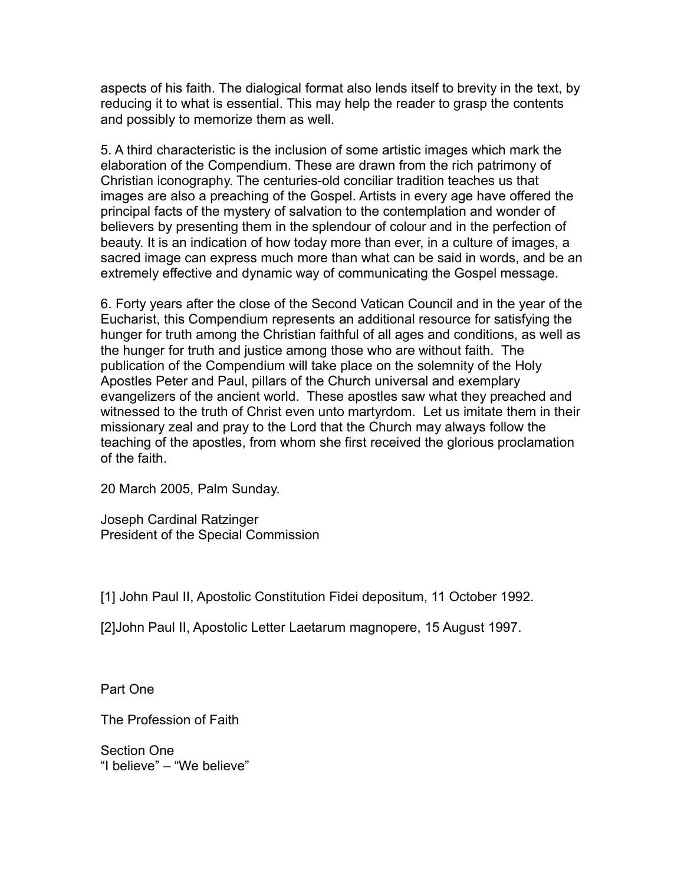aspects of his faith. The dialogical format also lends itself to brevity in the text, by reducing it to what is essential. This may help the reader to grasp the contents and possibly to memorize them as well.

5. A third characteristic is the inclusion of some artistic images which mark the elaboration of the Compendium. These are drawn from the rich patrimony of Christian iconography. The centuries-old conciliar tradition teaches us that images are also a preaching of the Gospel. Artists in every age have offered the principal facts of the mystery of salvation to the contemplation and wonder of believers by presenting them in the splendour of colour and in the perfection of beauty. It is an indication of how today more than ever, in a culture of images, a sacred image can express much more than what can be said in words, and be an extremely effective and dynamic way of communicating the Gospel message.

6. Forty years after the close of the Second Vatican Council and in the year of the Eucharist, this Compendium represents an additional resource for satisfying the hunger for truth among the Christian faithful of all ages and conditions, as well as the hunger for truth and justice among those who are without faith. The publication of the Compendium will take place on the solemnity of the Holy Apostles Peter and Paul, pillars of the Church universal and exemplary evangelizers of the ancient world. These apostles saw what they preached and witnessed to the truth of Christ even unto martyrdom. Let us imitate them in their missionary zeal and pray to the Lord that the Church may always follow the teaching of the apostles, from whom she first received the glorious proclamation of the faith.

20 March 2005, Palm Sunday.

Joseph Cardinal Ratzinger President of the Special Commission

[1] John Paul II, Apostolic Constitution Fidei depositum, 11 October 1992.

[2]John Paul II, Apostolic Letter Laetarum magnopere, 15 August 1997.

Part One

The Profession of Faith

Section One "I believe" – "We believe"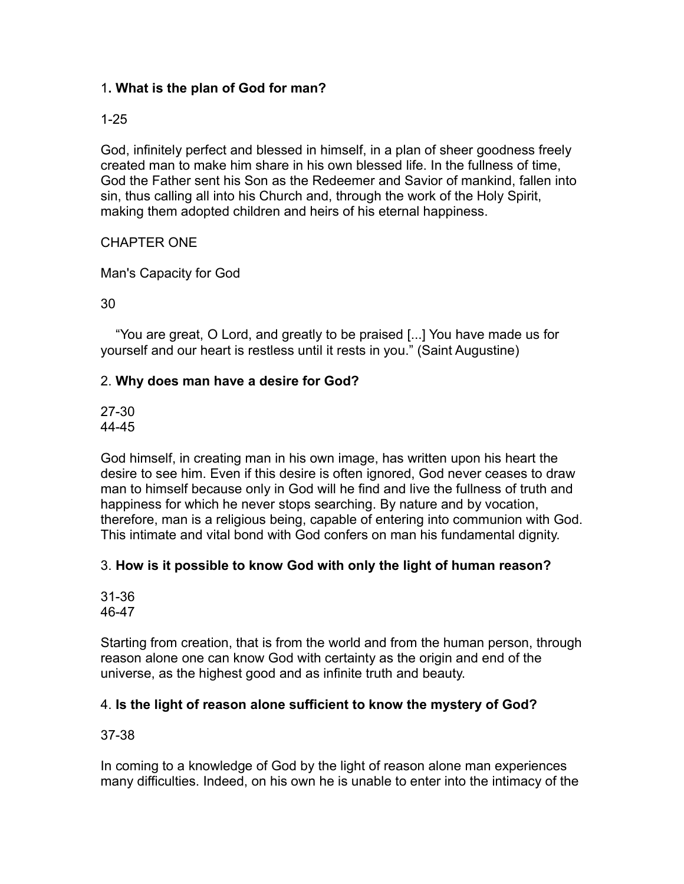# 1**. What is the plan of God for man?**

#### 1-25

God, infinitely perfect and blessed in himself, in a plan of sheer goodness freely created man to make him share in his own blessed life. In the fullness of time, God the Father sent his Son as the Redeemer and Savior of mankind, fallen into sin, thus calling all into his Church and, through the work of the Holy Spirit, making them adopted children and heirs of his eternal happiness.

#### CHAPTER ONE

Man's Capacity for God

30

 "You are great, O Lord, and greatly to be praised [...] You have made us for yourself and our heart is restless until it rests in you." (Saint Augustine)

#### 2. **Why does man have a desire for God?**

27-30 44-45

God himself, in creating man in his own image, has written upon his heart the desire to see him. Even if this desire is often ignored, God never ceases to draw man to himself because only in God will he find and live the fullness of truth and happiness for which he never stops searching. By nature and by vocation, therefore, man is a religious being, capable of entering into communion with God. This intimate and vital bond with God confers on man his fundamental dignity.

# 3. **How is it possible to know God with only the light of human reason?**

31-36 46-47

Starting from creation, that is from the world and from the human person, through reason alone one can know God with certainty as the origin and end of the universe, as the highest good and as infinite truth and beauty.

# 4. **Is the light of reason alone sufficient to know the mystery of God?**

37-38

In coming to a knowledge of God by the light of reason alone man experiences many difficulties. Indeed, on his own he is unable to enter into the intimacy of the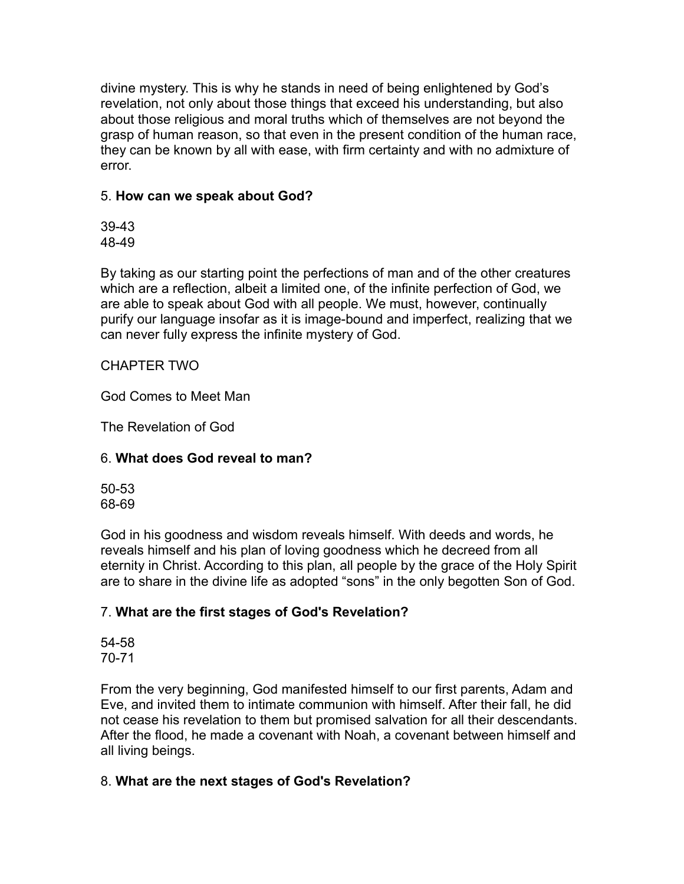divine mystery. This is why he stands in need of being enlightened by God's revelation, not only about those things that exceed his understanding, but also about those religious and moral truths which of themselves are not beyond the grasp of human reason, so that even in the present condition of the human race, they can be known by all with ease, with firm certainty and with no admixture of error.

# 5. **How can we speak about God?**

39-43 48-49

By taking as our starting point the perfections of man and of the other creatures which are a reflection, albeit a limited one, of the infinite perfection of God, we are able to speak about God with all people. We must, however, continually purify our language insofar as it is image-bound and imperfect, realizing that we can never fully express the infinite mystery of God.

# CHAPTER TWO

God Comes to Meet Man

The Revelation of God

# 6. **What does God reveal to man?**

50-53 68-69

God in his goodness and wisdom reveals himself. With deeds and words, he reveals himself and his plan of loving goodness which he decreed from all eternity in Christ. According to this plan, all people by the grace of the Holy Spirit are to share in the divine life as adopted "sons" in the only begotten Son of God.

# 7. **What are the first stages of God's Revelation?**

54-58 70-71

From the very beginning, God manifested himself to our first parents, Adam and Eve, and invited them to intimate communion with himself. After their fall, he did not cease his revelation to them but promised salvation for all their descendants. After the flood, he made a covenant with Noah, a covenant between himself and all living beings.

# 8. **What are the next stages of God's Revelation?**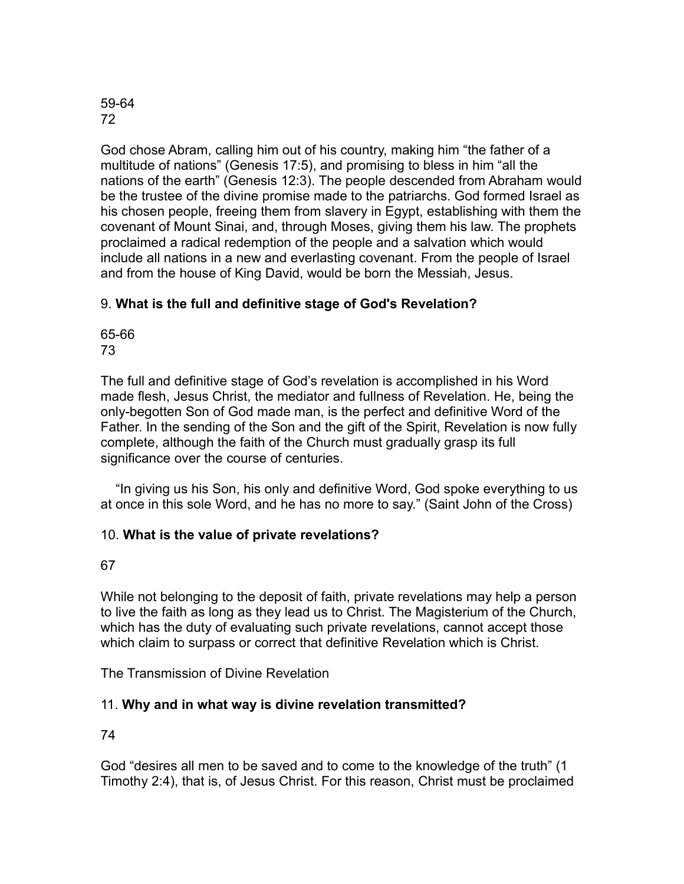God chose Abram, calling him out of his country, making him "the father of a multitude of nations" (Genesis 17:5), and promising to bless in him "all the nations of the earth" (Genesis 12:3). The people descended from Abraham would be the trustee of the divine promise made to the patriarchs. God formed Israel as his chosen people, freeing them from slavery in Egypt, establishing with them the covenant of Mount Sinai, and, through Moses, giving them his law. The prophets proclaimed a radical redemption of the people and a salvation which would include all nations in a new and everlasting covenant. From the people of Israel and from the house of King David, would be born the Messiah, Jesus.

# 9. **What is the full and definitive stage of God's Revelation?**

65-66 73

The full and definitive stage of God's revelation is accomplished in his Word made flesh, Jesus Christ, the mediator and fullness of Revelation. He, being the only-begotten Son of God made man, is the perfect and definitive Word of the Father. In the sending of the Son and the gift of the Spirit, Revelation is now fully complete, although the faith of the Church must gradually grasp its full significance over the course of centuries.

 "In giving us his Son, his only and definitive Word, God spoke everything to us at once in this sole Word, and he has no more to say." (Saint John of the Cross)

# 10. **What is the value of private revelations?**

# 67

While not belonging to the deposit of faith, private revelations may help a person to live the faith as long as they lead us to Christ. The Magisterium of the Church, which has the duty of evaluating such private revelations, cannot accept those which claim to surpass or correct that definitive Revelation which is Christ.

The Transmission of Divine Revelation

# 11. **Why and in what way is divine revelation transmitted?**

74

God "desires all men to be saved and to come to the knowledge of the truth" (1 Timothy 2:4), that is, of Jesus Christ. For this reason, Christ must be proclaimed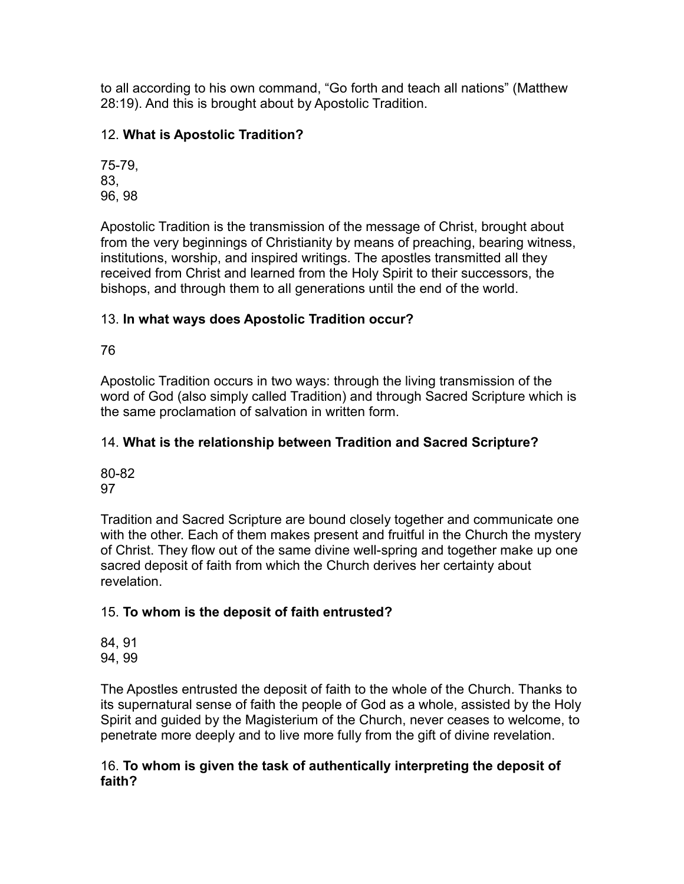to all according to his own command, "Go forth and teach all nations" (Matthew 28:19). And this is brought about by Apostolic Tradition.

# 12. **What is Apostolic Tradition?**

75-79, 83, 96, 98

Apostolic Tradition is the transmission of the message of Christ, brought about from the very beginnings of Christianity by means of preaching, bearing witness, institutions, worship, and inspired writings. The apostles transmitted all they received from Christ and learned from the Holy Spirit to their successors, the bishops, and through them to all generations until the end of the world.

# 13. **In what ways does Apostolic Tradition occur?**

76

Apostolic Tradition occurs in two ways: through the living transmission of the word of God (also simply called Tradition) and through Sacred Scripture which is the same proclamation of salvation in written form.

# 14. **What is the relationship between Tradition and Sacred Scripture?**

80-82 97

Tradition and Sacred Scripture are bound closely together and communicate one with the other. Each of them makes present and fruitful in the Church the mystery of Christ. They flow out of the same divine well-spring and together make up one sacred deposit of faith from which the Church derives her certainty about revelation.

# 15. **To whom is the deposit of faith entrusted?**

84, 91

94, 99

The Apostles entrusted the deposit of faith to the whole of the Church. Thanks to its supernatural sense of faith the people of God as a whole, assisted by the Holy Spirit and guided by the Magisterium of the Church, never ceases to welcome, to penetrate more deeply and to live more fully from the gift of divine revelation.

# 16. **To whom is given the task of authentically interpreting the deposit of faith?**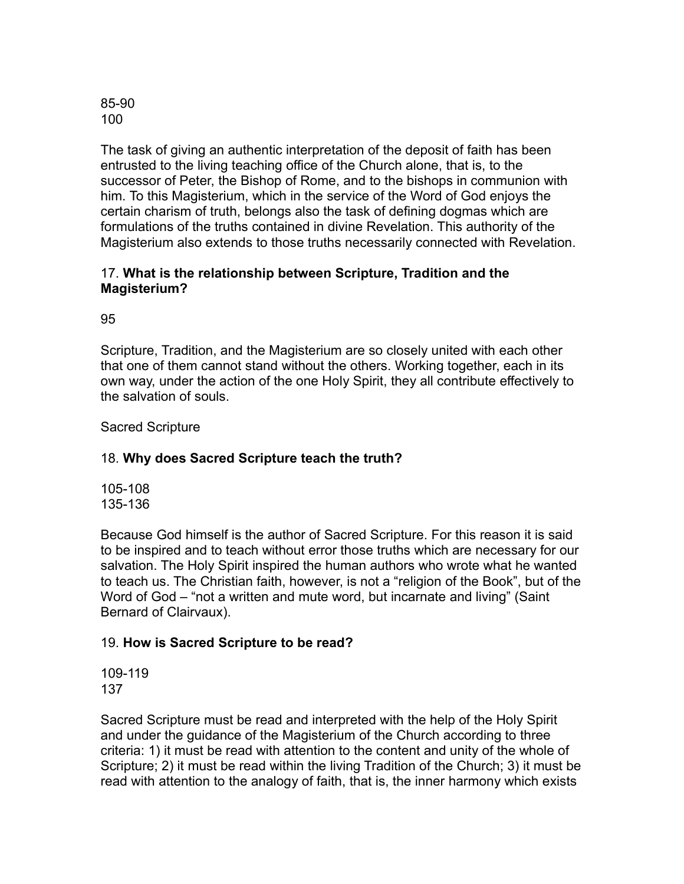The task of giving an authentic interpretation of the deposit of faith has been entrusted to the living teaching office of the Church alone, that is, to the successor of Peter, the Bishop of Rome, and to the bishops in communion with him. To this Magisterium, which in the service of the Word of God enjoys the certain charism of truth, belongs also the task of defining dogmas which are formulations of the truths contained in divine Revelation. This authority of the Magisterium also extends to those truths necessarily connected with Revelation.

#### 17. **What is the relationship between Scripture, Tradition and the Magisterium?**

95

Scripture, Tradition, and the Magisterium are so closely united with each other that one of them cannot stand without the others. Working together, each in its own way, under the action of the one Holy Spirit, they all contribute effectively to the salvation of souls.

Sacred Scripture

# 18. **Why does Sacred Scripture teach the truth?**

105-108 135-136

Because God himself is the author of Sacred Scripture. For this reason it is said to be inspired and to teach without error those truths which are necessary for our salvation. The Holy Spirit inspired the human authors who wrote what he wanted to teach us. The Christian faith, however, is not a "religion of the Book", but of the Word of God – "not a written and mute word, but incarnate and living" (Saint Bernard of Clairvaux).

# 19. **How is Sacred Scripture to be read?**

109-119 137

Sacred Scripture must be read and interpreted with the help of the Holy Spirit and under the guidance of the Magisterium of the Church according to three criteria: 1) it must be read with attention to the content and unity of the whole of Scripture; 2) it must be read within the living Tradition of the Church; 3) it must be read with attention to the analogy of faith, that is, the inner harmony which exists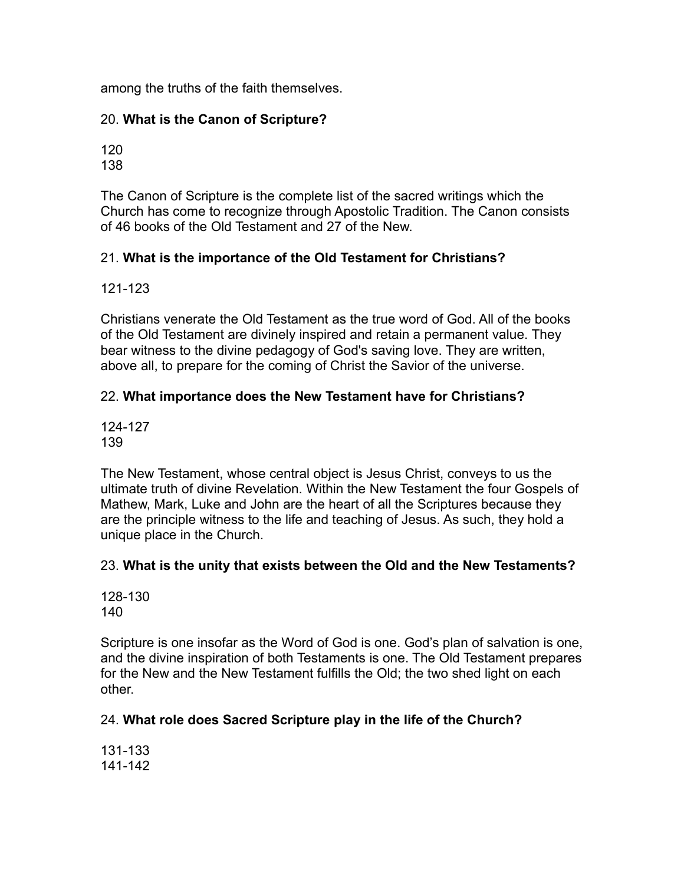among the truths of the faith themselves.

# 20. **What is the Canon of Scripture?**

120 138

The Canon of Scripture is the complete list of the sacred writings which the Church has come to recognize through Apostolic Tradition. The Canon consists of 46 books of the Old Testament and 27 of the New.

# 21. **What is the importance of the Old Testament for Christians?**

121-123

Christians venerate the Old Testament as the true word of God. All of the books of the Old Testament are divinely inspired and retain a permanent value. They bear witness to the divine pedagogy of God's saving love. They are written, above all, to prepare for the coming of Christ the Savior of the universe.

# 22. **What importance does the New Testament have for Christians?**

124-127 139

The New Testament, whose central object is Jesus Christ, conveys to us the ultimate truth of divine Revelation. Within the New Testament the four Gospels of Mathew, Mark, Luke and John are the heart of all the Scriptures because they are the principle witness to the life and teaching of Jesus. As such, they hold a unique place in the Church.

# 23. **What is the unity that exists between the Old and the New Testaments?**

128-130 140

Scripture is one insofar as the Word of God is one. God's plan of salvation is one, and the divine inspiration of both Testaments is one. The Old Testament prepares for the New and the New Testament fulfills the Old; the two shed light on each other.

# 24. **What role does Sacred Scripture play in the life of the Church?**

131-133 141-142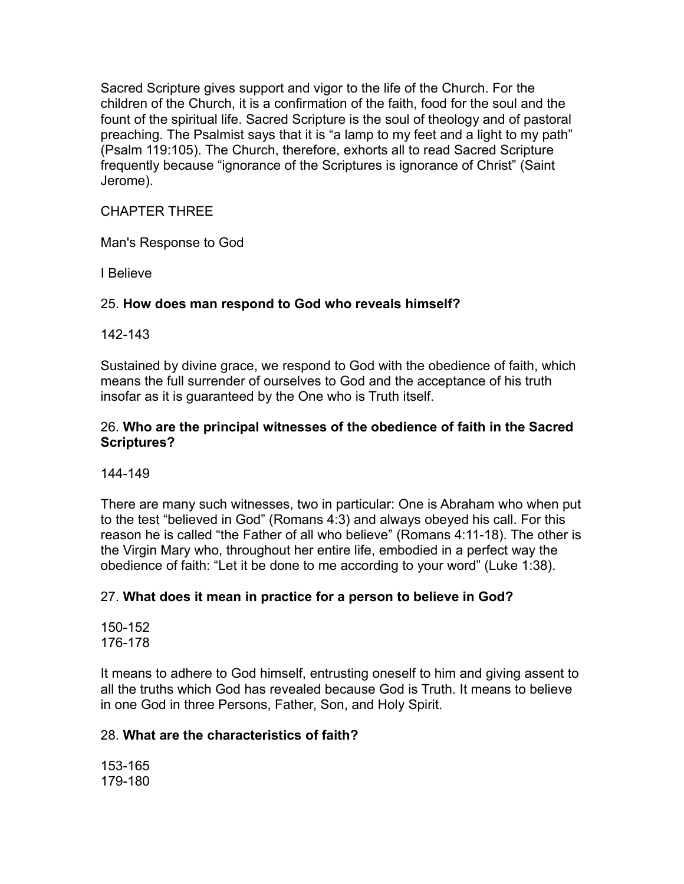Sacred Scripture gives support and vigor to the life of the Church. For the children of the Church, it is a confirmation of the faith, food for the soul and the fount of the spiritual life. Sacred Scripture is the soul of theology and of pastoral preaching. The Psalmist says that it is "a lamp to my feet and a light to my path" (Psalm 119:105). The Church, therefore, exhorts all to read Sacred Scripture frequently because "ignorance of the Scriptures is ignorance of Christ" (Saint Jerome).

# CHAPTER THREE

Man's Response to God

I Believe

# 25. **How does man respond to God who reveals himself?**

142-143

Sustained by divine grace, we respond to God with the obedience of faith, which means the full surrender of ourselves to God and the acceptance of his truth insofar as it is guaranteed by the One who is Truth itself.

#### 26. **Who are the principal witnesses of the obedience of faith in the Sacred Scriptures?**

144-149

There are many such witnesses, two in particular: One is Abraham who when put to the test "believed in God" (Romans 4:3) and always obeyed his call. For this reason he is called "the Father of all who believe" (Romans 4:11-18). The other is the Virgin Mary who, throughout her entire life, embodied in a perfect way the obedience of faith: "Let it be done to me according to your word" (Luke 1:38).

# 27. **What does it mean in practice for a person to believe in God?**

150-152 176-178

It means to adhere to God himself, entrusting oneself to him and giving assent to all the truths which God has revealed because God is Truth. It means to believe in one God in three Persons, Father, Son, and Holy Spirit.

# 28. **What are the characteristics of faith?**

153-165 179-180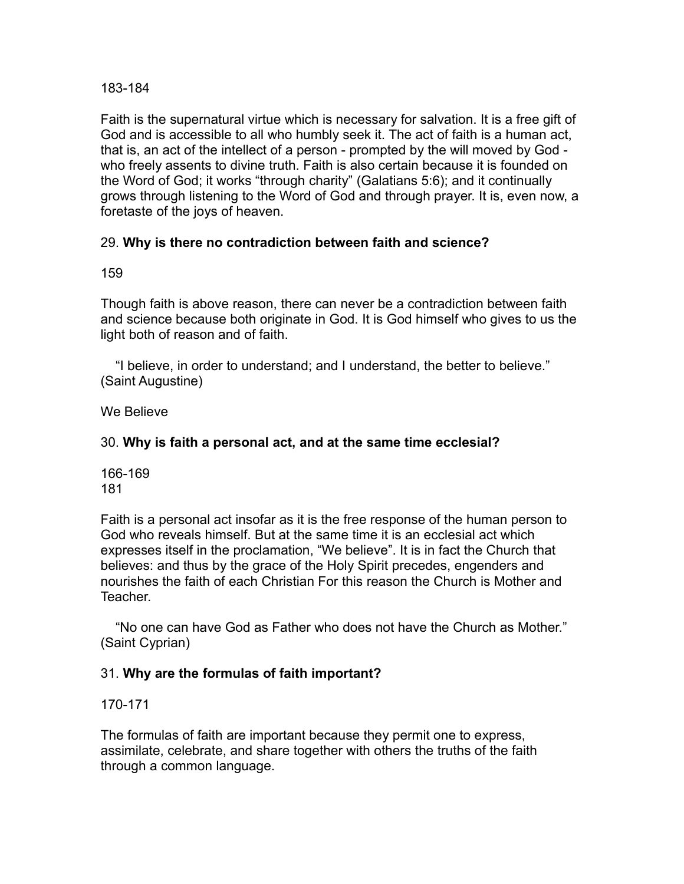Faith is the supernatural virtue which is necessary for salvation. It is a free gift of God and is accessible to all who humbly seek it. The act of faith is a human act, that is, an act of the intellect of a person - prompted by the will moved by God who freely assents to divine truth. Faith is also certain because it is founded on the Word of God; it works "through charity" (Galatians 5:6); and it continually grows through listening to the Word of God and through prayer. It is, even now, a foretaste of the joys of heaven.

#### 29. **Why is there no contradiction between faith and science?**

#### 159

Though faith is above reason, there can never be a contradiction between faith and science because both originate in God. It is God himself who gives to us the light both of reason and of faith.

 "I believe, in order to understand; and I understand, the better to believe." (Saint Augustine)

We Believe

#### 30. **Why is faith a personal act, and at the same time ecclesial?**

166-169 181

Faith is a personal act insofar as it is the free response of the human person to God who reveals himself. But at the same time it is an ecclesial act which expresses itself in the proclamation, "We believe". It is in fact the Church that believes: and thus by the grace of the Holy Spirit precedes, engenders and nourishes the faith of each Christian For this reason the Church is Mother and Teacher.

 "No one can have God as Father who does not have the Church as Mother." (Saint Cyprian)

# 31. **Why are the formulas of faith important?**

170-171

The formulas of faith are important because they permit one to express, assimilate, celebrate, and share together with others the truths of the faith through a common language.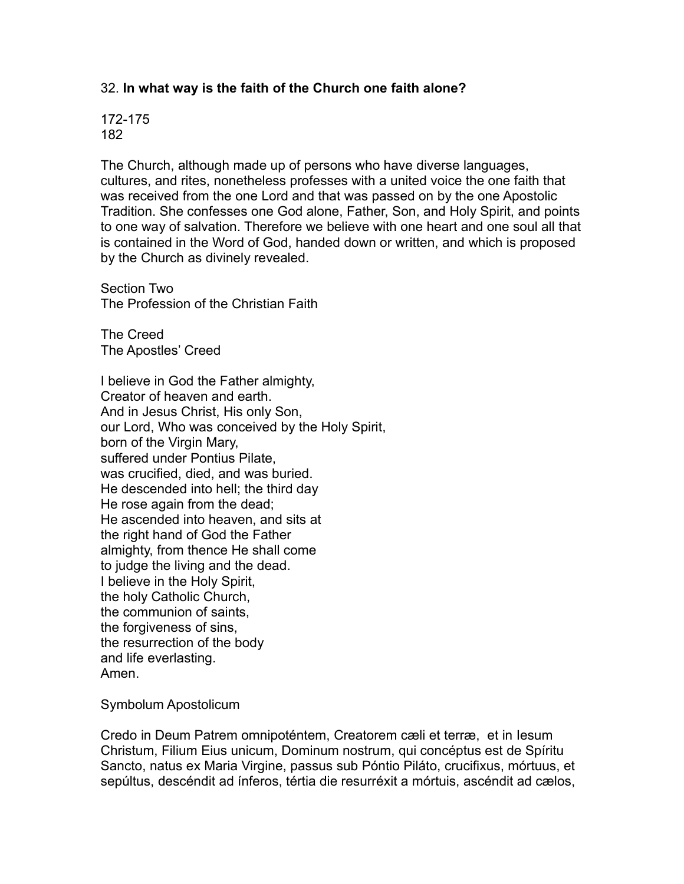#### 32. **In what way is the faith of the Church one faith alone?**

172-175 182

The Church, although made up of persons who have diverse languages, cultures, and rites, nonetheless professes with a united voice the one faith that was received from the one Lord and that was passed on by the one Apostolic Tradition. She confesses one God alone, Father, Son, and Holy Spirit, and points to one way of salvation. Therefore we believe with one heart and one soul all that is contained in the Word of God, handed down or written, and which is proposed by the Church as divinely revealed.

Section Two The Profession of the Christian Faith

The Creed The Apostles' Creed

I believe in God the Father almighty, Creator of heaven and earth. And in Jesus Christ, His only Son, our Lord, Who was conceived by the Holy Spirit, born of the Virgin Mary, suffered under Pontius Pilate, was crucified, died, and was buried. He descended into hell; the third day He rose again from the dead; He ascended into heaven, and sits at the right hand of God the Father almighty, from thence He shall come to judge the living and the dead. I believe in the Holy Spirit, the holy Catholic Church, the communion of saints, the forgiveness of sins, the resurrection of the body and life everlasting. Amen.

Symbolum Apostolicum

Credo in Deum Patrem omnipoténtem, Creatorem cæli et terræ, et in Iesum Christum, Filium Eius unicum, Dominum nostrum, qui concéptus est de Spíritu Sancto, natus ex Maria Virgine, passus sub Póntio Piláto, crucifixus, mórtuus, et sepúltus, descéndit ad ínferos, tértia die resurréxit a mórtuis, ascéndit ad cælos,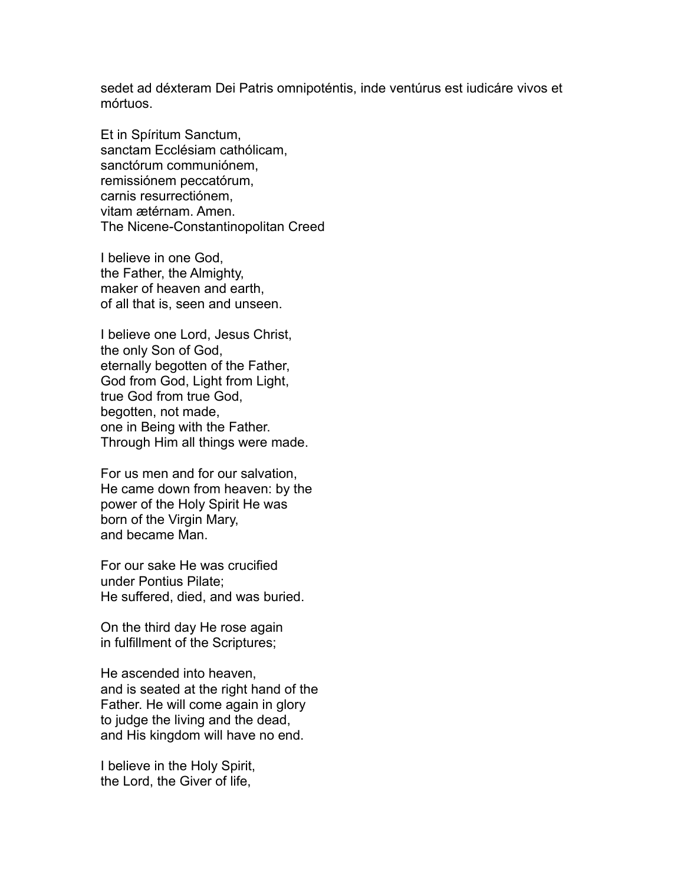sedet ad déxteram Dei Patris omnipoténtis, inde ventúrus est iudicáre vivos et mórtuos.

Et in Spíritum Sanctum, sanctam Ecclésiam cathólicam, sanctórum communiónem, remissiónem peccatórum, carnis resurrectiónem, vitam ætérnam. Amen. The Nicene-Constantinopolitan Creed

I believe in one God, the Father, the Almighty, maker of heaven and earth, of all that is, seen and unseen.

I believe one Lord, Jesus Christ, the only Son of God, eternally begotten of the Father, God from God, Light from Light, true God from true God, begotten, not made, one in Being with the Father. Through Him all things were made.

For us men and for our salvation, He came down from heaven: by the power of the Holy Spirit He was born of the Virgin Mary, and became Man.

For our sake He was crucified under Pontius Pilate; He suffered, died, and was buried.

On the third day He rose again in fulfillment of the Scriptures;

He ascended into heaven, and is seated at the right hand of the Father. He will come again in glory to judge the living and the dead, and His kingdom will have no end.

I believe in the Holy Spirit, the Lord, the Giver of life,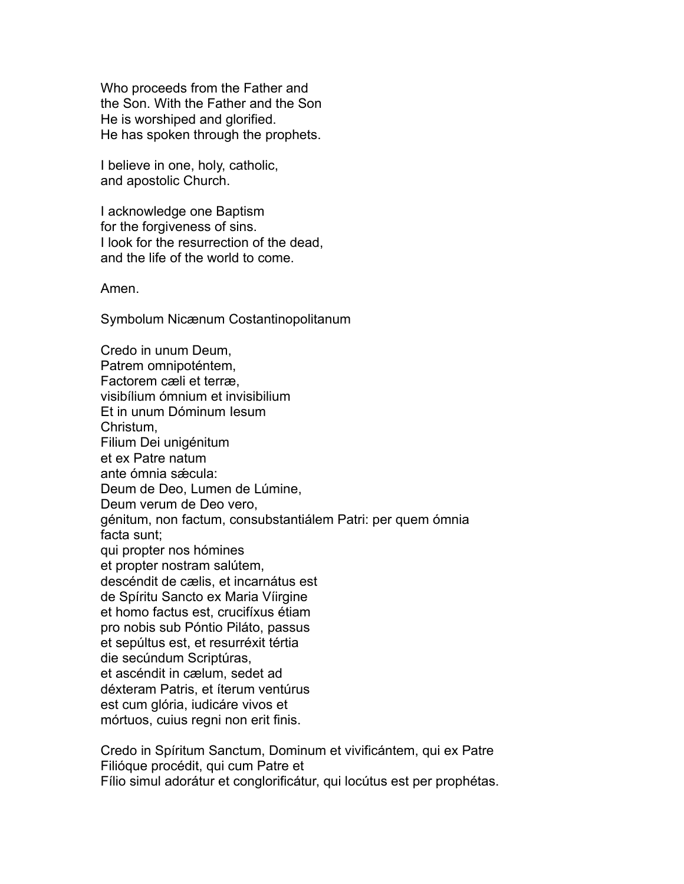Who proceeds from the Father and the Son. With the Father and the Son He is worshiped and glorified. He has spoken through the prophets.

I believe in one, holy, catholic, and apostolic Church.

I acknowledge one Baptism for the forgiveness of sins. I look for the resurrection of the dead, and the life of the world to come.

Amen.

Symbolum Nicænum Costantinopolitanum

Credo in unum Deum, Patrem omnipoténtem, Factorem cæli et terræ, visibílium ómnium et invisibilium Et in unum Dóminum Iesum Christum, Filium Dei unigénitum et ex Patre natum ante ómnia sǽcula: Deum de Deo, Lumen de Lúmine, Deum verum de Deo vero, génitum, non factum, consubstantiálem Patri: per quem ómnia facta sunt; qui propter nos hómines et propter nostram salútem, descéndit de cælis, et incarnátus est de Spíritu Sancto ex Maria Víirgine et homo factus est, crucifíxus étiam pro nobis sub Póntio Piláto, passus et sepúltus est, et resurréxit tértia die secúndum Scriptúras, et ascéndit in cælum, sedet ad déxteram Patris, et íterum ventúrus est cum glória, iudicáre vivos et mórtuos, cuius regni non erit finis.

Credo in Spíritum Sanctum, Dominum et vivificántem, qui ex Patre Filióque procédit, qui cum Patre et Fílio simul adorátur et conglorificátur, qui locútus est per prophétas.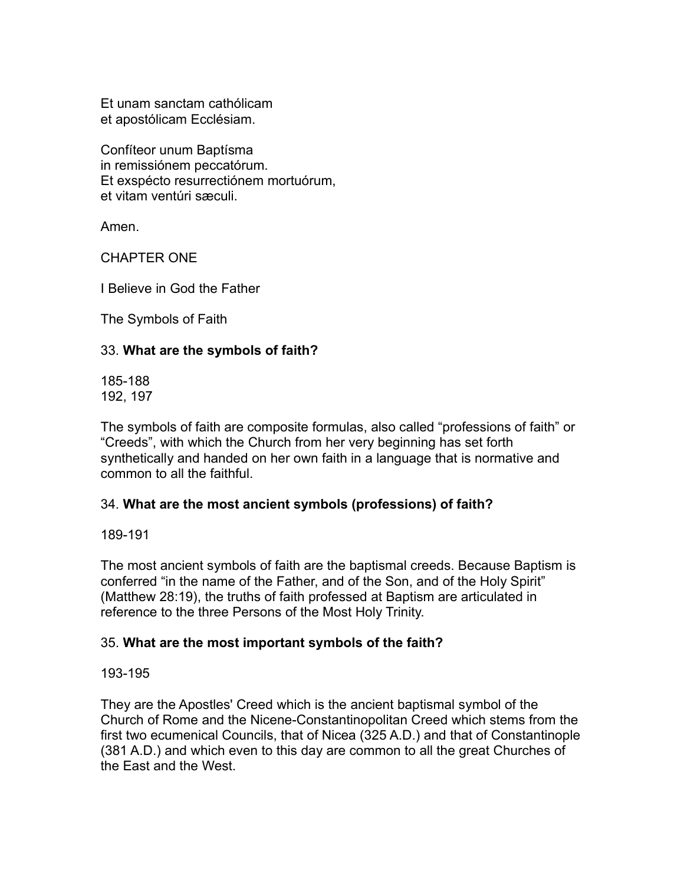Et unam sanctam cathólicam et apostólicam Ecclésiam.

Confíteor unum Baptísma in remissiónem peccatórum. Et exspécto resurrectiónem mortuórum, et vitam ventúri sæculi.

Amen.

CHAPTER ONE

I Believe in God the Father

The Symbols of Faith

#### 33. **What are the symbols of faith?**

185-188 192, 197

The symbols of faith are composite formulas, also called "professions of faith" or "Creeds", with which the Church from her very beginning has set forth synthetically and handed on her own faith in a language that is normative and common to all the faithful.

# 34. **What are the most ancient symbols (professions) of faith?**

189-191

The most ancient symbols of faith are the baptismal creeds. Because Baptism is conferred "in the name of the Father, and of the Son, and of the Holy Spirit" (Matthew 28:19), the truths of faith professed at Baptism are articulated in reference to the three Persons of the Most Holy Trinity.

# 35. **What are the most important symbols of the faith?**

#### 193-195

They are the Apostles' Creed which is the ancient baptismal symbol of the Church of Rome and the Nicene-Constantinopolitan Creed which stems from the first two ecumenical Councils, that of Nicea (325 A.D.) and that of Constantinople (381 A.D.) and which even to this day are common to all the great Churches of the East and the West.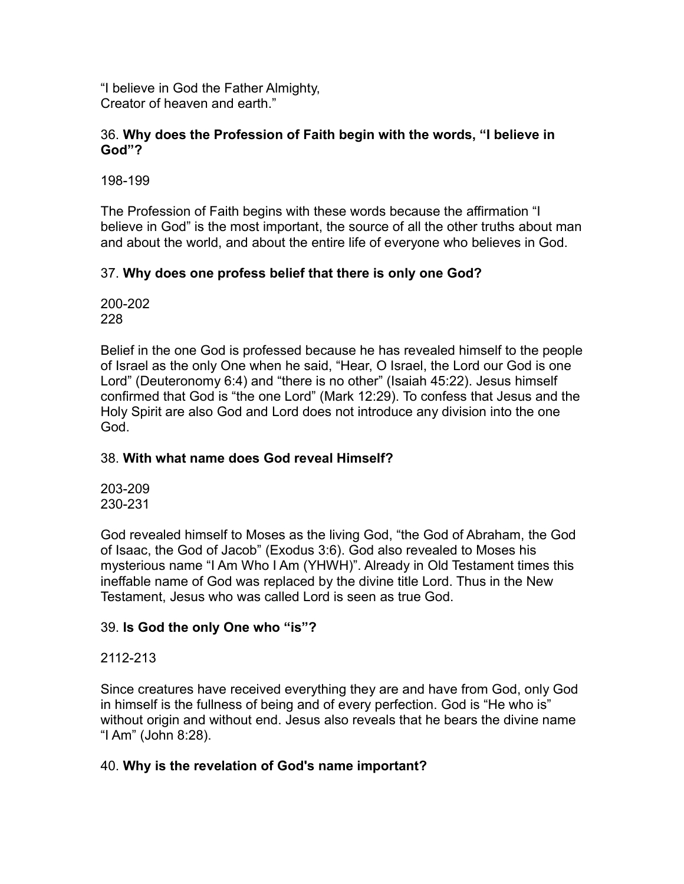"I believe in God the Father Almighty, Creator of heaven and earth."

#### 36. **Why does the Profession of Faith begin with the words, "I believe in God"?**

198-199

The Profession of Faith begins with these words because the affirmation "I believe in God" is the most important, the source of all the other truths about man and about the world, and about the entire life of everyone who believes in God.

# 37. **Why does one profess belief that there is only one God?**

200-202 228

Belief in the one God is professed because he has revealed himself to the people of Israel as the only One when he said, "Hear, O Israel, the Lord our God is one Lord" (Deuteronomy 6:4) and "there is no other" (Isaiah 45:22). Jesus himself confirmed that God is "the one Lord" (Mark 12:29). To confess that Jesus and the Holy Spirit are also God and Lord does not introduce any division into the one God.

# 38. **With what name does God reveal Himself?**

203-209 230-231

God revealed himself to Moses as the living God, "the God of Abraham, the God of Isaac, the God of Jacob" (Exodus 3:6). God also revealed to Moses his mysterious name "I Am Who I Am (YHWH)". Already in Old Testament times this ineffable name of God was replaced by the divine title Lord. Thus in the New Testament, Jesus who was called Lord is seen as true God.

# 39. **Is God the only One who "is"?**

# 2112-213

Since creatures have received everything they are and have from God, only God in himself is the fullness of being and of every perfection. God is "He who is" without origin and without end. Jesus also reveals that he bears the divine name "I Am" (John 8:28).

# 40. **Why is the revelation of God's name important?**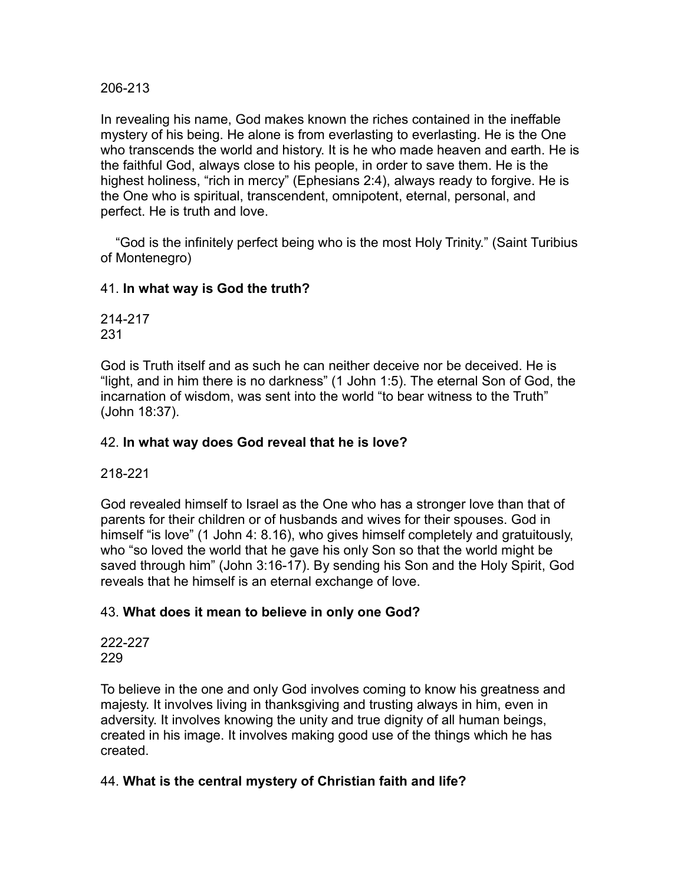In revealing his name, God makes known the riches contained in the ineffable mystery of his being. He alone is from everlasting to everlasting. He is the One who transcends the world and history. It is he who made heaven and earth. He is the faithful God, always close to his people, in order to save them. He is the highest holiness, "rich in mercy" (Ephesians 2:4), always ready to forgive. He is the One who is spiritual, transcendent, omnipotent, eternal, personal, and perfect. He is truth and love.

 "God is the infinitely perfect being who is the most Holy Trinity." (Saint Turibius of Montenegro)

# 41. **In what way is God the truth?**

214-217 231

God is Truth itself and as such he can neither deceive nor be deceived. He is "light, and in him there is no darkness" (1 John 1:5). The eternal Son of God, the incarnation of wisdom, was sent into the world "to bear witness to the Truth" (John 18:37).

# 42. **In what way does God reveal that he is love?**

218-221

God revealed himself to Israel as the One who has a stronger love than that of parents for their children or of husbands and wives for their spouses. God in himself "is love" (1 John 4: 8.16), who gives himself completely and gratuitously, who "so loved the world that he gave his only Son so that the world might be saved through him" (John 3:16-17). By sending his Son and the Holy Spirit, God reveals that he himself is an eternal exchange of love.

# 43. **What does it mean to believe in only one God?**

222-227 229

To believe in the one and only God involves coming to know his greatness and majesty. It involves living in thanksgiving and trusting always in him, even in adversity. It involves knowing the unity and true dignity of all human beings, created in his image. It involves making good use of the things which he has created.

# 44. **What is the central mystery of Christian faith and life?**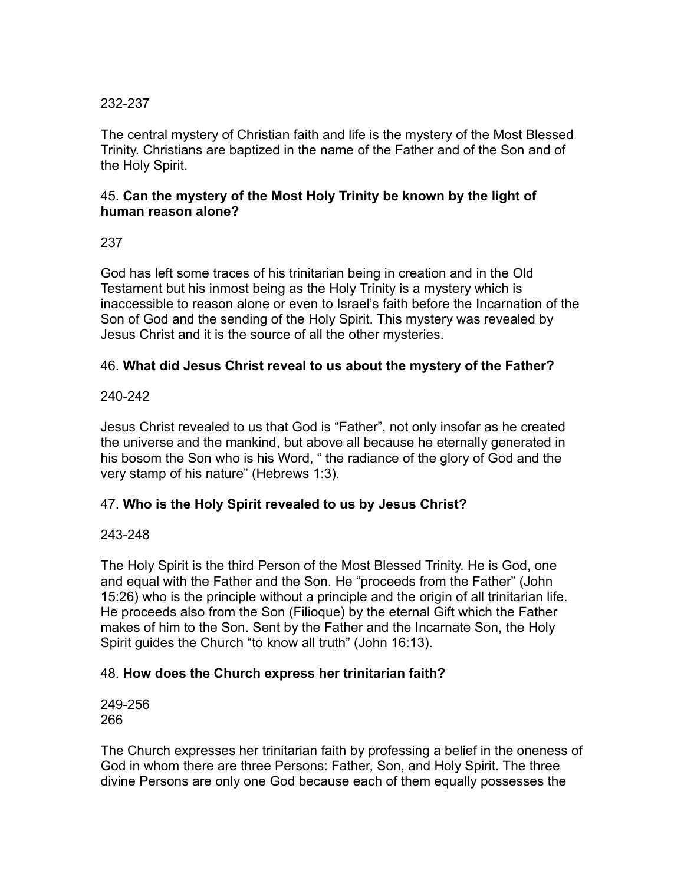The central mystery of Christian faith and life is the mystery of the Most Blessed Trinity. Christians are baptized in the name of the Father and of the Son and of the Holy Spirit.

#### 45. **Can the mystery of the Most Holy Trinity be known by the light of human reason alone?**

237

God has left some traces of his trinitarian being in creation and in the Old Testament but his inmost being as the Holy Trinity is a mystery which is inaccessible to reason alone or even to Israel's faith before the Incarnation of the Son of God and the sending of the Holy Spirit. This mystery was revealed by Jesus Christ and it is the source of all the other mysteries.

# 46. **What did Jesus Christ reveal to us about the mystery of the Father?**

# 240-242

Jesus Christ revealed to us that God is "Father", not only insofar as he created the universe and the mankind, but above all because he eternally generated in his bosom the Son who is his Word, " the radiance of the glory of God and the very stamp of his nature" (Hebrews 1:3).

# 47. **Who is the Holy Spirit revealed to us by Jesus Christ?**

# 243-248

The Holy Spirit is the third Person of the Most Blessed Trinity. He is God, one and equal with the Father and the Son. He "proceeds from the Father" (John 15:26) who is the principle without a principle and the origin of all trinitarian life. He proceeds also from the Son (Filioque) by the eternal Gift which the Father makes of him to the Son. Sent by the Father and the Incarnate Son, the Holy Spirit guides the Church "to know all truth" (John 16:13).

# 48. **How does the Church express her trinitarian faith?**

249-256 266

The Church expresses her trinitarian faith by professing a belief in the oneness of God in whom there are three Persons: Father, Son, and Holy Spirit. The three divine Persons are only one God because each of them equally possesses the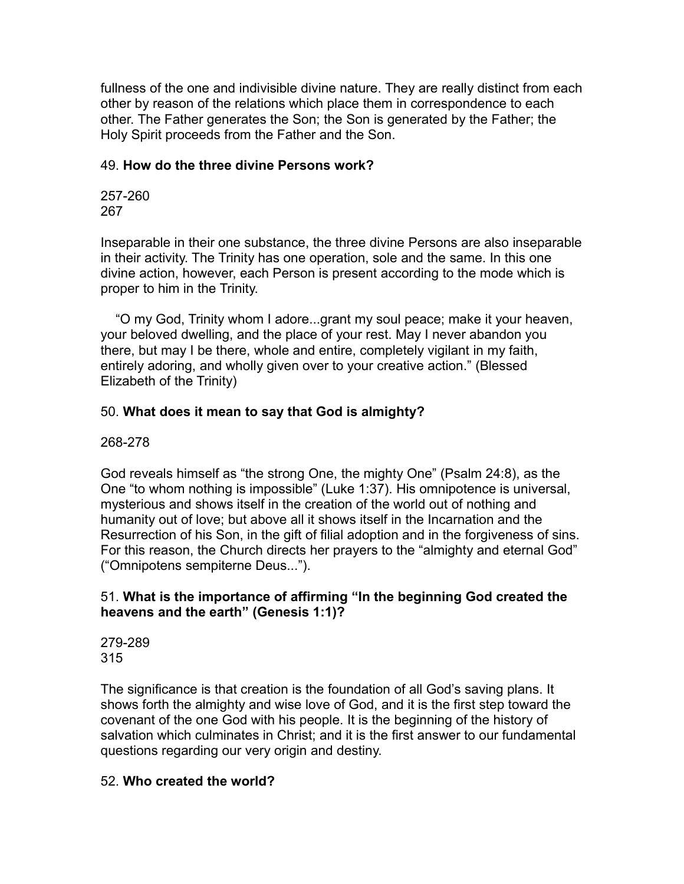fullness of the one and indivisible divine nature. They are really distinct from each other by reason of the relations which place them in correspondence to each other. The Father generates the Son; the Son is generated by the Father; the Holy Spirit proceeds from the Father and the Son.

#### 49. **How do the three divine Persons work?**

257-260 267

Inseparable in their one substance, the three divine Persons are also inseparable in their activity. The Trinity has one operation, sole and the same. In this one divine action, however, each Person is present according to the mode which is proper to him in the Trinity.

 "O my God, Trinity whom I adore...grant my soul peace; make it your heaven, your beloved dwelling, and the place of your rest. May I never abandon you there, but may I be there, whole and entire, completely vigilant in my faith, entirely adoring, and wholly given over to your creative action." (Blessed Elizabeth of the Trinity)

# 50. **What does it mean to say that God is almighty?**

#### 268-278

God reveals himself as "the strong One, the mighty One" (Psalm 24:8), as the One "to whom nothing is impossible" (Luke 1:37). His omnipotence is universal, mysterious and shows itself in the creation of the world out of nothing and humanity out of love; but above all it shows itself in the Incarnation and the Resurrection of his Son, in the gift of filial adoption and in the forgiveness of sins. For this reason, the Church directs her prayers to the "almighty and eternal God" ("Omnipotens sempiterne Deus...").

#### 51. **What is the importance of affirming "In the beginning God created the heavens and the earth" (Genesis 1:1)?**

279-289 315

The significance is that creation is the foundation of all God's saving plans. It shows forth the almighty and wise love of God, and it is the first step toward the covenant of the one God with his people. It is the beginning of the history of salvation which culminates in Christ; and it is the first answer to our fundamental questions regarding our very origin and destiny.

#### 52. **Who created the world?**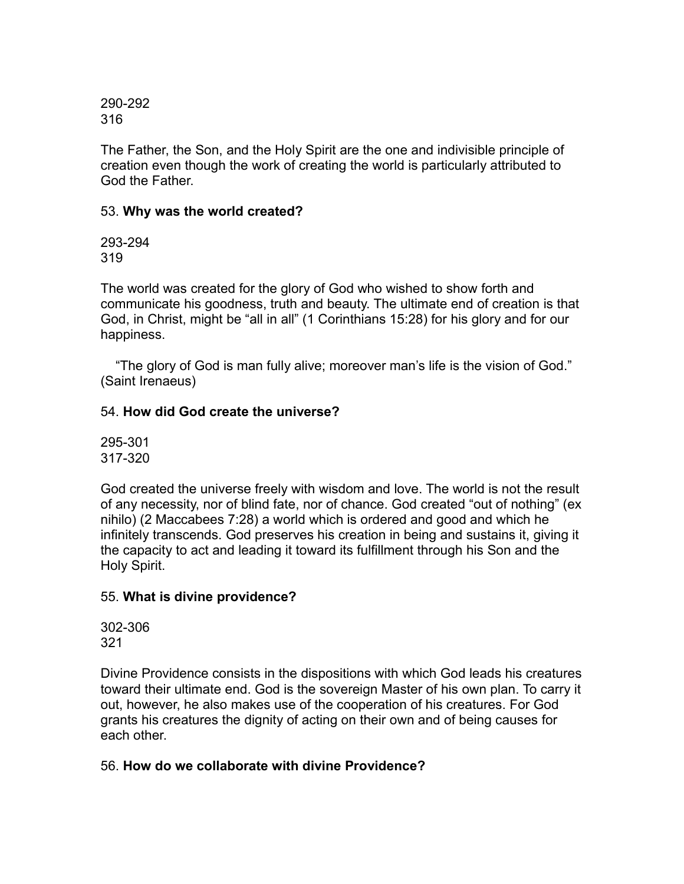The Father, the Son, and the Holy Spirit are the one and indivisible principle of creation even though the work of creating the world is particularly attributed to God the Father.

#### 53. **Why was the world created?**

293-294 319

The world was created for the glory of God who wished to show forth and communicate his goodness, truth and beauty. The ultimate end of creation is that God, in Christ, might be "all in all" (1 Corinthians 15:28) for his glory and for our happiness.

 "The glory of God is man fully alive; moreover man's life is the vision of God." (Saint Irenaeus)

# 54. **How did God create the universe?**

295-301 317-320

God created the universe freely with wisdom and love. The world is not the result of any necessity, nor of blind fate, nor of chance. God created "out of nothing" (ex nihilo) (2 Maccabees 7:28) a world which is ordered and good and which he infinitely transcends. God preserves his creation in being and sustains it, giving it the capacity to act and leading it toward its fulfillment through his Son and the Holy Spirit.

# 55. **What is divine providence?**

302-306 321

Divine Providence consists in the dispositions with which God leads his creatures toward their ultimate end. God is the sovereign Master of his own plan. To carry it out, however, he also makes use of the cooperation of his creatures. For God grants his creatures the dignity of acting on their own and of being causes for each other.

# 56. **How do we collaborate with divine Providence?**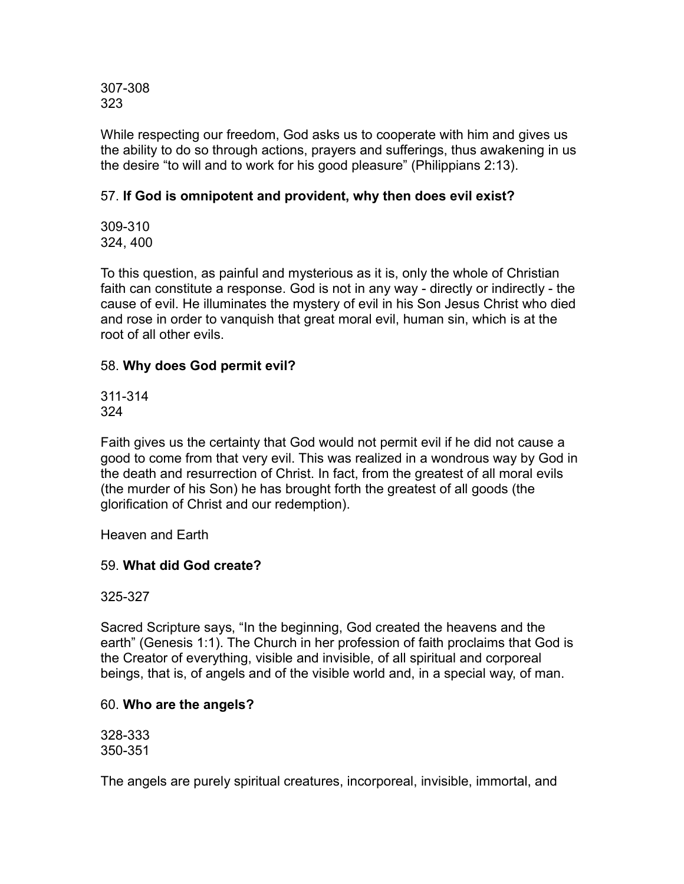While respecting our freedom, God asks us to cooperate with him and gives us the ability to do so through actions, prayers and sufferings, thus awakening in us the desire "to will and to work for his good pleasure" (Philippians 2:13).

# 57. **If God is omnipotent and provident, why then does evil exist?**

309-310 324, 400

To this question, as painful and mysterious as it is, only the whole of Christian faith can constitute a response. God is not in any way - directly or indirectly - the cause of evil. He illuminates the mystery of evil in his Son Jesus Christ who died and rose in order to vanquish that great moral evil, human sin, which is at the root of all other evils.

# 58. **Why does God permit evil?**

311-314 324

Faith gives us the certainty that God would not permit evil if he did not cause a good to come from that very evil. This was realized in a wondrous way by God in the death and resurrection of Christ. In fact, from the greatest of all moral evils (the murder of his Son) he has brought forth the greatest of all goods (the glorification of Christ and our redemption).

Heaven and Earth

# 59. **What did God create?**

325-327

Sacred Scripture says, "In the beginning, God created the heavens and the earth" (Genesis 1:1). The Church in her profession of faith proclaims that God is the Creator of everything, visible and invisible, of all spiritual and corporeal beings, that is, of angels and of the visible world and, in a special way, of man.

# 60. **Who are the angels?**

328-333 350-351

The angels are purely spiritual creatures, incorporeal, invisible, immortal, and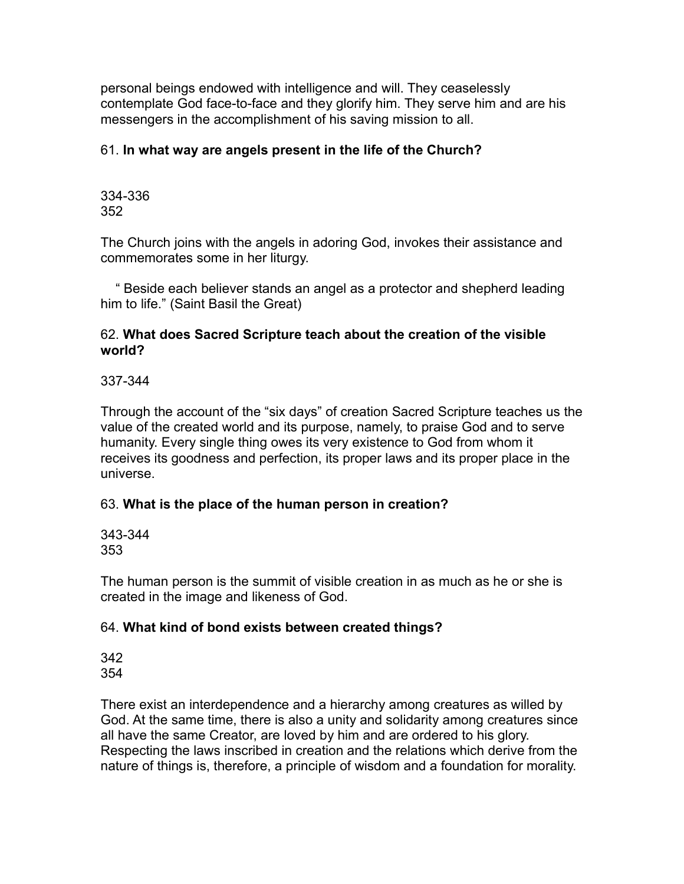personal beings endowed with intelligence and will. They ceaselessly contemplate God face-to-face and they glorify him. They serve him and are his messengers in the accomplishment of his saving mission to all.

# 61. **In what way are angels present in the life of the Church?**

334-336 352

The Church joins with the angels in adoring God, invokes their assistance and commemorates some in her liturgy.

 " Beside each believer stands an angel as a protector and shepherd leading him to life." (Saint Basil the Great)

# 62. **What does Sacred Scripture teach about the creation of the visible world?**

337-344

Through the account of the "six days" of creation Sacred Scripture teaches us the value of the created world and its purpose, namely, to praise God and to serve humanity. Every single thing owes its very existence to God from whom it receives its goodness and perfection, its proper laws and its proper place in the universe.

# 63. **What is the place of the human person in creation?**

343-344 353

The human person is the summit of visible creation in as much as he or she is created in the image and likeness of God.

# 64. **What kind of bond exists between created things?**

342 354

There exist an interdependence and a hierarchy among creatures as willed by God. At the same time, there is also a unity and solidarity among creatures since all have the same Creator, are loved by him and are ordered to his glory. Respecting the laws inscribed in creation and the relations which derive from the nature of things is, therefore, a principle of wisdom and a foundation for morality.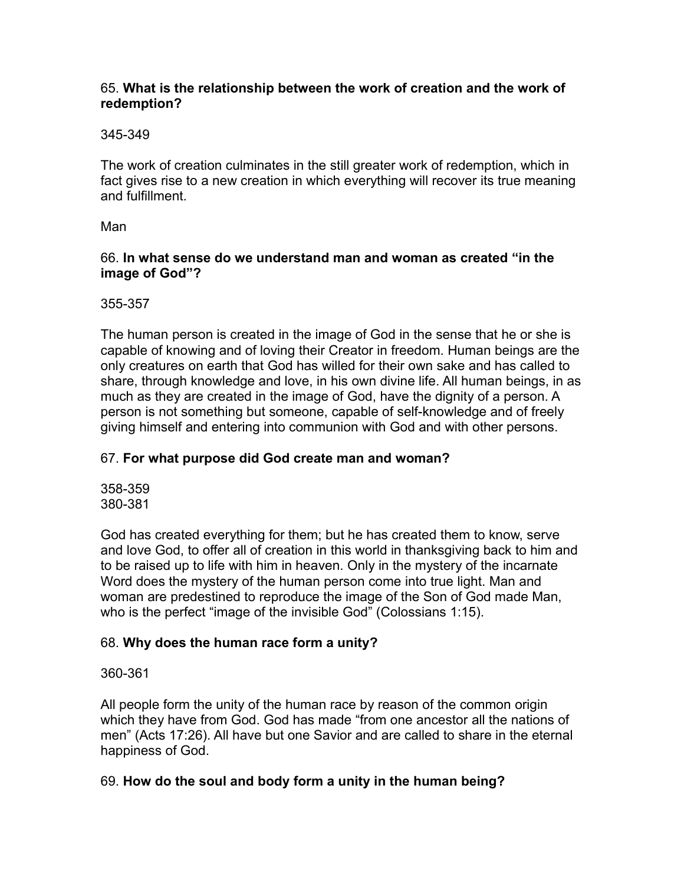#### 65. **What is the relationship between the work of creation and the work of redemption?**

#### 345-349

The work of creation culminates in the still greater work of redemption, which in fact gives rise to a new creation in which everything will recover its true meaning and fulfillment.

Man

#### 66. **In what sense do we understand man and woman as created "in the image of God"?**

355-357

The human person is created in the image of God in the sense that he or she is capable of knowing and of loving their Creator in freedom. Human beings are the only creatures on earth that God has willed for their own sake and has called to share, through knowledge and love, in his own divine life. All human beings, in as much as they are created in the image of God, have the dignity of a person. A person is not something but someone, capable of self-knowledge and of freely giving himself and entering into communion with God and with other persons.

# 67. **For what purpose did God create man and woman?**

358-359 380-381

God has created everything for them; but he has created them to know, serve and love God, to offer all of creation in this world in thanksgiving back to him and to be raised up to life with him in heaven. Only in the mystery of the incarnate Word does the mystery of the human person come into true light. Man and woman are predestined to reproduce the image of the Son of God made Man, who is the perfect "image of the invisible God" (Colossians 1:15).

# 68. **Why does the human race form a unity?**

# 360-361

All people form the unity of the human race by reason of the common origin which they have from God. God has made "from one ancestor all the nations of men" (Acts 17:26). All have but one Savior and are called to share in the eternal happiness of God.

# 69. **How do the soul and body form a unity in the human being?**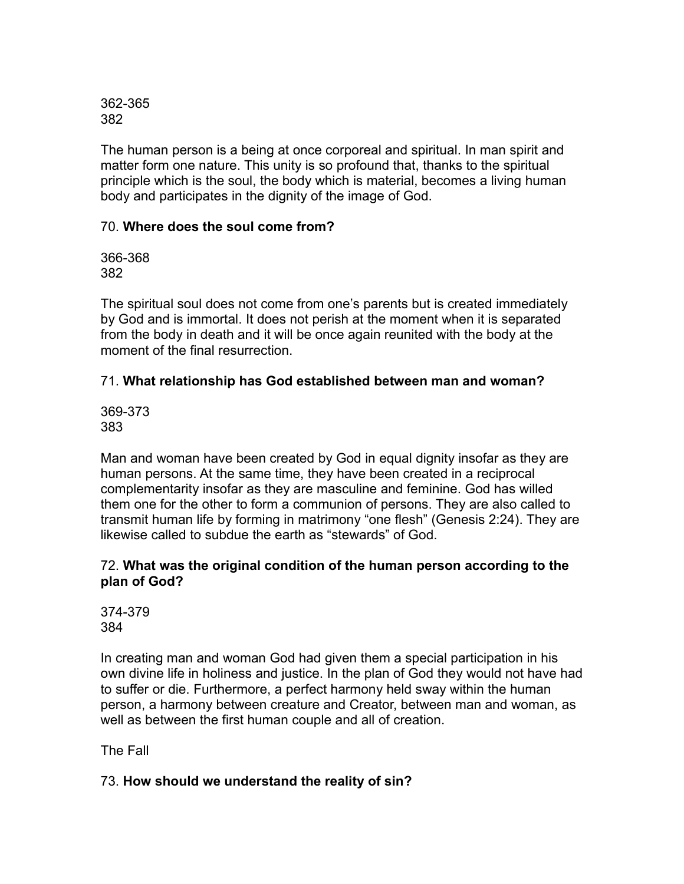The human person is a being at once corporeal and spiritual. In man spirit and matter form one nature. This unity is so profound that, thanks to the spiritual principle which is the soul, the body which is material, becomes a living human body and participates in the dignity of the image of God.

#### 70. **Where does the soul come from?**

366-368 382

The spiritual soul does not come from one's parents but is created immediately by God and is immortal. It does not perish at the moment when it is separated from the body in death and it will be once again reunited with the body at the moment of the final resurrection.

# 71. **What relationship has God established between man and woman?**

369-373 383

Man and woman have been created by God in equal dignity insofar as they are human persons. At the same time, they have been created in a reciprocal complementarity insofar as they are masculine and feminine. God has willed them one for the other to form a communion of persons. They are also called to transmit human life by forming in matrimony "one flesh" (Genesis 2:24). They are likewise called to subdue the earth as "stewards" of God.

#### 72. **What was the original condition of the human person according to the plan of God?**

374-379 384

In creating man and woman God had given them a special participation in his own divine life in holiness and justice. In the plan of God they would not have had to suffer or die. Furthermore, a perfect harmony held sway within the human person, a harmony between creature and Creator, between man and woman, as well as between the first human couple and all of creation.

The Fall

# 73. **How should we understand the reality of sin?**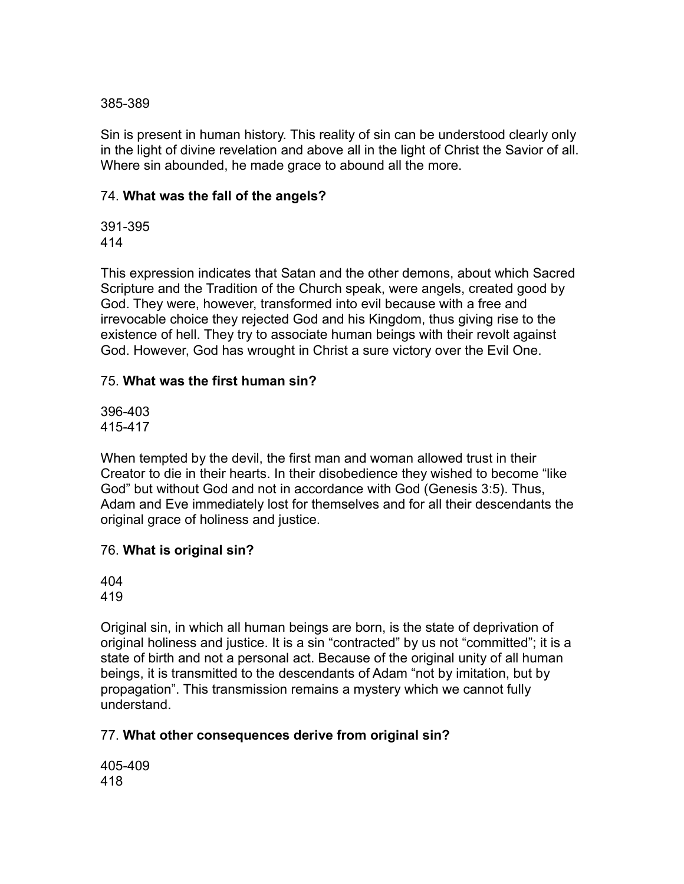Sin is present in human history. This reality of sin can be understood clearly only in the light of divine revelation and above all in the light of Christ the Savior of all. Where sin abounded, he made grace to abound all the more.

# 74. **What was the fall of the angels?**

391-395 414

This expression indicates that Satan and the other demons, about which Sacred Scripture and the Tradition of the Church speak, were angels, created good by God. They were, however, transformed into evil because with a free and irrevocable choice they rejected God and his Kingdom, thus giving rise to the existence of hell. They try to associate human beings with their revolt against God. However, God has wrought in Christ a sure victory over the Evil One.

# 75. **What was the first human sin?**

396-403 415-417

When tempted by the devil, the first man and woman allowed trust in their Creator to die in their hearts. In their disobedience they wished to become "like God" but without God and not in accordance with God (Genesis 3:5). Thus, Adam and Eve immediately lost for themselves and for all their descendants the original grace of holiness and justice.

# 76. **What is original sin?**

404 419

Original sin, in which all human beings are born, is the state of deprivation of original holiness and justice. It is a sin "contracted" by us not "committed"; it is a state of birth and not a personal act. Because of the original unity of all human beings, it is transmitted to the descendants of Adam "not by imitation, but by propagation". This transmission remains a mystery which we cannot fully understand.

# 77. **What other consequences derive from original sin?**

405-409 418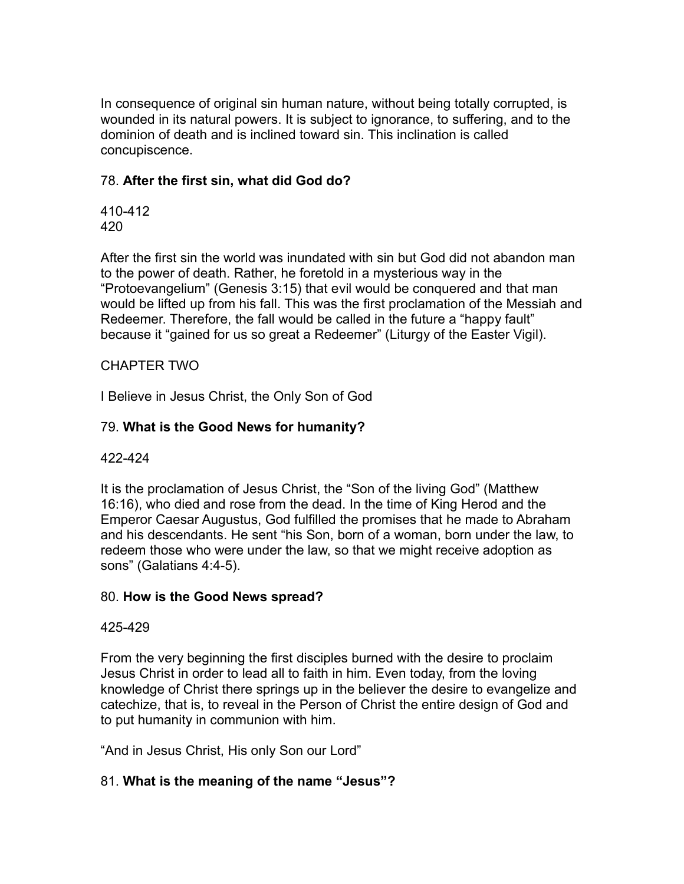In consequence of original sin human nature, without being totally corrupted, is wounded in its natural powers. It is subject to ignorance, to suffering, and to the dominion of death and is inclined toward sin. This inclination is called concupiscence.

# 78. **After the first sin, what did God do?**

410-412 420

After the first sin the world was inundated with sin but God did not abandon man to the power of death. Rather, he foretold in a mysterious way in the "Protoevangelium" (Genesis 3:15) that evil would be conquered and that man would be lifted up from his fall. This was the first proclamation of the Messiah and Redeemer. Therefore, the fall would be called in the future a "happy fault" because it "gained for us so great a Redeemer" (Liturgy of the Easter Vigil).

# CHAPTER TWO

I Believe in Jesus Christ, the Only Son of God

# 79. **What is the Good News for humanity?**

# 422-424

It is the proclamation of Jesus Christ, the "Son of the living God" (Matthew 16:16), who died and rose from the dead. In the time of King Herod and the Emperor Caesar Augustus, God fulfilled the promises that he made to Abraham and his descendants. He sent "his Son, born of a woman, born under the law, to redeem those who were under the law, so that we might receive adoption as sons" (Galatians 4:4-5).

# 80. **How is the Good News spread?**

# 425-429

From the very beginning the first disciples burned with the desire to proclaim Jesus Christ in order to lead all to faith in him. Even today, from the loving knowledge of Christ there springs up in the believer the desire to evangelize and catechize, that is, to reveal in the Person of Christ the entire design of God and to put humanity in communion with him.

"And in Jesus Christ, His only Son our Lord"

# 81. **What is the meaning of the name "Jesus"?**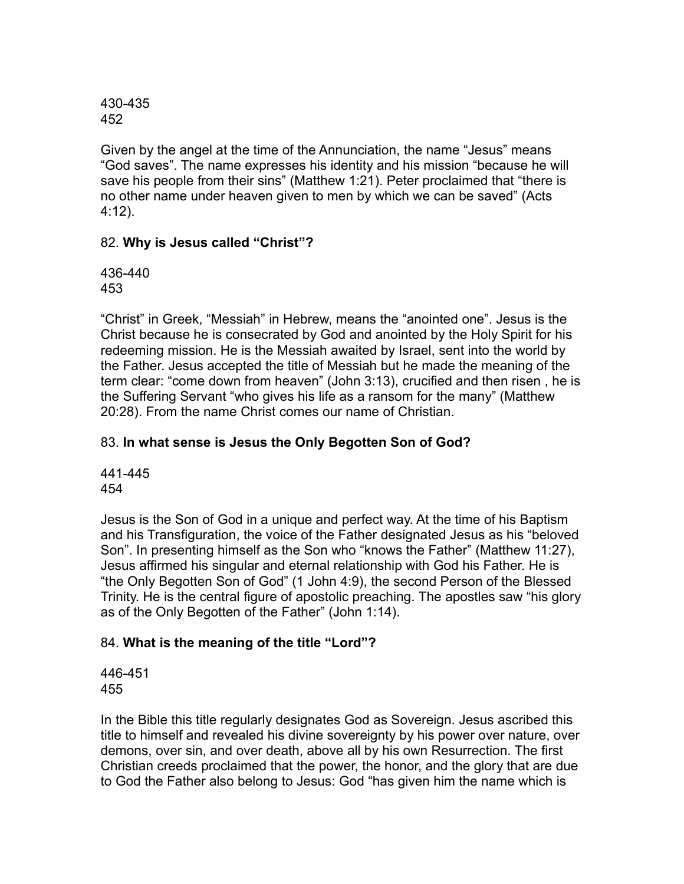Given by the angel at the time of the Annunciation, the name "Jesus" means "God saves". The name expresses his identity and his mission "because he will save his people from their sins" (Matthew 1:21). Peter proclaimed that "there is no other name under heaven given to men by which we can be saved" (Acts 4:12).

# 82. **Why is Jesus called "Christ"?**

436-440 453

"Christ" in Greek, "Messiah" in Hebrew, means the "anointed one". Jesus is the Christ because he is consecrated by God and anointed by the Holy Spirit for his redeeming mission. He is the Messiah awaited by Israel, sent into the world by the Father. Jesus accepted the title of Messiah but he made the meaning of the term clear: "come down from heaven" (John 3:13), crucified and then risen , he is the Suffering Servant "who gives his life as a ransom for the many" (Matthew 20:28). From the name Christ comes our name of Christian.

# 83. **In what sense is Jesus the Only Begotten Son of God?**

441-445 454

Jesus is the Son of God in a unique and perfect way. At the time of his Baptism and his Transfiguration, the voice of the Father designated Jesus as his "beloved Son". In presenting himself as the Son who "knows the Father" (Matthew 11:27), Jesus affirmed his singular and eternal relationship with God his Father. He is "the Only Begotten Son of God" (1 John 4:9), the second Person of the Blessed Trinity. He is the central figure of apostolic preaching. The apostles saw "his glory as of the Only Begotten of the Father" (John 1:14).

# 84. **What is the meaning of the title "Lord"?**

446-451 455

In the Bible this title regularly designates God as Sovereign. Jesus ascribed this title to himself and revealed his divine sovereignty by his power over nature, over demons, over sin, and over death, above all by his own Resurrection. The first Christian creeds proclaimed that the power, the honor, and the glory that are due to God the Father also belong to Jesus: God "has given him the name which is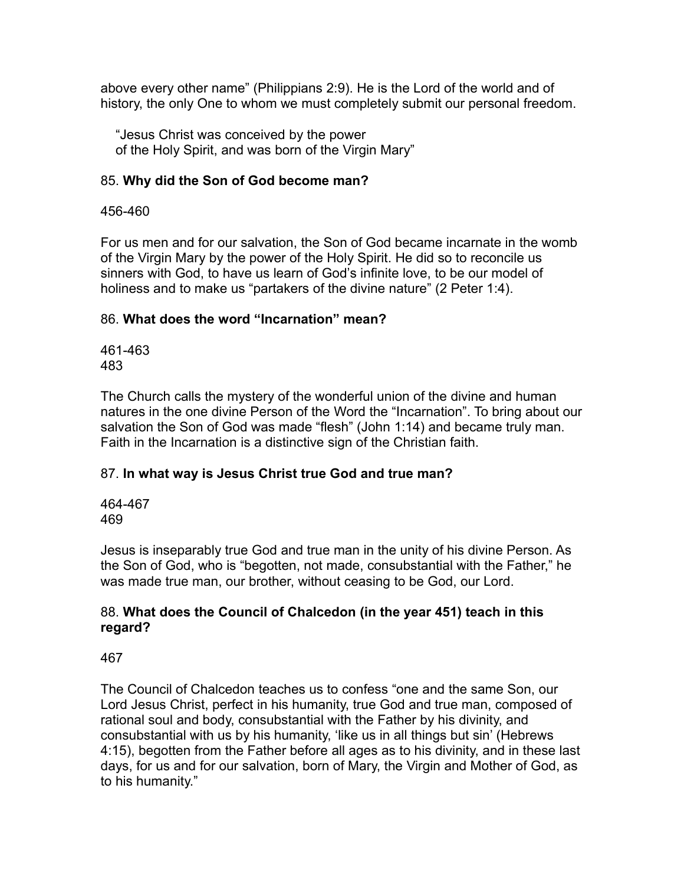above every other name" (Philippians 2:9). He is the Lord of the world and of history, the only One to whom we must completely submit our personal freedom.

 "Jesus Christ was conceived by the power of the Holy Spirit, and was born of the Virgin Mary"

# 85. **Why did the Son of God become man?**

456-460

For us men and for our salvation, the Son of God became incarnate in the womb of the Virgin Mary by the power of the Holy Spirit. He did so to reconcile us sinners with God, to have us learn of God's infinite love, to be our model of holiness and to make us "partakers of the divine nature" (2 Peter 1:4).

# 86. **What does the word "Incarnation" mean?**

461-463 483

The Church calls the mystery of the wonderful union of the divine and human natures in the one divine Person of the Word the "Incarnation". To bring about our salvation the Son of God was made "flesh" (John 1:14) and became truly man. Faith in the Incarnation is a distinctive sign of the Christian faith.

# 87. **In what way is Jesus Christ true God and true man?**

464-467 469

Jesus is inseparably true God and true man in the unity of his divine Person. As the Son of God, who is "begotten, not made, consubstantial with the Father," he was made true man, our brother, without ceasing to be God, our Lord.

#### 88. **What does the Council of Chalcedon (in the year 451) teach in this regard?**

467

The Council of Chalcedon teaches us to confess "one and the same Son, our Lord Jesus Christ, perfect in his humanity, true God and true man, composed of rational soul and body, consubstantial with the Father by his divinity, and consubstantial with us by his humanity, 'like us in all things but sin' (Hebrews 4:15), begotten from the Father before all ages as to his divinity, and in these last days, for us and for our salvation, born of Mary, the Virgin and Mother of God, as to his humanity."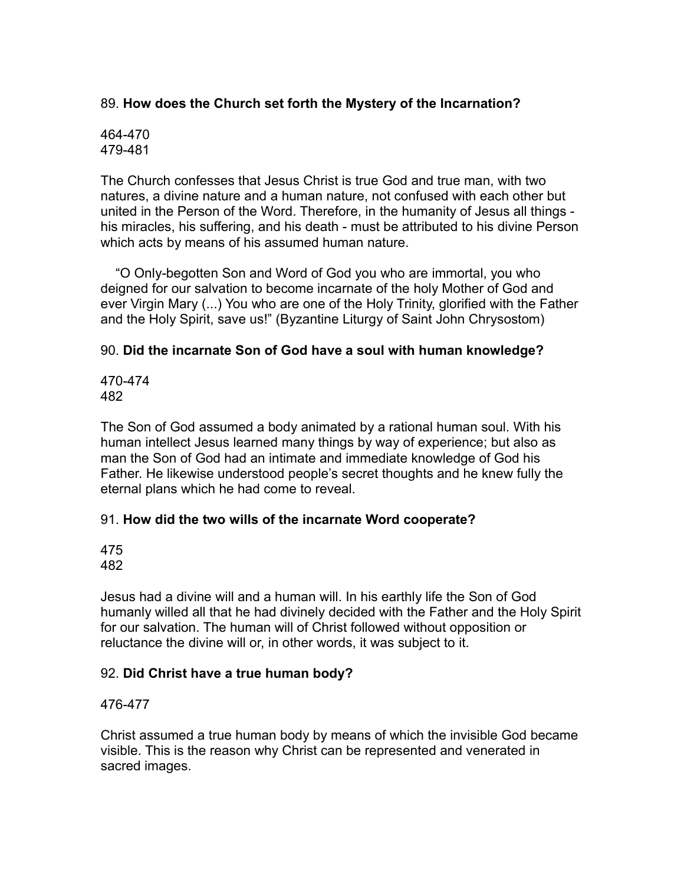# 89. **How does the Church set forth the Mystery of the Incarnation?**

464-470 479-481

The Church confesses that Jesus Christ is true God and true man, with two natures, a divine nature and a human nature, not confused with each other but united in the Person of the Word. Therefore, in the humanity of Jesus all things his miracles, his suffering, and his death - must be attributed to his divine Person which acts by means of his assumed human nature.

 "O Only-begotten Son and Word of God you who are immortal, you who deigned for our salvation to become incarnate of the holy Mother of God and ever Virgin Mary (...) You who are one of the Holy Trinity, glorified with the Father and the Holy Spirit, save us!" (Byzantine Liturgy of Saint John Chrysostom)

# 90. **Did the incarnate Son of God have a soul with human knowledge?**

470-474 482

The Son of God assumed a body animated by a rational human soul. With his human intellect Jesus learned many things by way of experience; but also as man the Son of God had an intimate and immediate knowledge of God his Father. He likewise understood people's secret thoughts and he knew fully the eternal plans which he had come to reveal.

# 91. **How did the two wills of the incarnate Word cooperate?**

475 482

Jesus had a divine will and a human will. In his earthly life the Son of God humanly willed all that he had divinely decided with the Father and the Holy Spirit for our salvation. The human will of Christ followed without opposition or reluctance the divine will or, in other words, it was subject to it.

#### 92. **Did Christ have a true human body?**

#### 476-477

Christ assumed a true human body by means of which the invisible God became visible. This is the reason why Christ can be represented and venerated in sacred images.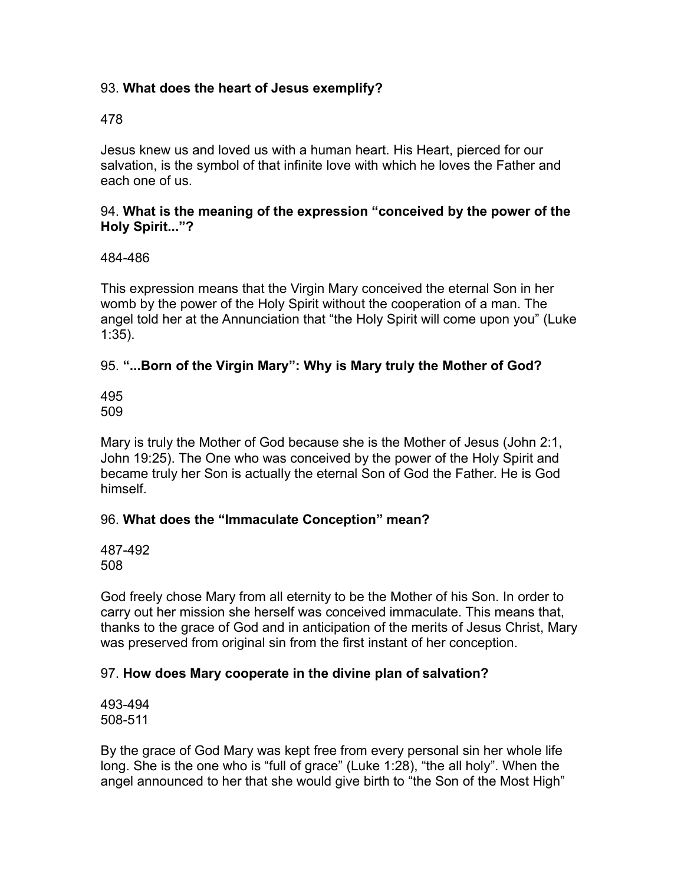# 93. **What does the heart of Jesus exemplify?**

#### 478

Jesus knew us and loved us with a human heart. His Heart, pierced for our salvation, is the symbol of that infinite love with which he loves the Father and each one of us.

#### 94. **What is the meaning of the expression "conceived by the power of the Holy Spirit..."?**

#### 484-486

This expression means that the Virgin Mary conceived the eternal Son in her womb by the power of the Holy Spirit without the cooperation of a man. The angel told her at the Annunciation that "the Holy Spirit will come upon you" (Luke 1:35).

#### 95. **"...Born of the Virgin Mary": Why is Mary truly the Mother of God?**

#### 495 509

Mary is truly the Mother of God because she is the Mother of Jesus (John 2:1, John 19:25). The One who was conceived by the power of the Holy Spirit and became truly her Son is actually the eternal Son of God the Father. He is God himself.

#### 96. **What does the "Immaculate Conception" mean?**

487-492 508

God freely chose Mary from all eternity to be the Mother of his Son. In order to carry out her mission she herself was conceived immaculate. This means that, thanks to the grace of God and in anticipation of the merits of Jesus Christ, Mary was preserved from original sin from the first instant of her conception.

#### 97. **How does Mary cooperate in the divine plan of salvation?**

493-494 508-511

By the grace of God Mary was kept free from every personal sin her whole life long. She is the one who is "full of grace" (Luke 1:28), "the all holy". When the angel announced to her that she would give birth to "the Son of the Most High"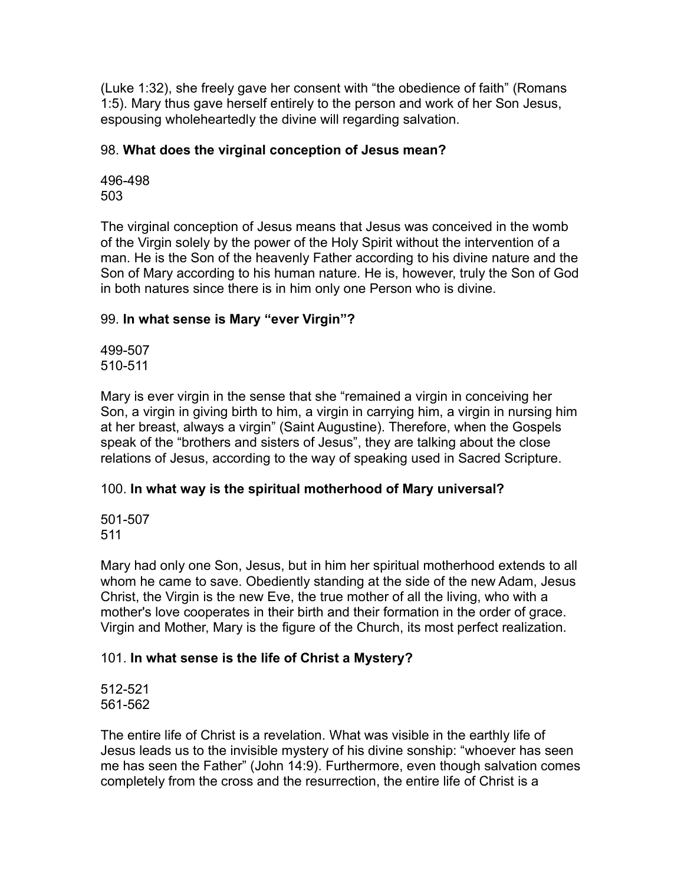(Luke 1:32), she freely gave her consent with "the obedience of faith" (Romans 1:5). Mary thus gave herself entirely to the person and work of her Son Jesus, espousing wholeheartedly the divine will regarding salvation.

# 98. **What does the virginal conception of Jesus mean?**

496-498 503

The virginal conception of Jesus means that Jesus was conceived in the womb of the Virgin solely by the power of the Holy Spirit without the intervention of a man. He is the Son of the heavenly Father according to his divine nature and the Son of Mary according to his human nature. He is, however, truly the Son of God in both natures since there is in him only one Person who is divine.

#### 99. **In what sense is Mary "ever Virgin"?**

499-507 510-511

Mary is ever virgin in the sense that she "remained a virgin in conceiving her Son, a virgin in giving birth to him, a virgin in carrying him, a virgin in nursing him at her breast, always a virgin" (Saint Augustine). Therefore, when the Gospels speak of the "brothers and sisters of Jesus", they are talking about the close relations of Jesus, according to the way of speaking used in Sacred Scripture.

# 100. **In what way is the spiritual motherhood of Mary universal?**

501-507 511

Mary had only one Son, Jesus, but in him her spiritual motherhood extends to all whom he came to save. Obediently standing at the side of the new Adam, Jesus Christ, the Virgin is the new Eve, the true mother of all the living, who with a mother's love cooperates in their birth and their formation in the order of grace. Virgin and Mother, Mary is the figure of the Church, its most perfect realization.

# 101. **In what sense is the life of Christ a Mystery?**

512-521 561-562

The entire life of Christ is a revelation. What was visible in the earthly life of Jesus leads us to the invisible mystery of his divine sonship: "whoever has seen me has seen the Father" (John 14:9). Furthermore, even though salvation comes completely from the cross and the resurrection, the entire life of Christ is a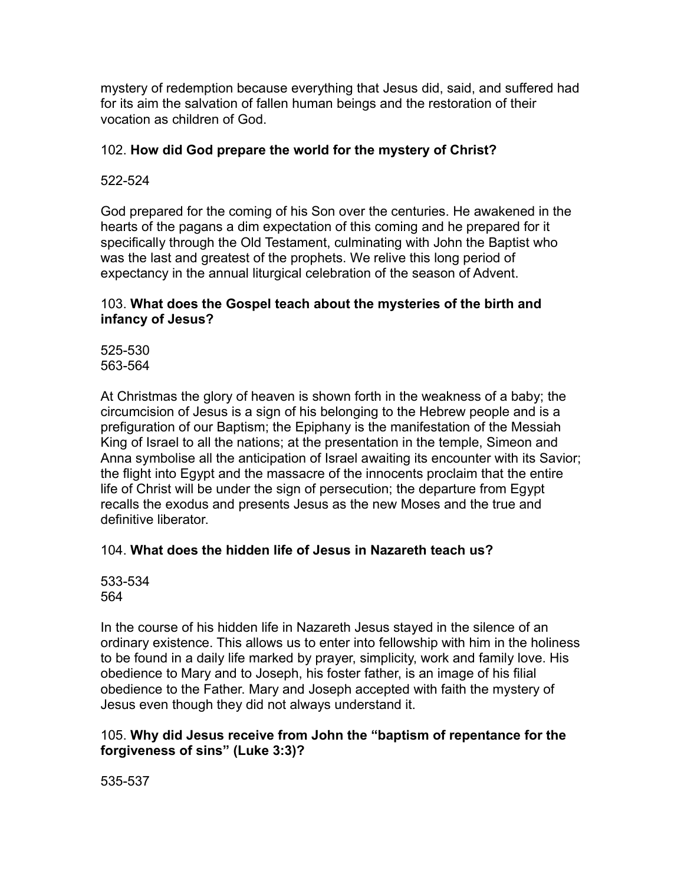mystery of redemption because everything that Jesus did, said, and suffered had for its aim the salvation of fallen human beings and the restoration of their vocation as children of God.

# 102. **How did God prepare the world for the mystery of Christ?**

# 522-524

God prepared for the coming of his Son over the centuries. He awakened in the hearts of the pagans a dim expectation of this coming and he prepared for it specifically through the Old Testament, culminating with John the Baptist who was the last and greatest of the prophets. We relive this long period of expectancy in the annual liturgical celebration of the season of Advent.

#### 103. **What does the Gospel teach about the mysteries of the birth and infancy of Jesus?**

525-530 563-564

At Christmas the glory of heaven is shown forth in the weakness of a baby; the circumcision of Jesus is a sign of his belonging to the Hebrew people and is a prefiguration of our Baptism; the Epiphany is the manifestation of the Messiah King of Israel to all the nations; at the presentation in the temple, Simeon and Anna symbolise all the anticipation of Israel awaiting its encounter with its Savior; the flight into Egypt and the massacre of the innocents proclaim that the entire life of Christ will be under the sign of persecution; the departure from Egypt recalls the exodus and presents Jesus as the new Moses and the true and definitive liberator.

# 104. **What does the hidden life of Jesus in Nazareth teach us?**

533-534 564

In the course of his hidden life in Nazareth Jesus stayed in the silence of an ordinary existence. This allows us to enter into fellowship with him in the holiness to be found in a daily life marked by prayer, simplicity, work and family love. His obedience to Mary and to Joseph, his foster father, is an image of his filial obedience to the Father. Mary and Joseph accepted with faith the mystery of Jesus even though they did not always understand it.

# 105. **Why did Jesus receive from John the "baptism of repentance for the forgiveness of sins" (Luke 3:3)?**

535-537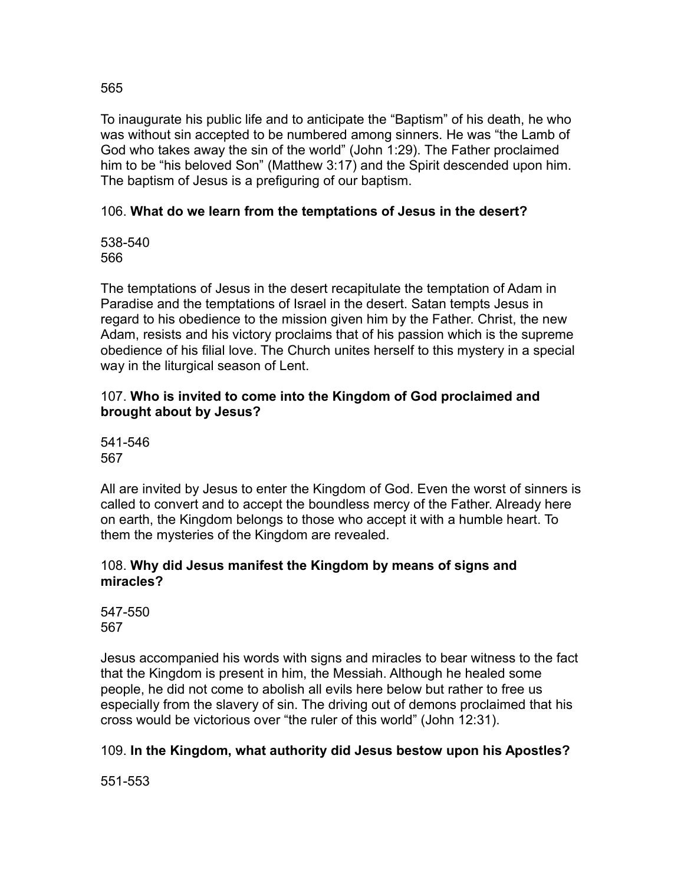To inaugurate his public life and to anticipate the "Baptism" of his death, he who was without sin accepted to be numbered among sinners. He was "the Lamb of God who takes away the sin of the world" (John 1:29). The Father proclaimed him to be "his beloved Son" (Matthew 3:17) and the Spirit descended upon him. The baptism of Jesus is a prefiguring of our baptism.

## 106. **What do we learn from the temptations of Jesus in the desert?**

538-540 566

The temptations of Jesus in the desert recapitulate the temptation of Adam in Paradise and the temptations of Israel in the desert. Satan tempts Jesus in regard to his obedience to the mission given him by the Father. Christ, the new Adam, resists and his victory proclaims that of his passion which is the supreme obedience of his filial love. The Church unites herself to this mystery in a special way in the liturgical season of Lent.

#### 107. **Who is invited to come into the Kingdom of God proclaimed and brought about by Jesus?**

541-546 567

All are invited by Jesus to enter the Kingdom of God. Even the worst of sinners is called to convert and to accept the boundless mercy of the Father. Already here on earth, the Kingdom belongs to those who accept it with a humble heart. To them the mysteries of the Kingdom are revealed.

#### 108. **Why did Jesus manifest the Kingdom by means of signs and miracles?**

547-550 567

Jesus accompanied his words with signs and miracles to bear witness to the fact that the Kingdom is present in him, the Messiah. Although he healed some people, he did not come to abolish all evils here below but rather to free us especially from the slavery of sin. The driving out of demons proclaimed that his cross would be victorious over "the ruler of this world" (John 12:31).

# 109. **In the Kingdom, what authority did Jesus bestow upon his Apostles?**

551-553

565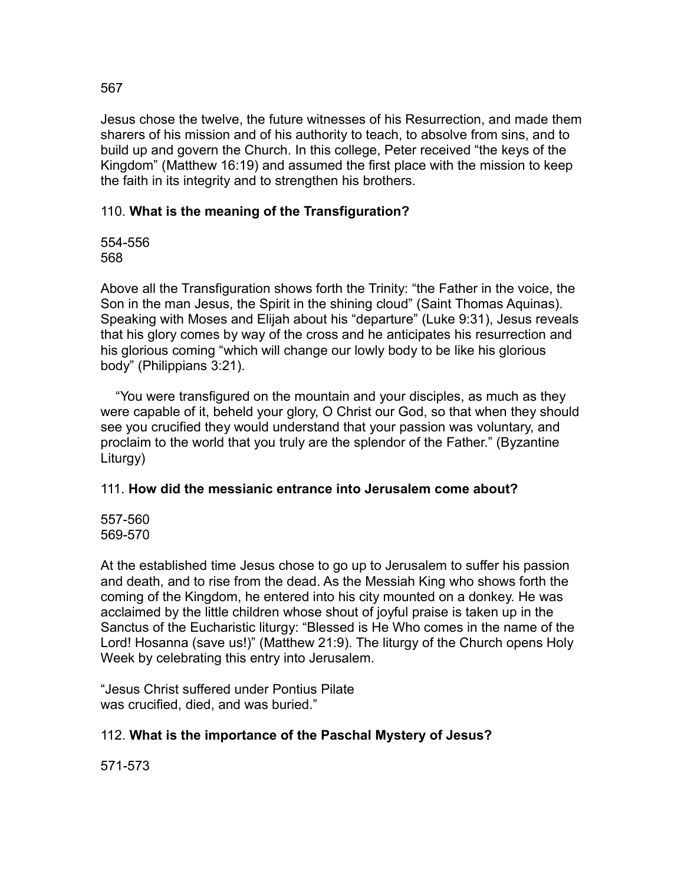Jesus chose the twelve, the future witnesses of his Resurrection, and made them sharers of his mission and of his authority to teach, to absolve from sins, and to build up and govern the Church. In this college, Peter received "the keys of the Kingdom" (Matthew 16:19) and assumed the first place with the mission to keep the faith in its integrity and to strengthen his brothers.

## 110. **What is the meaning of the Transfiguration?**

554-556 568

Above all the Transfiguration shows forth the Trinity: "the Father in the voice, the Son in the man Jesus, the Spirit in the shining cloud" (Saint Thomas Aquinas). Speaking with Moses and Elijah about his "departure" (Luke 9:31), Jesus reveals that his glory comes by way of the cross and he anticipates his resurrection and his glorious coming "which will change our lowly body to be like his glorious body" (Philippians 3:21).

 "You were transfigured on the mountain and your disciples, as much as they were capable of it, beheld your glory, O Christ our God, so that when they should see you crucified they would understand that your passion was voluntary, and proclaim to the world that you truly are the splendor of the Father." (Byzantine Liturgy)

## 111. **How did the messianic entrance into Jerusalem come about?**

557-560 569-570

At the established time Jesus chose to go up to Jerusalem to suffer his passion and death, and to rise from the dead. As the Messiah King who shows forth the coming of the Kingdom, he entered into his city mounted on a donkey. He was acclaimed by the little children whose shout of joyful praise is taken up in the Sanctus of the Eucharistic liturgy: "Blessed is He Who comes in the name of the Lord! Hosanna (save us!)" (Matthew 21:9). The liturgy of the Church opens Holy Week by celebrating this entry into Jerusalem.

"Jesus Christ suffered under Pontius Pilate was crucified, died, and was buried."

# 112. **What is the importance of the Paschal Mystery of Jesus?**

571-573

567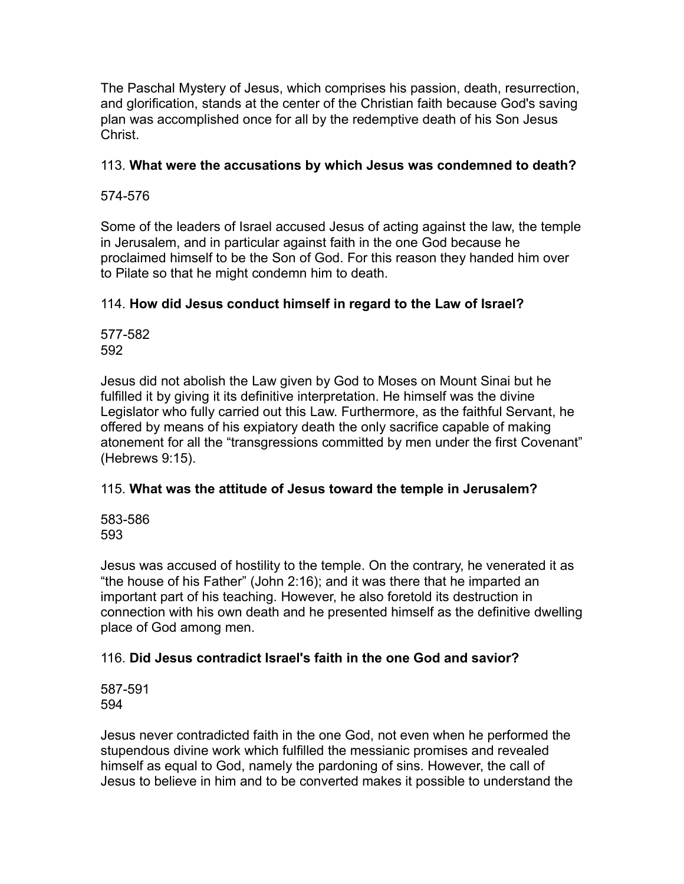The Paschal Mystery of Jesus, which comprises his passion, death, resurrection, and glorification, stands at the center of the Christian faith because God's saving plan was accomplished once for all by the redemptive death of his Son Jesus Christ.

# 113. **What were the accusations by which Jesus was condemned to death?**

574-576

Some of the leaders of Israel accused Jesus of acting against the law, the temple in Jerusalem, and in particular against faith in the one God because he proclaimed himself to be the Son of God. For this reason they handed him over to Pilate so that he might condemn him to death.

# 114. **How did Jesus conduct himself in regard to the Law of Israel?**

577-582 592

Jesus did not abolish the Law given by God to Moses on Mount Sinai but he fulfilled it by giving it its definitive interpretation. He himself was the divine Legislator who fully carried out this Law. Furthermore, as the faithful Servant, he offered by means of his expiatory death the only sacrifice capable of making atonement for all the "transgressions committed by men under the first Covenant" (Hebrews 9:15).

## 115. **What was the attitude of Jesus toward the temple in Jerusalem?**

583-586 593

Jesus was accused of hostility to the temple. On the contrary, he venerated it as "the house of his Father" (John 2:16); and it was there that he imparted an important part of his teaching. However, he also foretold its destruction in connection with his own death and he presented himself as the definitive dwelling place of God among men.

# 116. **Did Jesus contradict Israel's faith in the one God and savior?**

587-591 594

Jesus never contradicted faith in the one God, not even when he performed the stupendous divine work which fulfilled the messianic promises and revealed himself as equal to God, namely the pardoning of sins. However, the call of Jesus to believe in him and to be converted makes it possible to understand the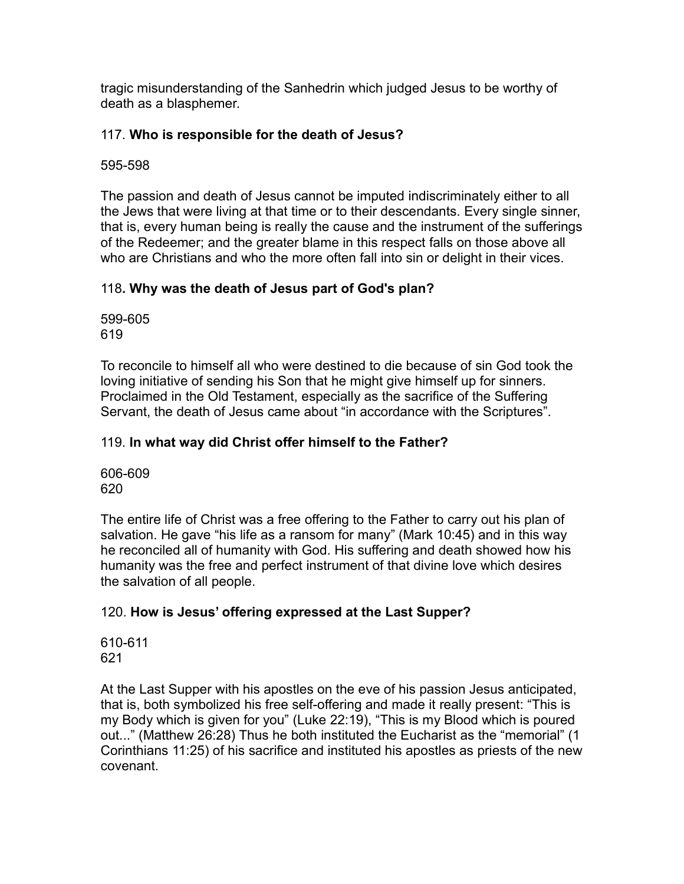tragic misunderstanding of the Sanhedrin which judged Jesus to be worthy of death as a blasphemer.

# 117. **Who is responsible for the death of Jesus?**

#### 595-598

The passion and death of Jesus cannot be imputed indiscriminately either to all the Jews that were living at that time or to their descendants. Every single sinner, that is, every human being is really the cause and the instrument of the sufferings of the Redeemer; and the greater blame in this respect falls on those above all who are Christians and who the more often fall into sin or delight in their vices.

# 118**. Why was the death of Jesus part of God's plan?**

599-605 619

To reconcile to himself all who were destined to die because of sin God took the loving initiative of sending his Son that he might give himself up for sinners. Proclaimed in the Old Testament, especially as the sacrifice of the Suffering Servant, the death of Jesus came about "in accordance with the Scriptures".

## 119. **In what way did Christ offer himself to the Father?**

606-609 620

The entire life of Christ was a free offering to the Father to carry out his plan of salvation. He gave "his life as a ransom for many" (Mark 10:45) and in this way he reconciled all of humanity with God. His suffering and death showed how his humanity was the free and perfect instrument of that divine love which desires the salvation of all people.

# 120. **How is Jesus' offering expressed at the Last Supper?**

610-611 621

At the Last Supper with his apostles on the eve of his passion Jesus anticipated, that is, both symbolized his free self-offering and made it really present: "This is my Body which is given for you" (Luke 22:19), "This is my Blood which is poured out..." (Matthew 26:28) Thus he both instituted the Eucharist as the "memorial" (1 Corinthians 11:25) of his sacrifice and instituted his apostles as priests of the new covenant.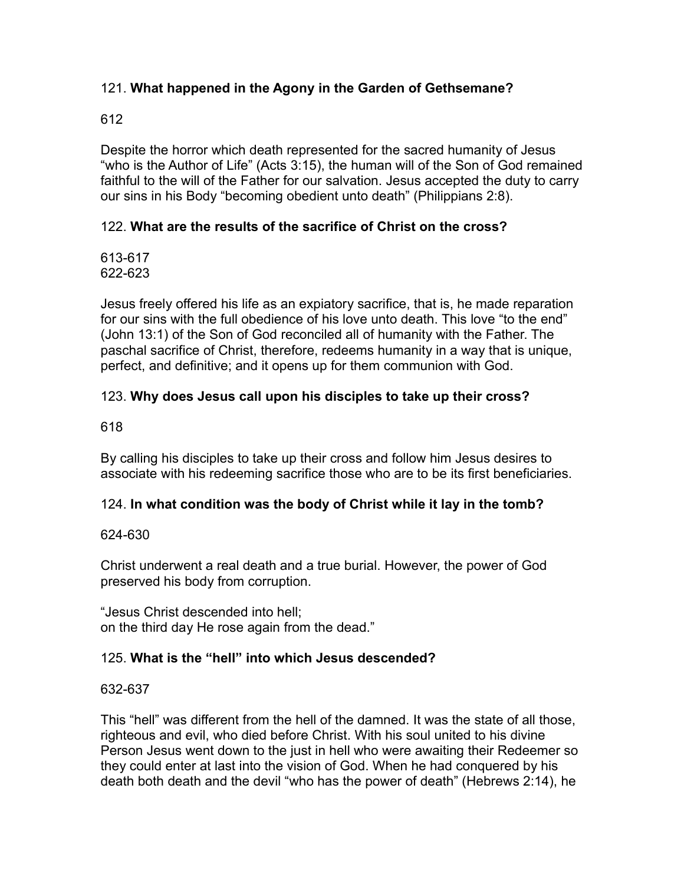# 121. **What happened in the Agony in the Garden of Gethsemane?**

#### 612

Despite the horror which death represented for the sacred humanity of Jesus "who is the Author of Life" (Acts 3:15), the human will of the Son of God remained faithful to the will of the Father for our salvation. Jesus accepted the duty to carry our sins in his Body "becoming obedient unto death" (Philippians 2:8).

#### 122. **What are the results of the sacrifice of Christ on the cross?**

613-617 622-623

Jesus freely offered his life as an expiatory sacrifice, that is, he made reparation for our sins with the full obedience of his love unto death. This love "to the end" (John 13:1) of the Son of God reconciled all of humanity with the Father. The paschal sacrifice of Christ, therefore, redeems humanity in a way that is unique, perfect, and definitive; and it opens up for them communion with God.

#### 123. **Why does Jesus call upon his disciples to take up their cross?**

#### 618

By calling his disciples to take up their cross and follow him Jesus desires to associate with his redeeming sacrifice those who are to be its first beneficiaries.

#### 124. **In what condition was the body of Christ while it lay in the tomb?**

#### 624-630

Christ underwent a real death and a true burial. However, the power of God preserved his body from corruption.

"Jesus Christ descended into hell; on the third day He rose again from the dead."

#### 125. **What is the "hell" into which Jesus descended?**

#### 632-637

This "hell" was different from the hell of the damned. It was the state of all those, righteous and evil, who died before Christ. With his soul united to his divine Person Jesus went down to the just in hell who were awaiting their Redeemer so they could enter at last into the vision of God. When he had conquered by his death both death and the devil "who has the power of death" (Hebrews 2:14), he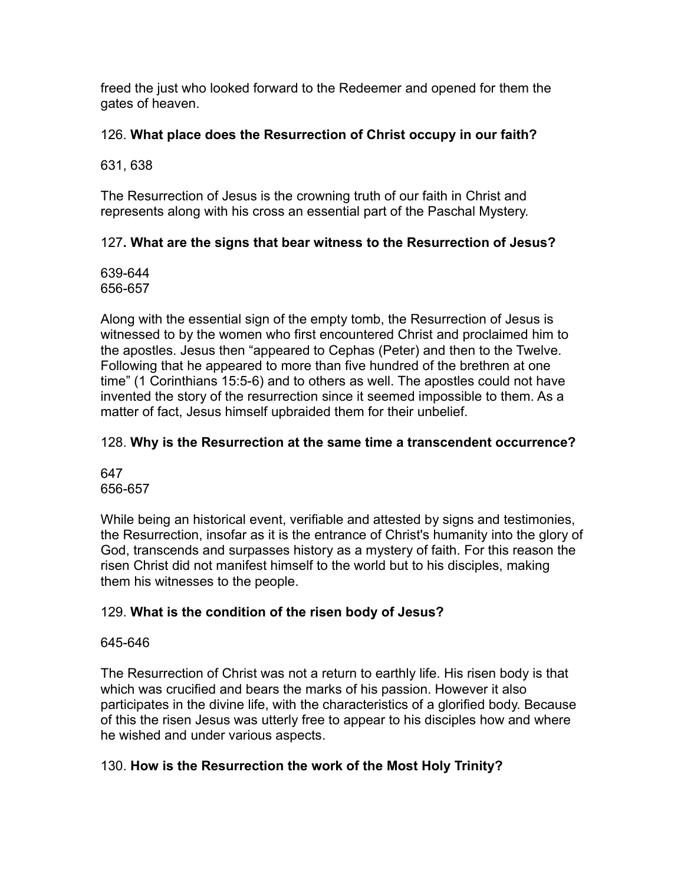freed the just who looked forward to the Redeemer and opened for them the gates of heaven.

# 126. **What place does the Resurrection of Christ occupy in our faith?**

631, 638

The Resurrection of Jesus is the crowning truth of our faith in Christ and represents along with his cross an essential part of the Paschal Mystery.

# 127**. What are the signs that bear witness to the Resurrection of Jesus?**

639-644 656-657

Along with the essential sign of the empty tomb, the Resurrection of Jesus is witnessed to by the women who first encountered Christ and proclaimed him to the apostles. Jesus then "appeared to Cephas (Peter) and then to the Twelve. Following that he appeared to more than five hundred of the brethren at one time" (1 Corinthians 15:5-6) and to others as well. The apostles could not have invented the story of the resurrection since it seemed impossible to them. As a matter of fact, Jesus himself upbraided them for their unbelief.

## 128. **Why is the Resurrection at the same time a transcendent occurrence?**

647 656-657

While being an historical event, verifiable and attested by signs and testimonies, the Resurrection, insofar as it is the entrance of Christ's humanity into the glory of God, transcends and surpasses history as a mystery of faith. For this reason the risen Christ did not manifest himself to the world but to his disciples, making them his witnesses to the people.

# 129. **What is the condition of the risen body of Jesus?**

## 645-646

The Resurrection of Christ was not a return to earthly life. His risen body is that which was crucified and bears the marks of his passion. However it also participates in the divine life, with the characteristics of a glorified body. Because of this the risen Jesus was utterly free to appear to his disciples how and where he wished and under various aspects.

# 130. **How is the Resurrection the work of the Most Holy Trinity?**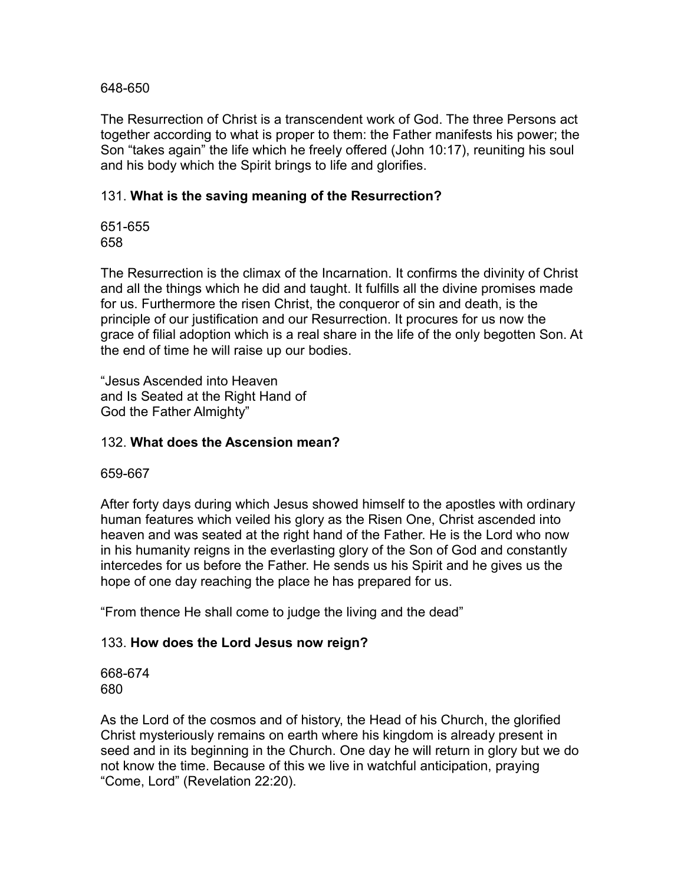#### 648-650

The Resurrection of Christ is a transcendent work of God. The three Persons act together according to what is proper to them: the Father manifests his power; the Son "takes again" the life which he freely offered (John 10:17), reuniting his soul and his body which the Spirit brings to life and glorifies.

#### 131. **What is the saving meaning of the Resurrection?**

651-655 658

The Resurrection is the climax of the Incarnation. It confirms the divinity of Christ and all the things which he did and taught. It fulfills all the divine promises made for us. Furthermore the risen Christ, the conqueror of sin and death, is the principle of our justification and our Resurrection. It procures for us now the grace of filial adoption which is a real share in the life of the only begotten Son. At the end of time he will raise up our bodies.

"Jesus Ascended into Heaven and Is Seated at the Right Hand of God the Father Almighty"

#### 132. **What does the Ascension mean?**

659-667

After forty days during which Jesus showed himself to the apostles with ordinary human features which veiled his glory as the Risen One, Christ ascended into heaven and was seated at the right hand of the Father. He is the Lord who now in his humanity reigns in the everlasting glory of the Son of God and constantly intercedes for us before the Father. He sends us his Spirit and he gives us the hope of one day reaching the place he has prepared for us.

"From thence He shall come to judge the living and the dead"

#### 133. **How does the Lord Jesus now reign?**

668-674 680

As the Lord of the cosmos and of history, the Head of his Church, the glorified Christ mysteriously remains on earth where his kingdom is already present in seed and in its beginning in the Church. One day he will return in glory but we do not know the time. Because of this we live in watchful anticipation, praying "Come, Lord" (Revelation 22:20).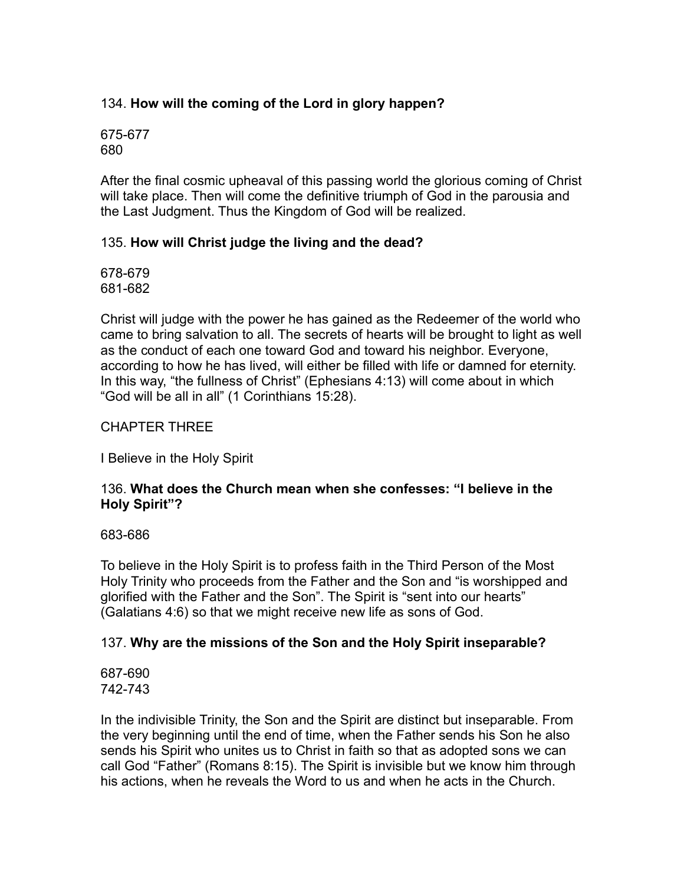# 134. **How will the coming of the Lord in glory happen?**

675-677 680

After the final cosmic upheaval of this passing world the glorious coming of Christ will take place. Then will come the definitive triumph of God in the parousia and the Last Judgment. Thus the Kingdom of God will be realized.

## 135. **How will Christ judge the living and the dead?**

678-679 681-682

Christ will judge with the power he has gained as the Redeemer of the world who came to bring salvation to all. The secrets of hearts will be brought to light as well as the conduct of each one toward God and toward his neighbor. Everyone, according to how he has lived, will either be filled with life or damned for eternity. In this way, "the fullness of Christ" (Ephesians 4:13) will come about in which "God will be all in all" (1 Corinthians 15:28).

## CHAPTER THREE

I Believe in the Holy Spirit

#### 136. **What does the Church mean when she confesses: "I believe in the Holy Spirit"?**

#### 683-686

To believe in the Holy Spirit is to profess faith in the Third Person of the Most Holy Trinity who proceeds from the Father and the Son and "is worshipped and glorified with the Father and the Son". The Spirit is "sent into our hearts" (Galatians 4:6) so that we might receive new life as sons of God.

## 137. **Why are the missions of the Son and the Holy Spirit inseparable?**

687-690 742-743

In the indivisible Trinity, the Son and the Spirit are distinct but inseparable. From the very beginning until the end of time, when the Father sends his Son he also sends his Spirit who unites us to Christ in faith so that as adopted sons we can call God "Father" (Romans 8:15). The Spirit is invisible but we know him through his actions, when he reveals the Word to us and when he acts in the Church.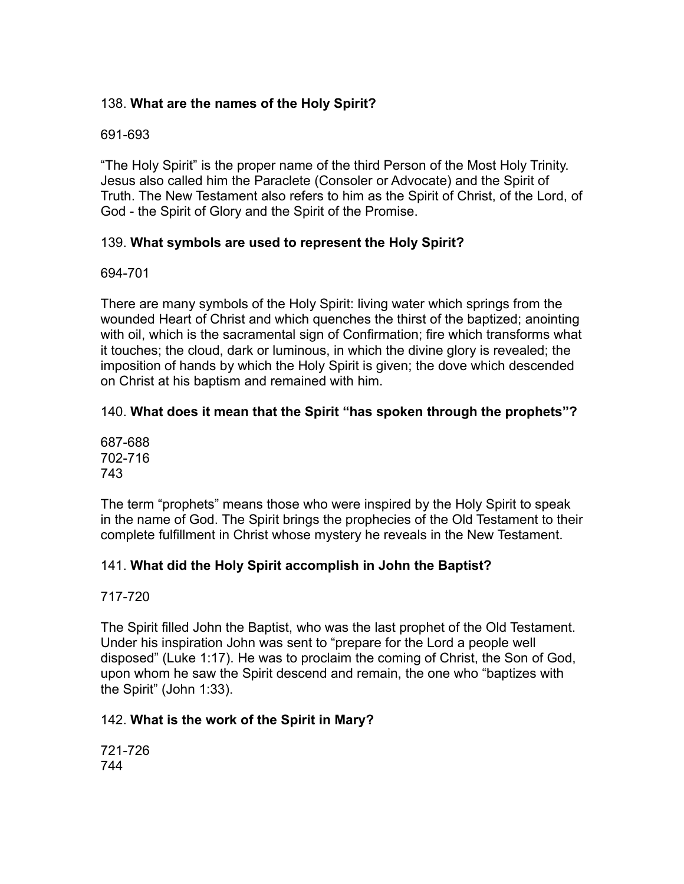# 138. **What are the names of the Holy Spirit?**

#### 691-693

"The Holy Spirit" is the proper name of the third Person of the Most Holy Trinity. Jesus also called him the Paraclete (Consoler or Advocate) and the Spirit of Truth. The New Testament also refers to him as the Spirit of Christ, of the Lord, of God - the Spirit of Glory and the Spirit of the Promise.

## 139. **What symbols are used to represent the Holy Spirit?**

#### 694-701

There are many symbols of the Holy Spirit: living water which springs from the wounded Heart of Christ and which quenches the thirst of the baptized; anointing with oil, which is the sacramental sign of Confirmation; fire which transforms what it touches; the cloud, dark or luminous, in which the divine glory is revealed; the imposition of hands by which the Holy Spirit is given; the dove which descended on Christ at his baptism and remained with him.

## 140. **What does it mean that the Spirit "has spoken through the prophets"?**

687-688 702-716 743

The term "prophets" means those who were inspired by the Holy Spirit to speak in the name of God. The Spirit brings the prophecies of the Old Testament to their complete fulfillment in Christ whose mystery he reveals in the New Testament.

## 141. **What did the Holy Spirit accomplish in John the Baptist?**

717-720

The Spirit filled John the Baptist, who was the last prophet of the Old Testament. Under his inspiration John was sent to "prepare for the Lord a people well disposed" (Luke 1:17). He was to proclaim the coming of Christ, the Son of God, upon whom he saw the Spirit descend and remain, the one who "baptizes with the Spirit" (John 1:33).

# 142. **What is the work of the Spirit in Mary?**

721-726 744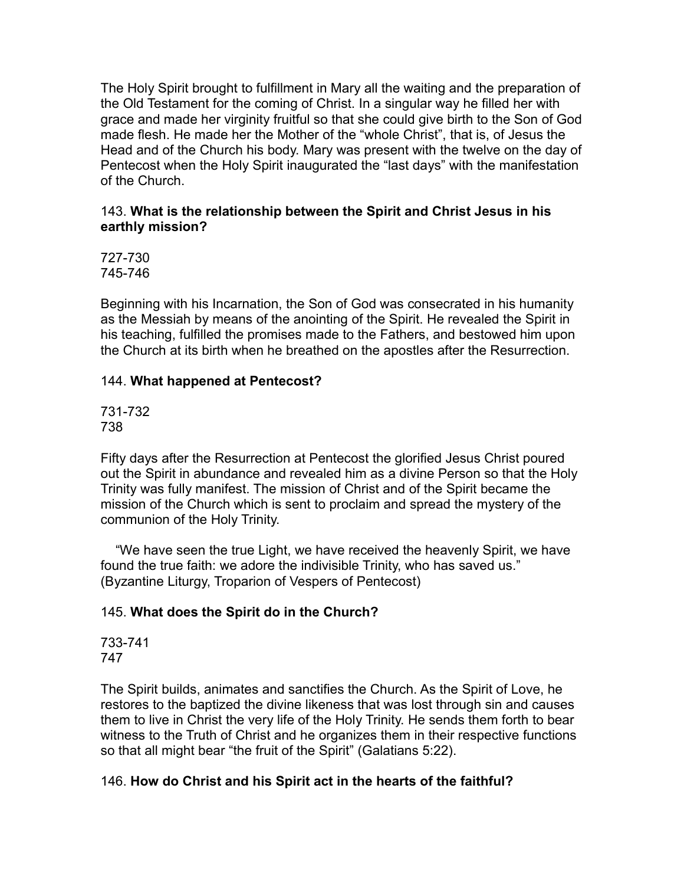The Holy Spirit brought to fulfillment in Mary all the waiting and the preparation of the Old Testament for the coming of Christ. In a singular way he filled her with grace and made her virginity fruitful so that she could give birth to the Son of God made flesh. He made her the Mother of the "whole Christ", that is, of Jesus the Head and of the Church his body. Mary was present with the twelve on the day of Pentecost when the Holy Spirit inaugurated the "last days" with the manifestation of the Church.

#### 143. **What is the relationship between the Spirit and Christ Jesus in his earthly mission?**

727-730 745-746

Beginning with his Incarnation, the Son of God was consecrated in his humanity as the Messiah by means of the anointing of the Spirit. He revealed the Spirit in his teaching, fulfilled the promises made to the Fathers, and bestowed him upon the Church at its birth when he breathed on the apostles after the Resurrection.

## 144. **What happened at Pentecost?**

731-732 738

Fifty days after the Resurrection at Pentecost the glorified Jesus Christ poured out the Spirit in abundance and revealed him as a divine Person so that the Holy Trinity was fully manifest. The mission of Christ and of the Spirit became the mission of the Church which is sent to proclaim and spread the mystery of the communion of the Holy Trinity.

 "We have seen the true Light, we have received the heavenly Spirit, we have found the true faith: we adore the indivisible Trinity, who has saved us." (Byzantine Liturgy, Troparion of Vespers of Pentecost)

# 145. **What does the Spirit do in the Church?**

733-741 747

The Spirit builds, animates and sanctifies the Church. As the Spirit of Love, he restores to the baptized the divine likeness that was lost through sin and causes them to live in Christ the very life of the Holy Trinity. He sends them forth to bear witness to the Truth of Christ and he organizes them in their respective functions so that all might bear "the fruit of the Spirit" (Galatians 5:22).

# 146. **How do Christ and his Spirit act in the hearts of the faithful?**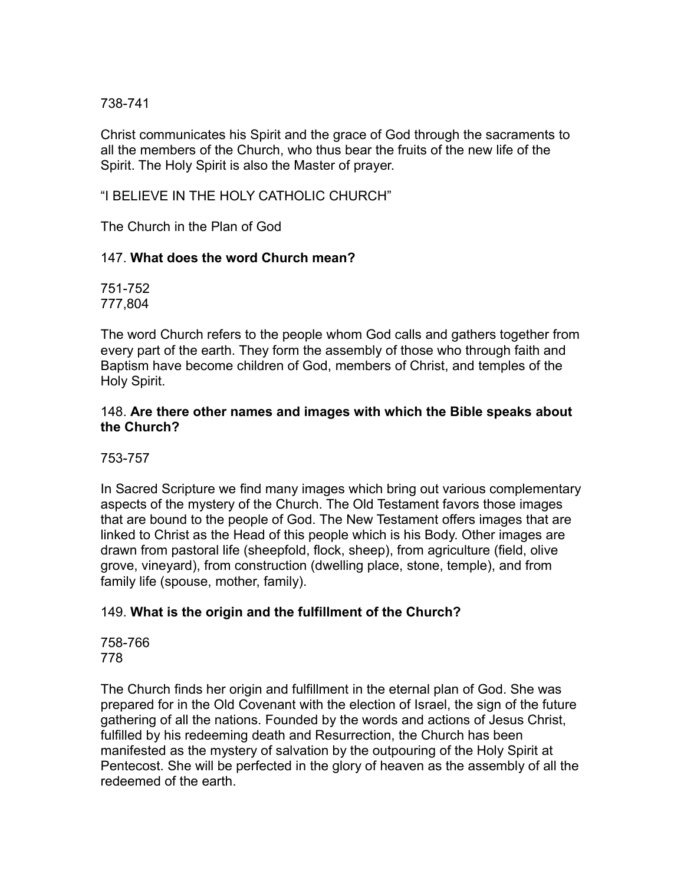## 738-741

Christ communicates his Spirit and the grace of God through the sacraments to all the members of the Church, who thus bear the fruits of the new life of the Spirit. The Holy Spirit is also the Master of prayer.

## "I BELIEVE IN THE HOLY CATHOLIC CHURCH"

The Church in the Plan of God

## 147. **What does the word Church mean?**

751-752 777,804

The word Church refers to the people whom God calls and gathers together from every part of the earth. They form the assembly of those who through faith and Baptism have become children of God, members of Christ, and temples of the Holy Spirit.

#### 148. **Are there other names and images with which the Bible speaks about the Church?**

753-757

In Sacred Scripture we find many images which bring out various complementary aspects of the mystery of the Church. The Old Testament favors those images that are bound to the people of God. The New Testament offers images that are linked to Christ as the Head of this people which is his Body. Other images are drawn from pastoral life (sheepfold, flock, sheep), from agriculture (field, olive grove, vineyard), from construction (dwelling place, stone, temple), and from family life (spouse, mother, family).

## 149. **What is the origin and the fulfillment of the Church?**

758-766 778

The Church finds her origin and fulfillment in the eternal plan of God. She was prepared for in the Old Covenant with the election of Israel, the sign of the future gathering of all the nations. Founded by the words and actions of Jesus Christ, fulfilled by his redeeming death and Resurrection, the Church has been manifested as the mystery of salvation by the outpouring of the Holy Spirit at Pentecost. She will be perfected in the glory of heaven as the assembly of all the redeemed of the earth.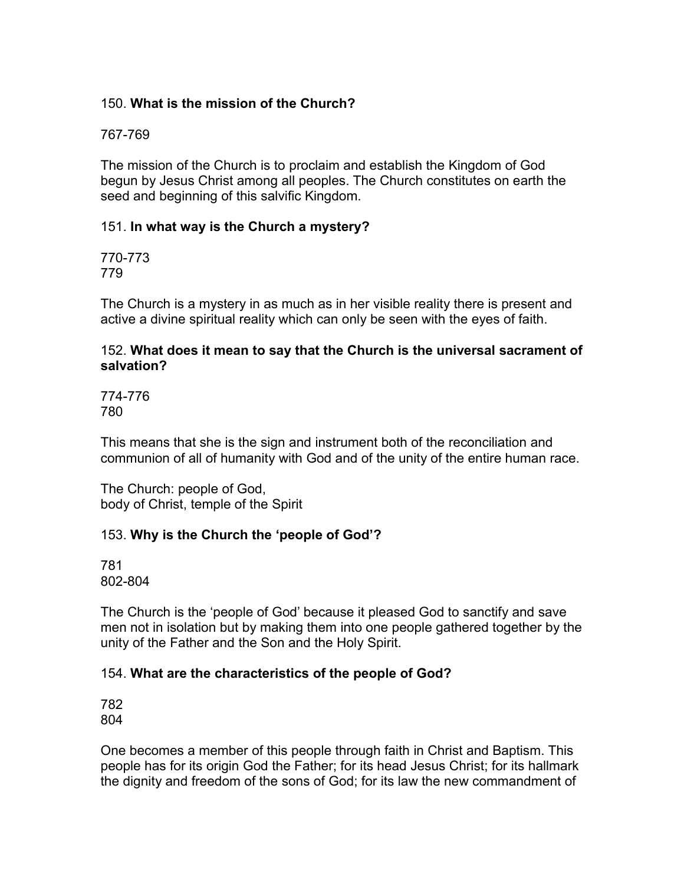#### 150. **What is the mission of the Church?**

767-769

The mission of the Church is to proclaim and establish the Kingdom of God begun by Jesus Christ among all peoples. The Church constitutes on earth the seed and beginning of this salvific Kingdom.

#### 151. **In what way is the Church a mystery?**

770-773 779

The Church is a mystery in as much as in her visible reality there is present and active a divine spiritual reality which can only be seen with the eyes of faith.

#### 152. **What does it mean to say that the Church is the universal sacrament of salvation?**

774-776 780

This means that she is the sign and instrument both of the reconciliation and communion of all of humanity with God and of the unity of the entire human race.

The Church: people of God, body of Christ, temple of the Spirit

## 153. **Why is the Church the 'people of God'?**

781 802-804

The Church is the 'people of God' because it pleased God to sanctify and save men not in isolation but by making them into one people gathered together by the unity of the Father and the Son and the Holy Spirit.

## 154. **What are the characteristics of the people of God?**

782 804

One becomes a member of this people through faith in Christ and Baptism. This people has for its origin God the Father; for its head Jesus Christ; for its hallmark the dignity and freedom of the sons of God; for its law the new commandment of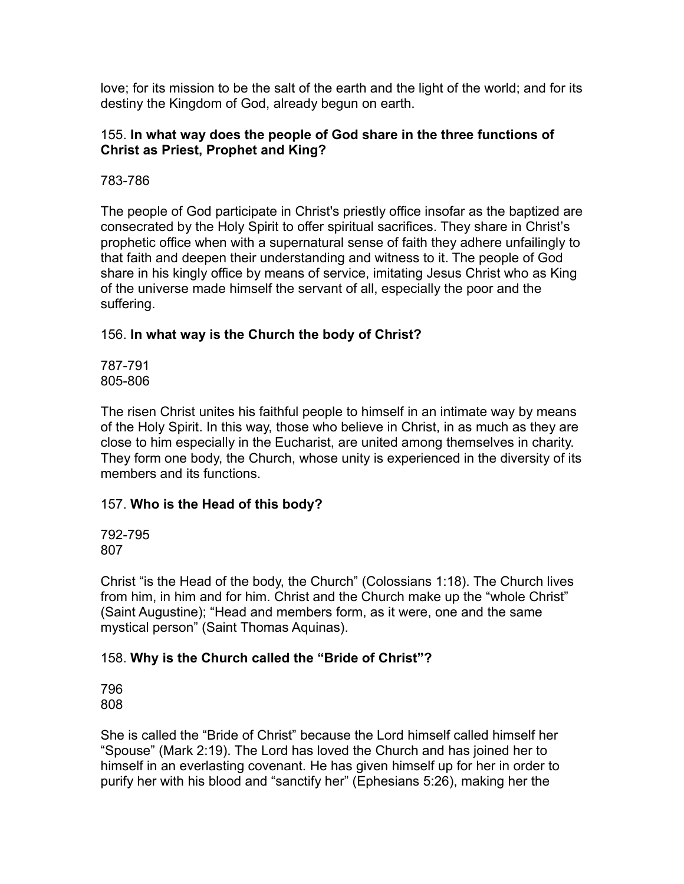love; for its mission to be the salt of the earth and the light of the world; and for its destiny the Kingdom of God, already begun on earth.

#### 155. **In what way does the people of God share in the three functions of Christ as Priest, Prophet and King?**

783-786

The people of God participate in Christ's priestly office insofar as the baptized are consecrated by the Holy Spirit to offer spiritual sacrifices. They share in Christ's prophetic office when with a supernatural sense of faith they adhere unfailingly to that faith and deepen their understanding and witness to it. The people of God share in his kingly office by means of service, imitating Jesus Christ who as King of the universe made himself the servant of all, especially the poor and the suffering.

# 156. **In what way is the Church the body of Christ?**

787-791 805-806

The risen Christ unites his faithful people to himself in an intimate way by means of the Holy Spirit. In this way, those who believe in Christ, in as much as they are close to him especially in the Eucharist, are united among themselves in charity. They form one body, the Church, whose unity is experienced in the diversity of its members and its functions.

# 157. **Who is the Head of this body?**

792-795 807

Christ "is the Head of the body, the Church" (Colossians 1:18). The Church lives from him, in him and for him. Christ and the Church make up the "whole Christ" (Saint Augustine); "Head and members form, as it were, one and the same mystical person" (Saint Thomas Aquinas).

# 158. **Why is the Church called the "Bride of Christ"?**

796 808

She is called the "Bride of Christ" because the Lord himself called himself her "Spouse" (Mark 2:19). The Lord has loved the Church and has joined her to himself in an everlasting covenant. He has given himself up for her in order to purify her with his blood and "sanctify her" (Ephesians 5:26), making her the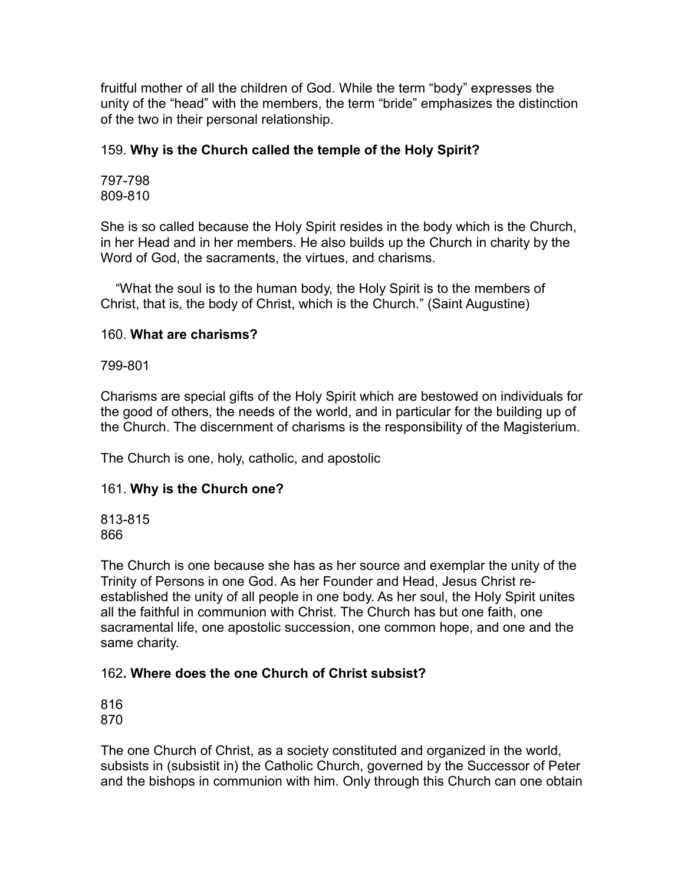fruitful mother of all the children of God. While the term "body" expresses the unity of the "head" with the members, the term "bride" emphasizes the distinction of the two in their personal relationship.

## 159. **Why is the Church called the temple of the Holy Spirit?**

797-798 809-810

She is so called because the Holy Spirit resides in the body which is the Church, in her Head and in her members. He also builds up the Church in charity by the Word of God, the sacraments, the virtues, and charisms.

 "What the soul is to the human body, the Holy Spirit is to the members of Christ, that is, the body of Christ, which is the Church." (Saint Augustine)

## 160. **What are charisms?**

799-801

Charisms are special gifts of the Holy Spirit which are bestowed on individuals for the good of others, the needs of the world, and in particular for the building up of the Church. The discernment of charisms is the responsibility of the Magisterium.

The Church is one, holy, catholic, and apostolic

## 161. **Why is the Church one?**

813-815 866

The Church is one because she has as her source and exemplar the unity of the Trinity of Persons in one God. As her Founder and Head, Jesus Christ reestablished the unity of all people in one body. As her soul, the Holy Spirit unites all the faithful in communion with Christ. The Church has but one faith, one sacramental life, one apostolic succession, one common hope, and one and the same charity.

## 162**. Where does the one Church of Christ subsist?**

816 870

The one Church of Christ, as a society constituted and organized in the world, subsists in (subsistit in) the Catholic Church, governed by the Successor of Peter and the bishops in communion with him. Only through this Church can one obtain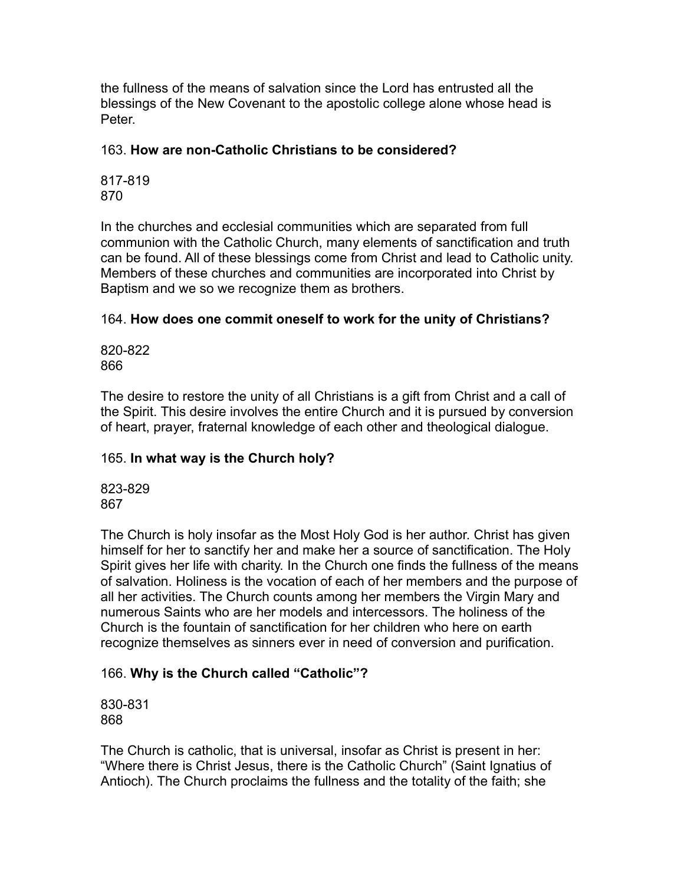the fullness of the means of salvation since the Lord has entrusted all the blessings of the New Covenant to the apostolic college alone whose head is Peter.

#### 163. **How are non-Catholic Christians to be considered?**

817-819 870

In the churches and ecclesial communities which are separated from full communion with the Catholic Church, many elements of sanctification and truth can be found. All of these blessings come from Christ and lead to Catholic unity. Members of these churches and communities are incorporated into Christ by Baptism and we so we recognize them as brothers.

## 164. **How does one commit oneself to work for the unity of Christians?**

820-822 866

The desire to restore the unity of all Christians is a gift from Christ and a call of the Spirit. This desire involves the entire Church and it is pursued by conversion of heart, prayer, fraternal knowledge of each other and theological dialogue.

## 165. **In what way is the Church holy?**

823-829 867

The Church is holy insofar as the Most Holy God is her author. Christ has given himself for her to sanctify her and make her a source of sanctification. The Holy Spirit gives her life with charity. In the Church one finds the fullness of the means of salvation. Holiness is the vocation of each of her members and the purpose of all her activities. The Church counts among her members the Virgin Mary and numerous Saints who are her models and intercessors. The holiness of the Church is the fountain of sanctification for her children who here on earth recognize themselves as sinners ever in need of conversion and purification.

## 166. **Why is the Church called "Catholic"?**

830-831 868

The Church is catholic, that is universal, insofar as Christ is present in her: "Where there is Christ Jesus, there is the Catholic Church" (Saint Ignatius of Antioch). The Church proclaims the fullness and the totality of the faith; she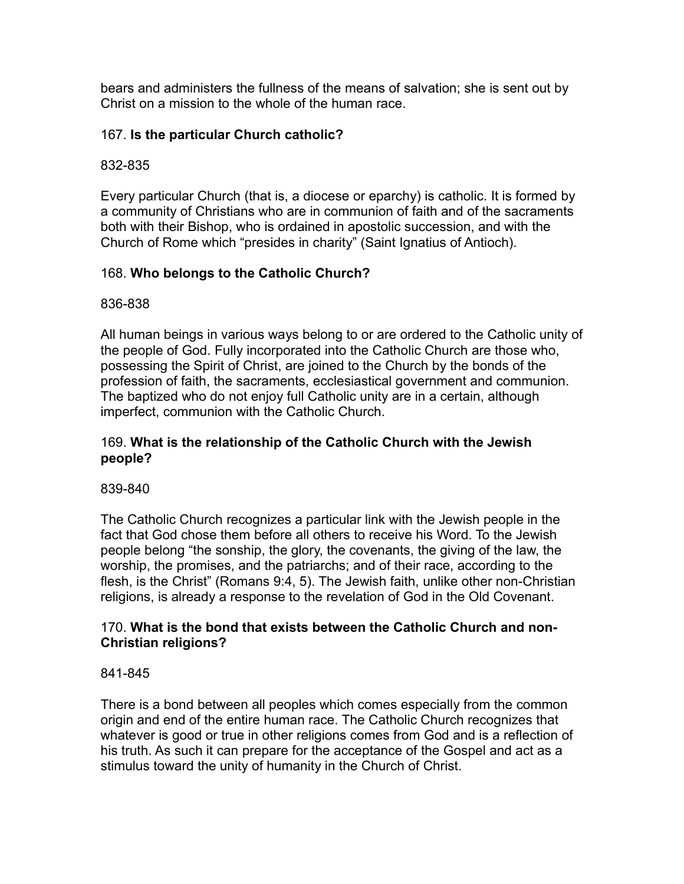bears and administers the fullness of the means of salvation; she is sent out by Christ on a mission to the whole of the human race.

# 167. **Is the particular Church catholic?**

#### 832-835

Every particular Church (that is, a diocese or eparchy) is catholic. It is formed by a community of Christians who are in communion of faith and of the sacraments both with their Bishop, who is ordained in apostolic succession, and with the Church of Rome which "presides in charity" (Saint Ignatius of Antioch).

# 168. **Who belongs to the Catholic Church?**

836-838

All human beings in various ways belong to or are ordered to the Catholic unity of the people of God. Fully incorporated into the Catholic Church are those who, possessing the Spirit of Christ, are joined to the Church by the bonds of the profession of faith, the sacraments, ecclesiastical government and communion. The baptized who do not enjoy full Catholic unity are in a certain, although imperfect, communion with the Catholic Church.

#### 169. **What is the relationship of the Catholic Church with the Jewish people?**

839-840

The Catholic Church recognizes a particular link with the Jewish people in the fact that God chose them before all others to receive his Word. To the Jewish people belong "the sonship, the glory, the covenants, the giving of the law, the worship, the promises, and the patriarchs; and of their race, according to the flesh, is the Christ" (Romans 9:4, 5). The Jewish faith, unlike other non-Christian religions, is already a response to the revelation of God in the Old Covenant.

#### 170. **What is the bond that exists between the Catholic Church and non-Christian religions?**

## 841-845

There is a bond between all peoples which comes especially from the common origin and end of the entire human race. The Catholic Church recognizes that whatever is good or true in other religions comes from God and is a reflection of his truth. As such it can prepare for the acceptance of the Gospel and act as a stimulus toward the unity of humanity in the Church of Christ.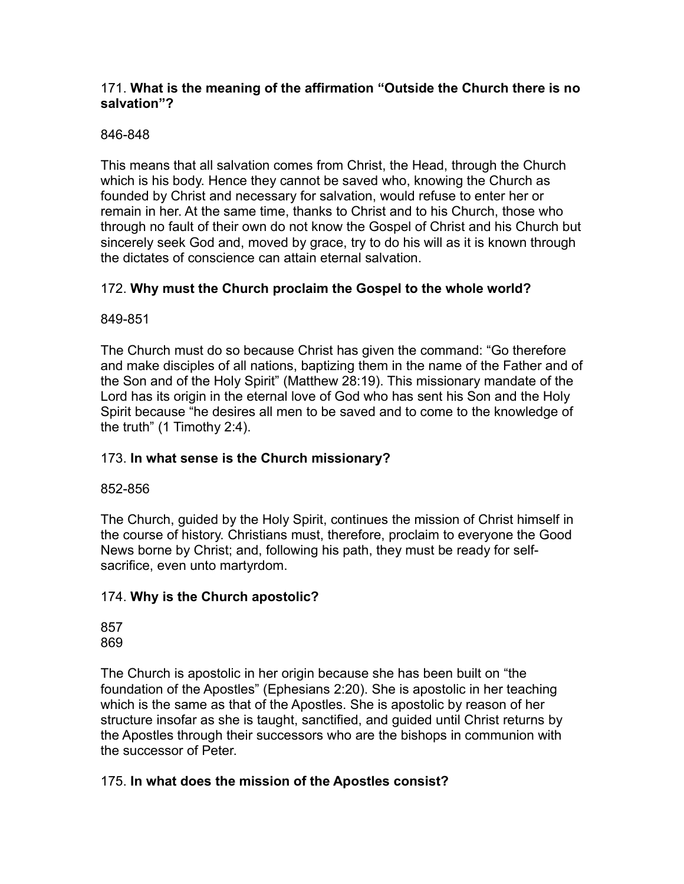#### 171. **What is the meaning of the affirmation "Outside the Church there is no salvation"?**

#### 846-848

This means that all salvation comes from Christ, the Head, through the Church which is his body. Hence they cannot be saved who, knowing the Church as founded by Christ and necessary for salvation, would refuse to enter her or remain in her. At the same time, thanks to Christ and to his Church, those who through no fault of their own do not know the Gospel of Christ and his Church but sincerely seek God and, moved by grace, try to do his will as it is known through the dictates of conscience can attain eternal salvation.

# 172. **Why must the Church proclaim the Gospel to the whole world?**

849-851

The Church must do so because Christ has given the command: "Go therefore and make disciples of all nations, baptizing them in the name of the Father and of the Son and of the Holy Spirit" (Matthew 28:19). This missionary mandate of the Lord has its origin in the eternal love of God who has sent his Son and the Holy Spirit because "he desires all men to be saved and to come to the knowledge of the truth" (1 Timothy 2:4).

## 173. **In what sense is the Church missionary?**

#### 852-856

The Church, guided by the Holy Spirit, continues the mission of Christ himself in the course of history. Christians must, therefore, proclaim to everyone the Good News borne by Christ; and, following his path, they must be ready for selfsacrifice, even unto martyrdom.

## 174. **Why is the Church apostolic?**

857 869

The Church is apostolic in her origin because she has been built on "the foundation of the Apostles" (Ephesians 2:20). She is apostolic in her teaching which is the same as that of the Apostles. She is apostolic by reason of her structure insofar as she is taught, sanctified, and guided until Christ returns by the Apostles through their successors who are the bishops in communion with the successor of Peter.

## 175. **In what does the mission of the Apostles consist?**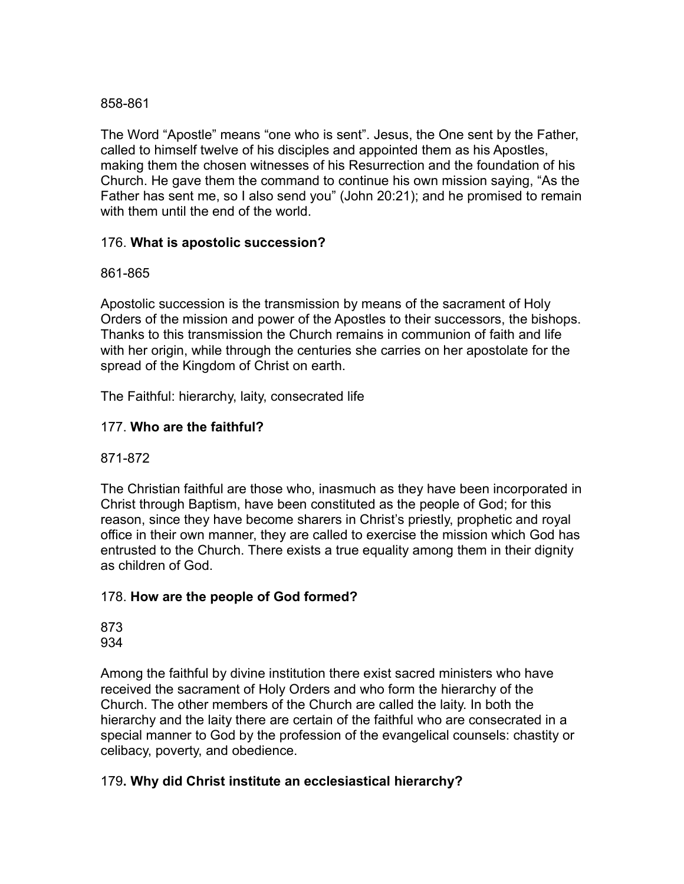#### 858-861

The Word "Apostle" means "one who is sent". Jesus, the One sent by the Father, called to himself twelve of his disciples and appointed them as his Apostles, making them the chosen witnesses of his Resurrection and the foundation of his Church. He gave them the command to continue his own mission saying, "As the Father has sent me, so I also send you" (John 20:21); and he promised to remain with them until the end of the world.

#### 176. **What is apostolic succession?**

#### 861-865

Apostolic succession is the transmission by means of the sacrament of Holy Orders of the mission and power of the Apostles to their successors, the bishops. Thanks to this transmission the Church remains in communion of faith and life with her origin, while through the centuries she carries on her apostolate for the spread of the Kingdom of Christ on earth.

The Faithful: hierarchy, laity, consecrated life

## 177. **Who are the faithful?**

#### 871-872

The Christian faithful are those who, inasmuch as they have been incorporated in Christ through Baptism, have been constituted as the people of God; for this reason, since they have become sharers in Christ's priestly, prophetic and royal office in their own manner, they are called to exercise the mission which God has entrusted to the Church. There exists a true equality among them in their dignity as children of God.

## 178. **How are the people of God formed?**

873 934

Among the faithful by divine institution there exist sacred ministers who have received the sacrament of Holy Orders and who form the hierarchy of the Church. The other members of the Church are called the laity. In both the hierarchy and the laity there are certain of the faithful who are consecrated in a special manner to God by the profession of the evangelical counsels: chastity or celibacy, poverty, and obedience.

## 179**. Why did Christ institute an ecclesiastical hierarchy?**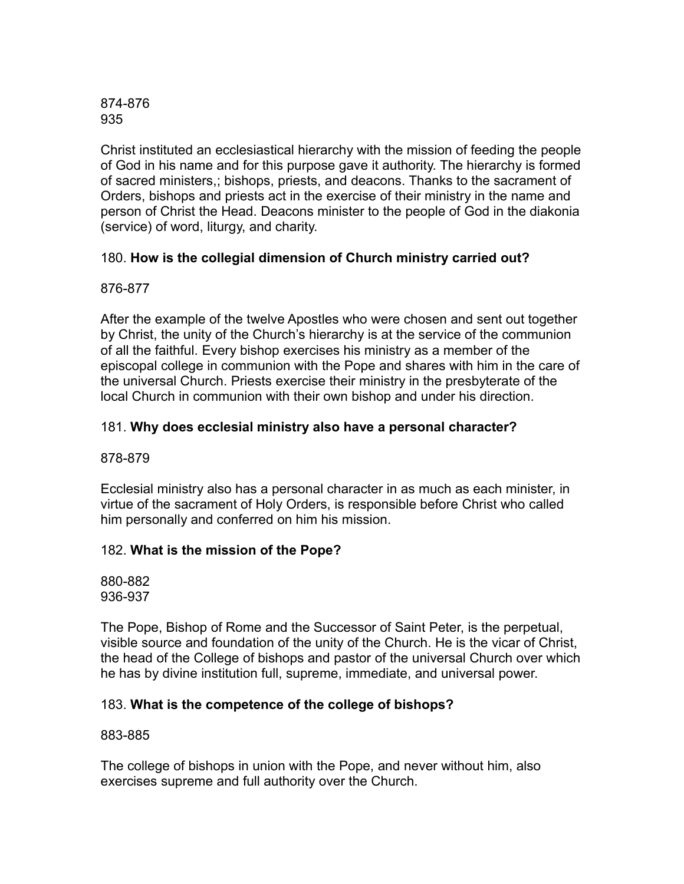874-876 935

Christ instituted an ecclesiastical hierarchy with the mission of feeding the people of God in his name and for this purpose gave it authority. The hierarchy is formed of sacred ministers,; bishops, priests, and deacons. Thanks to the sacrament of Orders, bishops and priests act in the exercise of their ministry in the name and person of Christ the Head. Deacons minister to the people of God in the diakonia (service) of word, liturgy, and charity.

# 180. **How is the collegial dimension of Church ministry carried out?**

## 876-877

After the example of the twelve Apostles who were chosen and sent out together by Christ, the unity of the Church's hierarchy is at the service of the communion of all the faithful. Every bishop exercises his ministry as a member of the episcopal college in communion with the Pope and shares with him in the care of the universal Church. Priests exercise their ministry in the presbyterate of the local Church in communion with their own bishop and under his direction.

## 181. **Why does ecclesial ministry also have a personal character?**

#### 878-879

Ecclesial ministry also has a personal character in as much as each minister, in virtue of the sacrament of Holy Orders, is responsible before Christ who called him personally and conferred on him his mission.

## 182. **What is the mission of the Pope?**

880-882 936-937

The Pope, Bishop of Rome and the Successor of Saint Peter, is the perpetual, visible source and foundation of the unity of the Church. He is the vicar of Christ, the head of the College of bishops and pastor of the universal Church over which he has by divine institution full, supreme, immediate, and universal power.

## 183. **What is the competence of the college of bishops?**

## 883-885

The college of bishops in union with the Pope, and never without him, also exercises supreme and full authority over the Church.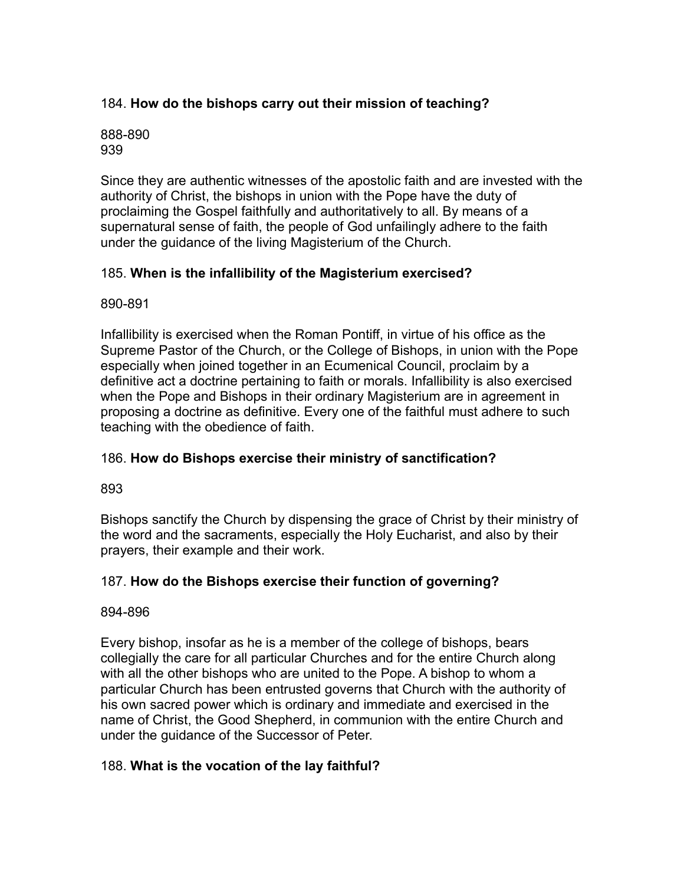# 184. **How do the bishops carry out their mission of teaching?**

888-890 939

Since they are authentic witnesses of the apostolic faith and are invested with the authority of Christ, the bishops in union with the Pope have the duty of proclaiming the Gospel faithfully and authoritatively to all. By means of a supernatural sense of faith, the people of God unfailingly adhere to the faith under the guidance of the living Magisterium of the Church.

## 185. **When is the infallibility of the Magisterium exercised?**

890-891

Infallibility is exercised when the Roman Pontiff, in virtue of his office as the Supreme Pastor of the Church, or the College of Bishops, in union with the Pope especially when joined together in an Ecumenical Council, proclaim by a definitive act a doctrine pertaining to faith or morals. Infallibility is also exercised when the Pope and Bishops in their ordinary Magisterium are in agreement in proposing a doctrine as definitive. Every one of the faithful must adhere to such teaching with the obedience of faith.

## 186. **How do Bishops exercise their ministry of sanctification?**

893

Bishops sanctify the Church by dispensing the grace of Christ by their ministry of the word and the sacraments, especially the Holy Eucharist, and also by their prayers, their example and their work.

## 187. **How do the Bishops exercise their function of governing?**

#### 894-896

Every bishop, insofar as he is a member of the college of bishops, bears collegially the care for all particular Churches and for the entire Church along with all the other bishops who are united to the Pope. A bishop to whom a particular Church has been entrusted governs that Church with the authority of his own sacred power which is ordinary and immediate and exercised in the name of Christ, the Good Shepherd, in communion with the entire Church and under the guidance of the Successor of Peter.

## 188. **What is the vocation of the lay faithful?**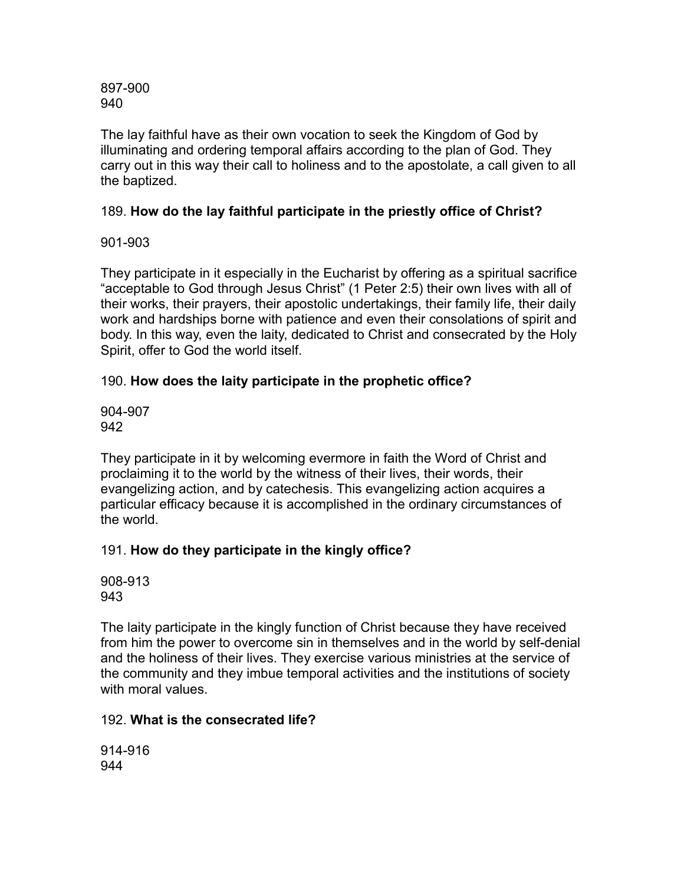897-900 940

The lay faithful have as their own vocation to seek the Kingdom of God by illuminating and ordering temporal affairs according to the plan of God. They carry out in this way their call to holiness and to the apostolate, a call given to all the baptized.

## 189. **How do the lay faithful participate in the priestly office of Christ?**

901-903

They participate in it especially in the Eucharist by offering as a spiritual sacrifice "acceptable to God through Jesus Christ" (1 Peter 2:5) their own lives with all of their works, their prayers, their apostolic undertakings, their family life, their daily work and hardships borne with patience and even their consolations of spirit and body. In this way, even the laity, dedicated to Christ and consecrated by the Holy Spirit, offer to God the world itself.

# 190. **How does the laity participate in the prophetic office?**

904-907 942

They participate in it by welcoming evermore in faith the Word of Christ and proclaiming it to the world by the witness of their lives, their words, their evangelizing action, and by catechesis. This evangelizing action acquires a particular efficacy because it is accomplished in the ordinary circumstances of the world.

# 191. **How do they participate in the kingly office?**

908-913 943

The laity participate in the kingly function of Christ because they have received from him the power to overcome sin in themselves and in the world by self-denial and the holiness of their lives. They exercise various ministries at the service of the community and they imbue temporal activities and the institutions of society with moral values.

## 192. **What is the consecrated life?**

914-916 944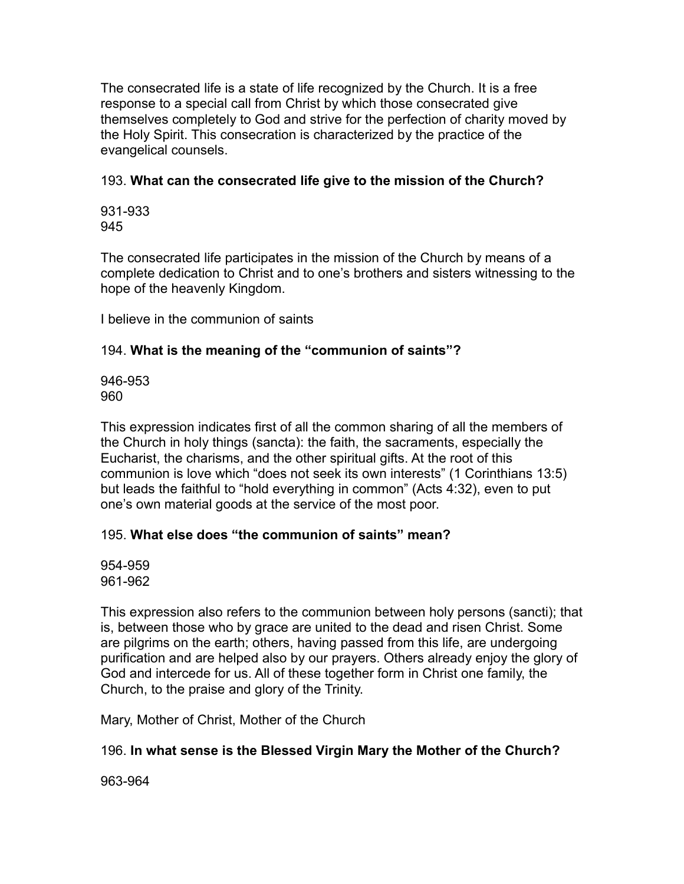The consecrated life is a state of life recognized by the Church. It is a free response to a special call from Christ by which those consecrated give themselves completely to God and strive for the perfection of charity moved by the Holy Spirit. This consecration is characterized by the practice of the evangelical counsels.

# 193. **What can the consecrated life give to the mission of the Church?**

931-933 945

The consecrated life participates in the mission of the Church by means of a complete dedication to Christ and to one's brothers and sisters witnessing to the hope of the heavenly Kingdom.

I believe in the communion of saints

# 194. **What is the meaning of the "communion of saints"?**

946-953 960

This expression indicates first of all the common sharing of all the members of the Church in holy things (sancta): the faith, the sacraments, especially the Eucharist, the charisms, and the other spiritual gifts. At the root of this communion is love which "does not seek its own interests" (1 Corinthians 13:5) but leads the faithful to "hold everything in common" (Acts 4:32), even to put one's own material goods at the service of the most poor.

# 195. **What else does "the communion of saints" mean?**

954-959 961-962

This expression also refers to the communion between holy persons (sancti); that is, between those who by grace are united to the dead and risen Christ. Some are pilgrims on the earth; others, having passed from this life, are undergoing purification and are helped also by our prayers. Others already enjoy the glory of God and intercede for us. All of these together form in Christ one family, the Church, to the praise and glory of the Trinity.

Mary, Mother of Christ, Mother of the Church

# 196. **In what sense is the Blessed Virgin Mary the Mother of the Church?**

963-964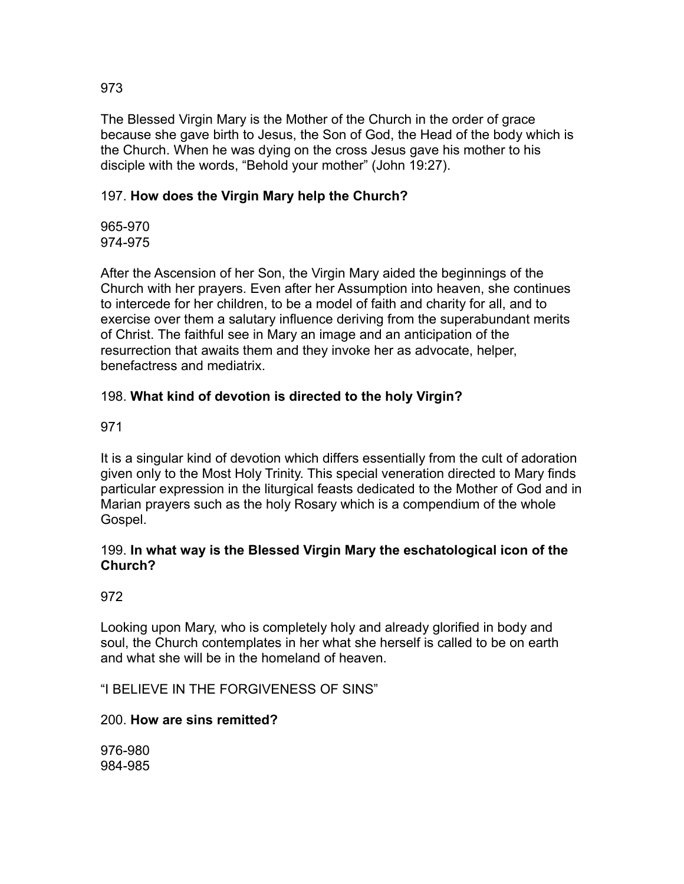The Blessed Virgin Mary is the Mother of the Church in the order of grace because she gave birth to Jesus, the Son of God, the Head of the body which is the Church. When he was dying on the cross Jesus gave his mother to his disciple with the words, "Behold your mother" (John 19:27).

#### 197. **How does the Virgin Mary help the Church?**

965-970 974-975

After the Ascension of her Son, the Virgin Mary aided the beginnings of the Church with her prayers. Even after her Assumption into heaven, she continues to intercede for her children, to be a model of faith and charity for all, and to exercise over them a salutary influence deriving from the superabundant merits of Christ. The faithful see in Mary an image and an anticipation of the resurrection that awaits them and they invoke her as advocate, helper, benefactress and mediatrix.

## 198. **What kind of devotion is directed to the holy Virgin?**

#### 971

It is a singular kind of devotion which differs essentially from the cult of adoration given only to the Most Holy Trinity. This special veneration directed to Mary finds particular expression in the liturgical feasts dedicated to the Mother of God and in Marian prayers such as the holy Rosary which is a compendium of the whole Gospel.

#### 199. **In what way is the Blessed Virgin Mary the eschatological icon of the Church?**

#### 972

Looking upon Mary, who is completely holy and already glorified in body and soul, the Church contemplates in her what she herself is called to be on earth and what she will be in the homeland of heaven.

#### "I BELIEVE IN THE FORGIVENESS OF SINS"

#### 200. **How are sins remitted?**

976-980 984-985

973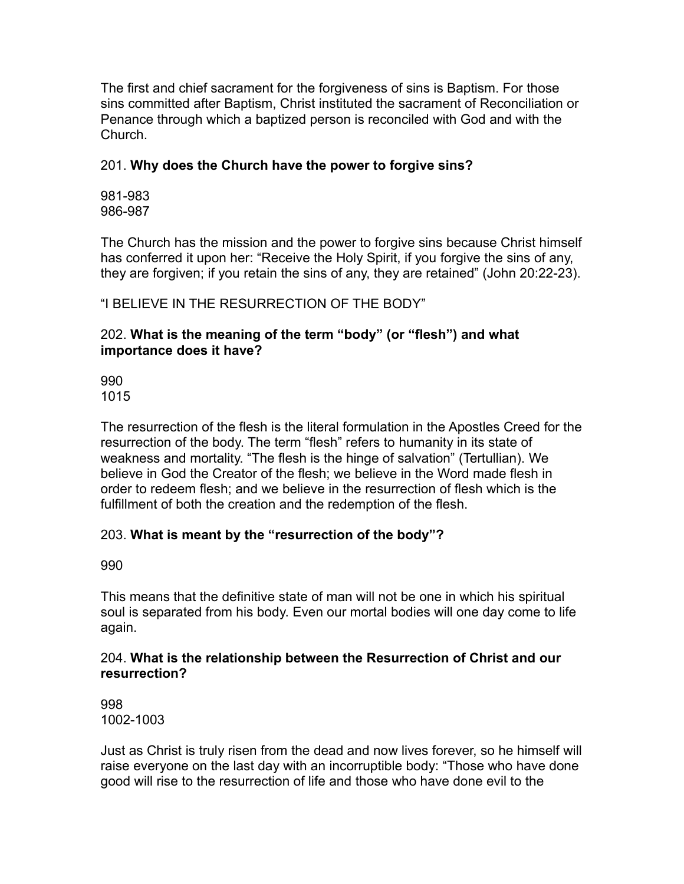The first and chief sacrament for the forgiveness of sins is Baptism. For those sins committed after Baptism, Christ instituted the sacrament of Reconciliation or Penance through which a baptized person is reconciled with God and with the Church.

## 201. **Why does the Church have the power to forgive sins?**

981-983 986-987

The Church has the mission and the power to forgive sins because Christ himself has conferred it upon her: "Receive the Holy Spirit, if you forgive the sins of any, they are forgiven; if you retain the sins of any, they are retained" (John 20:22-23).

"I BELIEVE IN THE RESURRECTION OF THE BODY"

#### 202. **What is the meaning of the term "body" (or "flesh") and what importance does it have?**

990 1015

The resurrection of the flesh is the literal formulation in the Apostles Creed for the resurrection of the body. The term "flesh" refers to humanity in its state of weakness and mortality. "The flesh is the hinge of salvation" (Tertullian). We believe in God the Creator of the flesh; we believe in the Word made flesh in order to redeem flesh; and we believe in the resurrection of flesh which is the fulfillment of both the creation and the redemption of the flesh.

## 203. **What is meant by the "resurrection of the body"?**

990

This means that the definitive state of man will not be one in which his spiritual soul is separated from his body. Even our mortal bodies will one day come to life again.

#### 204. **What is the relationship between the Resurrection of Christ and our resurrection?**

998 1002-1003

Just as Christ is truly risen from the dead and now lives forever, so he himself will raise everyone on the last day with an incorruptible body: "Those who have done good will rise to the resurrection of life and those who have done evil to the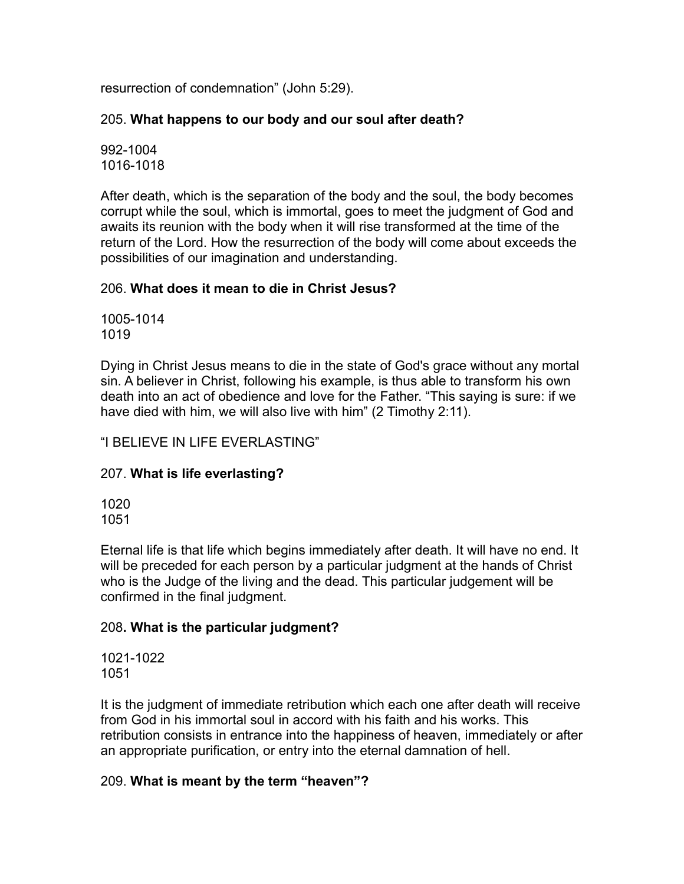resurrection of condemnation" (John 5:29).

#### 205. **What happens to our body and our soul after death?**

992-1004 1016-1018

After death, which is the separation of the body and the soul, the body becomes corrupt while the soul, which is immortal, goes to meet the judgment of God and awaits its reunion with the body when it will rise transformed at the time of the return of the Lord. How the resurrection of the body will come about exceeds the possibilities of our imagination and understanding.

#### 206. **What does it mean to die in Christ Jesus?**

1005-1014 1019

Dying in Christ Jesus means to die in the state of God's grace without any mortal sin. A believer in Christ, following his example, is thus able to transform his own death into an act of obedience and love for the Father. "This saying is sure: if we have died with him, we will also live with him" (2 Timothy 2:11).

"I BELIEVE IN LIFE EVERLASTING"

## 207. **What is life everlasting?**

1020 1051

Eternal life is that life which begins immediately after death. It will have no end. It will be preceded for each person by a particular judgment at the hands of Christ who is the Judge of the living and the dead. This particular judgement will be confirmed in the final judgment.

#### 208**. What is the particular judgment?**

1021-1022 1051

It is the judgment of immediate retribution which each one after death will receive from God in his immortal soul in accord with his faith and his works. This retribution consists in entrance into the happiness of heaven, immediately or after an appropriate purification, or entry into the eternal damnation of hell.

#### 209. **What is meant by the term "heaven"?**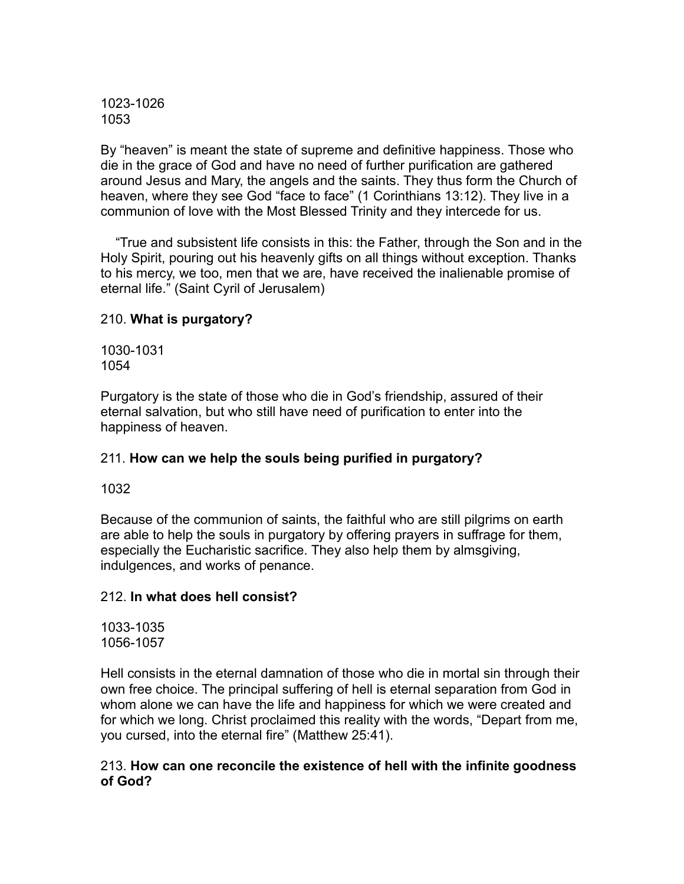1023-1026 1053

By "heaven" is meant the state of supreme and definitive happiness. Those who die in the grace of God and have no need of further purification are gathered around Jesus and Mary, the angels and the saints. They thus form the Church of heaven, where they see God "face to face" (1 Corinthians 13:12). They live in a communion of love with the Most Blessed Trinity and they intercede for us.

 "True and subsistent life consists in this: the Father, through the Son and in the Holy Spirit, pouring out his heavenly gifts on all things without exception. Thanks to his mercy, we too, men that we are, have received the inalienable promise of eternal life." (Saint Cyril of Jerusalem)

## 210. **What is purgatory?**

1030-1031 1054

Purgatory is the state of those who die in God's friendship, assured of their eternal salvation, but who still have need of purification to enter into the happiness of heaven.

## 211. **How can we help the souls being purified in purgatory?**

1032

Because of the communion of saints, the faithful who are still pilgrims on earth are able to help the souls in purgatory by offering prayers in suffrage for them, especially the Eucharistic sacrifice. They also help them by almsgiving, indulgences, and works of penance.

#### 212. **In what does hell consist?**

1033-1035 1056-1057

Hell consists in the eternal damnation of those who die in mortal sin through their own free choice. The principal suffering of hell is eternal separation from God in whom alone we can have the life and happiness for which we were created and for which we long. Christ proclaimed this reality with the words, "Depart from me, you cursed, into the eternal fire" (Matthew 25:41).

#### 213. **How can one reconcile the existence of hell with the infinite goodness of God?**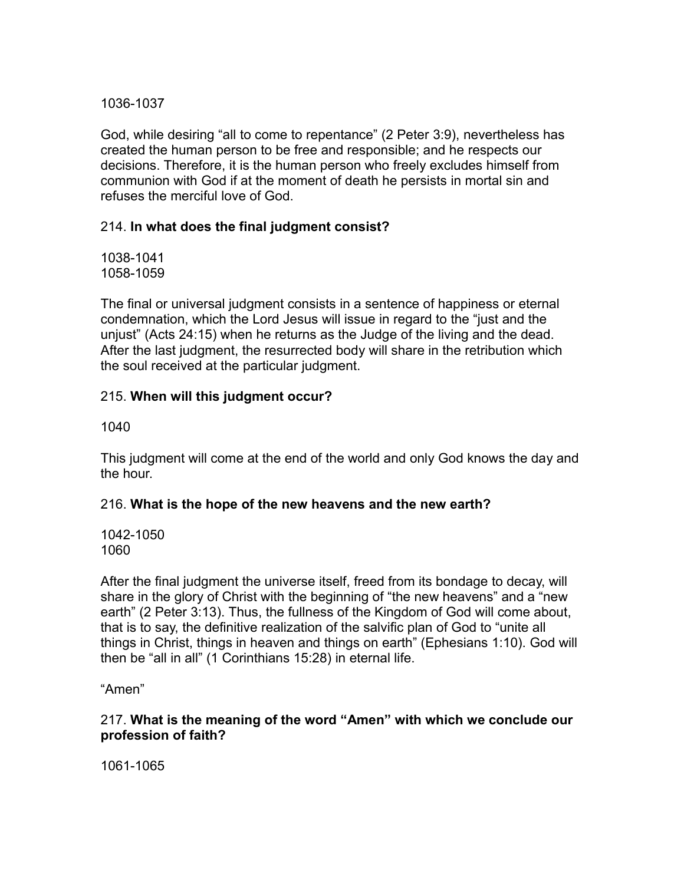1036-1037

God, while desiring "all to come to repentance" (2 Peter 3:9), nevertheless has created the human person to be free and responsible; and he respects our decisions. Therefore, it is the human person who freely excludes himself from communion with God if at the moment of death he persists in mortal sin and refuses the merciful love of God.

#### 214. **In what does the final judgment consist?**

1038-1041 1058-1059

The final or universal judgment consists in a sentence of happiness or eternal condemnation, which the Lord Jesus will issue in regard to the "just and the unjust" (Acts 24:15) when he returns as the Judge of the living and the dead. After the last judgment, the resurrected body will share in the retribution which the soul received at the particular judgment.

#### 215. **When will this judgment occur?**

1040

This judgment will come at the end of the world and only God knows the day and the hour.

#### 216. **What is the hope of the new heavens and the new earth?**

1042-1050 1060

After the final judgment the universe itself, freed from its bondage to decay, will share in the glory of Christ with the beginning of "the new heavens" and a "new earth" (2 Peter 3:13). Thus, the fullness of the Kingdom of God will come about, that is to say, the definitive realization of the salvific plan of God to "unite all things in Christ, things in heaven and things on earth" (Ephesians 1:10). God will then be "all in all" (1 Corinthians 15:28) in eternal life.

"Amen"

#### 217. **What is the meaning of the word "Amen" with which we conclude our profession of faith?**

1061-1065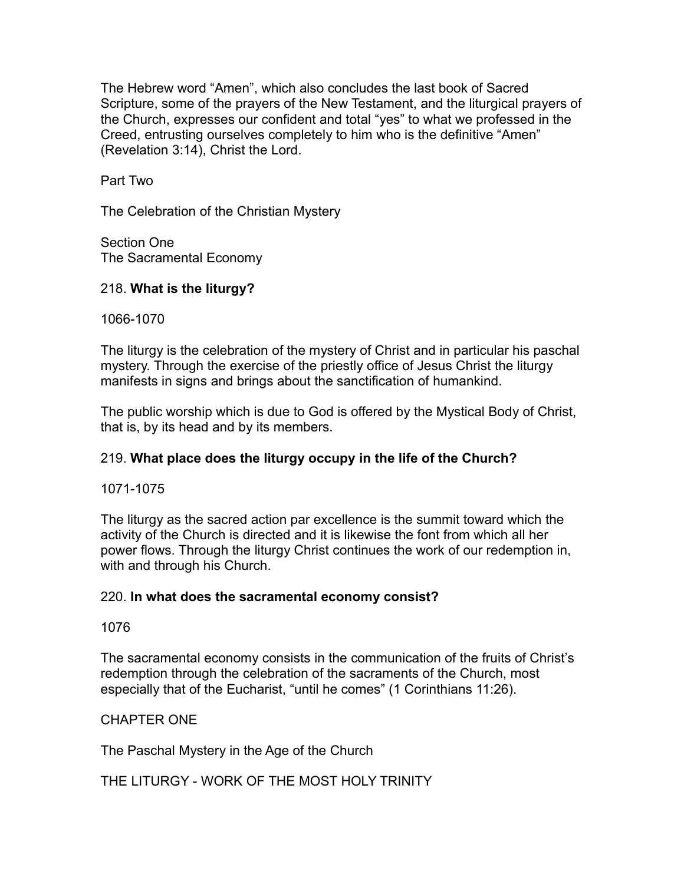The Hebrew word "Amen", which also concludes the last book of Sacred Scripture, some of the prayers of the New Testament, and the liturgical prayers of the Church, expresses our confident and total "yes" to what we professed in the Creed, entrusting ourselves completely to him who is the definitive "Amen" (Revelation 3:14), Christ the Lord.

Part Two

The Celebration of the Christian Mystery

Section One The Sacramental Economy

#### 218. **What is the liturgy?**

1066-1070

The liturgy is the celebration of the mystery of Christ and in particular his paschal mystery. Through the exercise of the priestly office of Jesus Christ the liturgy manifests in signs and brings about the sanctification of humankind.

The public worship which is due to God is offered by the Mystical Body of Christ, that is, by its head and by its members.

## 219. **What place does the liturgy occupy in the life of the Church?**

1071-1075

The liturgy as the sacred action par excellence is the summit toward which the activity of the Church is directed and it is likewise the font from which all her power flows. Through the liturgy Christ continues the work of our redemption in, with and through his Church.

#### 220. **In what does the sacramental economy consist?**

#### 1076

The sacramental economy consists in the communication of the fruits of Christ's redemption through the celebration of the sacraments of the Church, most especially that of the Eucharist, "until he comes" (1 Corinthians 11:26).

## CHAPTER ONE

The Paschal Mystery in the Age of the Church

THE LITURGY - WORK OF THE MOST HOLY TRINITY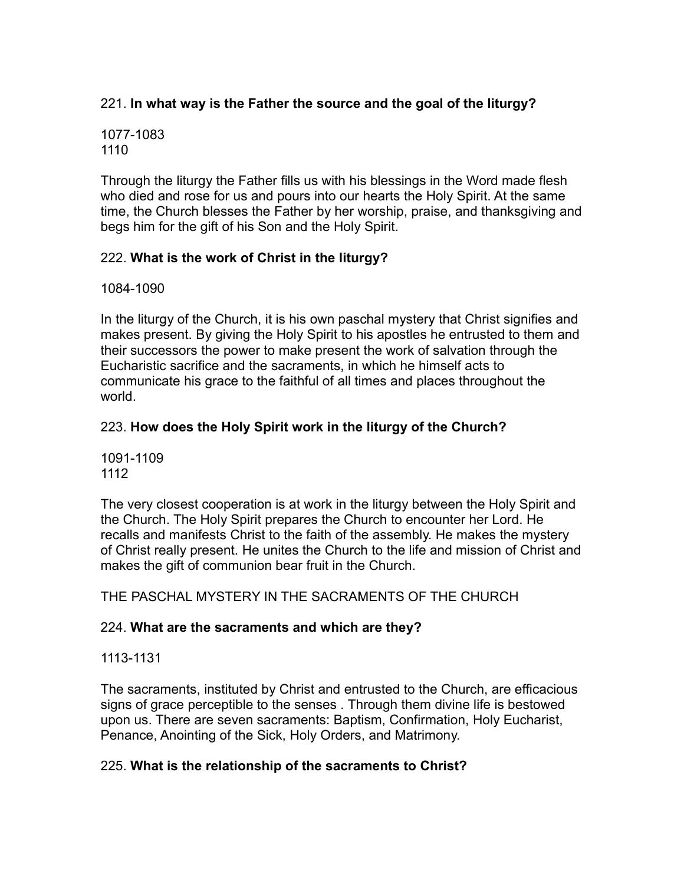# 221. **In what way is the Father the source and the goal of the liturgy?**

1077-1083 1110

Through the liturgy the Father fills us with his blessings in the Word made flesh who died and rose for us and pours into our hearts the Holy Spirit. At the same time, the Church blesses the Father by her worship, praise, and thanksgiving and begs him for the gift of his Son and the Holy Spirit.

## 222. **What is the work of Christ in the liturgy?**

1084-1090

In the liturgy of the Church, it is his own paschal mystery that Christ signifies and makes present. By giving the Holy Spirit to his apostles he entrusted to them and their successors the power to make present the work of salvation through the Eucharistic sacrifice and the sacraments, in which he himself acts to communicate his grace to the faithful of all times and places throughout the world.

# 223. **How does the Holy Spirit work in the liturgy of the Church?**

1091-1109 1112

The very closest cooperation is at work in the liturgy between the Holy Spirit and the Church. The Holy Spirit prepares the Church to encounter her Lord. He recalls and manifests Christ to the faith of the assembly. He makes the mystery of Christ really present. He unites the Church to the life and mission of Christ and makes the gift of communion bear fruit in the Church.

THE PASCHAL MYSTERY IN THE SACRAMENTS OF THE CHURCH

## 224. **What are the sacraments and which are they?**

1113-1131

The sacraments, instituted by Christ and entrusted to the Church, are efficacious signs of grace perceptible to the senses . Through them divine life is bestowed upon us. There are seven sacraments: Baptism, Confirmation, Holy Eucharist, Penance, Anointing of the Sick, Holy Orders, and Matrimony.

## 225. **What is the relationship of the sacraments to Christ?**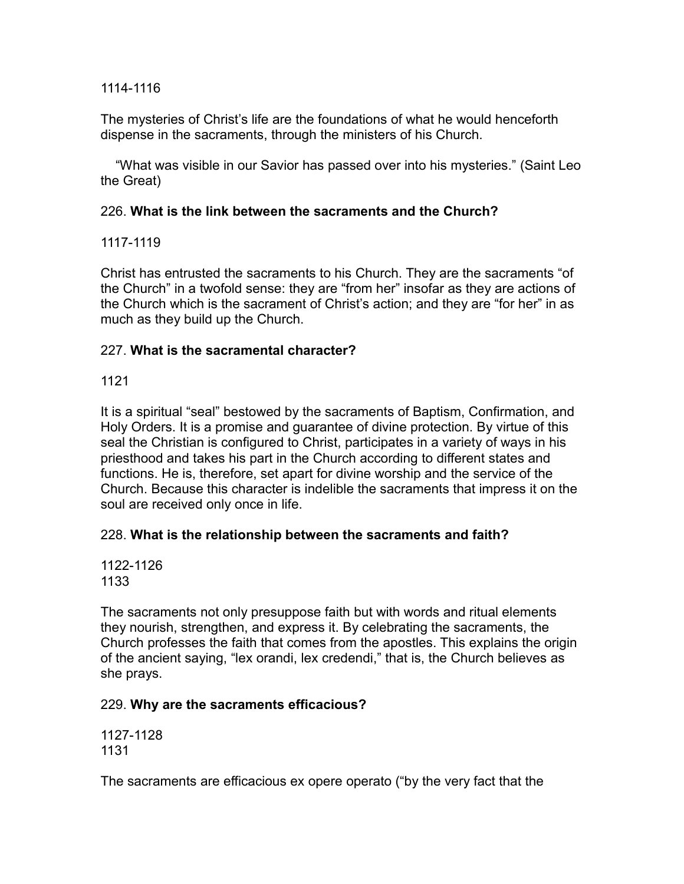1114-1116

The mysteries of Christ's life are the foundations of what he would henceforth dispense in the sacraments, through the ministers of his Church.

 "What was visible in our Savior has passed over into his mysteries." (Saint Leo the Great)

#### 226. **What is the link between the sacraments and the Church?**

#### 1117-1119

Christ has entrusted the sacraments to his Church. They are the sacraments "of the Church" in a twofold sense: they are "from her" insofar as they are actions of the Church which is the sacrament of Christ's action; and they are "for her" in as much as they build up the Church.

#### 227. **What is the sacramental character?**

#### 1121

It is a spiritual "seal" bestowed by the sacraments of Baptism, Confirmation, and Holy Orders. It is a promise and guarantee of divine protection. By virtue of this seal the Christian is configured to Christ, participates in a variety of ways in his priesthood and takes his part in the Church according to different states and functions. He is, therefore, set apart for divine worship and the service of the Church. Because this character is indelible the sacraments that impress it on the soul are received only once in life.

#### 228. **What is the relationship between the sacraments and faith?**

1122-1126 1133

The sacraments not only presuppose faith but with words and ritual elements they nourish, strengthen, and express it. By celebrating the sacraments, the Church professes the faith that comes from the apostles. This explains the origin of the ancient saying, "lex orandi, lex credendi," that is, the Church believes as she prays.

## 229. **Why are the sacraments efficacious?**

1127-1128 1131

The sacraments are efficacious ex opere operato ("by the very fact that the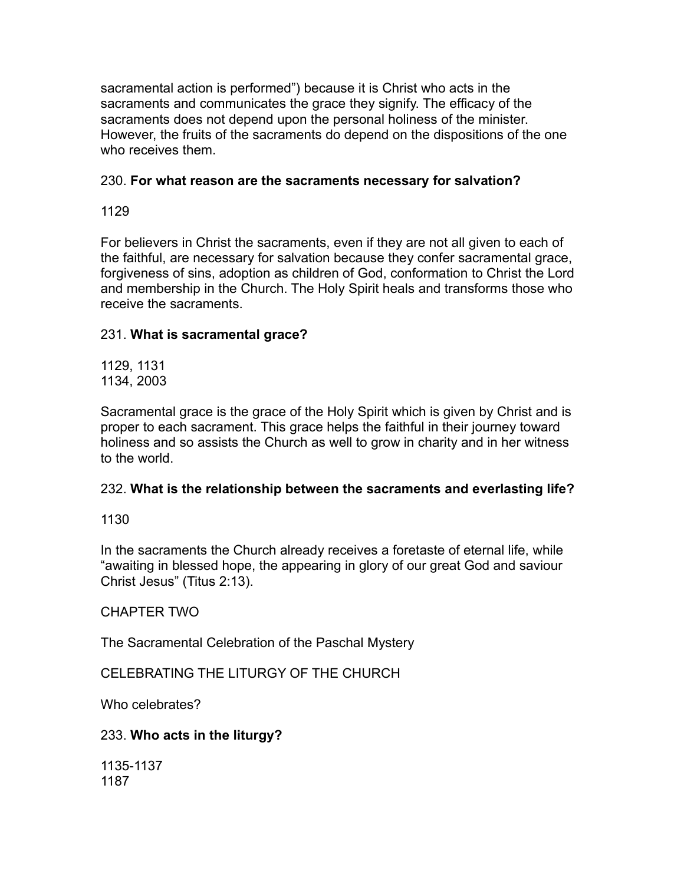sacramental action is performed") because it is Christ who acts in the sacraments and communicates the grace they signify. The efficacy of the sacraments does not depend upon the personal holiness of the minister. However, the fruits of the sacraments do depend on the dispositions of the one who receives them.

#### 230. **For what reason are the sacraments necessary for salvation?**

1129

For believers in Christ the sacraments, even if they are not all given to each of the faithful, are necessary for salvation because they confer sacramental grace, forgiveness of sins, adoption as children of God, conformation to Christ the Lord and membership in the Church. The Holy Spirit heals and transforms those who receive the sacraments.

#### 231. **What is sacramental grace?**

1129, 1131 1134, 2003

Sacramental grace is the grace of the Holy Spirit which is given by Christ and is proper to each sacrament. This grace helps the faithful in their journey toward holiness and so assists the Church as well to grow in charity and in her witness to the world.

## 232. **What is the relationship between the sacraments and everlasting life?**

#### 1130

In the sacraments the Church already receives a foretaste of eternal life, while "awaiting in blessed hope, the appearing in glory of our great God and saviour Christ Jesus" (Titus 2:13).

#### CHAPTER TWO

The Sacramental Celebration of the Paschal Mystery

CELEBRATING THE LITURGY OF THE CHURCH

Who celebrates?

## 233. **Who acts in the liturgy?**

1135-1137 1187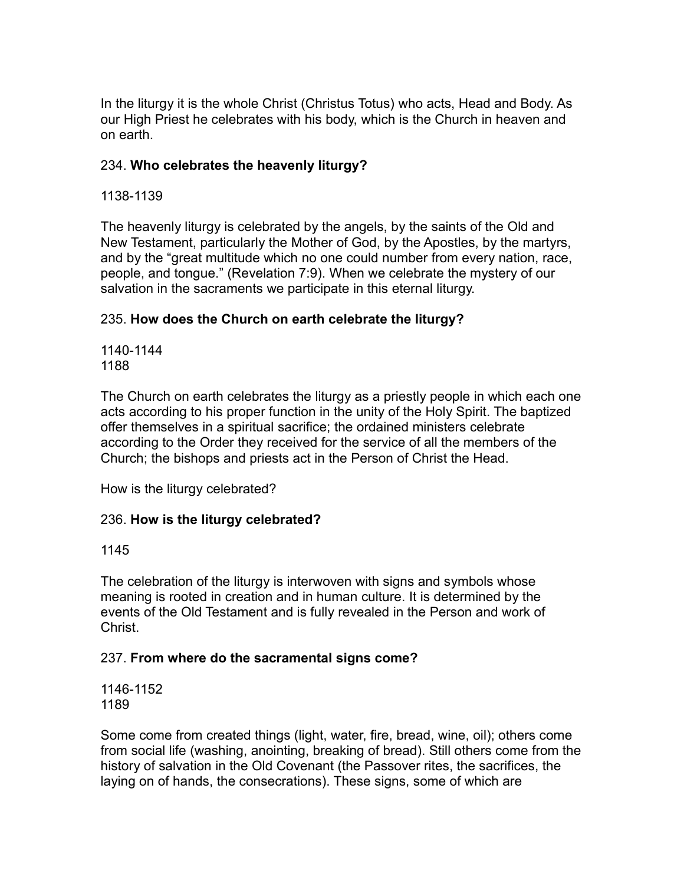In the liturgy it is the whole Christ (Christus Totus) who acts, Head and Body. As our High Priest he celebrates with his body, which is the Church in heaven and on earth.

## 234. **Who celebrates the heavenly liturgy?**

1138-1139

The heavenly liturgy is celebrated by the angels, by the saints of the Old and New Testament, particularly the Mother of God, by the Apostles, by the martyrs, and by the "great multitude which no one could number from every nation, race, people, and tongue." (Revelation 7:9). When we celebrate the mystery of our salvation in the sacraments we participate in this eternal liturgy.

## 235. **How does the Church on earth celebrate the liturgy?**

1140-1144 1188

The Church on earth celebrates the liturgy as a priestly people in which each one acts according to his proper function in the unity of the Holy Spirit. The baptized offer themselves in a spiritual sacrifice; the ordained ministers celebrate according to the Order they received for the service of all the members of the Church; the bishops and priests act in the Person of Christ the Head.

How is the liturgy celebrated?

## 236. **How is the liturgy celebrated?**

1145

The celebration of the liturgy is interwoven with signs and symbols whose meaning is rooted in creation and in human culture. It is determined by the events of the Old Testament and is fully revealed in the Person and work of Christ.

## 237. **From where do the sacramental signs come?**

1146-1152 1189

Some come from created things (light, water, fire, bread, wine, oil); others come from social life (washing, anointing, breaking of bread). Still others come from the history of salvation in the Old Covenant (the Passover rites, the sacrifices, the laying on of hands, the consecrations). These signs, some of which are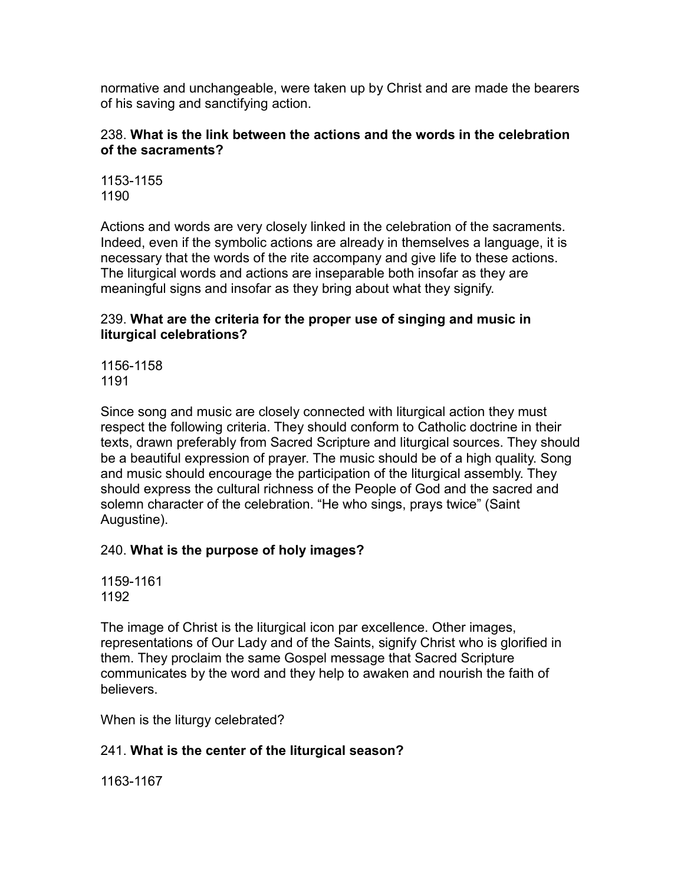normative and unchangeable, were taken up by Christ and are made the bearers of his saving and sanctifying action.

#### 238. **What is the link between the actions and the words in the celebration of the sacraments?**

1153-1155 1190

Actions and words are very closely linked in the celebration of the sacraments. Indeed, even if the symbolic actions are already in themselves a language, it is necessary that the words of the rite accompany and give life to these actions. The liturgical words and actions are inseparable both insofar as they are meaningful signs and insofar as they bring about what they signify.

## 239. **What are the criteria for the proper use of singing and music in liturgical celebrations?**

1156-1158 1191

Since song and music are closely connected with liturgical action they must respect the following criteria. They should conform to Catholic doctrine in their texts, drawn preferably from Sacred Scripture and liturgical sources. They should be a beautiful expression of prayer. The music should be of a high quality. Song and music should encourage the participation of the liturgical assembly. They should express the cultural richness of the People of God and the sacred and solemn character of the celebration. "He who sings, prays twice" (Saint Augustine).

# 240. **What is the purpose of holy images?**

1159-1161 1192

The image of Christ is the liturgical icon par excellence. Other images, representations of Our Lady and of the Saints, signify Christ who is glorified in them. They proclaim the same Gospel message that Sacred Scripture communicates by the word and they help to awaken and nourish the faith of believers.

When is the liturgy celebrated?

# 241. **What is the center of the liturgical season?**

1163-1167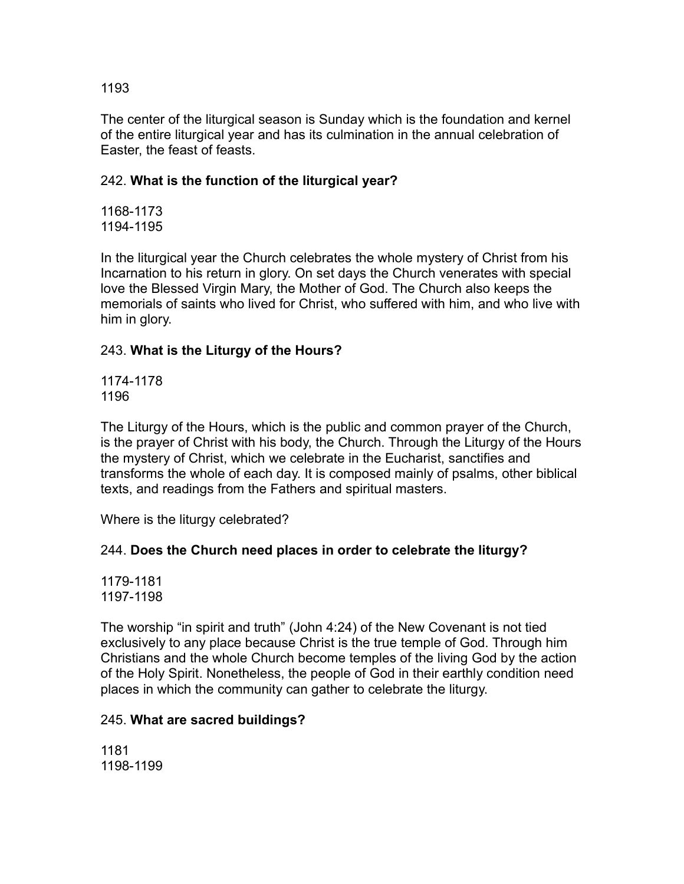1193

The center of the liturgical season is Sunday which is the foundation and kernel of the entire liturgical year and has its culmination in the annual celebration of Easter, the feast of feasts.

## 242. **What is the function of the liturgical year?**

1168-1173 1194-1195

In the liturgical year the Church celebrates the whole mystery of Christ from his Incarnation to his return in glory. On set days the Church venerates with special love the Blessed Virgin Mary, the Mother of God. The Church also keeps the memorials of saints who lived for Christ, who suffered with him, and who live with him in glory.

# 243. **What is the Liturgy of the Hours?**

1174-1178 1196

The Liturgy of the Hours, which is the public and common prayer of the Church, is the prayer of Christ with his body, the Church. Through the Liturgy of the Hours the mystery of Christ, which we celebrate in the Eucharist, sanctifies and transforms the whole of each day. It is composed mainly of psalms, other biblical texts, and readings from the Fathers and spiritual masters.

Where is the liturgy celebrated?

# 244. **Does the Church need places in order to celebrate the liturgy?**

1179-1181 1197-1198

The worship "in spirit and truth" (John 4:24) of the New Covenant is not tied exclusively to any place because Christ is the true temple of God. Through him Christians and the whole Church become temples of the living God by the action of the Holy Spirit. Nonetheless, the people of God in their earthly condition need places in which the community can gather to celebrate the liturgy.

## 245. **What are sacred buildings?**

1181 1198-1199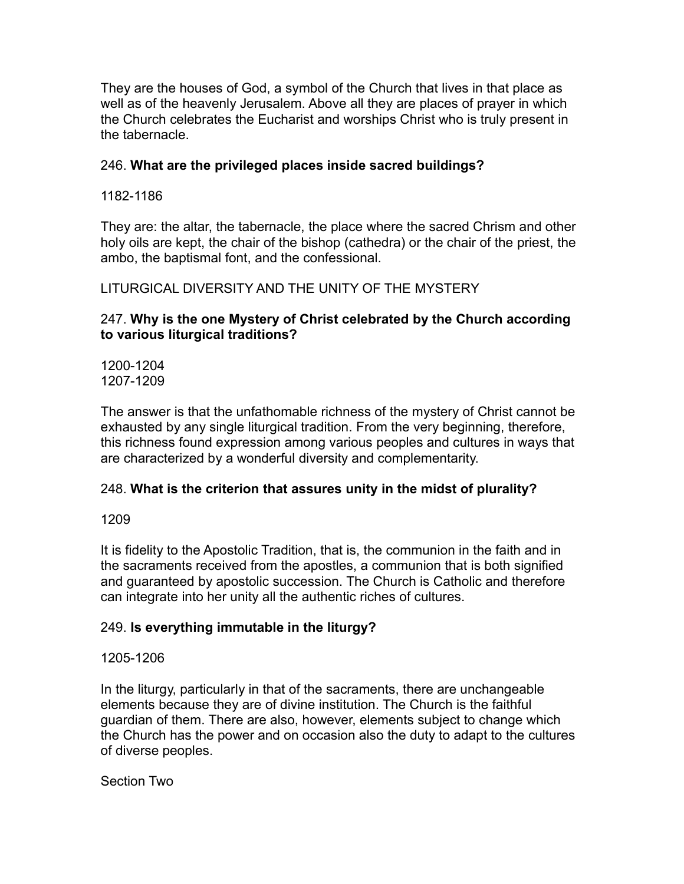They are the houses of God, a symbol of the Church that lives in that place as well as of the heavenly Jerusalem. Above all they are places of prayer in which the Church celebrates the Eucharist and worships Christ who is truly present in the tabernacle.

#### 246. **What are the privileged places inside sacred buildings?**

1182-1186

They are: the altar, the tabernacle, the place where the sacred Chrism and other holy oils are kept, the chair of the bishop (cathedra) or the chair of the priest, the ambo, the baptismal font, and the confessional.

LITURGICAL DIVERSITY AND THE UNITY OF THE MYSTERY

#### 247. **Why is the one Mystery of Christ celebrated by the Church according to various liturgical traditions?**

1200-1204 1207-1209

The answer is that the unfathomable richness of the mystery of Christ cannot be exhausted by any single liturgical tradition. From the very beginning, therefore, this richness found expression among various peoples and cultures in ways that are characterized by a wonderful diversity and complementarity.

## 248. **What is the criterion that assures unity in the midst of plurality?**

1209

It is fidelity to the Apostolic Tradition, that is, the communion in the faith and in the sacraments received from the apostles, a communion that is both signified and guaranteed by apostolic succession. The Church is Catholic and therefore can integrate into her unity all the authentic riches of cultures.

#### 249. **Is everything immutable in the liturgy?**

1205-1206

In the liturgy, particularly in that of the sacraments, there are unchangeable elements because they are of divine institution. The Church is the faithful guardian of them. There are also, however, elements subject to change which the Church has the power and on occasion also the duty to adapt to the cultures of diverse peoples.

Section Two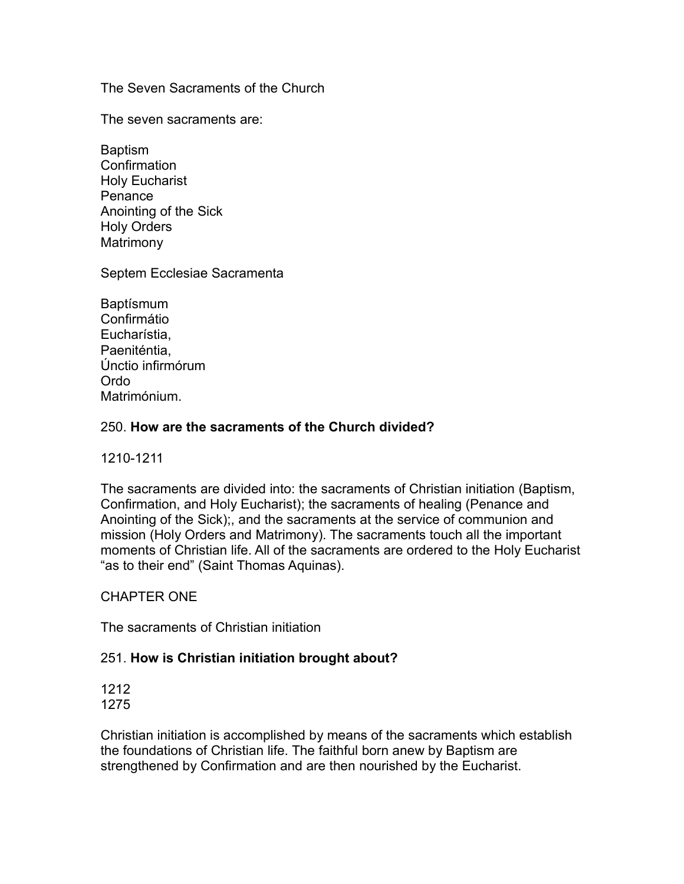The Seven Sacraments of the Church

The seven sacraments are:

Baptism **Confirmation** Holy Eucharist Penance Anointing of the Sick Holy Orders Matrimony

Septem Ecclesiae Sacramenta

Baptísmum Confirmátio Eucharístia, Paeniténtia, Únctio infirmórum Ordo Matrimónium.

#### 250. **How are the sacraments of the Church divided?**

#### 1210-1211

The sacraments are divided into: the sacraments of Christian initiation (Baptism, Confirmation, and Holy Eucharist); the sacraments of healing (Penance and Anointing of the Sick);, and the sacraments at the service of communion and mission (Holy Orders and Matrimony). The sacraments touch all the important moments of Christian life. All of the sacraments are ordered to the Holy Eucharist "as to their end" (Saint Thomas Aquinas).

#### CHAPTER ONE

The sacraments of Christian initiation

#### 251. **How is Christian initiation brought about?**

1212 1275

Christian initiation is accomplished by means of the sacraments which establish the foundations of Christian life. The faithful born anew by Baptism are strengthened by Confirmation and are then nourished by the Eucharist.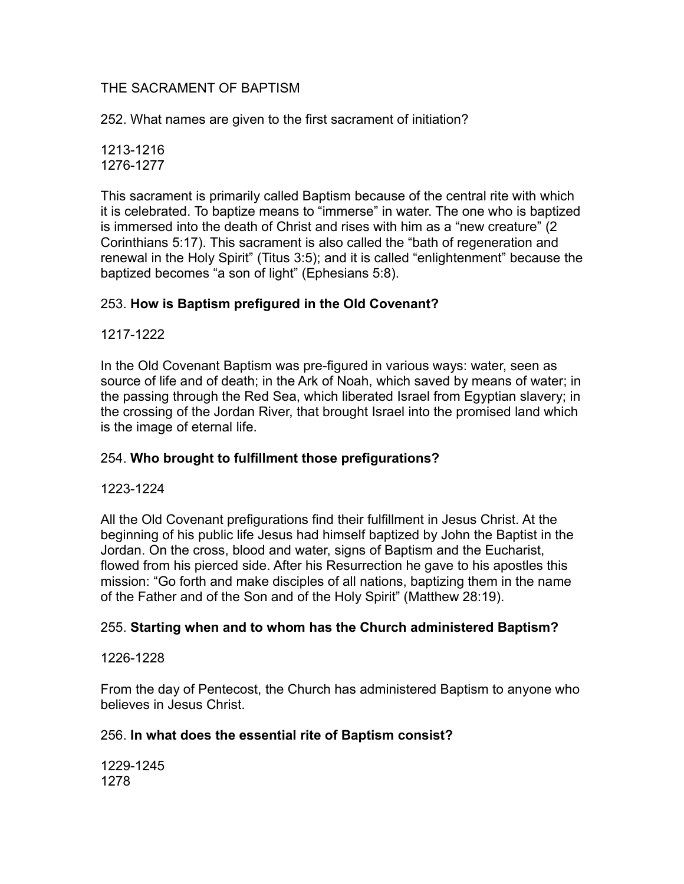# THE SACRAMENT OF BAPTISM

252. What names are given to the first sacrament of initiation?

1213-1216 1276-1277

This sacrament is primarily called Baptism because of the central rite with which it is celebrated. To baptize means to "immerse" in water. The one who is baptized is immersed into the death of Christ and rises with him as a "new creature" (2 Corinthians 5:17). This sacrament is also called the "bath of regeneration and renewal in the Holy Spirit" (Titus 3:5); and it is called "enlightenment" because the baptized becomes "a son of light" (Ephesians 5:8).

#### 253. **How is Baptism prefigured in the Old Covenant?**

1217-1222

In the Old Covenant Baptism was pre-figured in various ways: water, seen as source of life and of death; in the Ark of Noah, which saved by means of water; in the passing through the Red Sea, which liberated Israel from Egyptian slavery; in the crossing of the Jordan River, that brought Israel into the promised land which is the image of eternal life.

#### 254. **Who brought to fulfillment those prefigurations?**

1223-1224

All the Old Covenant prefigurations find their fulfillment in Jesus Christ. At the beginning of his public life Jesus had himself baptized by John the Baptist in the Jordan. On the cross, blood and water, signs of Baptism and the Eucharist, flowed from his pierced side. After his Resurrection he gave to his apostles this mission: "Go forth and make disciples of all nations, baptizing them in the name of the Father and of the Son and of the Holy Spirit" (Matthew 28:19).

#### 255. **Starting when and to whom has the Church administered Baptism?**

1226-1228

From the day of Pentecost, the Church has administered Baptism to anyone who believes in Jesus Christ.

#### 256. **In what does the essential rite of Baptism consist?**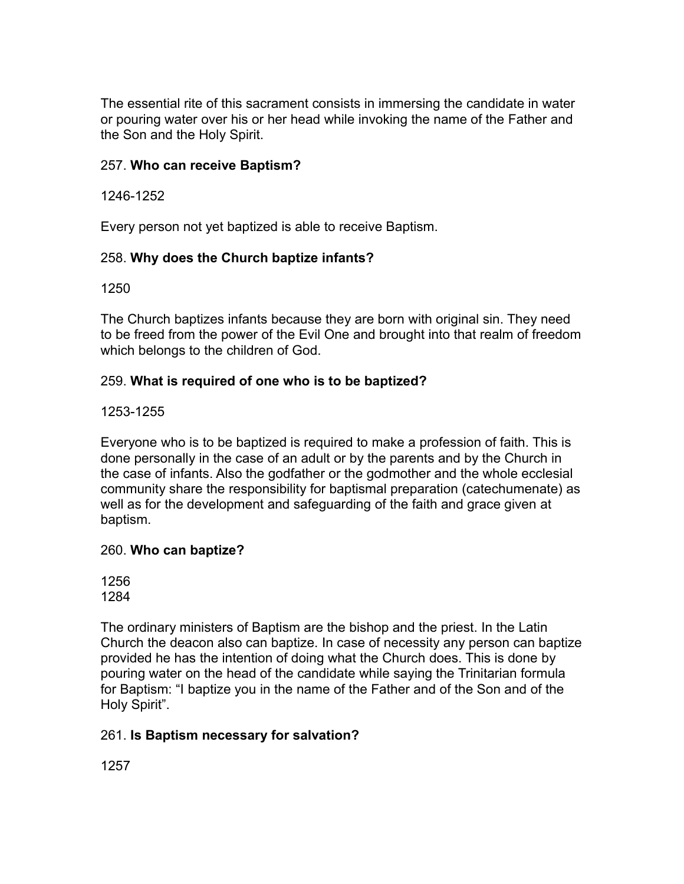The essential rite of this sacrament consists in immersing the candidate in water or pouring water over his or her head while invoking the name of the Father and the Son and the Holy Spirit.

# 257. **Who can receive Baptism?**

#### 1246-1252

Every person not yet baptized is able to receive Baptism.

# 258. **Why does the Church baptize infants?**

1250

The Church baptizes infants because they are born with original sin. They need to be freed from the power of the Evil One and brought into that realm of freedom which belongs to the children of God.

# 259. **What is required of one who is to be baptized?**

#### 1253-1255

Everyone who is to be baptized is required to make a profession of faith. This is done personally in the case of an adult or by the parents and by the Church in the case of infants. Also the godfather or the godmother and the whole ecclesial community share the responsibility for baptismal preparation (catechumenate) as well as for the development and safeguarding of the faith and grace given at baptism.

#### 260. **Who can baptize?**

1256 1284

The ordinary ministers of Baptism are the bishop and the priest. In the Latin Church the deacon also can baptize. In case of necessity any person can baptize provided he has the intention of doing what the Church does. This is done by pouring water on the head of the candidate while saying the Trinitarian formula for Baptism: "I baptize you in the name of the Father and of the Son and of the Holy Spirit".

# 261. **Is Baptism necessary for salvation?**

1257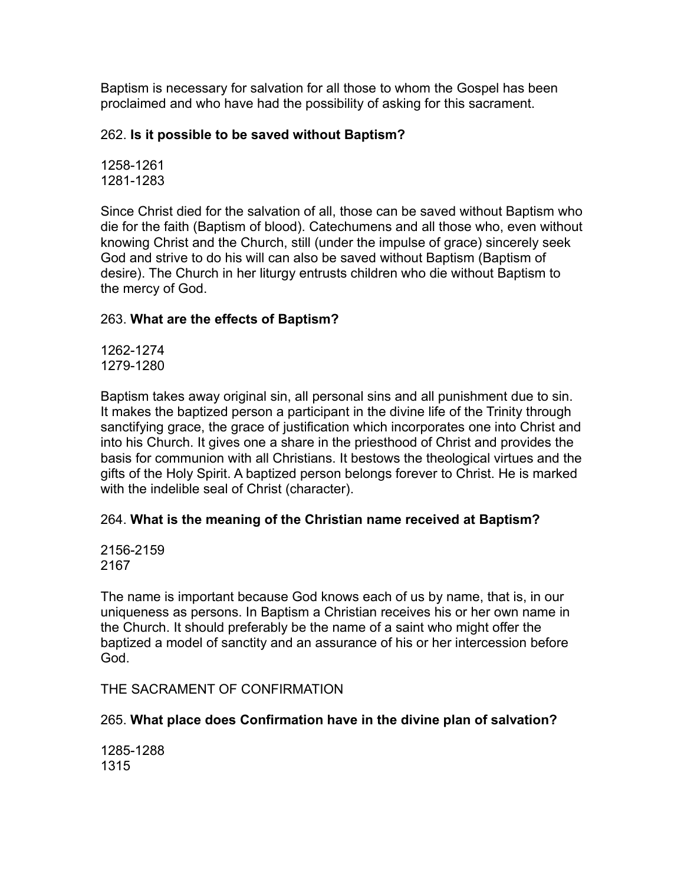Baptism is necessary for salvation for all those to whom the Gospel has been proclaimed and who have had the possibility of asking for this sacrament.

#### 262. **Is it possible to be saved without Baptism?**

1258-1261 1281-1283

Since Christ died for the salvation of all, those can be saved without Baptism who die for the faith (Baptism of blood). Catechumens and all those who, even without knowing Christ and the Church, still (under the impulse of grace) sincerely seek God and strive to do his will can also be saved without Baptism (Baptism of desire). The Church in her liturgy entrusts children who die without Baptism to the mercy of God.

#### 263. **What are the effects of Baptism?**

1262-1274 1279-1280

Baptism takes away original sin, all personal sins and all punishment due to sin. It makes the baptized person a participant in the divine life of the Trinity through sanctifying grace, the grace of justification which incorporates one into Christ and into his Church. It gives one a share in the priesthood of Christ and provides the basis for communion with all Christians. It bestows the theological virtues and the gifts of the Holy Spirit. A baptized person belongs forever to Christ. He is marked with the indelible seal of Christ (character).

#### 264. **What is the meaning of the Christian name received at Baptism?**

2156-2159 2167

The name is important because God knows each of us by name, that is, in our uniqueness as persons. In Baptism a Christian receives his or her own name in the Church. It should preferably be the name of a saint who might offer the baptized a model of sanctity and an assurance of his or her intercession before God.

THE SACRAMENT OF CONFIRMATION

#### 265. **What place does Confirmation have in the divine plan of salvation?**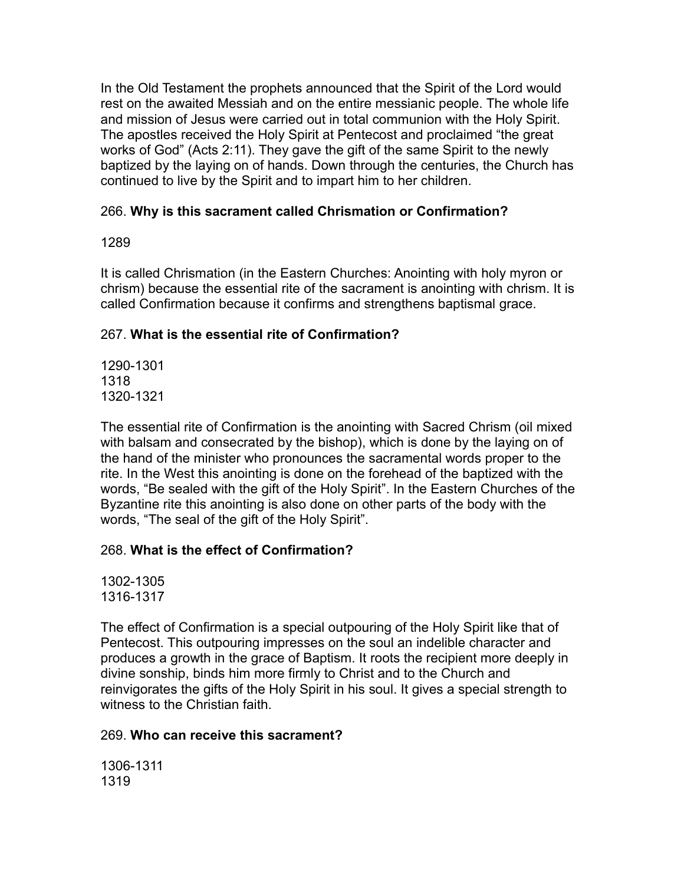In the Old Testament the prophets announced that the Spirit of the Lord would rest on the awaited Messiah and on the entire messianic people. The whole life and mission of Jesus were carried out in total communion with the Holy Spirit. The apostles received the Holy Spirit at Pentecost and proclaimed "the great works of God" (Acts 2:11). They gave the gift of the same Spirit to the newly baptized by the laying on of hands. Down through the centuries, the Church has continued to live by the Spirit and to impart him to her children.

# 266. **Why is this sacrament called Chrismation or Confirmation?**

# 1289

It is called Chrismation (in the Eastern Churches: Anointing with holy myron or chrism) because the essential rite of the sacrament is anointing with chrism. It is called Confirmation because it confirms and strengthens baptismal grace.

# 267. **What is the essential rite of Confirmation?**

1290-1301 1318 1320-1321

The essential rite of Confirmation is the anointing with Sacred Chrism (oil mixed with balsam and consecrated by the bishop), which is done by the laying on of the hand of the minister who pronounces the sacramental words proper to the rite. In the West this anointing is done on the forehead of the baptized with the words, "Be sealed with the gift of the Holy Spirit". In the Eastern Churches of the Byzantine rite this anointing is also done on other parts of the body with the words, "The seal of the gift of the Holy Spirit".

# 268. **What is the effect of Confirmation?**

1302-1305 1316-1317

The effect of Confirmation is a special outpouring of the Holy Spirit like that of Pentecost. This outpouring impresses on the soul an indelible character and produces a growth in the grace of Baptism. It roots the recipient more deeply in divine sonship, binds him more firmly to Christ and to the Church and reinvigorates the gifts of the Holy Spirit in his soul. It gives a special strength to witness to the Christian faith.

# 269. **Who can receive this sacrament?**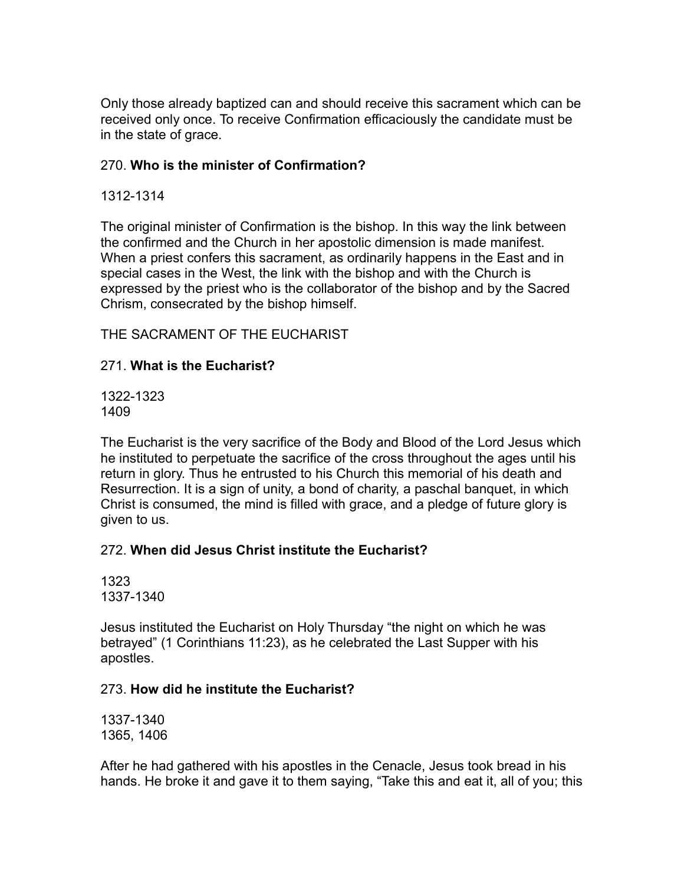Only those already baptized can and should receive this sacrament which can be received only once. To receive Confirmation efficaciously the candidate must be in the state of grace.

#### 270. **Who is the minister of Confirmation?**

1312-1314

The original minister of Confirmation is the bishop. In this way the link between the confirmed and the Church in her apostolic dimension is made manifest. When a priest confers this sacrament, as ordinarily happens in the East and in special cases in the West, the link with the bishop and with the Church is expressed by the priest who is the collaborator of the bishop and by the Sacred Chrism, consecrated by the bishop himself.

THE SACRAMENT OF THE EUCHARIST

#### 271. **What is the Eucharist?**

1322-1323 1409

The Eucharist is the very sacrifice of the Body and Blood of the Lord Jesus which he instituted to perpetuate the sacrifice of the cross throughout the ages until his return in glory. Thus he entrusted to his Church this memorial of his death and Resurrection. It is a sign of unity, a bond of charity, a paschal banquet, in which Christ is consumed, the mind is filled with grace, and a pledge of future glory is given to us.

#### 272. **When did Jesus Christ institute the Eucharist?**

1323 1337-1340

Jesus instituted the Eucharist on Holy Thursday "the night on which he was betrayed" (1 Corinthians 11:23), as he celebrated the Last Supper with his apostles.

#### 273. **How did he institute the Eucharist?**

1337-1340 1365, 1406

After he had gathered with his apostles in the Cenacle, Jesus took bread in his hands. He broke it and gave it to them saying, "Take this and eat it, all of you; this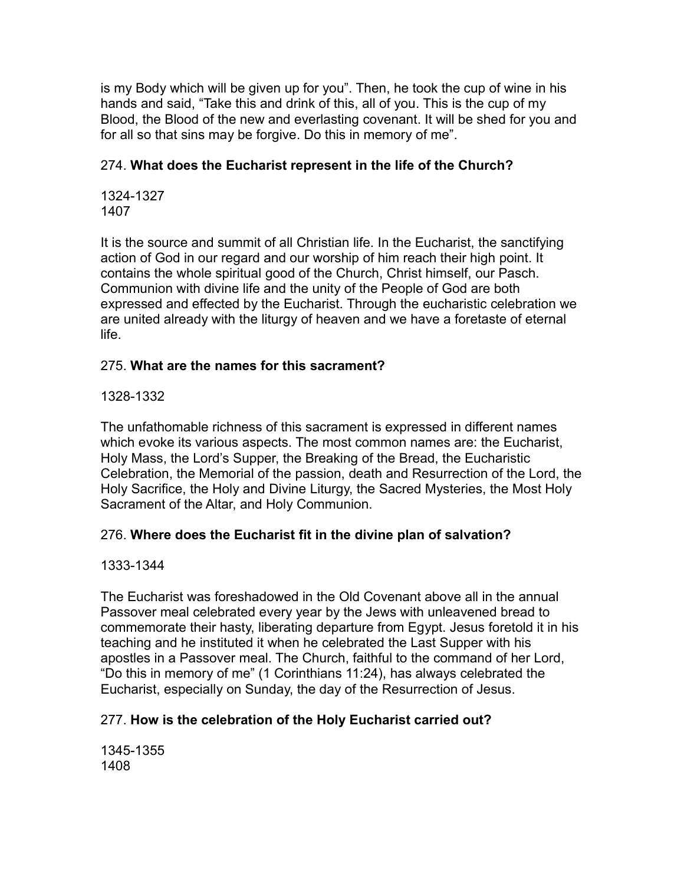is my Body which will be given up for you". Then, he took the cup of wine in his hands and said, "Take this and drink of this, all of you. This is the cup of my Blood, the Blood of the new and everlasting covenant. It will be shed for you and for all so that sins may be forgive. Do this in memory of me".

# 274. **What does the Eucharist represent in the life of the Church?**

1324-1327 1407

It is the source and summit of all Christian life. In the Eucharist, the sanctifying action of God in our regard and our worship of him reach their high point. It contains the whole spiritual good of the Church, Christ himself, our Pasch. Communion with divine life and the unity of the People of God are both expressed and effected by the Eucharist. Through the eucharistic celebration we are united already with the liturgy of heaven and we have a foretaste of eternal life.

# 275. **What are the names for this sacrament?**

1328-1332

The unfathomable richness of this sacrament is expressed in different names which evoke its various aspects. The most common names are: the Eucharist, Holy Mass, the Lord's Supper, the Breaking of the Bread, the Eucharistic Celebration, the Memorial of the passion, death and Resurrection of the Lord, the Holy Sacrifice, the Holy and Divine Liturgy, the Sacred Mysteries, the Most Holy Sacrament of the Altar, and Holy Communion.

# 276. **Where does the Eucharist fit in the divine plan of salvation?**

1333-1344

The Eucharist was foreshadowed in the Old Covenant above all in the annual Passover meal celebrated every year by the Jews with unleavened bread to commemorate their hasty, liberating departure from Egypt. Jesus foretold it in his teaching and he instituted it when he celebrated the Last Supper with his apostles in a Passover meal. The Church, faithful to the command of her Lord, "Do this in memory of me" (1 Corinthians 11:24), has always celebrated the Eucharist, especially on Sunday, the day of the Resurrection of Jesus.

# 277. **How is the celebration of the Holy Eucharist carried out?**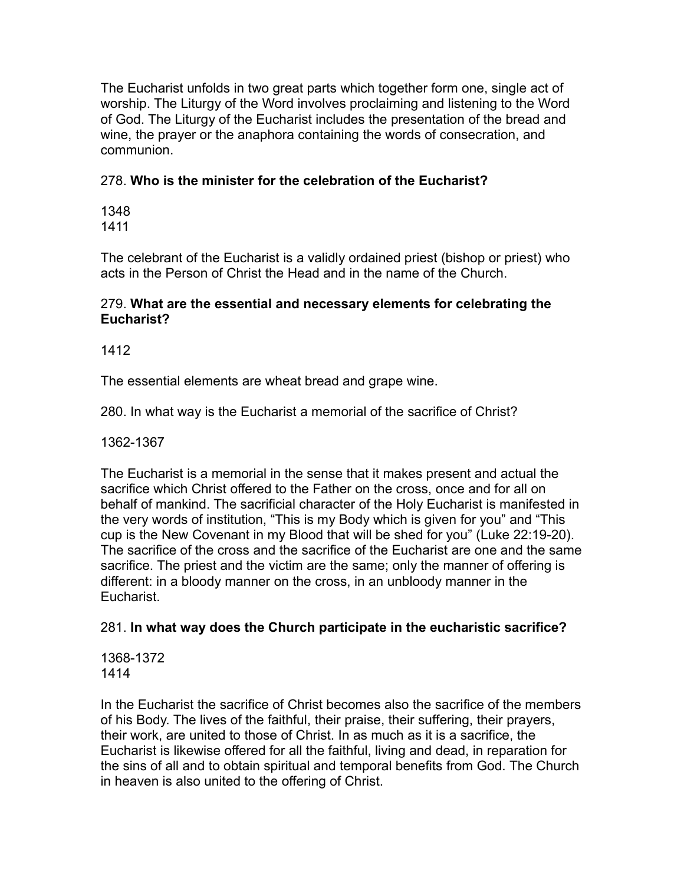The Eucharist unfolds in two great parts which together form one, single act of worship. The Liturgy of the Word involves proclaiming and listening to the Word of God. The Liturgy of the Eucharist includes the presentation of the bread and wine, the prayer or the anaphora containing the words of consecration, and communion.

# 278. **Who is the minister for the celebration of the Eucharist?**

1348 1411

The celebrant of the Eucharist is a validly ordained priest (bishop or priest) who acts in the Person of Christ the Head and in the name of the Church.

# 279. **What are the essential and necessary elements for celebrating the Eucharist?**

1412

The essential elements are wheat bread and grape wine.

280. In what way is the Eucharist a memorial of the sacrifice of Christ?

1362-1367

The Eucharist is a memorial in the sense that it makes present and actual the sacrifice which Christ offered to the Father on the cross, once and for all on behalf of mankind. The sacrificial character of the Holy Eucharist is manifested in the very words of institution, "This is my Body which is given for you" and "This cup is the New Covenant in my Blood that will be shed for you" (Luke 22:19-20). The sacrifice of the cross and the sacrifice of the Eucharist are one and the same sacrifice. The priest and the victim are the same; only the manner of offering is different: in a bloody manner on the cross, in an unbloody manner in the **Eucharist** 

# 281. **In what way does the Church participate in the eucharistic sacrifice?**

1368-1372 1414

In the Eucharist the sacrifice of Christ becomes also the sacrifice of the members of his Body. The lives of the faithful, their praise, their suffering, their prayers, their work, are united to those of Christ. In as much as it is a sacrifice, the Eucharist is likewise offered for all the faithful, living and dead, in reparation for the sins of all and to obtain spiritual and temporal benefits from God. The Church in heaven is also united to the offering of Christ.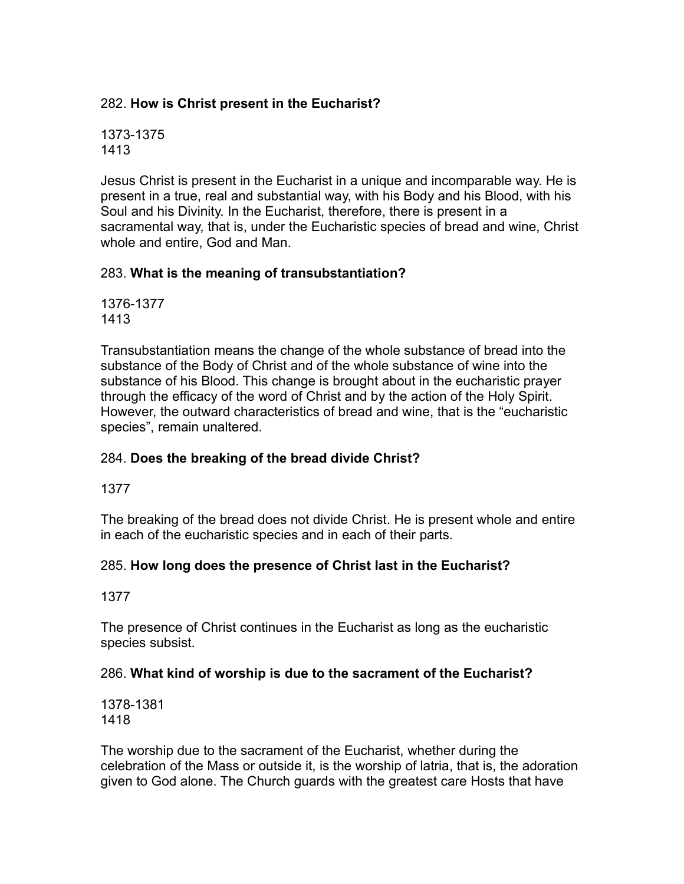# 282. **How is Christ present in the Eucharist?**

1373-1375 1413

Jesus Christ is present in the Eucharist in a unique and incomparable way. He is present in a true, real and substantial way, with his Body and his Blood, with his Soul and his Divinity. In the Eucharist, therefore, there is present in a sacramental way, that is, under the Eucharistic species of bread and wine, Christ whole and entire, God and Man.

# 283. **What is the meaning of transubstantiation?**

1376-1377 1413

Transubstantiation means the change of the whole substance of bread into the substance of the Body of Christ and of the whole substance of wine into the substance of his Blood. This change is brought about in the eucharistic prayer through the efficacy of the word of Christ and by the action of the Holy Spirit. However, the outward characteristics of bread and wine, that is the "eucharistic species", remain unaltered.

# 284. **Does the breaking of the bread divide Christ?**

1377

The breaking of the bread does not divide Christ. He is present whole and entire in each of the eucharistic species and in each of their parts.

# 285. **How long does the presence of Christ last in the Eucharist?**

1377

The presence of Christ continues in the Eucharist as long as the eucharistic species subsist.

# 286. **What kind of worship is due to the sacrament of the Eucharist?**

1378-1381 1418

The worship due to the sacrament of the Eucharist, whether during the celebration of the Mass or outside it, is the worship of latria, that is, the adoration given to God alone. The Church guards with the greatest care Hosts that have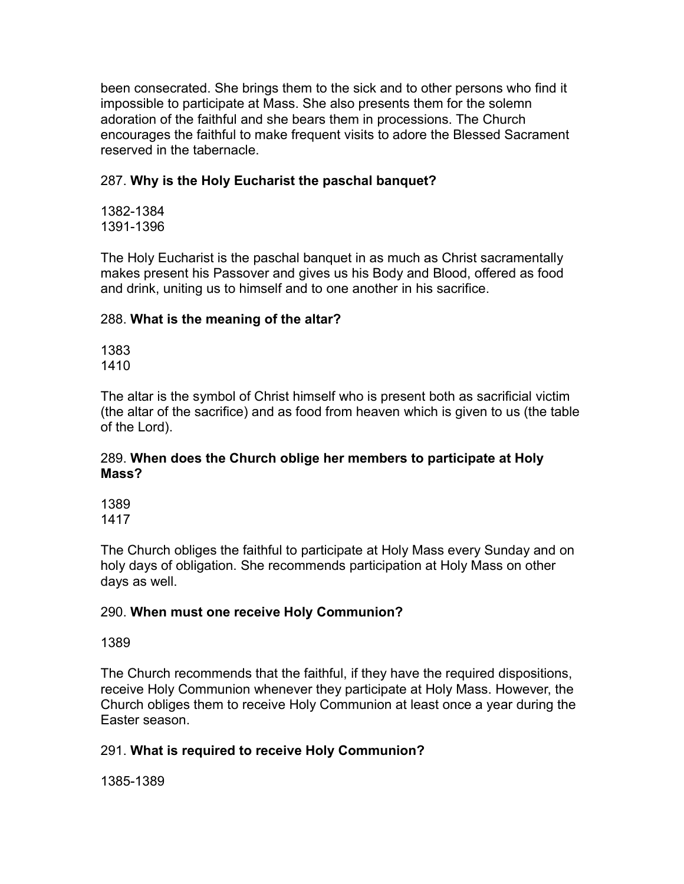been consecrated. She brings them to the sick and to other persons who find it impossible to participate at Mass. She also presents them for the solemn adoration of the faithful and she bears them in processions. The Church encourages the faithful to make frequent visits to adore the Blessed Sacrament reserved in the tabernacle.

# 287. **Why is the Holy Eucharist the paschal banquet?**

1382-1384 1391-1396

The Holy Eucharist is the paschal banquet in as much as Christ sacramentally makes present his Passover and gives us his Body and Blood, offered as food and drink, uniting us to himself and to one another in his sacrifice.

# 288. **What is the meaning of the altar?**

1383 1410

The altar is the symbol of Christ himself who is present both as sacrificial victim (the altar of the sacrifice) and as food from heaven which is given to us (the table of the Lord).

#### 289. **When does the Church oblige her members to participate at Holy Mass?**

1389 1417

The Church obliges the faithful to participate at Holy Mass every Sunday and on holy days of obligation. She recommends participation at Holy Mass on other days as well.

# 290. **When must one receive Holy Communion?**

1389

The Church recommends that the faithful, if they have the required dispositions, receive Holy Communion whenever they participate at Holy Mass. However, the Church obliges them to receive Holy Communion at least once a year during the Easter season.

# 291. **What is required to receive Holy Communion?**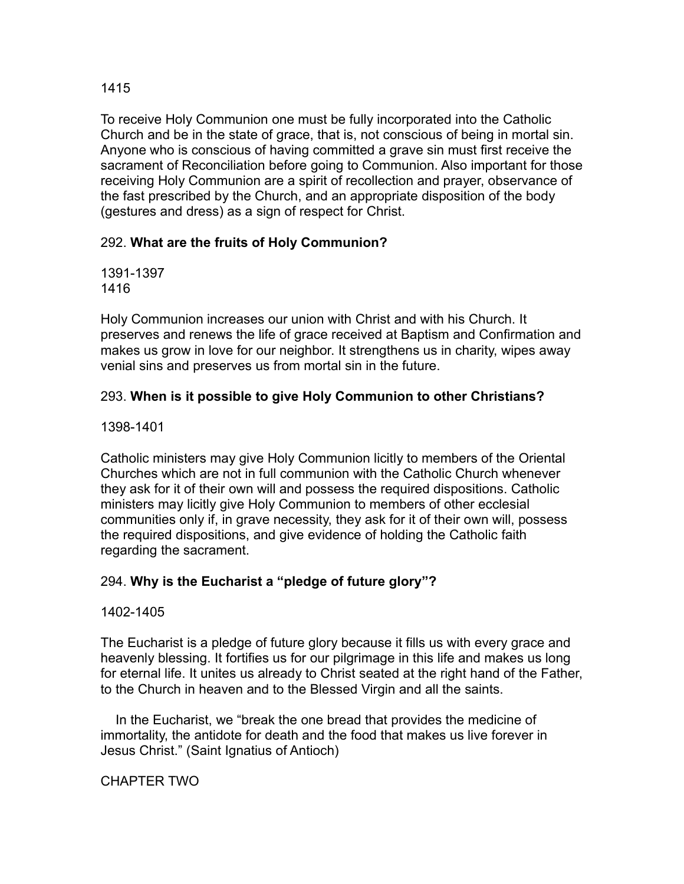#### 1415

To receive Holy Communion one must be fully incorporated into the Catholic Church and be in the state of grace, that is, not conscious of being in mortal sin. Anyone who is conscious of having committed a grave sin must first receive the sacrament of Reconciliation before going to Communion. Also important for those receiving Holy Communion are a spirit of recollection and prayer, observance of the fast prescribed by the Church, and an appropriate disposition of the body (gestures and dress) as a sign of respect for Christ.

# 292. **What are the fruits of Holy Communion?**

1391-1397 1416

Holy Communion increases our union with Christ and with his Church. It preserves and renews the life of grace received at Baptism and Confirmation and makes us grow in love for our neighbor. It strengthens us in charity, wipes away venial sins and preserves us from mortal sin in the future.

# 293. **When is it possible to give Holy Communion to other Christians?**

#### 1398-1401

Catholic ministers may give Holy Communion licitly to members of the Oriental Churches which are not in full communion with the Catholic Church whenever they ask for it of their own will and possess the required dispositions. Catholic ministers may licitly give Holy Communion to members of other ecclesial communities only if, in grave necessity, they ask for it of their own will, possess the required dispositions, and give evidence of holding the Catholic faith regarding the sacrament.

# 294. **Why is the Eucharist a "pledge of future glory"?**

#### 1402-1405

The Eucharist is a pledge of future glory because it fills us with every grace and heavenly blessing. It fortifies us for our pilgrimage in this life and makes us long for eternal life. It unites us already to Christ seated at the right hand of the Father, to the Church in heaven and to the Blessed Virgin and all the saints.

 In the Eucharist, we "break the one bread that provides the medicine of immortality, the antidote for death and the food that makes us live forever in Jesus Christ." (Saint Ignatius of Antioch)

# CHAPTER TWO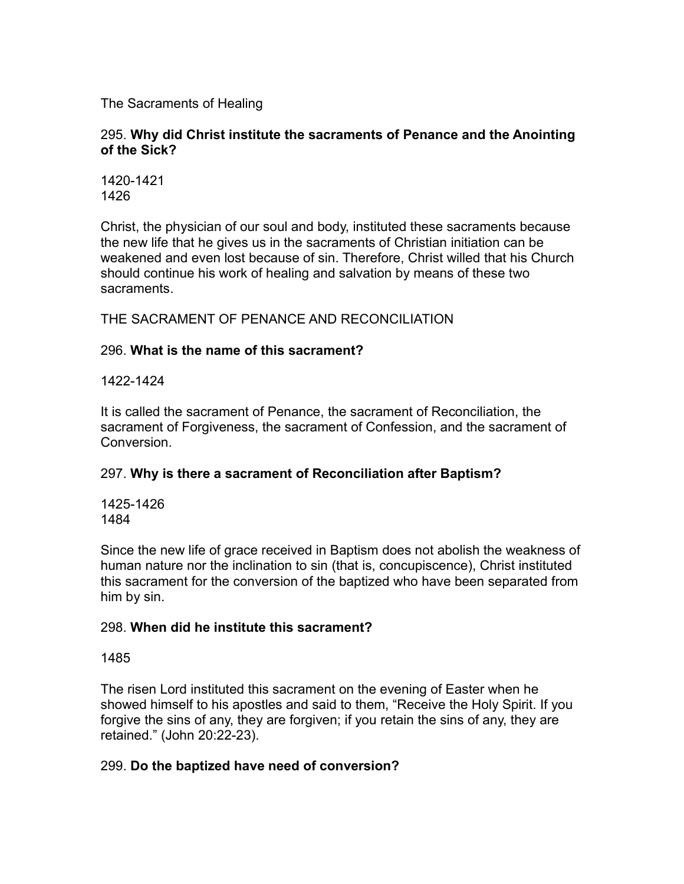#### The Sacraments of Healing

#### 295. **Why did Christ institute the sacraments of Penance and the Anointing of the Sick?**

1420-1421 1426

Christ, the physician of our soul and body, instituted these sacraments because the new life that he gives us in the sacraments of Christian initiation can be weakened and even lost because of sin. Therefore, Christ willed that his Church should continue his work of healing and salvation by means of these two sacraments.

THE SACRAMENT OF PENANCE AND RECONCILIATION

#### 296. **What is the name of this sacrament?**

#### 1422-1424

It is called the sacrament of Penance, the sacrament of Reconciliation, the sacrament of Forgiveness, the sacrament of Confession, and the sacrament of **Conversion** 

# 297. **Why is there a sacrament of Reconciliation after Baptism?**

1425-1426 1484

Since the new life of grace received in Baptism does not abolish the weakness of human nature nor the inclination to sin (that is, concupiscence), Christ instituted this sacrament for the conversion of the baptized who have been separated from him by sin.

#### 298. **When did he institute this sacrament?**

#### 1485

The risen Lord instituted this sacrament on the evening of Easter when he showed himself to his apostles and said to them, "Receive the Holy Spirit. If you forgive the sins of any, they are forgiven; if you retain the sins of any, they are retained." (John 20:22-23).

# 299. **Do the baptized have need of conversion?**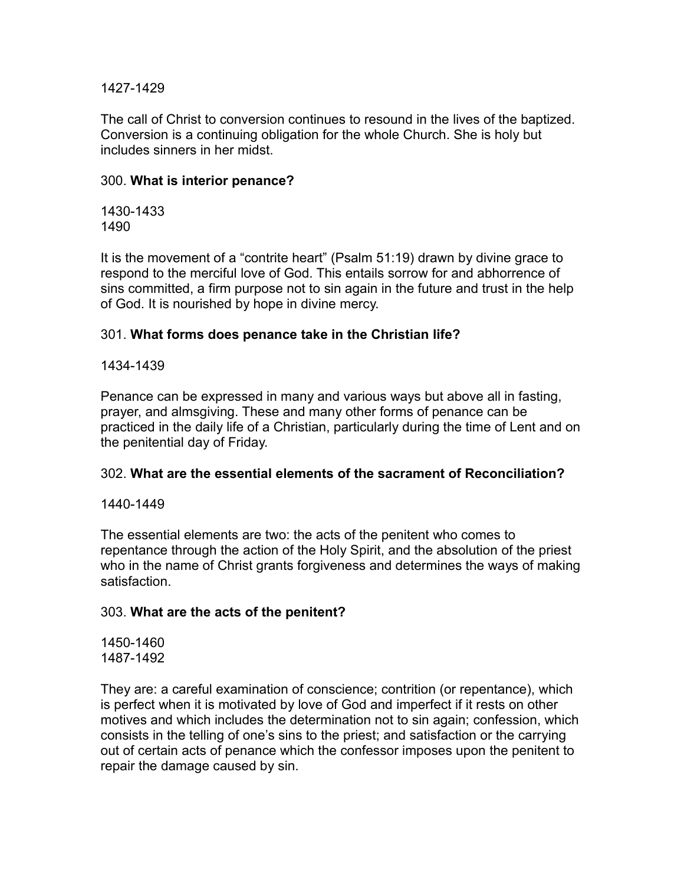#### 1427-1429

The call of Christ to conversion continues to resound in the lives of the baptized. Conversion is a continuing obligation for the whole Church. She is holy but includes sinners in her midst.

#### 300. **What is interior penance?**

1430-1433 1490

It is the movement of a "contrite heart" (Psalm 51:19) drawn by divine grace to respond to the merciful love of God. This entails sorrow for and abhorrence of sins committed, a firm purpose not to sin again in the future and trust in the help of God. It is nourished by hope in divine mercy.

# 301. **What forms does penance take in the Christian life?**

#### 1434-1439

Penance can be expressed in many and various ways but above all in fasting, prayer, and almsgiving. These and many other forms of penance can be practiced in the daily life of a Christian, particularly during the time of Lent and on the penitential day of Friday.

# 302. **What are the essential elements of the sacrament of Reconciliation?**

#### 1440-1449

The essential elements are two: the acts of the penitent who comes to repentance through the action of the Holy Spirit, and the absolution of the priest who in the name of Christ grants forgiveness and determines the ways of making satisfaction.

# 303. **What are the acts of the penitent?**

#### 1450-1460 1487-1492

They are: a careful examination of conscience; contrition (or repentance), which is perfect when it is motivated by love of God and imperfect if it rests on other motives and which includes the determination not to sin again; confession, which consists in the telling of one's sins to the priest; and satisfaction or the carrying out of certain acts of penance which the confessor imposes upon the penitent to repair the damage caused by sin.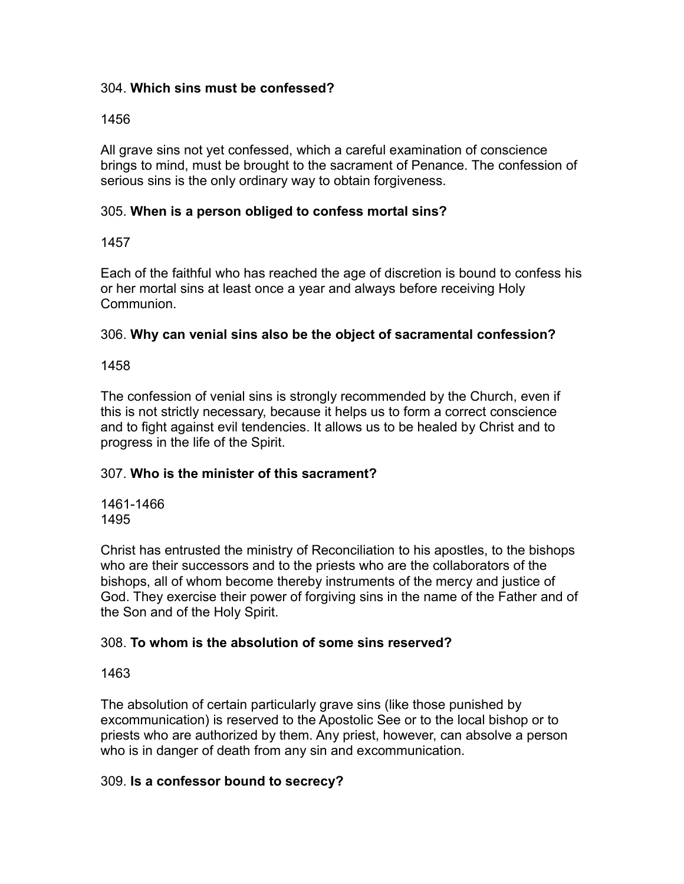# 304. **Which sins must be confessed?**

#### 1456

All grave sins not yet confessed, which a careful examination of conscience brings to mind, must be brought to the sacrament of Penance. The confession of serious sins is the only ordinary way to obtain forgiveness.

#### 305. **When is a person obliged to confess mortal sins?**

#### 1457

Each of the faithful who has reached the age of discretion is bound to confess his or her mortal sins at least once a year and always before receiving Holy Communion.

#### 306. **Why can venial sins also be the object of sacramental confession?**

#### 1458

The confession of venial sins is strongly recommended by the Church, even if this is not strictly necessary, because it helps us to form a correct conscience and to fight against evil tendencies. It allows us to be healed by Christ and to progress in the life of the Spirit.

# 307. **Who is the minister of this sacrament?**

1461-1466 1495

Christ has entrusted the ministry of Reconciliation to his apostles, to the bishops who are their successors and to the priests who are the collaborators of the bishops, all of whom become thereby instruments of the mercy and justice of God. They exercise their power of forgiving sins in the name of the Father and of the Son and of the Holy Spirit.

# 308. **To whom is the absolution of some sins reserved?**

#### 1463

The absolution of certain particularly grave sins (like those punished by excommunication) is reserved to the Apostolic See or to the local bishop or to priests who are authorized by them. Any priest, however, can absolve a person who is in danger of death from any sin and excommunication.

#### 309. **Is a confessor bound to secrecy?**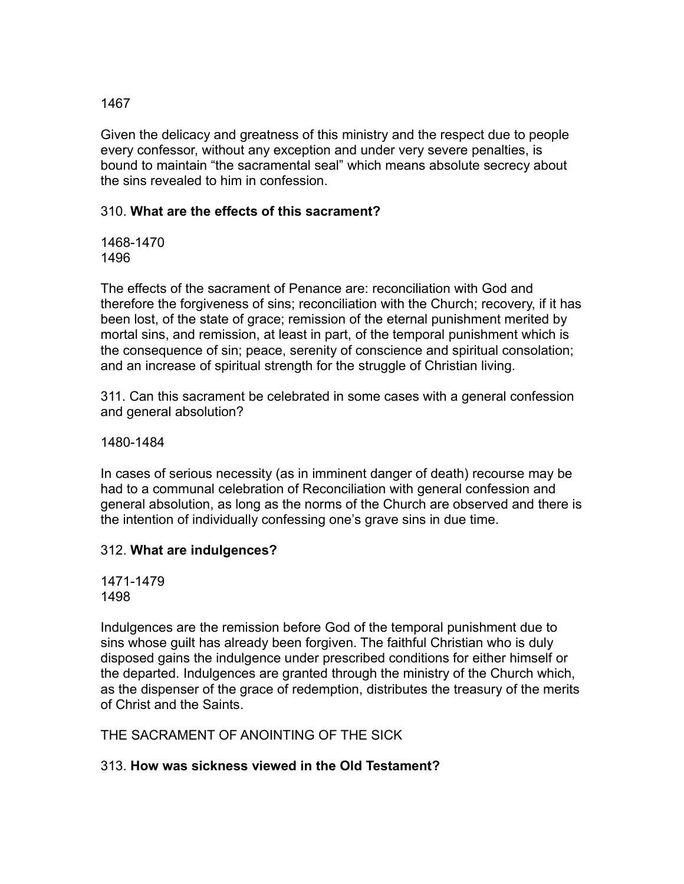Given the delicacy and greatness of this ministry and the respect due to people every confessor, without any exception and under very severe penalties, is bound to maintain "the sacramental seal" which means absolute secrecy about the sins revealed to him in confession.

# 310. **What are the effects of this sacrament?**

1468-1470 1496

The effects of the sacrament of Penance are: reconciliation with God and therefore the forgiveness of sins; reconciliation with the Church; recovery, if it has been lost, of the state of grace; remission of the eternal punishment merited by mortal sins, and remission, at least in part, of the temporal punishment which is the consequence of sin; peace, serenity of conscience and spiritual consolation; and an increase of spiritual strength for the struggle of Christian living.

311. Can this sacrament be celebrated in some cases with a general confession and general absolution?

1480-1484

In cases of serious necessity (as in imminent danger of death) recourse may be had to a communal celebration of Reconciliation with general confession and general absolution, as long as the norms of the Church are observed and there is the intention of individually confessing one's grave sins in due time.

# 312. **What are indulgences?**

1471-1479 1498

Indulgences are the remission before God of the temporal punishment due to sins whose guilt has already been forgiven. The faithful Christian who is duly disposed gains the indulgence under prescribed conditions for either himself or the departed. Indulgences are granted through the ministry of the Church which, as the dispenser of the grace of redemption, distributes the treasury of the merits of Christ and the Saints.

THE SACRAMENT OF ANOINTING OF THE SICK

# 313. **How was sickness viewed in the Old Testament?**

1467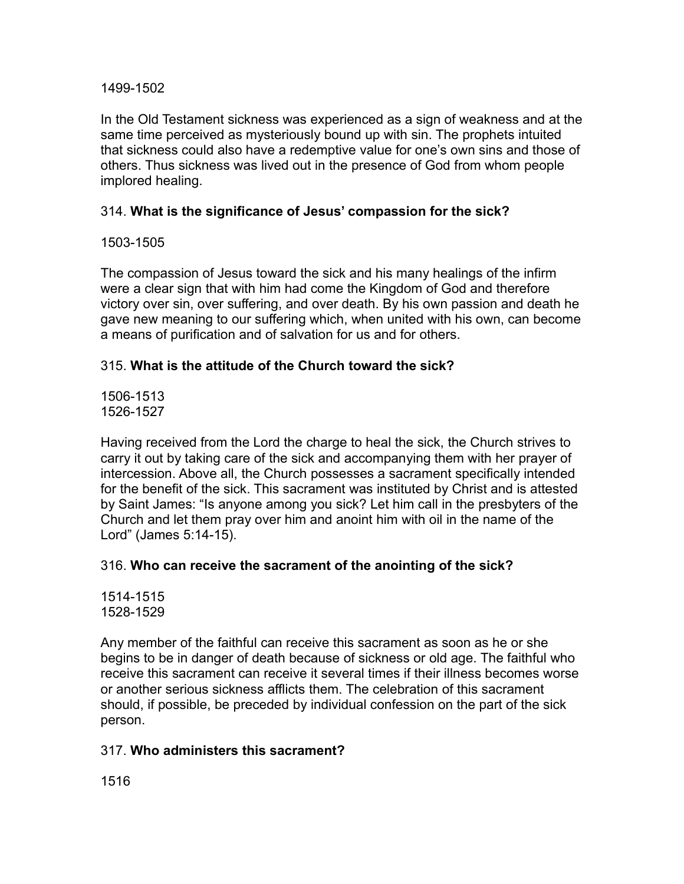1499-1502

In the Old Testament sickness was experienced as a sign of weakness and at the same time perceived as mysteriously bound up with sin. The prophets intuited that sickness could also have a redemptive value for one's own sins and those of others. Thus sickness was lived out in the presence of God from whom people implored healing.

# 314. **What is the significance of Jesus' compassion for the sick?**

# 1503-1505

The compassion of Jesus toward the sick and his many healings of the infirm were a clear sign that with him had come the Kingdom of God and therefore victory over sin, over suffering, and over death. By his own passion and death he gave new meaning to our suffering which, when united with his own, can become a means of purification and of salvation for us and for others.

# 315. **What is the attitude of the Church toward the sick?**

1506-1513 1526-1527

Having received from the Lord the charge to heal the sick, the Church strives to carry it out by taking care of the sick and accompanying them with her prayer of intercession. Above all, the Church possesses a sacrament specifically intended for the benefit of the sick. This sacrament was instituted by Christ and is attested by Saint James: "Is anyone among you sick? Let him call in the presbyters of the Church and let them pray over him and anoint him with oil in the name of the Lord" (James 5:14-15).

# 316. **Who can receive the sacrament of the anointing of the sick?**

1514-1515 1528-1529

Any member of the faithful can receive this sacrament as soon as he or she begins to be in danger of death because of sickness or old age. The faithful who receive this sacrament can receive it several times if their illness becomes worse or another serious sickness afflicts them. The celebration of this sacrament should, if possible, be preceded by individual confession on the part of the sick person.

# 317. **Who administers this sacrament?**

1516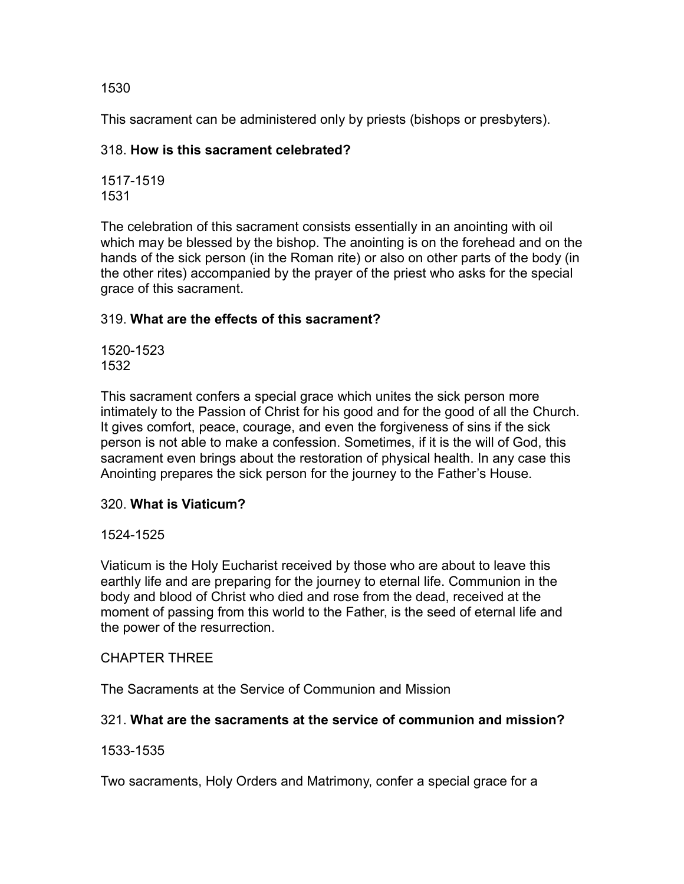1530

This sacrament can be administered only by priests (bishops or presbyters).

# 318. **How is this sacrament celebrated?**

1517-1519 1531

The celebration of this sacrament consists essentially in an anointing with oil which may be blessed by the bishop. The anointing is on the forehead and on the hands of the sick person (in the Roman rite) or also on other parts of the body (in the other rites) accompanied by the prayer of the priest who asks for the special grace of this sacrament.

# 319. **What are the effects of this sacrament?**

1520-1523 1532

This sacrament confers a special grace which unites the sick person more intimately to the Passion of Christ for his good and for the good of all the Church. It gives comfort, peace, courage, and even the forgiveness of sins if the sick person is not able to make a confession. Sometimes, if it is the will of God, this sacrament even brings about the restoration of physical health. In any case this Anointing prepares the sick person for the journey to the Father's House.

# 320. **What is Viaticum?**

1524-1525

Viaticum is the Holy Eucharist received by those who are about to leave this earthly life and are preparing for the journey to eternal life. Communion in the body and blood of Christ who died and rose from the dead, received at the moment of passing from this world to the Father, is the seed of eternal life and the power of the resurrection.

# CHAPTER THREE

The Sacraments at the Service of Communion and Mission

# 321. **What are the sacraments at the service of communion and mission?**

1533-1535

Two sacraments, Holy Orders and Matrimony, confer a special grace for a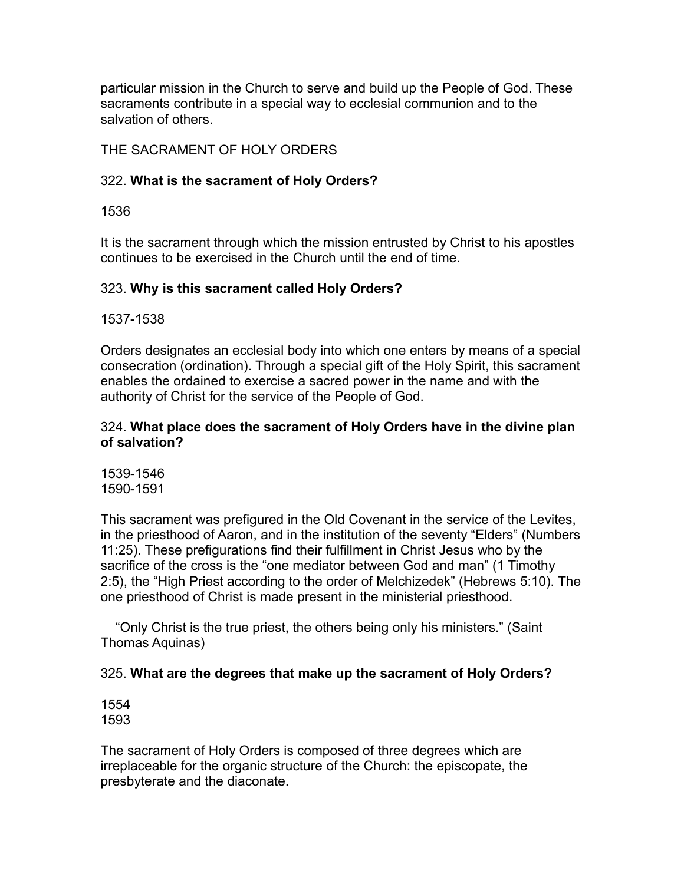particular mission in the Church to serve and build up the People of God. These sacraments contribute in a special way to ecclesial communion and to the salvation of others.

# THE SACRAMENT OF HOLY ORDERS

#### 322. **What is the sacrament of Holy Orders?**

1536

It is the sacrament through which the mission entrusted by Christ to his apostles continues to be exercised in the Church until the end of time.

#### 323. **Why is this sacrament called Holy Orders?**

1537-1538

Orders designates an ecclesial body into which one enters by means of a special consecration (ordination). Through a special gift of the Holy Spirit, this sacrament enables the ordained to exercise a sacred power in the name and with the authority of Christ for the service of the People of God.

#### 324. **What place does the sacrament of Holy Orders have in the divine plan of salvation?**

1539-1546 1590-1591

This sacrament was prefigured in the Old Covenant in the service of the Levites, in the priesthood of Aaron, and in the institution of the seventy "Elders" (Numbers 11:25). These prefigurations find their fulfillment in Christ Jesus who by the sacrifice of the cross is the "one mediator between God and man" (1 Timothy 2:5), the "High Priest according to the order of Melchizedek" (Hebrews 5:10). The one priesthood of Christ is made present in the ministerial priesthood.

 "Only Christ is the true priest, the others being only his ministers." (Saint Thomas Aquinas)

#### 325. **What are the degrees that make up the sacrament of Holy Orders?**

1554 1593

The sacrament of Holy Orders is composed of three degrees which are irreplaceable for the organic structure of the Church: the episcopate, the presbyterate and the diaconate.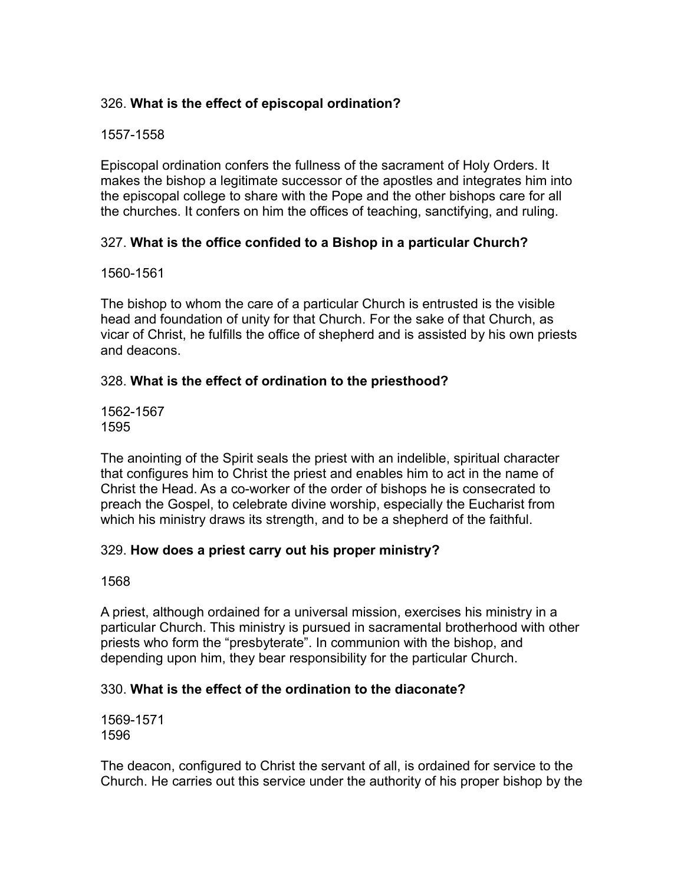# 326. **What is the effect of episcopal ordination?**

#### 1557-1558

Episcopal ordination confers the fullness of the sacrament of Holy Orders. It makes the bishop a legitimate successor of the apostles and integrates him into the episcopal college to share with the Pope and the other bishops care for all the churches. It confers on him the offices of teaching, sanctifying, and ruling.

# 327. **What is the office confided to a Bishop in a particular Church?**

#### 1560-1561

The bishop to whom the care of a particular Church is entrusted is the visible head and foundation of unity for that Church. For the sake of that Church, as vicar of Christ, he fulfills the office of shepherd and is assisted by his own priests and deacons.

#### 328. **What is the effect of ordination to the priesthood?**

1562-1567 1595

The anointing of the Spirit seals the priest with an indelible, spiritual character that configures him to Christ the priest and enables him to act in the name of Christ the Head. As a co-worker of the order of bishops he is consecrated to preach the Gospel, to celebrate divine worship, especially the Eucharist from which his ministry draws its strength, and to be a shepherd of the faithful.

# 329. **How does a priest carry out his proper ministry?**

1568

A priest, although ordained for a universal mission, exercises his ministry in a particular Church. This ministry is pursued in sacramental brotherhood with other priests who form the "presbyterate". In communion with the bishop, and depending upon him, they bear responsibility for the particular Church.

#### 330. **What is the effect of the ordination to the diaconate?**

1569-1571 1596

The deacon, configured to Christ the servant of all, is ordained for service to the Church. He carries out this service under the authority of his proper bishop by the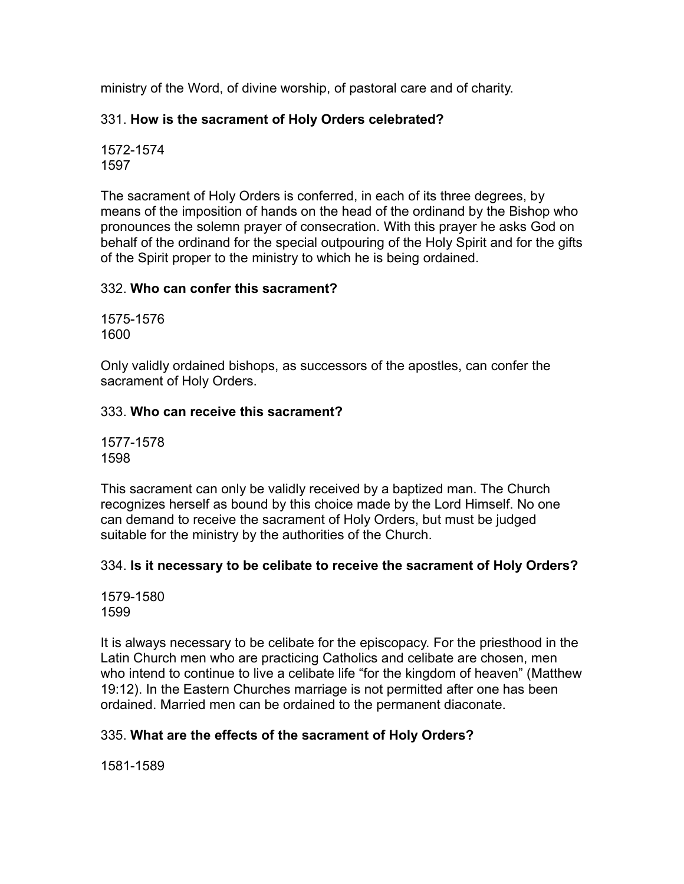ministry of the Word, of divine worship, of pastoral care and of charity.

# 331. **How is the sacrament of Holy Orders celebrated?**

1572-1574 1597

The sacrament of Holy Orders is conferred, in each of its three degrees, by means of the imposition of hands on the head of the ordinand by the Bishop who pronounces the solemn prayer of consecration. With this prayer he asks God on behalf of the ordinand for the special outpouring of the Holy Spirit and for the gifts of the Spirit proper to the ministry to which he is being ordained.

#### 332. **Who can confer this sacrament?**

1575-1576 1600

Only validly ordained bishops, as successors of the apostles, can confer the sacrament of Holy Orders.

#### 333. **Who can receive this sacrament?**

1577-1578 1598

This sacrament can only be validly received by a baptized man. The Church recognizes herself as bound by this choice made by the Lord Himself. No one can demand to receive the sacrament of Holy Orders, but must be judged suitable for the ministry by the authorities of the Church.

# 334. **Is it necessary to be celibate to receive the sacrament of Holy Orders?**

1579-1580 1599

It is always necessary to be celibate for the episcopacy. For the priesthood in the Latin Church men who are practicing Catholics and celibate are chosen, men who intend to continue to live a celibate life "for the kingdom of heaven" (Matthew 19:12). In the Eastern Churches marriage is not permitted after one has been ordained. Married men can be ordained to the permanent diaconate.

# 335. **What are the effects of the sacrament of Holy Orders?**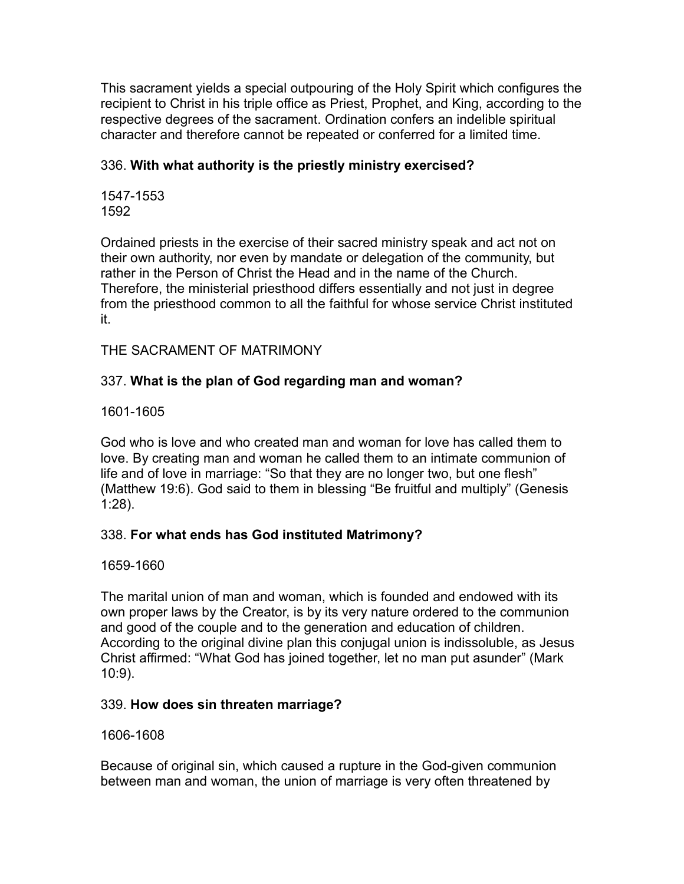This sacrament yields a special outpouring of the Holy Spirit which configures the recipient to Christ in his triple office as Priest, Prophet, and King, according to the respective degrees of the sacrament. Ordination confers an indelible spiritual character and therefore cannot be repeated or conferred for a limited time.

#### 336. **With what authority is the priestly ministry exercised?**

1547-1553 1592

Ordained priests in the exercise of their sacred ministry speak and act not on their own authority, nor even by mandate or delegation of the community, but rather in the Person of Christ the Head and in the name of the Church. Therefore, the ministerial priesthood differs essentially and not just in degree from the priesthood common to all the faithful for whose service Christ instituted it.

# THE SACRAMENT OF MATRIMONY

# 337. **What is the plan of God regarding man and woman?**

1601-1605

God who is love and who created man and woman for love has called them to love. By creating man and woman he called them to an intimate communion of life and of love in marriage: "So that they are no longer two, but one flesh" (Matthew 19:6). God said to them in blessing "Be fruitful and multiply" (Genesis 1:28).

# 338. **For what ends has God instituted Matrimony?**

#### 1659-1660

The marital union of man and woman, which is founded and endowed with its own proper laws by the Creator, is by its very nature ordered to the communion and good of the couple and to the generation and education of children. According to the original divine plan this conjugal union is indissoluble, as Jesus Christ affirmed: "What God has joined together, let no man put asunder" (Mark 10:9).

# 339. **How does sin threaten marriage?**

# 1606-1608

Because of original sin, which caused a rupture in the God-given communion between man and woman, the union of marriage is very often threatened by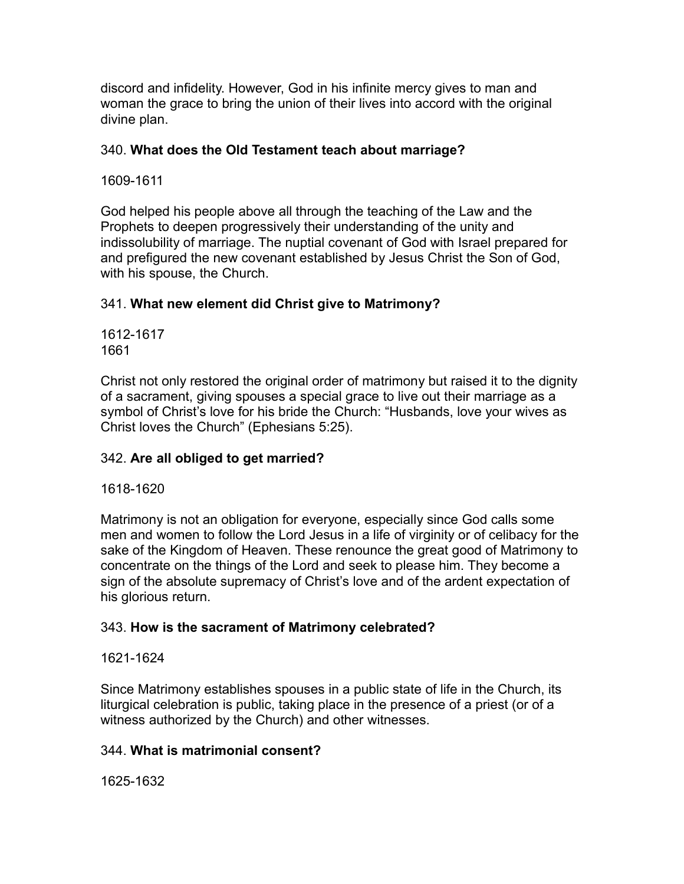discord and infidelity. However, God in his infinite mercy gives to man and woman the grace to bring the union of their lives into accord with the original divine plan.

# 340. **What does the Old Testament teach about marriage?**

1609-1611

God helped his people above all through the teaching of the Law and the Prophets to deepen progressively their understanding of the unity and indissolubility of marriage. The nuptial covenant of God with Israel prepared for and prefigured the new covenant established by Jesus Christ the Son of God, with his spouse, the Church.

# 341. **What new element did Christ give to Matrimony?**

1612-1617 1661

Christ not only restored the original order of matrimony but raised it to the dignity of a sacrament, giving spouses a special grace to live out their marriage as a symbol of Christ's love for his bride the Church: "Husbands, love your wives as Christ loves the Church" (Ephesians 5:25).

# 342. **Are all obliged to get married?**

1618-1620

Matrimony is not an obligation for everyone, especially since God calls some men and women to follow the Lord Jesus in a life of virginity or of celibacy for the sake of the Kingdom of Heaven. These renounce the great good of Matrimony to concentrate on the things of the Lord and seek to please him. They become a sign of the absolute supremacy of Christ's love and of the ardent expectation of his glorious return.

#### 343. **How is the sacrament of Matrimony celebrated?**

1621-1624

Since Matrimony establishes spouses in a public state of life in the Church, its liturgical celebration is public, taking place in the presence of a priest (or of a witness authorized by the Church) and other witnesses.

# 344. **What is matrimonial consent?**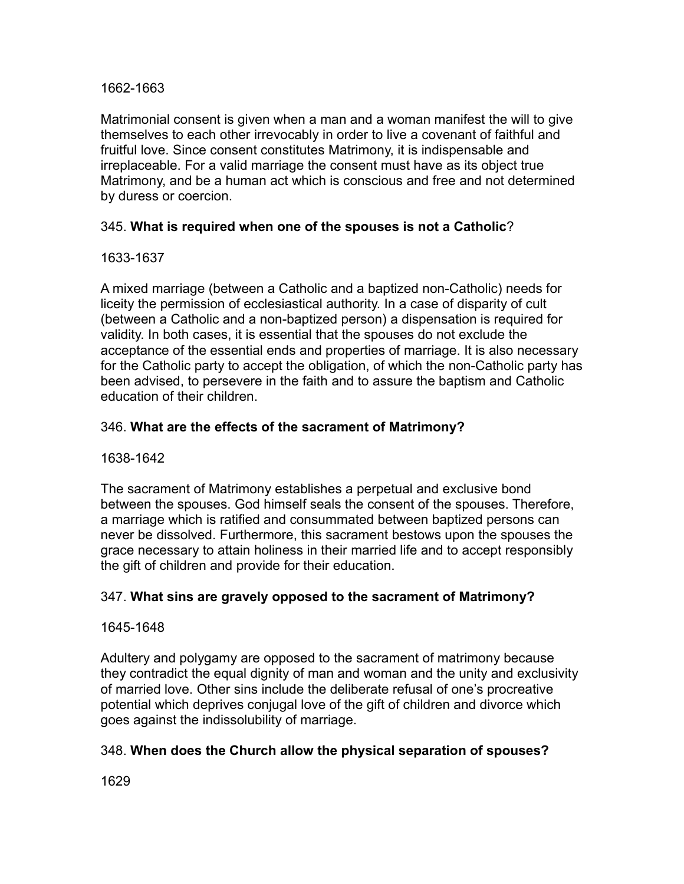#### 1662-1663

Matrimonial consent is given when a man and a woman manifest the will to give themselves to each other irrevocably in order to live a covenant of faithful and fruitful love. Since consent constitutes Matrimony, it is indispensable and irreplaceable. For a valid marriage the consent must have as its object true Matrimony, and be a human act which is conscious and free and not determined by duress or coercion.

# 345. **What is required when one of the spouses is not a Catholic**?

# 1633-1637

A mixed marriage (between a Catholic and a baptized non-Catholic) needs for liceity the permission of ecclesiastical authority. In a case of disparity of cult (between a Catholic and a non-baptized person) a dispensation is required for validity. In both cases, it is essential that the spouses do not exclude the acceptance of the essential ends and properties of marriage. It is also necessary for the Catholic party to accept the obligation, of which the non-Catholic party has been advised, to persevere in the faith and to assure the baptism and Catholic education of their children.

# 346. **What are the effects of the sacrament of Matrimony?**

# 1638-1642

The sacrament of Matrimony establishes a perpetual and exclusive bond between the spouses. God himself seals the consent of the spouses. Therefore, a marriage which is ratified and consummated between baptized persons can never be dissolved. Furthermore, this sacrament bestows upon the spouses the grace necessary to attain holiness in their married life and to accept responsibly the gift of children and provide for their education.

# 347. **What sins are gravely opposed to the sacrament of Matrimony?**

# 1645-1648

Adultery and polygamy are opposed to the sacrament of matrimony because they contradict the equal dignity of man and woman and the unity and exclusivity of married love. Other sins include the deliberate refusal of one's procreative potential which deprives conjugal love of the gift of children and divorce which goes against the indissolubility of marriage.

# 348. **When does the Church allow the physical separation of spouses?**

1629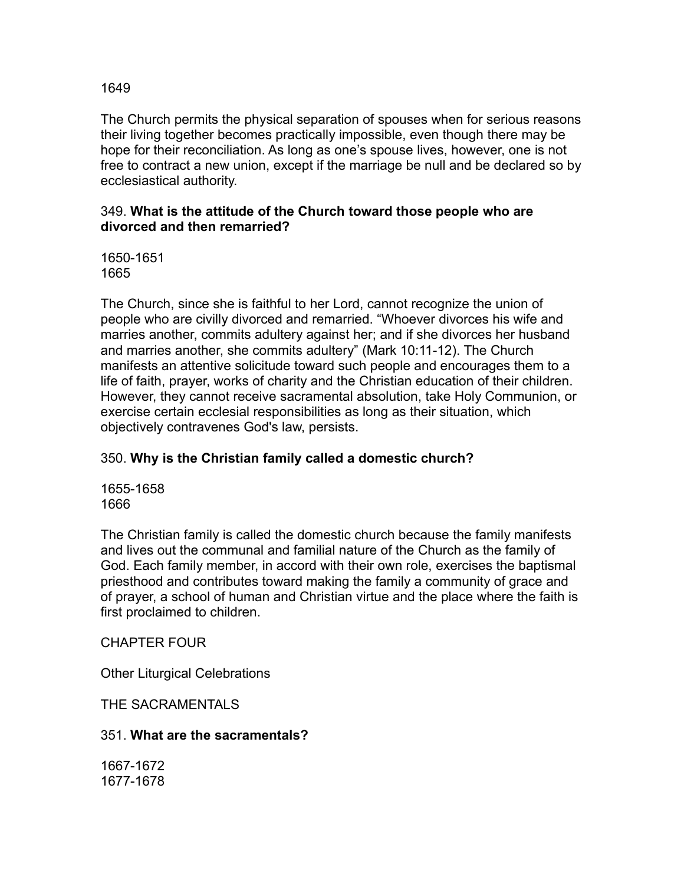#### 1649

The Church permits the physical separation of spouses when for serious reasons their living together becomes practically impossible, even though there may be hope for their reconciliation. As long as one's spouse lives, however, one is not free to contract a new union, except if the marriage be null and be declared so by ecclesiastical authority.

#### 349. **What is the attitude of the Church toward those people who are divorced and then remarried?**

1650-1651 1665

The Church, since she is faithful to her Lord, cannot recognize the union of people who are civilly divorced and remarried. "Whoever divorces his wife and marries another, commits adultery against her; and if she divorces her husband and marries another, she commits adultery" (Mark 10:11-12). The Church manifests an attentive solicitude toward such people and encourages them to a life of faith, prayer, works of charity and the Christian education of their children. However, they cannot receive sacramental absolution, take Holy Communion, or exercise certain ecclesial responsibilities as long as their situation, which objectively contravenes God's law, persists.

# 350. **Why is the Christian family called a domestic church?**

1655-1658 1666

The Christian family is called the domestic church because the family manifests and lives out the communal and familial nature of the Church as the family of God. Each family member, in accord with their own role, exercises the baptismal priesthood and contributes toward making the family a community of grace and of prayer, a school of human and Christian virtue and the place where the faith is first proclaimed to children.

CHAPTER FOUR

Other Liturgical Celebrations

THE SACRAMENTALS

#### 351. **What are the sacramentals?**

1667-1672 1677-1678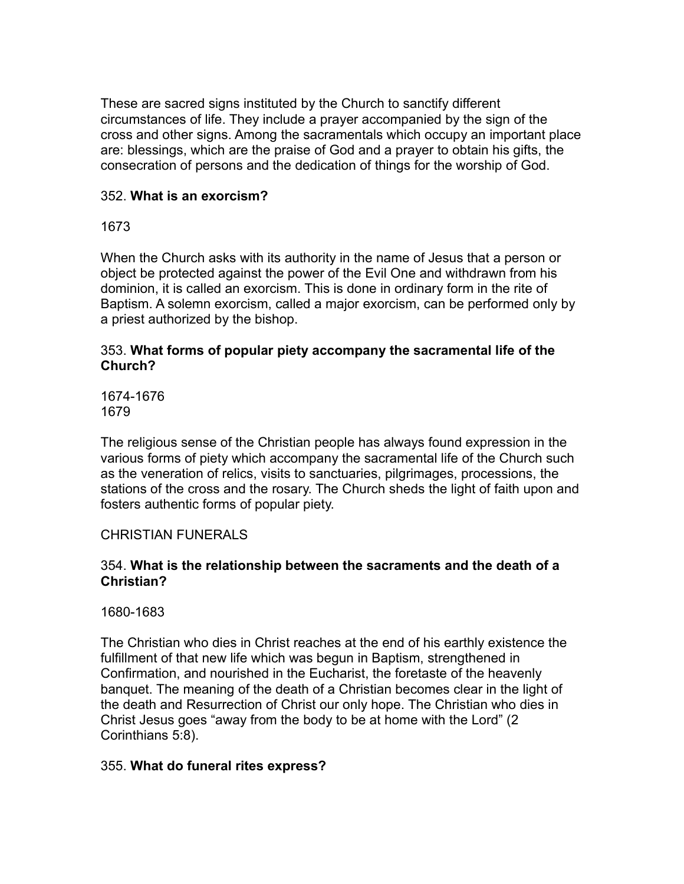These are sacred signs instituted by the Church to sanctify different circumstances of life. They include a prayer accompanied by the sign of the cross and other signs. Among the sacramentals which occupy an important place are: blessings, which are the praise of God and a prayer to obtain his gifts, the consecration of persons and the dedication of things for the worship of God.

#### 352. **What is an exorcism?**

#### 1673

When the Church asks with its authority in the name of Jesus that a person or object be protected against the power of the Evil One and withdrawn from his dominion, it is called an exorcism. This is done in ordinary form in the rite of Baptism. A solemn exorcism, called a major exorcism, can be performed only by a priest authorized by the bishop.

#### 353. **What forms of popular piety accompany the sacramental life of the Church?**

1674-1676 1679

The religious sense of the Christian people has always found expression in the various forms of piety which accompany the sacramental life of the Church such as the veneration of relics, visits to sanctuaries, pilgrimages, processions, the stations of the cross and the rosary. The Church sheds the light of faith upon and fosters authentic forms of popular piety.

#### CHRISTIAN FUNERALS

#### 354. **What is the relationship between the sacraments and the death of a Christian?**

1680-1683

The Christian who dies in Christ reaches at the end of his earthly existence the fulfillment of that new life which was begun in Baptism, strengthened in Confirmation, and nourished in the Eucharist, the foretaste of the heavenly banquet. The meaning of the death of a Christian becomes clear in the light of the death and Resurrection of Christ our only hope. The Christian who dies in Christ Jesus goes "away from the body to be at home with the Lord" (2 Corinthians 5:8).

#### 355. **What do funeral rites express?**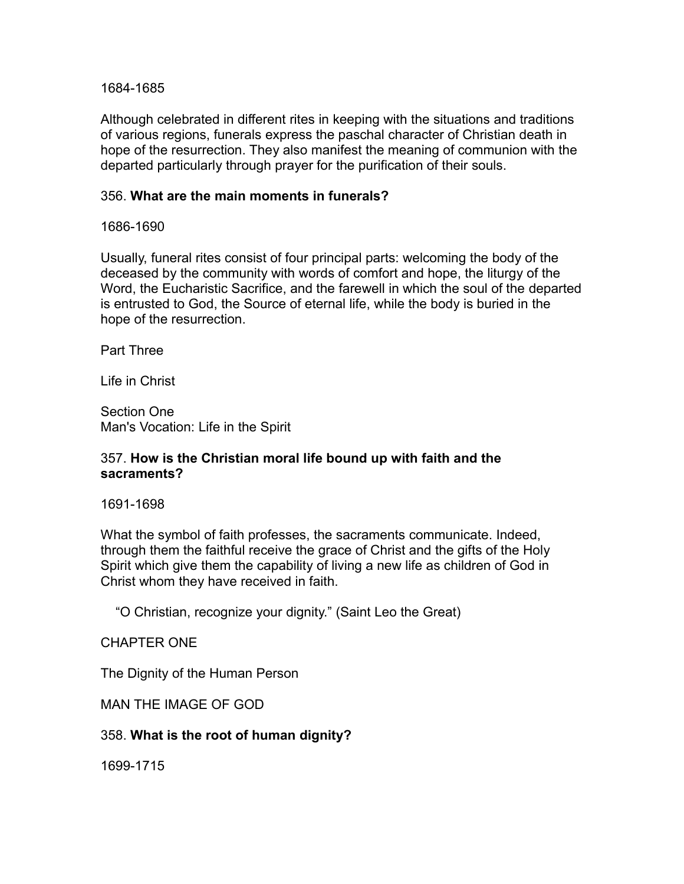1684-1685

Although celebrated in different rites in keeping with the situations and traditions of various regions, funerals express the paschal character of Christian death in hope of the resurrection. They also manifest the meaning of communion with the departed particularly through prayer for the purification of their souls.

#### 356. **What are the main moments in funerals?**

1686-1690

Usually, funeral rites consist of four principal parts: welcoming the body of the deceased by the community with words of comfort and hope, the liturgy of the Word, the Eucharistic Sacrifice, and the farewell in which the soul of the departed is entrusted to God, the Source of eternal life, while the body is buried in the hope of the resurrection.

Part Three

Life in Christ

Section One Man's Vocation: Life in the Spirit

#### 357. **How is the Christian moral life bound up with faith and the sacraments?**

1691-1698

What the symbol of faith professes, the sacraments communicate. Indeed, through them the faithful receive the grace of Christ and the gifts of the Holy Spirit which give them the capability of living a new life as children of God in Christ whom they have received in faith.

"O Christian, recognize your dignity." (Saint Leo the Great)

CHAPTER ONE

The Dignity of the Human Person

MAN THE IMAGE OF GOD

# 358. **What is the root of human dignity?**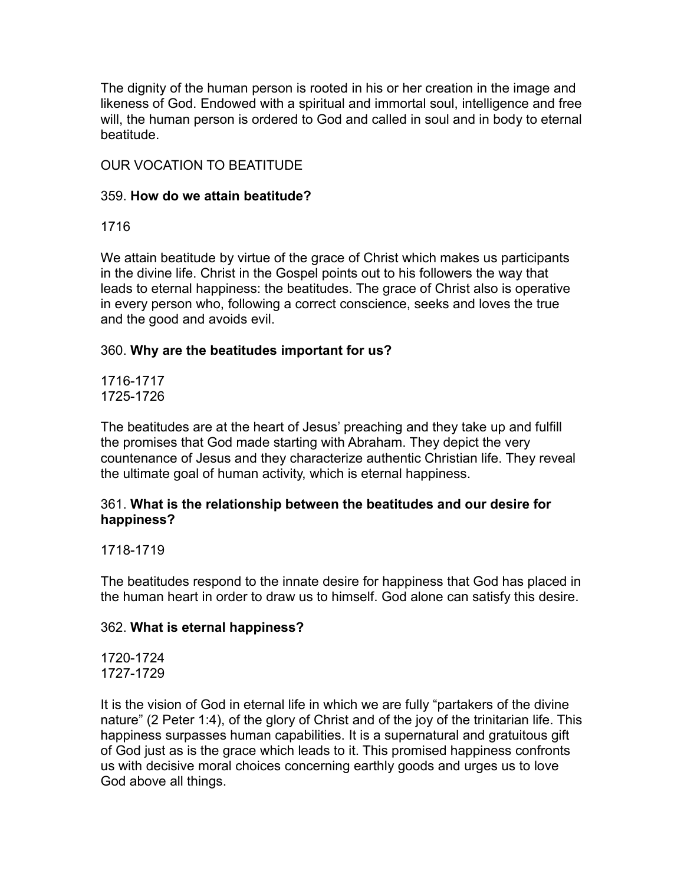The dignity of the human person is rooted in his or her creation in the image and likeness of God. Endowed with a spiritual and immortal soul, intelligence and free will, the human person is ordered to God and called in soul and in body to eternal beatitude.

# OUR VOCATION TO BEATITUDE

#### 359. **How do we attain beatitude?**

1716

We attain beatitude by virtue of the grace of Christ which makes us participants in the divine life. Christ in the Gospel points out to his followers the way that leads to eternal happiness: the beatitudes. The grace of Christ also is operative in every person who, following a correct conscience, seeks and loves the true and the good and avoids evil.

#### 360. **Why are the beatitudes important for us?**

1716-1717 1725-1726

The beatitudes are at the heart of Jesus' preaching and they take up and fulfill the promises that God made starting with Abraham. They depict the very countenance of Jesus and they characterize authentic Christian life. They reveal the ultimate goal of human activity, which is eternal happiness.

#### 361. **What is the relationship between the beatitudes and our desire for happiness?**

1718-1719

The beatitudes respond to the innate desire for happiness that God has placed in the human heart in order to draw us to himself. God alone can satisfy this desire.

#### 362. **What is eternal happiness?**

1720-1724 1727-1729

It is the vision of God in eternal life in which we are fully "partakers of the divine nature" (2 Peter 1:4), of the glory of Christ and of the joy of the trinitarian life. This happiness surpasses human capabilities. It is a supernatural and gratuitous gift of God just as is the grace which leads to it. This promised happiness confronts us with decisive moral choices concerning earthly goods and urges us to love God above all things.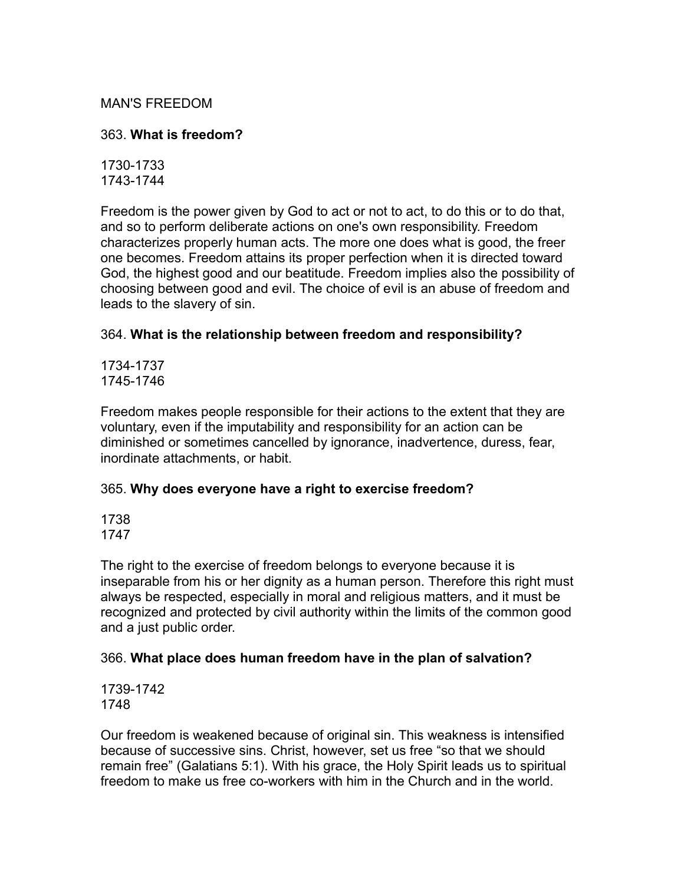#### MAN'S FREEDOM

#### 363. **What is freedom?**

1730-1733 1743-1744

Freedom is the power given by God to act or not to act, to do this or to do that, and so to perform deliberate actions on one's own responsibility. Freedom characterizes properly human acts. The more one does what is good, the freer one becomes. Freedom attains its proper perfection when it is directed toward God, the highest good and our beatitude. Freedom implies also the possibility of choosing between good and evil. The choice of evil is an abuse of freedom and leads to the slavery of sin.

#### 364. **What is the relationship between freedom and responsibility?**

1734-1737 1745-1746

Freedom makes people responsible for their actions to the extent that they are voluntary, even if the imputability and responsibility for an action can be diminished or sometimes cancelled by ignorance, inadvertence, duress, fear, inordinate attachments, or habit.

# 365. **Why does everyone have a right to exercise freedom?**

1738 1747

The right to the exercise of freedom belongs to everyone because it is inseparable from his or her dignity as a human person. Therefore this right must always be respected, especially in moral and religious matters, and it must be recognized and protected by civil authority within the limits of the common good and a just public order.

# 366. **What place does human freedom have in the plan of salvation?**

1739-1742 1748

Our freedom is weakened because of original sin. This weakness is intensified because of successive sins. Christ, however, set us free "so that we should remain free" (Galatians 5:1). With his grace, the Holy Spirit leads us to spiritual freedom to make us free co-workers with him in the Church and in the world.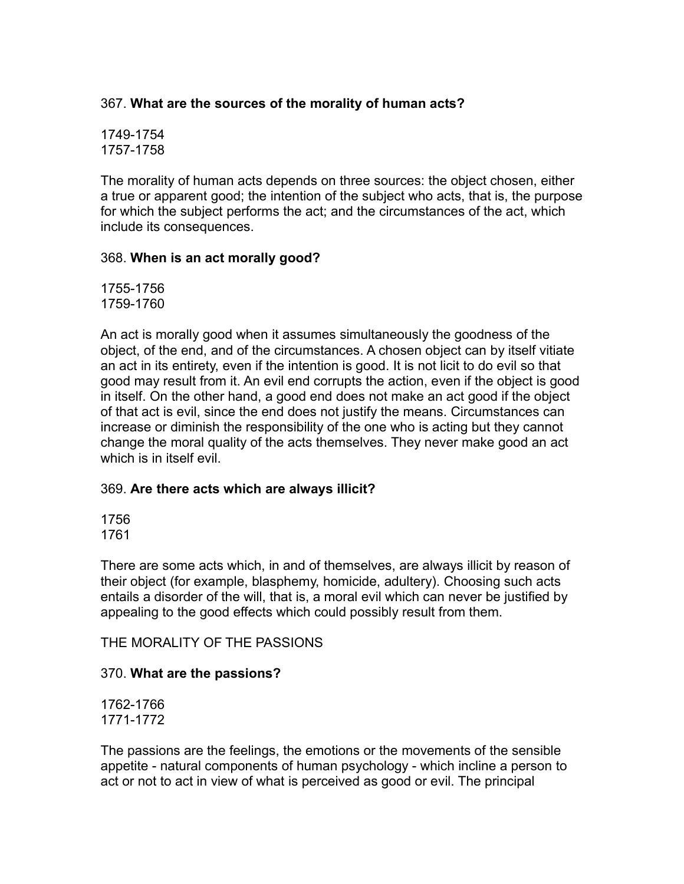#### 367. **What are the sources of the morality of human acts?**

1749-1754 1757-1758

The morality of human acts depends on three sources: the object chosen, either a true or apparent good; the intention of the subject who acts, that is, the purpose for which the subject performs the act; and the circumstances of the act, which include its consequences.

#### 368. **When is an act morally good?**

1755-1756 1759-1760

An act is morally good when it assumes simultaneously the goodness of the object, of the end, and of the circumstances. A chosen object can by itself vitiate an act in its entirety, even if the intention is good. It is not licit to do evil so that good may result from it. An evil end corrupts the action, even if the object is good in itself. On the other hand, a good end does not make an act good if the object of that act is evil, since the end does not justify the means. Circumstances can increase or diminish the responsibility of the one who is acting but they cannot change the moral quality of the acts themselves. They never make good an act which is in itself evil.

# 369. **Are there acts which are always illicit?**

1756 1761

There are some acts which, in and of themselves, are always illicit by reason of their object (for example, blasphemy, homicide, adultery). Choosing such acts entails a disorder of the will, that is, a moral evil which can never be justified by appealing to the good effects which could possibly result from them.

# THE MORALITY OF THE PASSIONS

#### 370. **What are the passions?**

1762-1766 1771-1772

The passions are the feelings, the emotions or the movements of the sensible appetite - natural components of human psychology - which incline a person to act or not to act in view of what is perceived as good or evil. The principal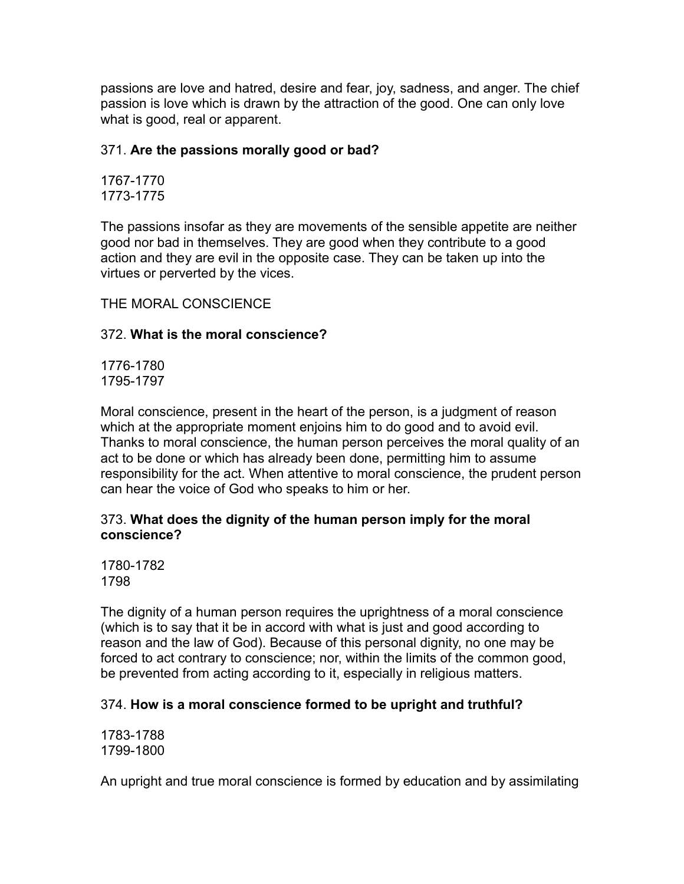passions are love and hatred, desire and fear, joy, sadness, and anger. The chief passion is love which is drawn by the attraction of the good. One can only love what is good, real or apparent.

# 371. **Are the passions morally good or bad?**

1767-1770 1773-1775

The passions insofar as they are movements of the sensible appetite are neither good nor bad in themselves. They are good when they contribute to a good action and they are evil in the opposite case. They can be taken up into the virtues or perverted by the vices.

THE MORAL CONSCIENCE

#### 372. **What is the moral conscience?**

1776-1780 1795-1797

Moral conscience, present in the heart of the person, is a judgment of reason which at the appropriate moment enjoins him to do good and to avoid evil. Thanks to moral conscience, the human person perceives the moral quality of an act to be done or which has already been done, permitting him to assume responsibility for the act. When attentive to moral conscience, the prudent person can hear the voice of God who speaks to him or her.

#### 373. **What does the dignity of the human person imply for the moral conscience?**

1780-1782 1798

The dignity of a human person requires the uprightness of a moral conscience (which is to say that it be in accord with what is just and good according to reason and the law of God). Because of this personal dignity, no one may be forced to act contrary to conscience; nor, within the limits of the common good, be prevented from acting according to it, especially in religious matters.

# 374. **How is a moral conscience formed to be upright and truthful?**

1783-1788 1799-1800

An upright and true moral conscience is formed by education and by assimilating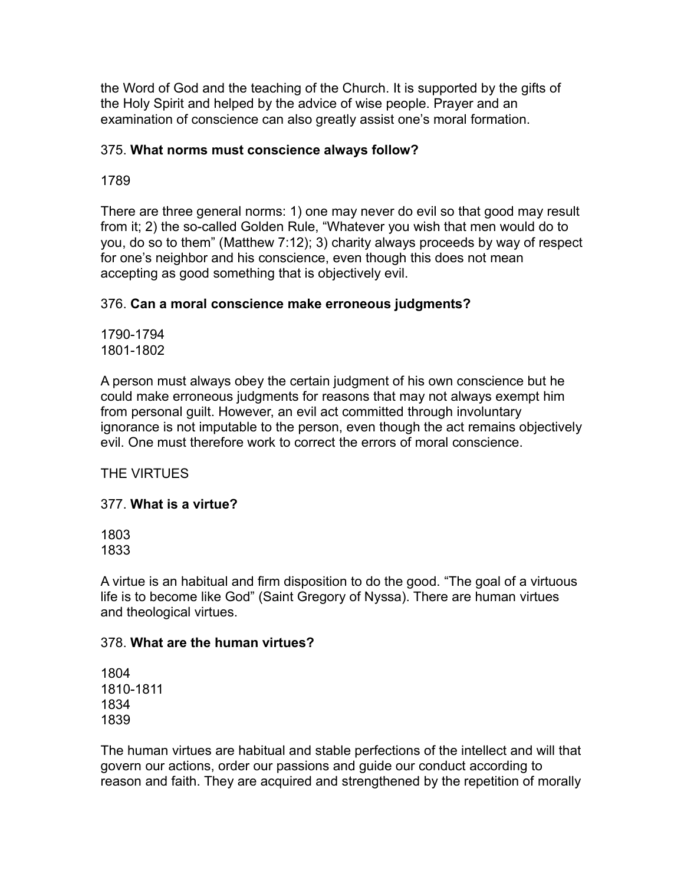the Word of God and the teaching of the Church. It is supported by the gifts of the Holy Spirit and helped by the advice of wise people. Prayer and an examination of conscience can also greatly assist one's moral formation.

# 375. **What norms must conscience always follow?**

1789

There are three general norms: 1) one may never do evil so that good may result from it; 2) the so-called Golden Rule, "Whatever you wish that men would do to you, do so to them" (Matthew 7:12); 3) charity always proceeds by way of respect for one's neighbor and his conscience, even though this does not mean accepting as good something that is objectively evil.

# 376. **Can a moral conscience make erroneous judgments?**

1790-1794 1801-1802

A person must always obey the certain judgment of his own conscience but he could make erroneous judgments for reasons that may not always exempt him from personal guilt. However, an evil act committed through involuntary ignorance is not imputable to the person, even though the act remains objectively evil. One must therefore work to correct the errors of moral conscience.

THE VIRTUES

# 377. **What is a virtue?**

1803 1833

A virtue is an habitual and firm disposition to do the good. "The goal of a virtuous life is to become like God" (Saint Gregory of Nyssa). There are human virtues and theological virtues.

# 378. **What are the human virtues?**

1804 1810-1811 1834 1839

The human virtues are habitual and stable perfections of the intellect and will that govern our actions, order our passions and guide our conduct according to reason and faith. They are acquired and strengthened by the repetition of morally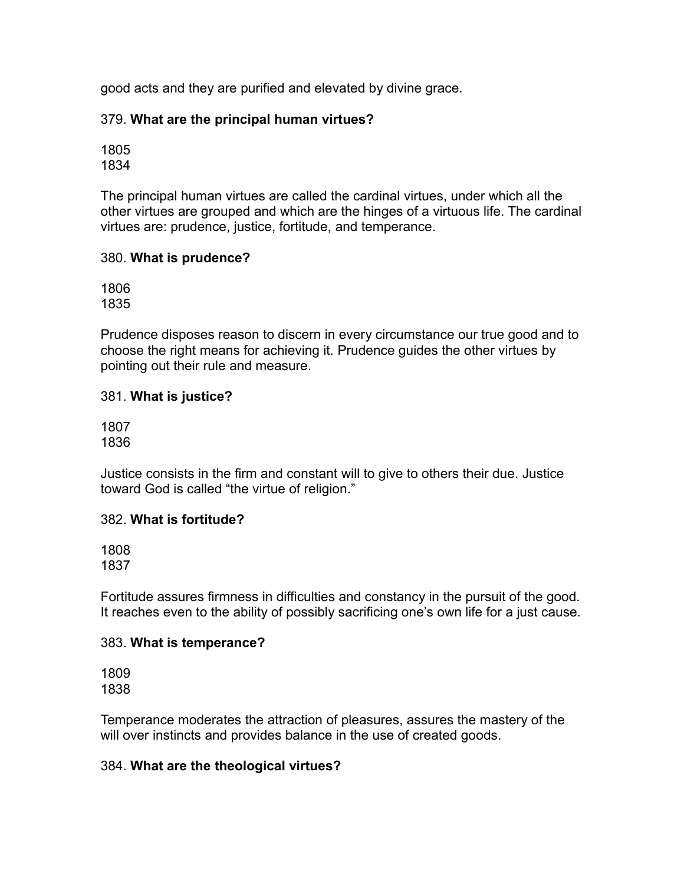good acts and they are purified and elevated by divine grace.

# 379. **What are the principal human virtues?**

1805 1834

The principal human virtues are called the cardinal virtues, under which all the other virtues are grouped and which are the hinges of a virtuous life. The cardinal virtues are: prudence, justice, fortitude, and temperance.

#### 380. **What is prudence?**

1806 1835

Prudence disposes reason to discern in every circumstance our true good and to choose the right means for achieving it. Prudence guides the other virtues by pointing out their rule and measure.

#### 381. **What is justice?**

1807 1836

Justice consists in the firm and constant will to give to others their due. Justice toward God is called "the virtue of religion."

#### 382. **What is fortitude?**

1808 1837

Fortitude assures firmness in difficulties and constancy in the pursuit of the good. It reaches even to the ability of possibly sacrificing one's own life for a just cause.

# 383. **What is temperance?**

1809 1838

Temperance moderates the attraction of pleasures, assures the mastery of the will over instincts and provides balance in the use of created goods.

# 384. **What are the theological virtues?**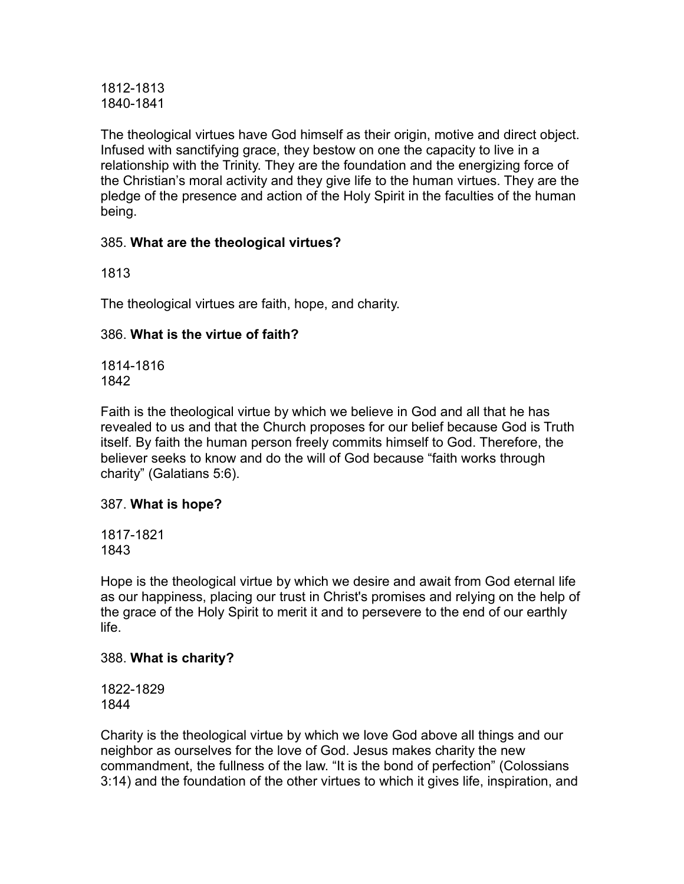1812-1813 1840-1841

The theological virtues have God himself as their origin, motive and direct object. Infused with sanctifying grace, they bestow on one the capacity to live in a relationship with the Trinity. They are the foundation and the energizing force of the Christian's moral activity and they give life to the human virtues. They are the pledge of the presence and action of the Holy Spirit in the faculties of the human being.

# 385. **What are the theological virtues?**

1813

The theological virtues are faith, hope, and charity.

# 386. **What is the virtue of faith?**

1814-1816 1842

Faith is the theological virtue by which we believe in God and all that he has revealed to us and that the Church proposes for our belief because God is Truth itself. By faith the human person freely commits himself to God. Therefore, the believer seeks to know and do the will of God because "faith works through charity" (Galatians 5:6).

#### 387. **What is hope?**

1817-1821 1843

Hope is the theological virtue by which we desire and await from God eternal life as our happiness, placing our trust in Christ's promises and relying on the help of the grace of the Holy Spirit to merit it and to persevere to the end of our earthly life.

# 388. **What is charity?**

1822-1829 1844

Charity is the theological virtue by which we love God above all things and our neighbor as ourselves for the love of God. Jesus makes charity the new commandment, the fullness of the law. "It is the bond of perfection" (Colossians 3:14) and the foundation of the other virtues to which it gives life, inspiration, and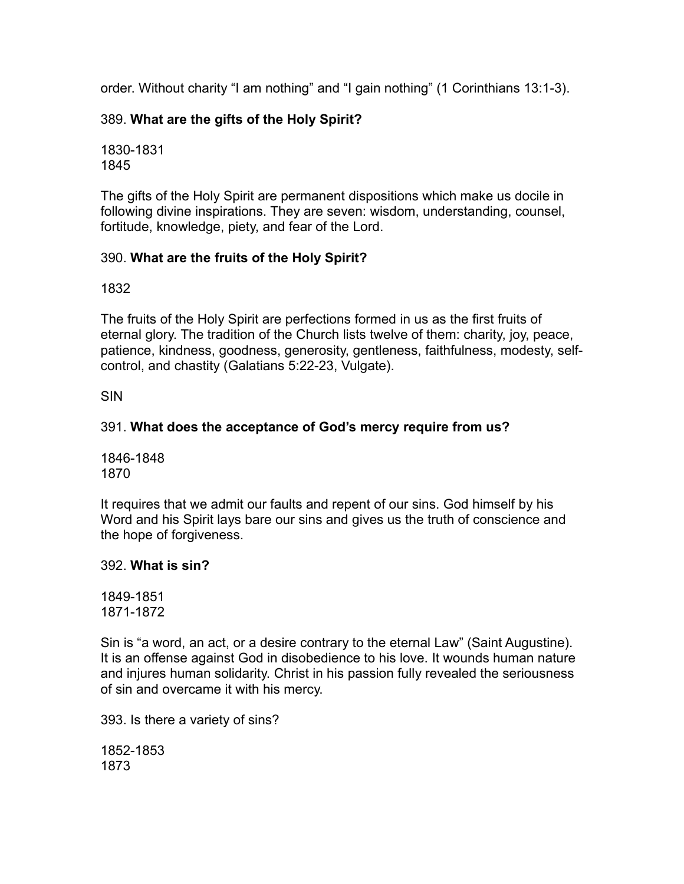order. Without charity "I am nothing" and "I gain nothing" (1 Corinthians 13:1-3).

# 389. **What are the gifts of the Holy Spirit?**

1830-1831 1845

The gifts of the Holy Spirit are permanent dispositions which make us docile in following divine inspirations. They are seven: wisdom, understanding, counsel, fortitude, knowledge, piety, and fear of the Lord.

# 390. **What are the fruits of the Holy Spirit?**

1832

The fruits of the Holy Spirit are perfections formed in us as the first fruits of eternal glory. The tradition of the Church lists twelve of them: charity, joy, peace, patience, kindness, goodness, generosity, gentleness, faithfulness, modesty, selfcontrol, and chastity (Galatians 5:22-23, Vulgate).

**SIN** 

# 391. **What does the acceptance of God's mercy require from us?**

1846-1848 1870

It requires that we admit our faults and repent of our sins. God himself by his Word and his Spirit lays bare our sins and gives us the truth of conscience and the hope of forgiveness.

# 392. **What is sin?**

1849-1851 1871-1872

Sin is "a word, an act, or a desire contrary to the eternal Law" (Saint Augustine). It is an offense against God in disobedience to his love. It wounds human nature and injures human solidarity. Christ in his passion fully revealed the seriousness of sin and overcame it with his mercy.

393. Is there a variety of sins?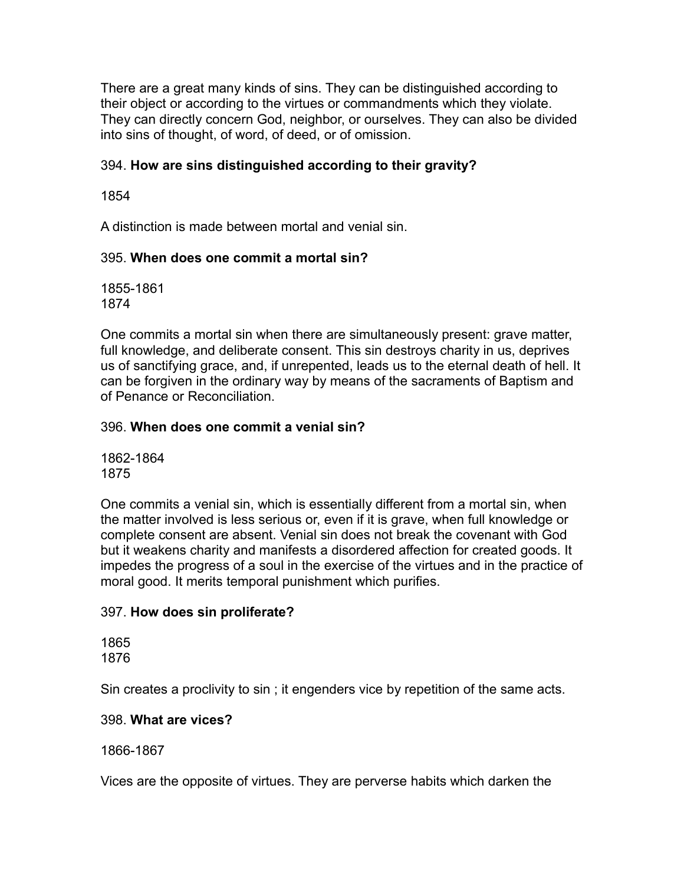There are a great many kinds of sins. They can be distinguished according to their object or according to the virtues or commandments which they violate. They can directly concern God, neighbor, or ourselves. They can also be divided into sins of thought, of word, of deed, or of omission.

# 394. **How are sins distinguished according to their gravity?**

1854

A distinction is made between mortal and venial sin.

#### 395. **When does one commit a mortal sin?**

1855-1861 1874

One commits a mortal sin when there are simultaneously present: grave matter, full knowledge, and deliberate consent. This sin destroys charity in us, deprives us of sanctifying grace, and, if unrepented, leads us to the eternal death of hell. It can be forgiven in the ordinary way by means of the sacraments of Baptism and of Penance or Reconciliation.

#### 396. **When does one commit a venial sin?**

1862-1864 1875

One commits a venial sin, which is essentially different from a mortal sin, when the matter involved is less serious or, even if it is grave, when full knowledge or complete consent are absent. Venial sin does not break the covenant with God but it weakens charity and manifests a disordered affection for created goods. It impedes the progress of a soul in the exercise of the virtues and in the practice of moral good. It merits temporal punishment which purifies.

# 397. **How does sin proliferate?**

1865 1876

Sin creates a proclivity to sin ; it engenders vice by repetition of the same acts.

#### 398. **What are vices?**

1866-1867

Vices are the opposite of virtues. They are perverse habits which darken the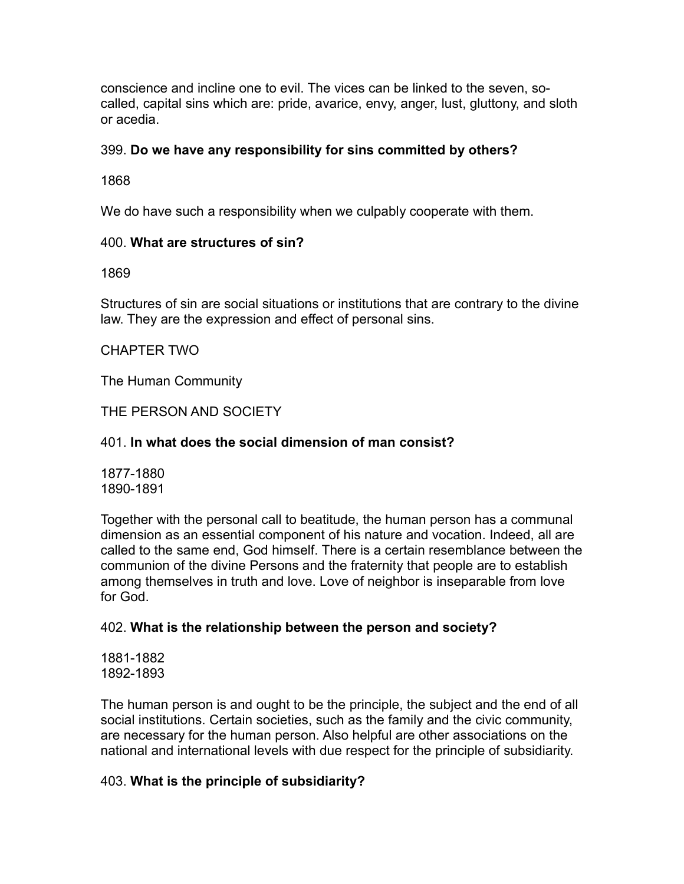conscience and incline one to evil. The vices can be linked to the seven, socalled, capital sins which are: pride, avarice, envy, anger, lust, gluttony, and sloth or acedia.

#### 399. **Do we have any responsibility for sins committed by others?**

1868

We do have such a responsibility when we culpably cooperate with them.

#### 400. **What are structures of sin?**

1869

Structures of sin are social situations or institutions that are contrary to the divine law. They are the expression and effect of personal sins.

#### CHAPTER TWO

The Human Community

THE PERSON AND SOCIETY

#### 401. **In what does the social dimension of man consist?**

1877-1880 1890-1891

Together with the personal call to beatitude, the human person has a communal dimension as an essential component of his nature and vocation. Indeed, all are called to the same end, God himself. There is a certain resemblance between the communion of the divine Persons and the fraternity that people are to establish among themselves in truth and love. Love of neighbor is inseparable from love for God.

#### 402. **What is the relationship between the person and society?**

1881-1882 1892-1893

The human person is and ought to be the principle, the subject and the end of all social institutions. Certain societies, such as the family and the civic community, are necessary for the human person. Also helpful are other associations on the national and international levels with due respect for the principle of subsidiarity.

# 403. **What is the principle of subsidiarity?**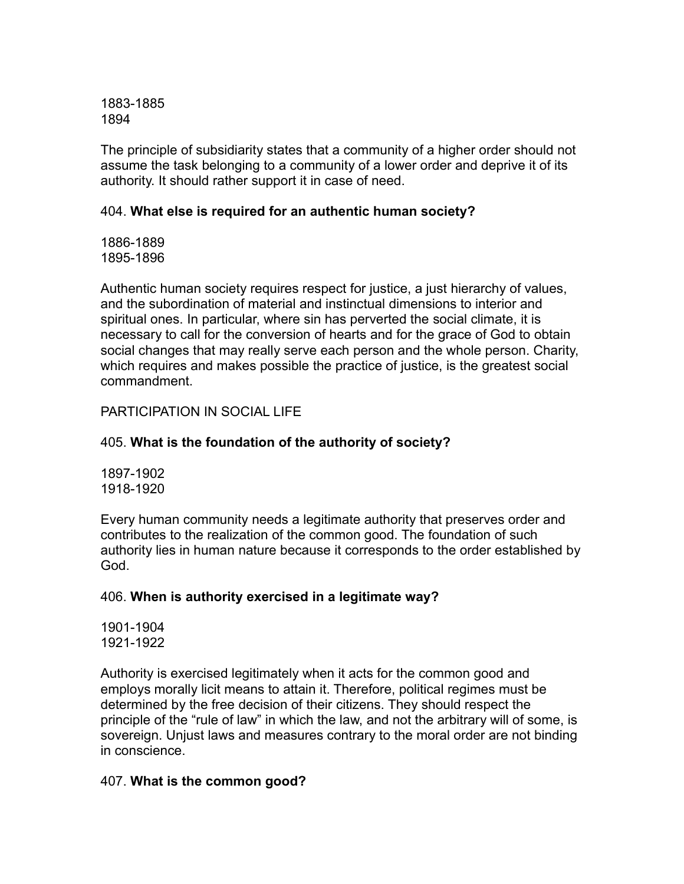1883-1885 1894

The principle of subsidiarity states that a community of a higher order should not assume the task belonging to a community of a lower order and deprive it of its authority. It should rather support it in case of need.

#### 404. **What else is required for an authentic human society?**

1886-1889 1895-1896

Authentic human society requires respect for justice, a just hierarchy of values, and the subordination of material and instinctual dimensions to interior and spiritual ones. In particular, where sin has perverted the social climate, it is necessary to call for the conversion of hearts and for the grace of God to obtain social changes that may really serve each person and the whole person. Charity, which requires and makes possible the practice of justice, is the greatest social commandment.

PARTICIPATION IN SOCIAL LIFE

# 405. **What is the foundation of the authority of society?**

1897-1902 1918-1920

Every human community needs a legitimate authority that preserves order and contributes to the realization of the common good. The foundation of such authority lies in human nature because it corresponds to the order established by God.

# 406. **When is authority exercised in a legitimate way?**

1901-1904 1921-1922

Authority is exercised legitimately when it acts for the common good and employs morally licit means to attain it. Therefore, political regimes must be determined by the free decision of their citizens. They should respect the principle of the "rule of law" in which the law, and not the arbitrary will of some, is sovereign. Unjust laws and measures contrary to the moral order are not binding in conscience.

# 407. **What is the common good?**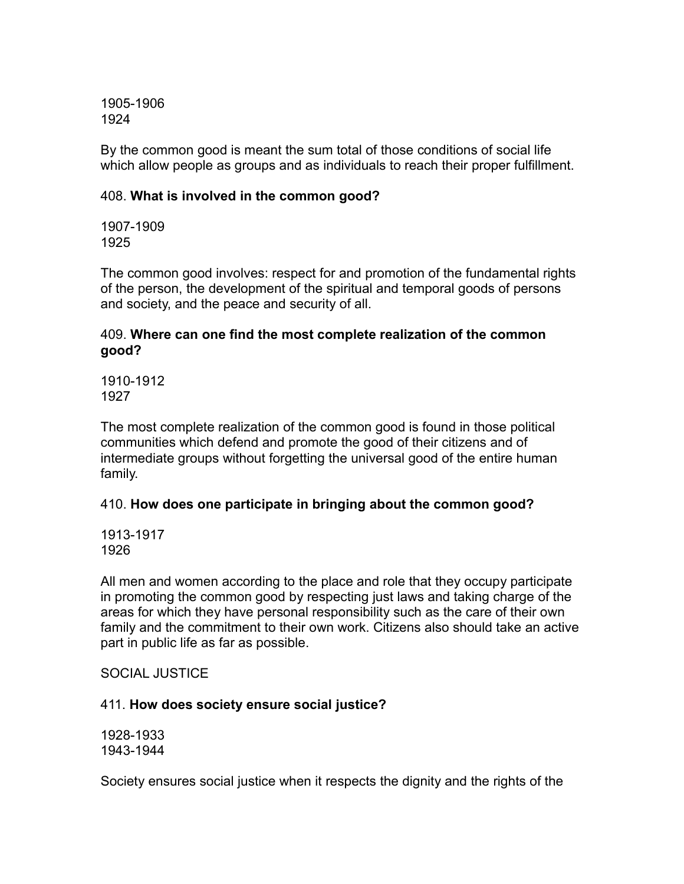1905-1906 1924

By the common good is meant the sum total of those conditions of social life which allow people as groups and as individuals to reach their proper fulfillment.

### 408. **What is involved in the common good?**

1907-1909 1925

The common good involves: respect for and promotion of the fundamental rights of the person, the development of the spiritual and temporal goods of persons and society, and the peace and security of all.

### 409. **Where can one find the most complete realization of the common good?**

1910-1912 1927

The most complete realization of the common good is found in those political communities which defend and promote the good of their citizens and of intermediate groups without forgetting the universal good of the entire human family.

# 410. **How does one participate in bringing about the common good?**

1913-1917 1926

All men and women according to the place and role that they occupy participate in promoting the common good by respecting just laws and taking charge of the areas for which they have personal responsibility such as the care of their own family and the commitment to their own work. Citizens also should take an active part in public life as far as possible.

### SOCIAL JUSTICE

# 411. **How does society ensure social justice?**

1928-1933 1943-1944

Society ensures social justice when it respects the dignity and the rights of the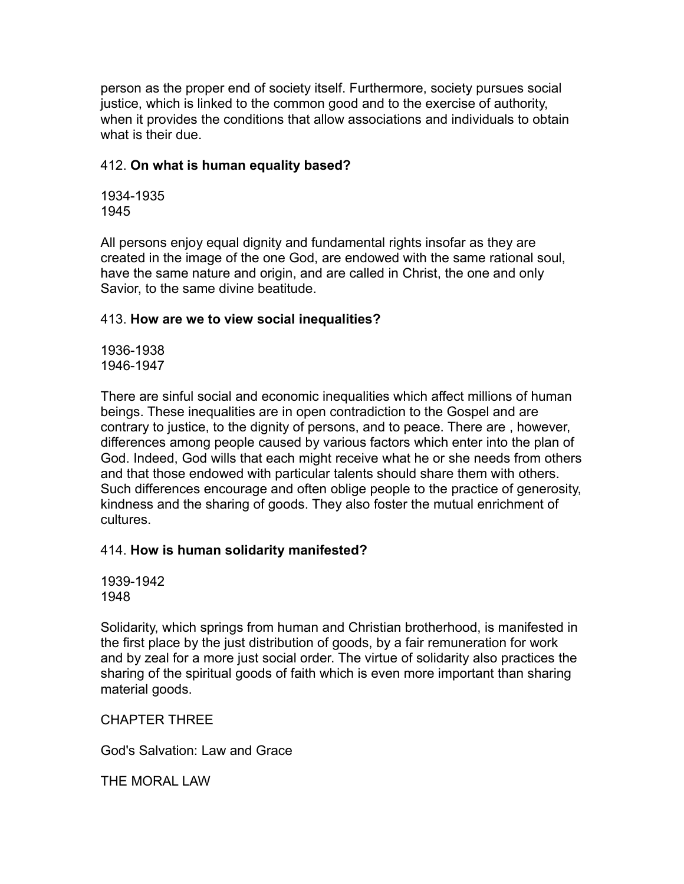person as the proper end of society itself. Furthermore, society pursues social justice, which is linked to the common good and to the exercise of authority, when it provides the conditions that allow associations and individuals to obtain what is their due.

## 412. **On what is human equality based?**

1934-1935 1945

All persons enjoy equal dignity and fundamental rights insofar as they are created in the image of the one God, are endowed with the same rational soul, have the same nature and origin, and are called in Christ, the one and only Savior, to the same divine beatitude.

## 413. **How are we to view social inequalities?**

1936-1938 1946-1947

There are sinful social and economic inequalities which affect millions of human beings. These inequalities are in open contradiction to the Gospel and are contrary to justice, to the dignity of persons, and to peace. There are , however, differences among people caused by various factors which enter into the plan of God. Indeed, God wills that each might receive what he or she needs from others and that those endowed with particular talents should share them with others. Such differences encourage and often oblige people to the practice of generosity, kindness and the sharing of goods. They also foster the mutual enrichment of cultures.

# 414. **How is human solidarity manifested?**

1939-1942 1948

Solidarity, which springs from human and Christian brotherhood, is manifested in the first place by the just distribution of goods, by a fair remuneration for work and by zeal for a more just social order. The virtue of solidarity also practices the sharing of the spiritual goods of faith which is even more important than sharing material goods.

CHAPTER THREE

God's Salvation: Law and Grace

THE MORAL LAW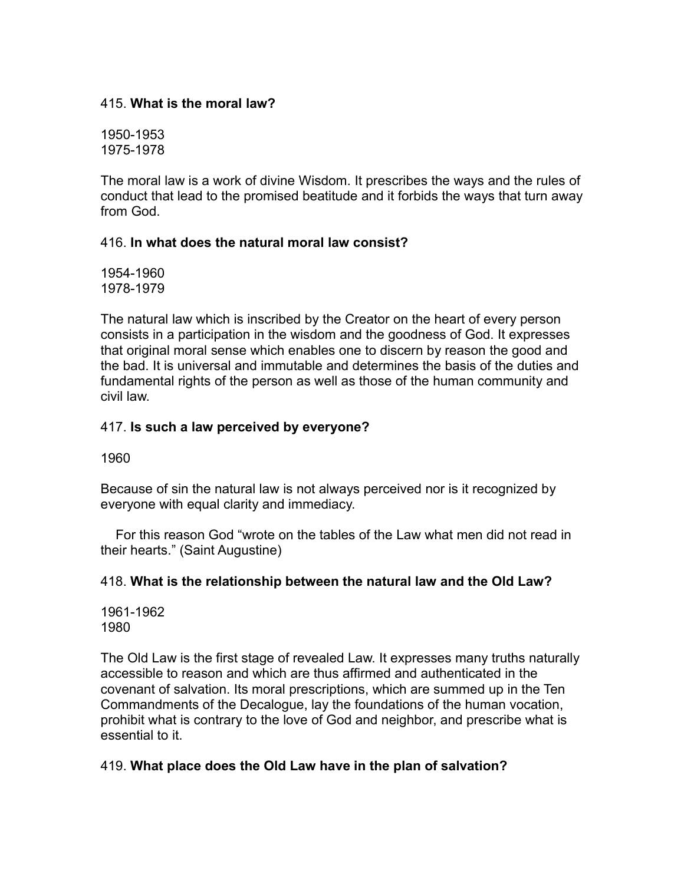### 415. **What is the moral law?**

1950-1953 1975-1978

The moral law is a work of divine Wisdom. It prescribes the ways and the rules of conduct that lead to the promised beatitude and it forbids the ways that turn away from God.

# 416. **In what does the natural moral law consist?**

1954-1960 1978-1979

The natural law which is inscribed by the Creator on the heart of every person consists in a participation in the wisdom and the goodness of God. It expresses that original moral sense which enables one to discern by reason the good and the bad. It is universal and immutable and determines the basis of the duties and fundamental rights of the person as well as those of the human community and civil law.

# 417. **Is such a law perceived by everyone?**

1960

Because of sin the natural law is not always perceived nor is it recognized by everyone with equal clarity and immediacy.

 For this reason God "wrote on the tables of the Law what men did not read in their hearts." (Saint Augustine)

# 418. **What is the relationship between the natural law and the Old Law?**

1961-1962 1980

The Old Law is the first stage of revealed Law. It expresses many truths naturally accessible to reason and which are thus affirmed and authenticated in the covenant of salvation. Its moral prescriptions, which are summed up in the Ten Commandments of the Decalogue, lay the foundations of the human vocation, prohibit what is contrary to the love of God and neighbor, and prescribe what is essential to it.

# 419. **What place does the Old Law have in the plan of salvation?**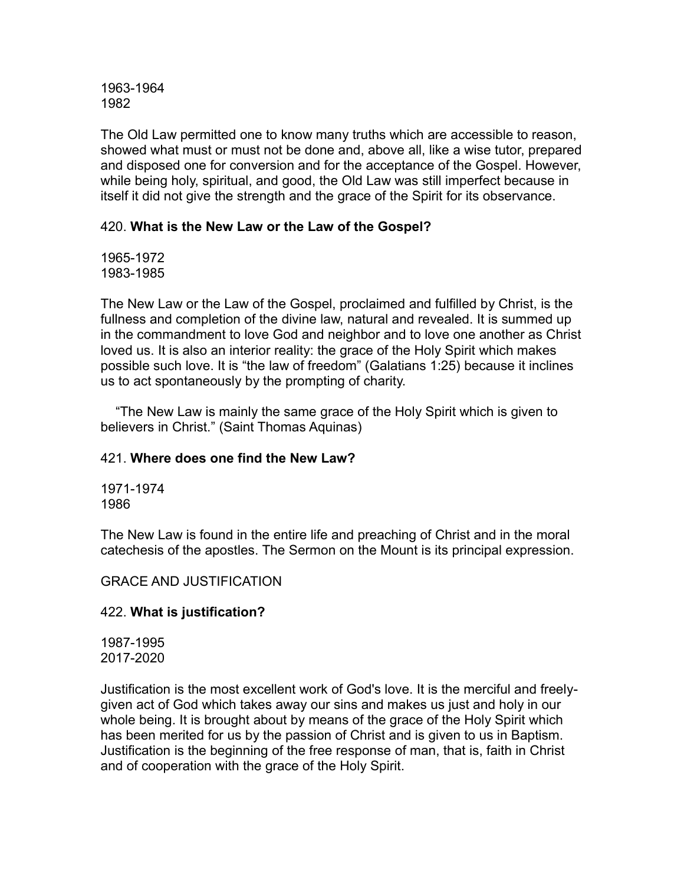1963-1964 1982

The Old Law permitted one to know many truths which are accessible to reason, showed what must or must not be done and, above all, like a wise tutor, prepared and disposed one for conversion and for the acceptance of the Gospel. However, while being holy, spiritual, and good, the Old Law was still imperfect because in itself it did not give the strength and the grace of the Spirit for its observance.

### 420. **What is the New Law or the Law of the Gospel?**

1965-1972 1983-1985

The New Law or the Law of the Gospel, proclaimed and fulfilled by Christ, is the fullness and completion of the divine law, natural and revealed. It is summed up in the commandment to love God and neighbor and to love one another as Christ loved us. It is also an interior reality: the grace of the Holy Spirit which makes possible such love. It is "the law of freedom" (Galatians 1:25) because it inclines us to act spontaneously by the prompting of charity.

 "The New Law is mainly the same grace of the Holy Spirit which is given to believers in Christ." (Saint Thomas Aquinas)

### 421. **Where does one find the New Law?**

1971-1974 1986

The New Law is found in the entire life and preaching of Christ and in the moral catechesis of the apostles. The Sermon on the Mount is its principal expression.

### GRACE AND JUSTIFICATION

# 422. **What is justification?**

1987-1995 2017-2020

Justification is the most excellent work of God's love. It is the merciful and freelygiven act of God which takes away our sins and makes us just and holy in our whole being. It is brought about by means of the grace of the Holy Spirit which has been merited for us by the passion of Christ and is given to us in Baptism. Justification is the beginning of the free response of man, that is, faith in Christ and of cooperation with the grace of the Holy Spirit.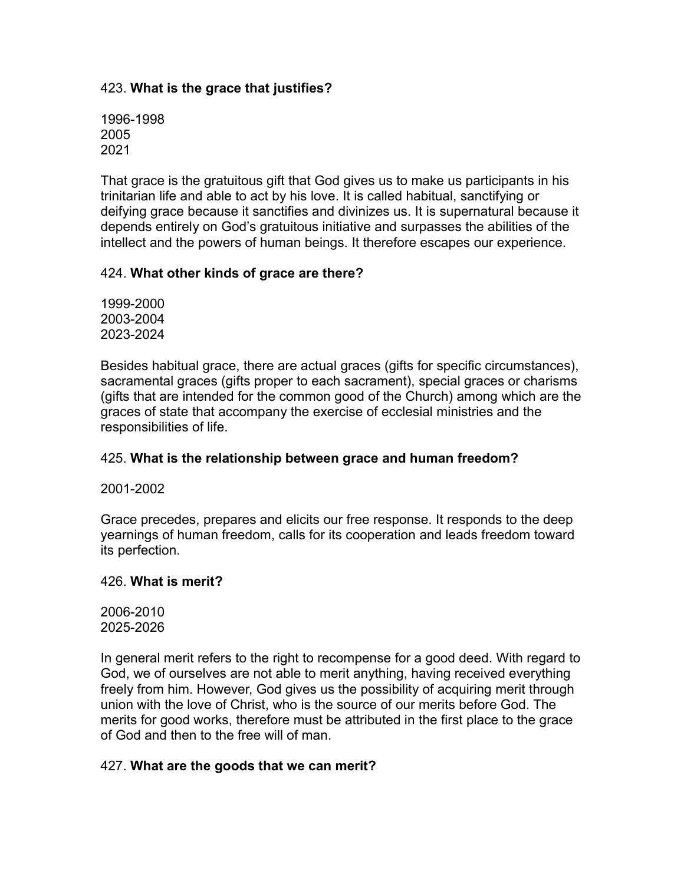## 423. **What is the grace that justifies?**

1996-1998 2005 2021

That grace is the gratuitous gift that God gives us to make us participants in his trinitarian life and able to act by his love. It is called habitual, sanctifying or deifying grace because it sanctifies and divinizes us. It is supernatural because it depends entirely on God's gratuitous initiative and surpasses the abilities of the intellect and the powers of human beings. It therefore escapes our experience.

### 424. **What other kinds of grace are there?**

1999-2000 2003-2004 2023-2024

Besides habitual grace, there are actual graces (gifts for specific circumstances), sacramental graces (gifts proper to each sacrament), special graces or charisms (gifts that are intended for the common good of the Church) among which are the graces of state that accompany the exercise of ecclesial ministries and the responsibilities of life.

### 425. **What is the relationship between grace and human freedom?**

2001-2002

Grace precedes, prepares and elicits our free response. It responds to the deep yearnings of human freedom, calls for its cooperation and leads freedom toward its perfection.

### 426. **What is merit?**

2006-2010 2025-2026

In general merit refers to the right to recompense for a good deed. With regard to God, we of ourselves are not able to merit anything, having received everything freely from him. However, God gives us the possibility of acquiring merit through union with the love of Christ, who is the source of our merits before God. The merits for good works, therefore must be attributed in the first place to the grace of God and then to the free will of man.

# 427. **What are the goods that we can merit?**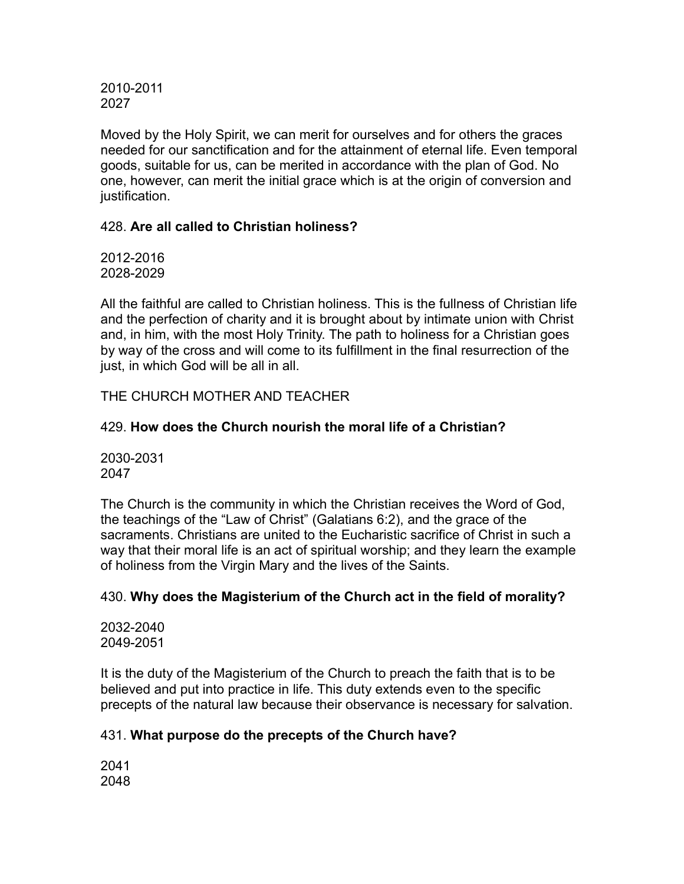2010-2011 2027

Moved by the Holy Spirit, we can merit for ourselves and for others the graces needed for our sanctification and for the attainment of eternal life. Even temporal goods, suitable for us, can be merited in accordance with the plan of God. No one, however, can merit the initial grace which is at the origin of conversion and justification.

# 428. **Are all called to Christian holiness?**

2012-2016 2028-2029

All the faithful are called to Christian holiness. This is the fullness of Christian life and the perfection of charity and it is brought about by intimate union with Christ and, in him, with the most Holy Trinity. The path to holiness for a Christian goes by way of the cross and will come to its fulfillment in the final resurrection of the just, in which God will be all in all.

THE CHURCH MOTHER AND TEACHER

## 429. **How does the Church nourish the moral life of a Christian?**

2030-2031 2047

The Church is the community in which the Christian receives the Word of God, the teachings of the "Law of Christ" (Galatians 6:2), and the grace of the sacraments. Christians are united to the Eucharistic sacrifice of Christ in such a way that their moral life is an act of spiritual worship; and they learn the example of holiness from the Virgin Mary and the lives of the Saints.

### 430. **Why does the Magisterium of the Church act in the field of morality?**

2032-2040 2049-2051

It is the duty of the Magisterium of the Church to preach the faith that is to be believed and put into practice in life. This duty extends even to the specific precepts of the natural law because their observance is necessary for salvation.

# 431. **What purpose do the precepts of the Church have?**

2041 2048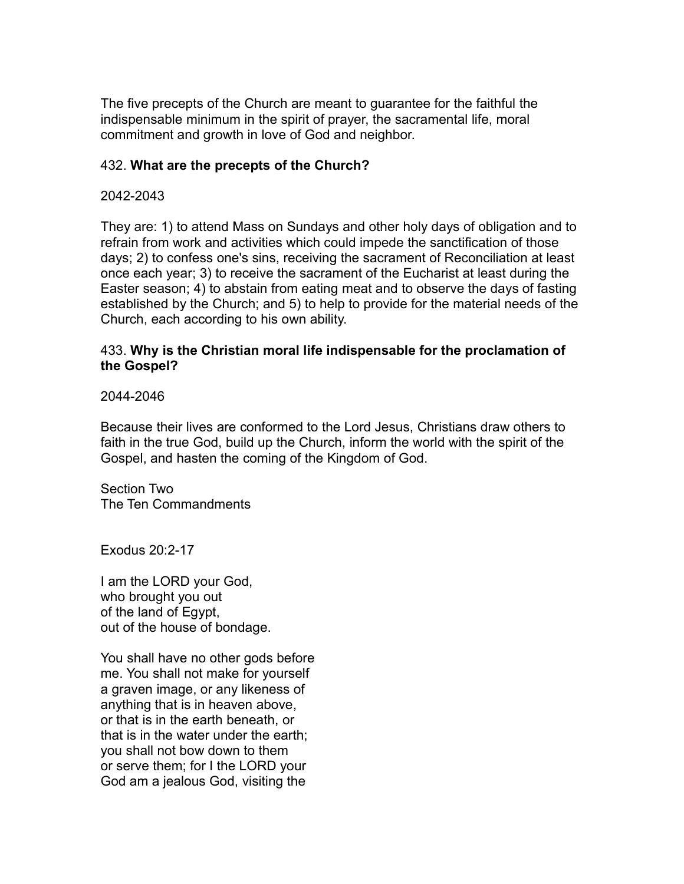The five precepts of the Church are meant to guarantee for the faithful the indispensable minimum in the spirit of prayer, the sacramental life, moral commitment and growth in love of God and neighbor.

### 432. **What are the precepts of the Church?**

#### 2042-2043

They are: 1) to attend Mass on Sundays and other holy days of obligation and to refrain from work and activities which could impede the sanctification of those days; 2) to confess one's sins, receiving the sacrament of Reconciliation at least once each year; 3) to receive the sacrament of the Eucharist at least during the Easter season; 4) to abstain from eating meat and to observe the days of fasting established by the Church; and 5) to help to provide for the material needs of the Church, each according to his own ability.

#### 433. **Why is the Christian moral life indispensable for the proclamation of the Gospel?**

#### 2044-2046

Because their lives are conformed to the Lord Jesus, Christians draw others to faith in the true God, build up the Church, inform the world with the spirit of the Gospel, and hasten the coming of the Kingdom of God.

Section Two The Ten Commandments

Exodus 20:2-17

I am the LORD your God, who brought you out of the land of Egypt, out of the house of bondage.

You shall have no other gods before me. You shall not make for yourself a graven image, or any likeness of anything that is in heaven above, or that is in the earth beneath, or that is in the water under the earth; you shall not bow down to them or serve them; for I the LORD your God am a jealous God, visiting the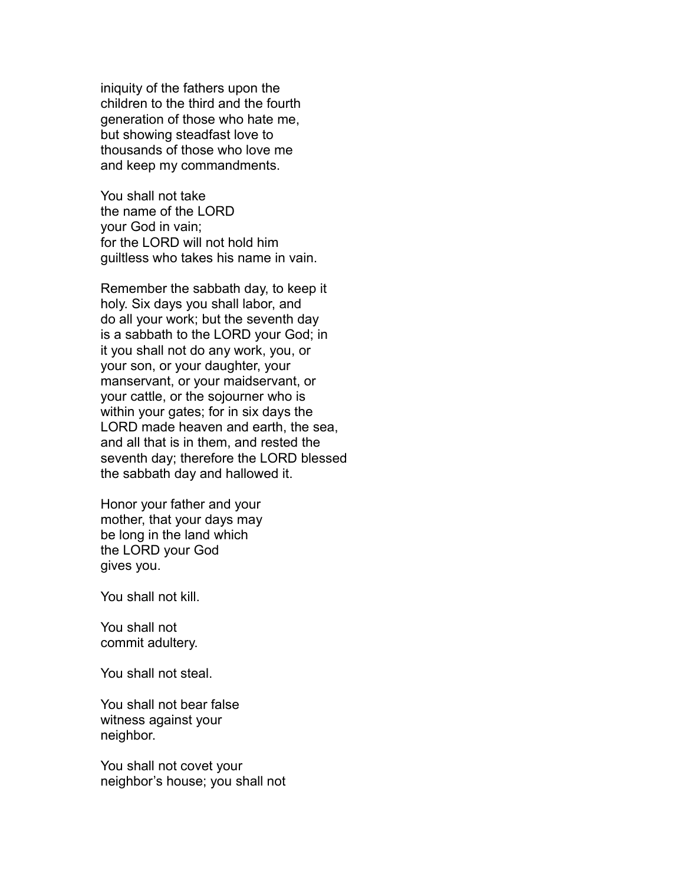iniquity of the fathers upon the children to the third and the fourth generation of those who hate me, but showing steadfast love to thousands of those who love me and keep my commandments.

You shall not take the name of the LORD your God in vain; for the LORD will not hold him guiltless who takes his name in vain.

Remember the sabbath day, to keep it holy. Six days you shall labor, and do all your work; but the seventh day is a sabbath to the LORD your God; in it you shall not do any work, you, or your son, or your daughter, your manservant, or your maidservant, or your cattle, or the sojourner who is within your gates; for in six days the LORD made heaven and earth, the sea, and all that is in them, and rested the seventh day; therefore the LORD blessed the sabbath day and hallowed it.

Honor your father and your mother, that your days may be long in the land which the LORD your God gives you.

You shall not kill.

You shall not commit adultery.

You shall not steal.

You shall not bear false witness against your neighbor.

You shall not covet your neighbor's house; you shall not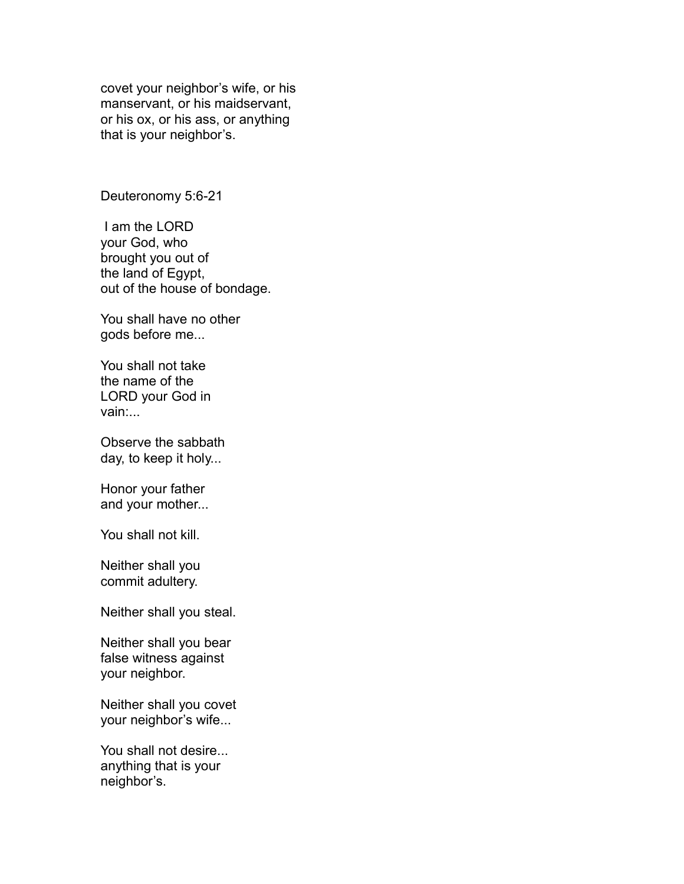covet your neighbor's wife, or his manservant, or his maidservant, or his ox, or his ass, or anything that is your neighbor's.

Deuteronomy 5:6-21

I am the LORD your God, who brought you out of the land of Egypt, out of the house of bondage.

You shall have no other gods before me...

You shall not take the name of the LORD your God in vain:...

Observe the sabbath day, to keep it holy...

Honor your father and your mother...

You shall not kill.

Neither shall you commit adultery.

Neither shall you steal.

Neither shall you bear false witness against your neighbor.

Neither shall you covet your neighbor's wife...

You shall not desire... anything that is your neighbor's.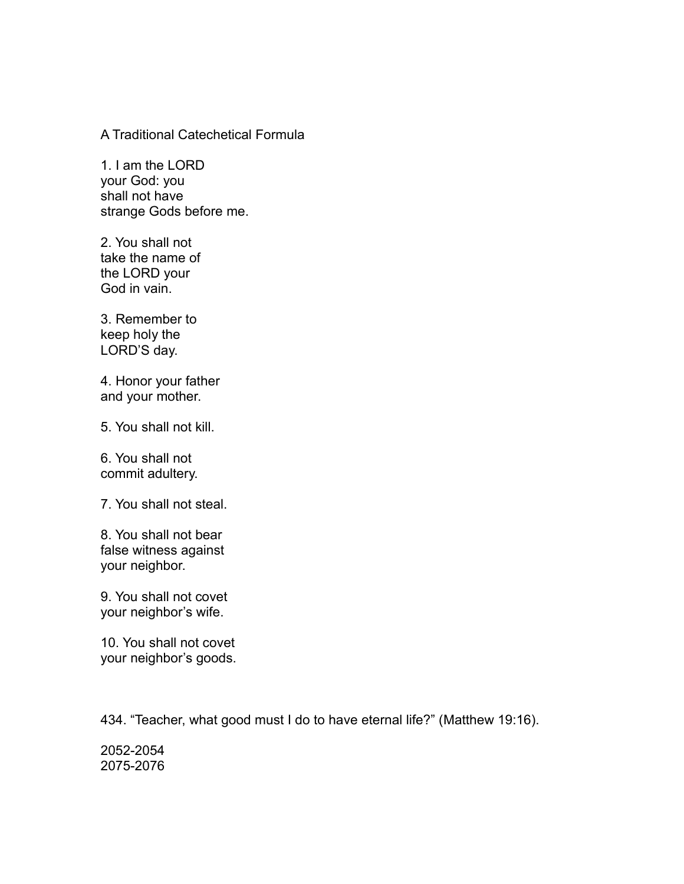A Traditional Catechetical Formula

1. I am the LORD your God: you shall not have strange Gods before me.

2. You shall not take the name of the LORD your God in vain.

3. Remember to keep holy the LORD'S day.

4. Honor your father and your mother.

5. You shall not kill.

6. You shall not commit adultery.

7. You shall not steal.

8. You shall not bear false witness against your neighbor.

9. You shall not covet your neighbor's wife.

10. You shall not covet your neighbor's goods.

434. "Teacher, what good must I do to have eternal life?" (Matthew 19:16).

2052-2054 2075-2076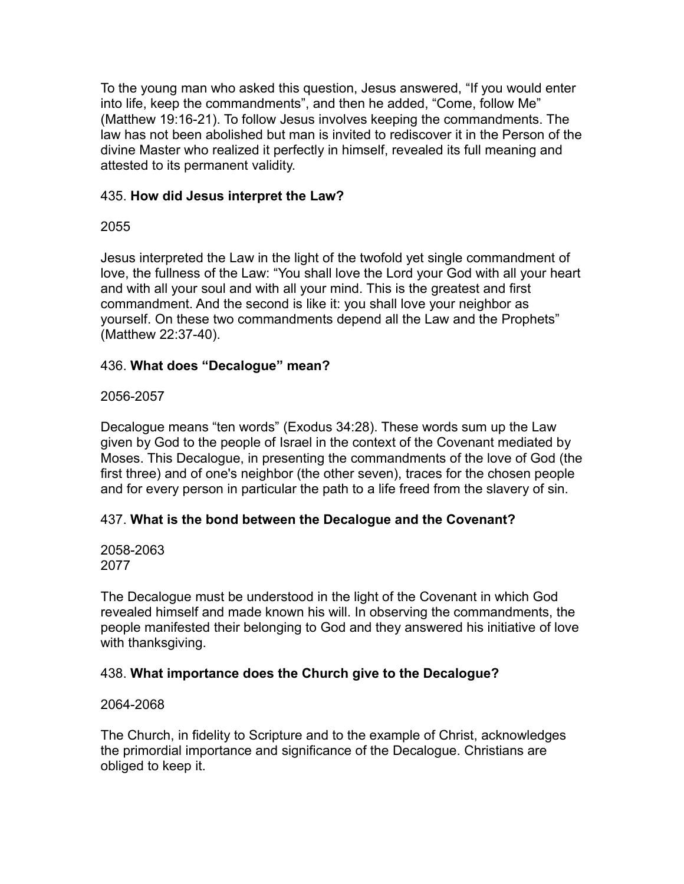To the young man who asked this question, Jesus answered, "If you would enter into life, keep the commandments", and then he added, "Come, follow Me" (Matthew 19:16-21). To follow Jesus involves keeping the commandments. The law has not been abolished but man is invited to rediscover it in the Person of the divine Master who realized it perfectly in himself, revealed its full meaning and attested to its permanent validity.

# 435. **How did Jesus interpret the Law?**

## 2055

Jesus interpreted the Law in the light of the twofold yet single commandment of love, the fullness of the Law: "You shall love the Lord your God with all your heart and with all your soul and with all your mind. This is the greatest and first commandment. And the second is like it: you shall love your neighbor as yourself. On these two commandments depend all the Law and the Prophets" (Matthew 22:37-40).

## 436. **What does "Decalogue" mean?**

## 2056-2057

Decalogue means "ten words" (Exodus 34:28). These words sum up the Law given by God to the people of Israel in the context of the Covenant mediated by Moses. This Decalogue, in presenting the commandments of the love of God (the first three) and of one's neighbor (the other seven), traces for the chosen people and for every person in particular the path to a life freed from the slavery of sin.

### 437. **What is the bond between the Decalogue and the Covenant?**

2058-2063 2077

The Decalogue must be understood in the light of the Covenant in which God revealed himself and made known his will. In observing the commandments, the people manifested their belonging to God and they answered his initiative of love with thanksgiving.

# 438. **What importance does the Church give to the Decalogue?**

### 2064-2068

The Church, in fidelity to Scripture and to the example of Christ, acknowledges the primordial importance and significance of the Decalogue. Christians are obliged to keep it.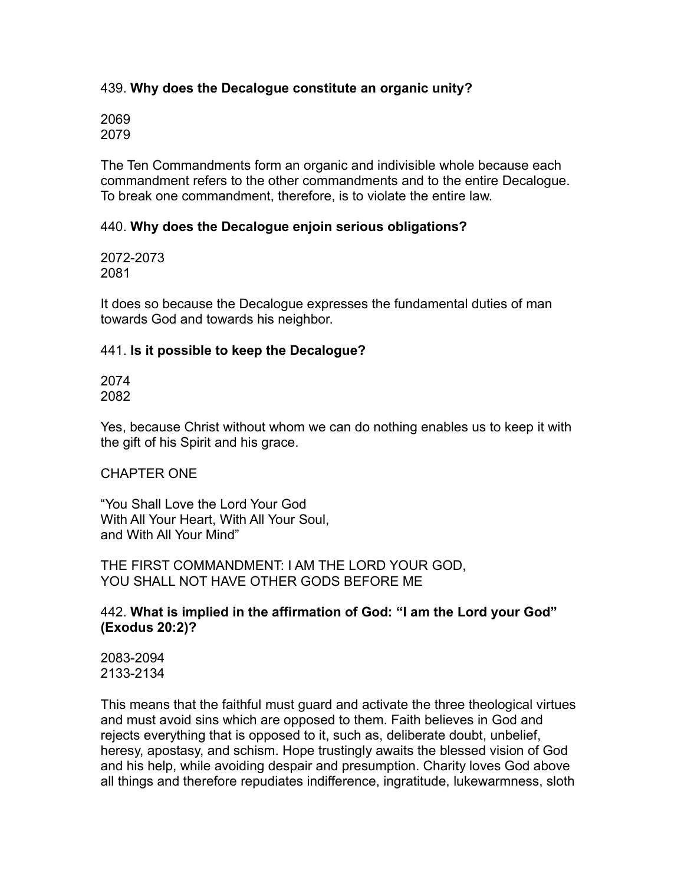## 439. **Why does the Decalogue constitute an organic unity?**

2069 2079

The Ten Commandments form an organic and indivisible whole because each commandment refers to the other commandments and to the entire Decalogue. To break one commandment, therefore, is to violate the entire law.

## 440. **Why does the Decalogue enjoin serious obligations?**

2072-2073 2081

It does so because the Decalogue expresses the fundamental duties of man towards God and towards his neighbor.

## 441. **Is it possible to keep the Decalogue?**

2074 2082

Yes, because Christ without whom we can do nothing enables us to keep it with the gift of his Spirit and his grace.

### CHAPTER ONE

"You Shall Love the Lord Your God With All Your Heart, With All Your Soul, and With All Your Mind"

THE FIRST COMMANDMENT: I AM THE LORD YOUR GOD, YOU SHALL NOT HAVE OTHER GODS BEFORE ME

## 442. **What is implied in the affirmation of God: "I am the Lord your God" (Exodus 20:2)?**

2083-2094 2133-2134

This means that the faithful must guard and activate the three theological virtues and must avoid sins which are opposed to them. Faith believes in God and rejects everything that is opposed to it, such as, deliberate doubt, unbelief, heresy, apostasy, and schism. Hope trustingly awaits the blessed vision of God and his help, while avoiding despair and presumption. Charity loves God above all things and therefore repudiates indifference, ingratitude, lukewarmness, sloth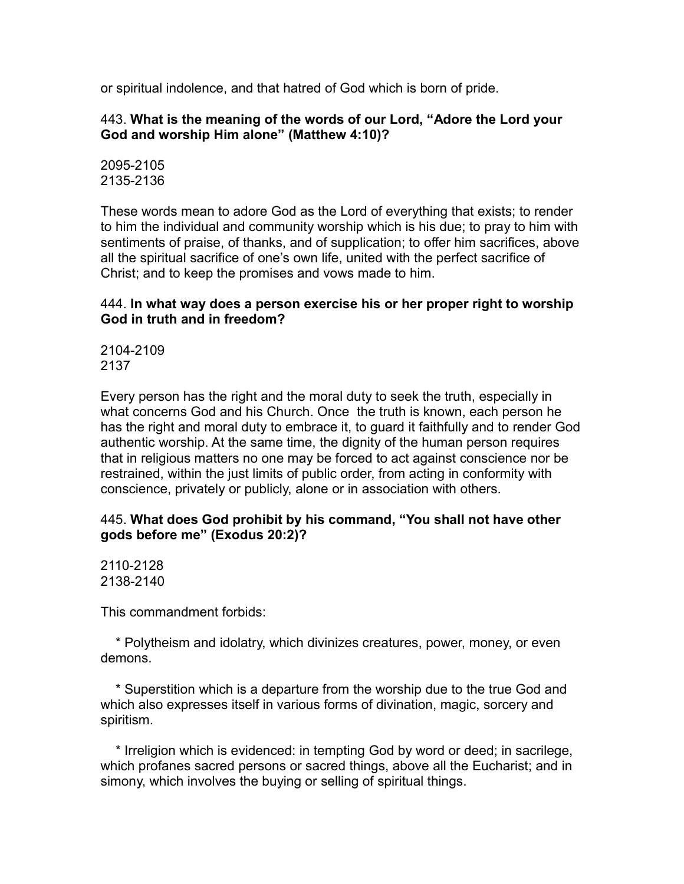or spiritual indolence, and that hatred of God which is born of pride.

443. **What is the meaning of the words of our Lord, "Adore the Lord your God and worship Him alone" (Matthew 4:10)?**

2095-2105 2135-2136

These words mean to adore God as the Lord of everything that exists; to render to him the individual and community worship which is his due; to pray to him with sentiments of praise, of thanks, and of supplication; to offer him sacrifices, above all the spiritual sacrifice of one's own life, united with the perfect sacrifice of Christ; and to keep the promises and vows made to him.

### 444. **In what way does a person exercise his or her proper right to worship God in truth and in freedom?**

2104-2109 2137

Every person has the right and the moral duty to seek the truth, especially in what concerns God and his Church. Once the truth is known, each person he has the right and moral duty to embrace it, to guard it faithfully and to render God authentic worship. At the same time, the dignity of the human person requires that in religious matters no one may be forced to act against conscience nor be restrained, within the just limits of public order, from acting in conformity with conscience, privately or publicly, alone or in association with others.

### 445. **What does God prohibit by his command, "You shall not have other gods before me" (Exodus 20:2)?**

2110-2128 2138-2140

This commandment forbids:

 \* Polytheism and idolatry, which divinizes creatures, power, money, or even demons.

 \* Superstition which is a departure from the worship due to the true God and which also expresses itself in various forms of divination, magic, sorcery and spiritism.

 \* Irreligion which is evidenced: in tempting God by word or deed; in sacrilege, which profanes sacred persons or sacred things, above all the Eucharist; and in simony, which involves the buying or selling of spiritual things.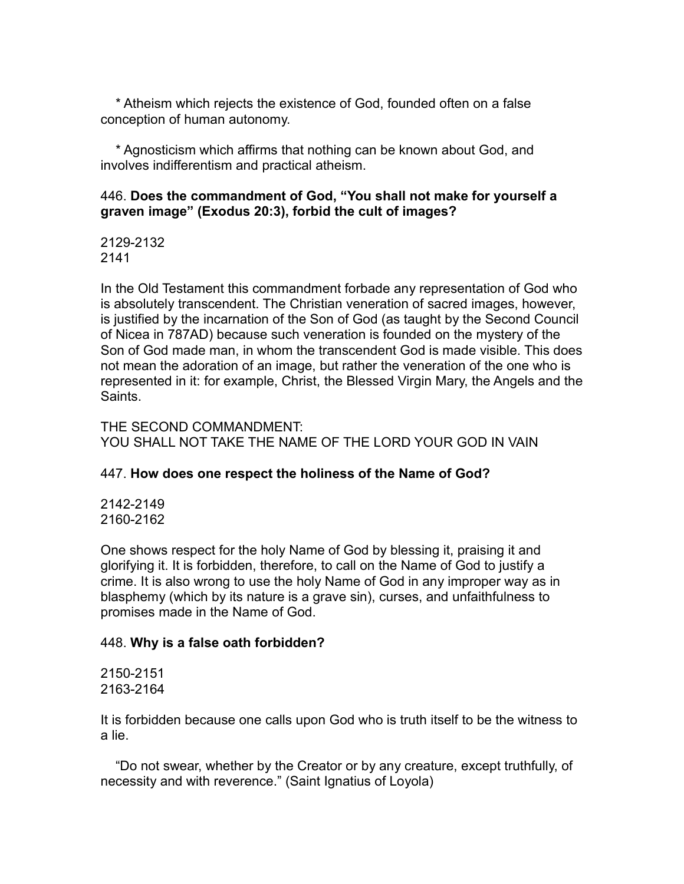\* Atheism which rejects the existence of God, founded often on a false conception of human autonomy.

 \* Agnosticism which affirms that nothing can be known about God, and involves indifferentism and practical atheism.

### 446. **Does the commandment of God, "You shall not make for yourself a graven image" (Exodus 20:3), forbid the cult of images?**

2129-2132 2141

In the Old Testament this commandment forbade any representation of God who is absolutely transcendent. The Christian veneration of sacred images, however, is justified by the incarnation of the Son of God (as taught by the Second Council of Nicea in 787AD) because such veneration is founded on the mystery of the Son of God made man, in whom the transcendent God is made visible. This does not mean the adoration of an image, but rather the veneration of the one who is represented in it: for example, Christ, the Blessed Virgin Mary, the Angels and the Saints.

THE SECOND COMMANDMENT: YOU SHALL NOT TAKE THE NAME OF THE LORD YOUR GOD IN VAIN

# 447. **How does one respect the holiness of the Name of God?**

2142-2149 2160-2162

One shows respect for the holy Name of God by blessing it, praising it and glorifying it. It is forbidden, therefore, to call on the Name of God to justify a crime. It is also wrong to use the holy Name of God in any improper way as in blasphemy (which by its nature is a grave sin), curses, and unfaithfulness to promises made in the Name of God.

### 448. **Why is a false oath forbidden?**

2150-2151 2163-2164

It is forbidden because one calls upon God who is truth itself to be the witness to a lie.

 "Do not swear, whether by the Creator or by any creature, except truthfully, of necessity and with reverence." (Saint Ignatius of Loyola)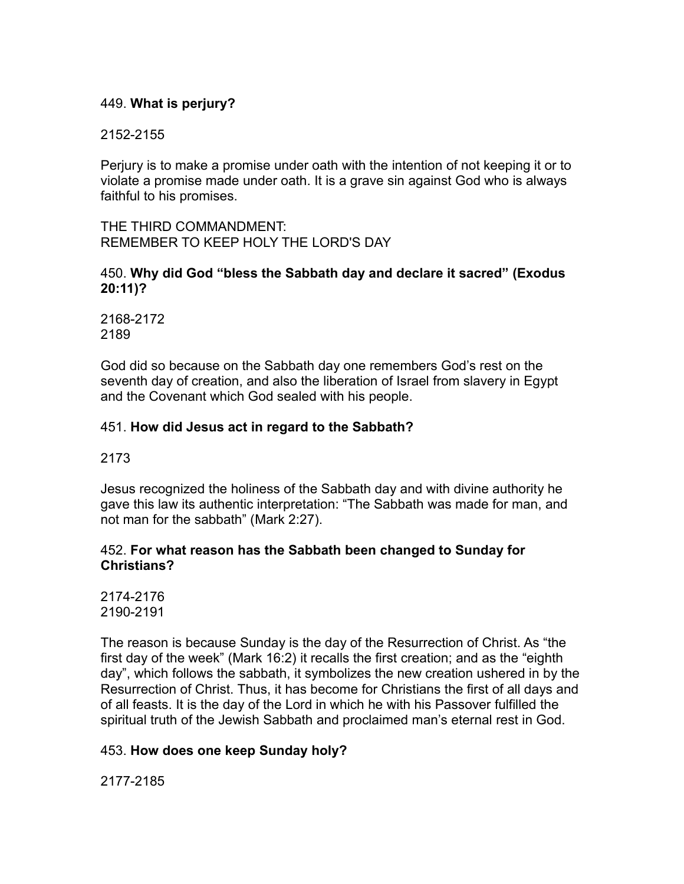## 449. **What is perjury?**

### 2152-2155

Perjury is to make a promise under oath with the intention of not keeping it or to violate a promise made under oath. It is a grave sin against God who is always faithful to his promises.

THE THIRD COMMANDMENT: REMEMBER TO KEEP HOLY THE LORD'S DAY

#### 450. **Why did God "bless the Sabbath day and declare it sacred" (Exodus 20:11)?**

2168-2172 2189

God did so because on the Sabbath day one remembers God's rest on the seventh day of creation, and also the liberation of Israel from slavery in Egypt and the Covenant which God sealed with his people.

## 451. **How did Jesus act in regard to the Sabbath?**

2173

Jesus recognized the holiness of the Sabbath day and with divine authority he gave this law its authentic interpretation: "The Sabbath was made for man, and not man for the sabbath" (Mark 2:27).

### 452. **For what reason has the Sabbath been changed to Sunday for Christians?**

2174-2176 2190-2191

The reason is because Sunday is the day of the Resurrection of Christ. As "the first day of the week" (Mark 16:2) it recalls the first creation; and as the "eighth day", which follows the sabbath, it symbolizes the new creation ushered in by the Resurrection of Christ. Thus, it has become for Christians the first of all days and of all feasts. It is the day of the Lord in which he with his Passover fulfilled the spiritual truth of the Jewish Sabbath and proclaimed man's eternal rest in God.

# 453. **How does one keep Sunday holy?**

2177-2185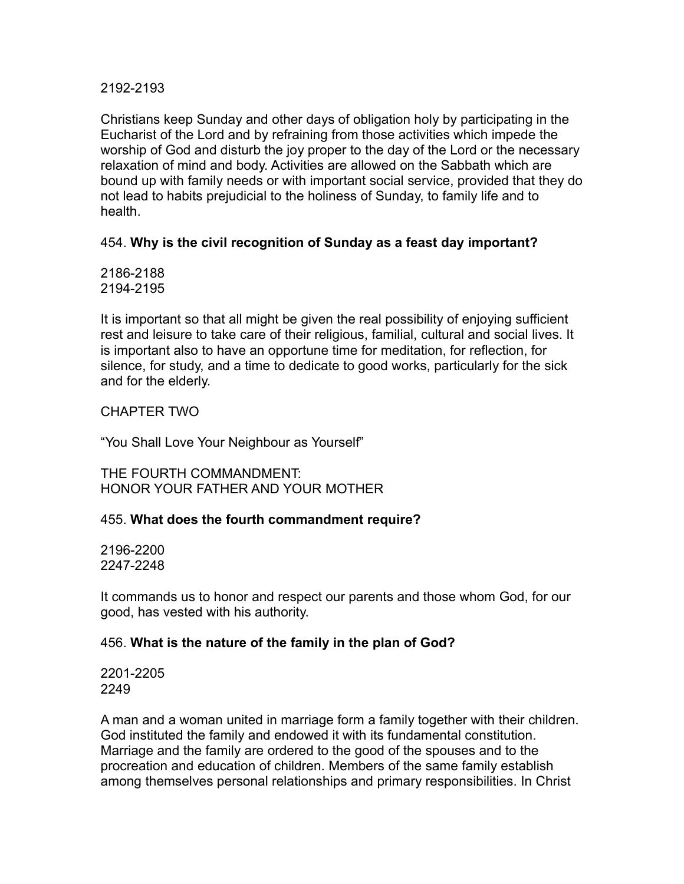#### 2192-2193

Christians keep Sunday and other days of obligation holy by participating in the Eucharist of the Lord and by refraining from those activities which impede the worship of God and disturb the joy proper to the day of the Lord or the necessary relaxation of mind and body. Activities are allowed on the Sabbath which are bound up with family needs or with important social service, provided that they do not lead to habits prejudicial to the holiness of Sunday, to family life and to health.

## 454. **Why is the civil recognition of Sunday as a feast day important?**

2186-2188 2194-2195

It is important so that all might be given the real possibility of enjoying sufficient rest and leisure to take care of their religious, familial, cultural and social lives. It is important also to have an opportune time for meditation, for reflection, for silence, for study, and a time to dedicate to good works, particularly for the sick and for the elderly.

CHAPTER TWO

"You Shall Love Your Neighbour as Yourself"

THE FOURTH COMMANDMENT: HONOR YOUR FATHER AND YOUR MOTHER

### 455. **What does the fourth commandment require?**

2196-2200 2247-2248

It commands us to honor and respect our parents and those whom God, for our good, has vested with his authority.

# 456. **What is the nature of the family in the plan of God?**

2201-2205 2249

A man and a woman united in marriage form a family together with their children. God instituted the family and endowed it with its fundamental constitution. Marriage and the family are ordered to the good of the spouses and to the procreation and education of children. Members of the same family establish among themselves personal relationships and primary responsibilities. In Christ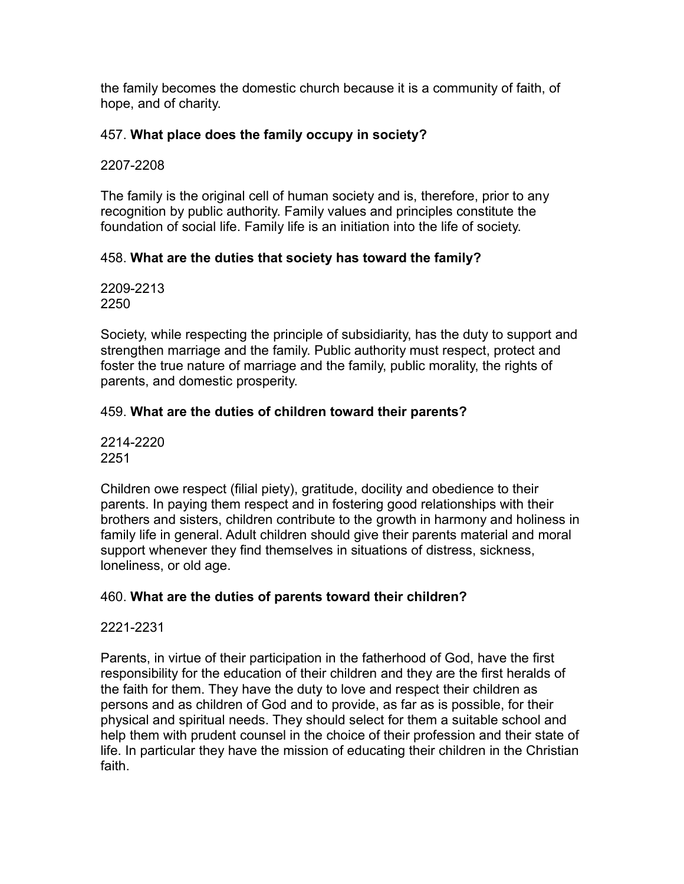the family becomes the domestic church because it is a community of faith, of hope, and of charity.

# 457. **What place does the family occupy in society?**

# 2207-2208

The family is the original cell of human society and is, therefore, prior to any recognition by public authority. Family values and principles constitute the foundation of social life. Family life is an initiation into the life of society.

# 458. **What are the duties that society has toward the family?**

2209-2213 2250

Society, while respecting the principle of subsidiarity, has the duty to support and strengthen marriage and the family. Public authority must respect, protect and foster the true nature of marriage and the family, public morality, the rights of parents, and domestic prosperity.

# 459. **What are the duties of children toward their parents?**

2214-2220 2251

Children owe respect (filial piety), gratitude, docility and obedience to their parents. In paying them respect and in fostering good relationships with their brothers and sisters, children contribute to the growth in harmony and holiness in family life in general. Adult children should give their parents material and moral support whenever they find themselves in situations of distress, sickness, loneliness, or old age.

# 460. **What are the duties of parents toward their children?**

# 2221-2231

Parents, in virtue of their participation in the fatherhood of God, have the first responsibility for the education of their children and they are the first heralds of the faith for them. They have the duty to love and respect their children as persons and as children of God and to provide, as far as is possible, for their physical and spiritual needs. They should select for them a suitable school and help them with prudent counsel in the choice of their profession and their state of life. In particular they have the mission of educating their children in the Christian faith.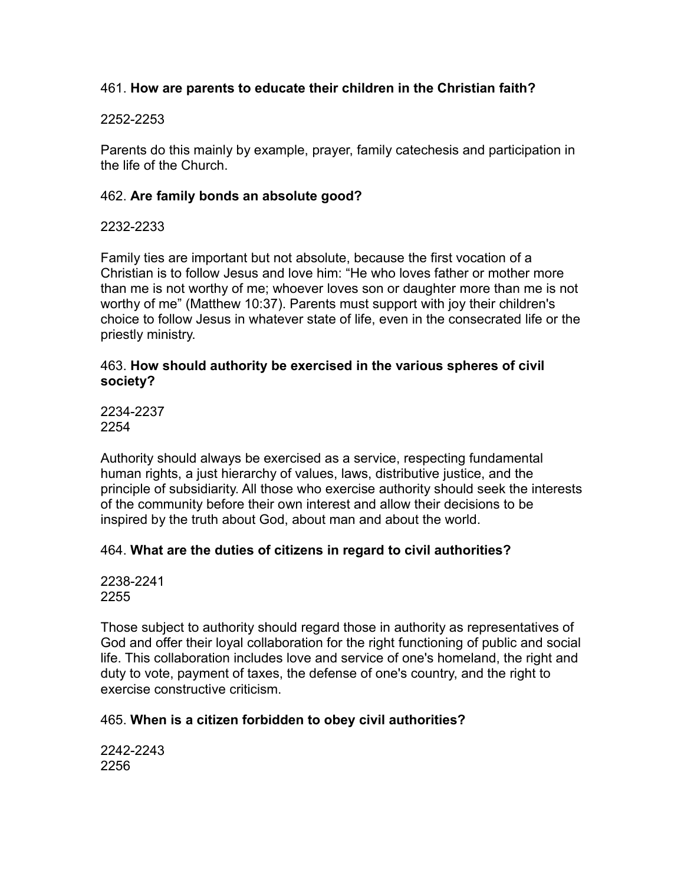## 461. **How are parents to educate their children in the Christian faith?**

### 2252-2253

Parents do this mainly by example, prayer, family catechesis and participation in the life of the Church.

## 462. **Are family bonds an absolute good?**

## 2232-2233

Family ties are important but not absolute, because the first vocation of a Christian is to follow Jesus and love him: "He who loves father or mother more than me is not worthy of me; whoever loves son or daughter more than me is not worthy of me" (Matthew 10:37). Parents must support with joy their children's choice to follow Jesus in whatever state of life, even in the consecrated life or the priestly ministry.

## 463. **How should authority be exercised in the various spheres of civil society?**

2234-2237 2254

Authority should always be exercised as a service, respecting fundamental human rights, a just hierarchy of values, laws, distributive justice, and the principle of subsidiarity. All those who exercise authority should seek the interests of the community before their own interest and allow their decisions to be inspired by the truth about God, about man and about the world.

# 464. **What are the duties of citizens in regard to civil authorities?**

2238-2241 2255

Those subject to authority should regard those in authority as representatives of God and offer their loyal collaboration for the right functioning of public and social life. This collaboration includes love and service of one's homeland, the right and duty to vote, payment of taxes, the defense of one's country, and the right to exercise constructive criticism.

### 465. **When is a citizen forbidden to obey civil authorities?**

2242-2243 2256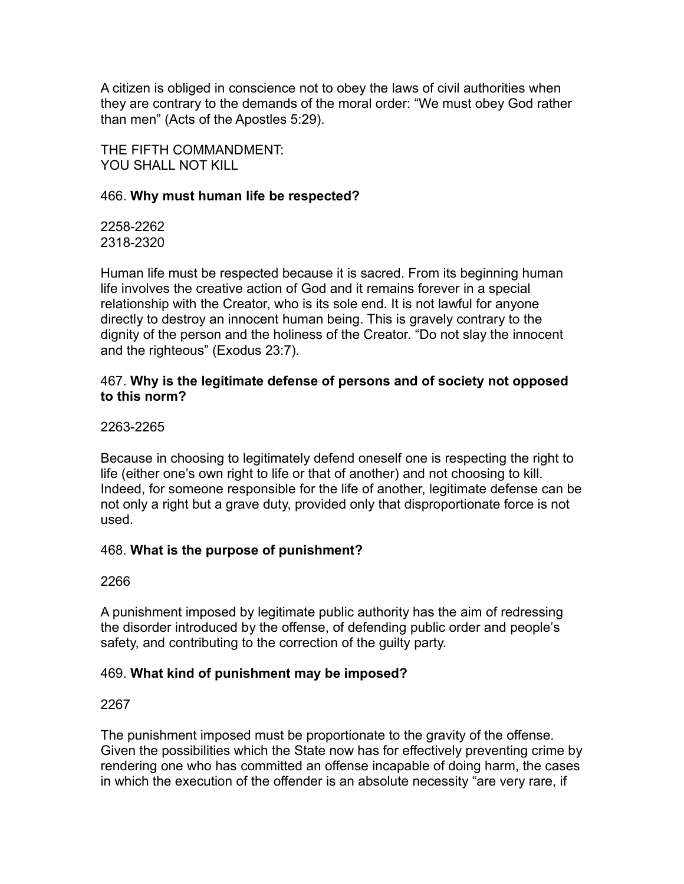A citizen is obliged in conscience not to obey the laws of civil authorities when they are contrary to the demands of the moral order: "We must obey God rather than men" (Acts of the Apostles 5:29).

THE FIFTH COMMANDMENT: YOU SHALL NOT KILL

## 466. **Why must human life be respected?**

2258-2262 2318-2320

Human life must be respected because it is sacred. From its beginning human life involves the creative action of God and it remains forever in a special relationship with the Creator, who is its sole end. It is not lawful for anyone directly to destroy an innocent human being. This is gravely contrary to the dignity of the person and the holiness of the Creator. "Do not slay the innocent and the righteous" (Exodus 23:7).

### 467. **Why is the legitimate defense of persons and of society not opposed to this norm?**

## 2263-2265

Because in choosing to legitimately defend oneself one is respecting the right to life (either one's own right to life or that of another) and not choosing to kill. Indeed, for someone responsible for the life of another, legitimate defense can be not only a right but a grave duty, provided only that disproportionate force is not used.

# 468. **What is the purpose of punishment?**

### 2266

A punishment imposed by legitimate public authority has the aim of redressing the disorder introduced by the offense, of defending public order and people's safety, and contributing to the correction of the guilty party.

### 469. **What kind of punishment may be imposed?**

# 2267

The punishment imposed must be proportionate to the gravity of the offense. Given the possibilities which the State now has for effectively preventing crime by rendering one who has committed an offense incapable of doing harm, the cases in which the execution of the offender is an absolute necessity "are very rare, if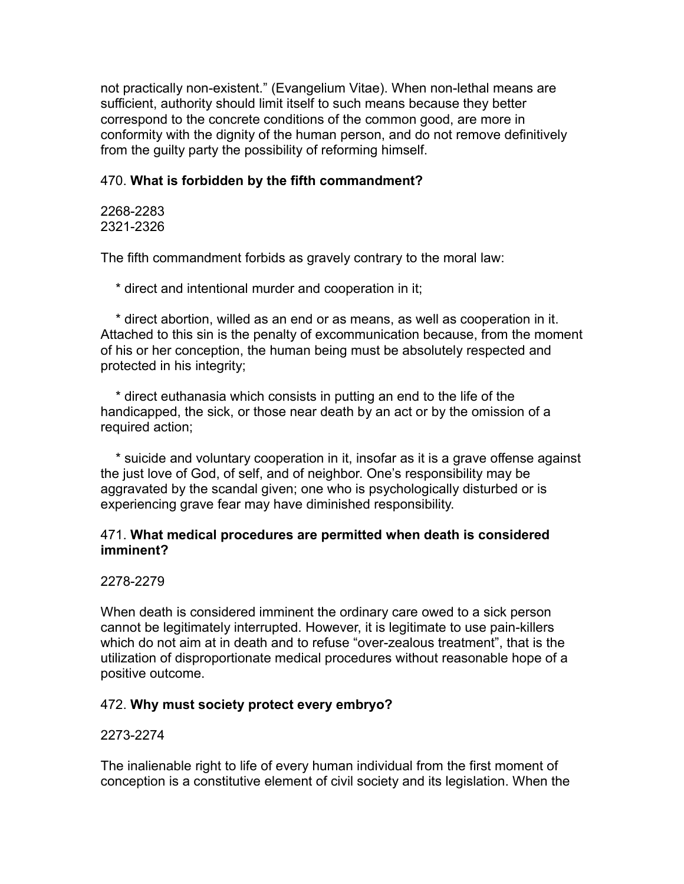not practically non-existent." (Evangelium Vitae). When non-lethal means are sufficient, authority should limit itself to such means because they better correspond to the concrete conditions of the common good, are more in conformity with the dignity of the human person, and do not remove definitively from the guilty party the possibility of reforming himself.

### 470. **What is forbidden by the fifth commandment?**

2268-2283 2321-2326

The fifth commandment forbids as gravely contrary to the moral law:

\* direct and intentional murder and cooperation in it;

 \* direct abortion, willed as an end or as means, as well as cooperation in it. Attached to this sin is the penalty of excommunication because, from the moment of his or her conception, the human being must be absolutely respected and protected in his integrity;

 \* direct euthanasia which consists in putting an end to the life of the handicapped, the sick, or those near death by an act or by the omission of a required action;

 \* suicide and voluntary cooperation in it, insofar as it is a grave offense against the just love of God, of self, and of neighbor. One's responsibility may be aggravated by the scandal given; one who is psychologically disturbed or is experiencing grave fear may have diminished responsibility.

## 471. **What medical procedures are permitted when death is considered imminent?**

# 2278-2279

When death is considered imminent the ordinary care owed to a sick person cannot be legitimately interrupted. However, it is legitimate to use pain-killers which do not aim at in death and to refuse "over-zealous treatment", that is the utilization of disproportionate medical procedures without reasonable hope of a positive outcome.

# 472. **Why must society protect every embryo?**

# 2273-2274

The inalienable right to life of every human individual from the first moment of conception is a constitutive element of civil society and its legislation. When the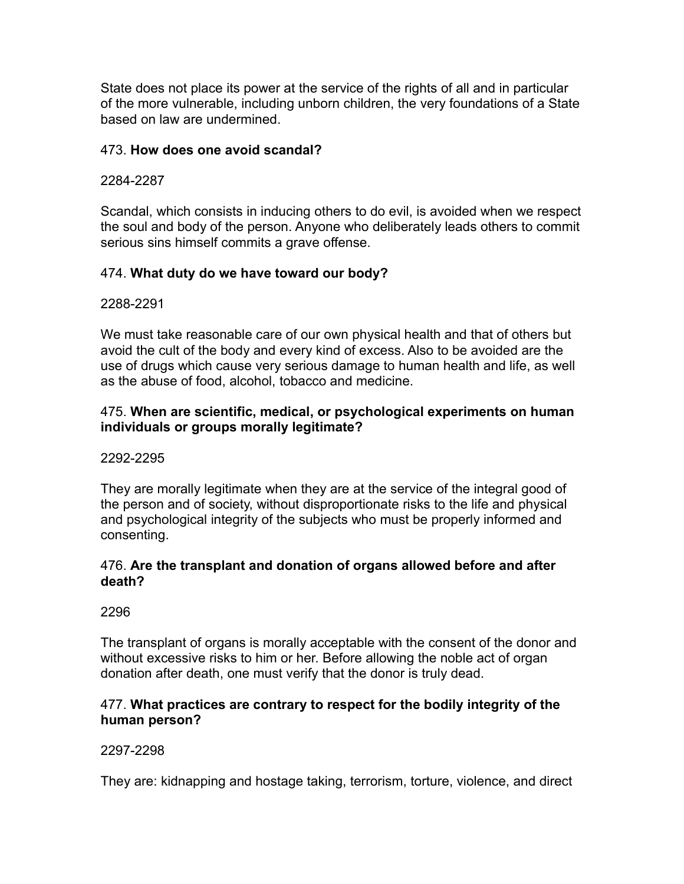State does not place its power at the service of the rights of all and in particular of the more vulnerable, including unborn children, the very foundations of a State based on law are undermined.

### 473. **How does one avoid scandal?**

## 2284-2287

Scandal, which consists in inducing others to do evil, is avoided when we respect the soul and body of the person. Anyone who deliberately leads others to commit serious sins himself commits a grave offense.

# 474. **What duty do we have toward our body?**

## 2288-2291

We must take reasonable care of our own physical health and that of others but avoid the cult of the body and every kind of excess. Also to be avoided are the use of drugs which cause very serious damage to human health and life, as well as the abuse of food, alcohol, tobacco and medicine.

## 475. **When are scientific, medical, or psychological experiments on human individuals or groups morally legitimate?**

# 2292-2295

They are morally legitimate when they are at the service of the integral good of the person and of society, without disproportionate risks to the life and physical and psychological integrity of the subjects who must be properly informed and consenting.

## 476. **Are the transplant and donation of organs allowed before and after death?**

# 2296

The transplant of organs is morally acceptable with the consent of the donor and without excessive risks to him or her. Before allowing the noble act of organ donation after death, one must verify that the donor is truly dead.

### 477. **What practices are contrary to respect for the bodily integrity of the human person?**

### 2297-2298

They are: kidnapping and hostage taking, terrorism, torture, violence, and direct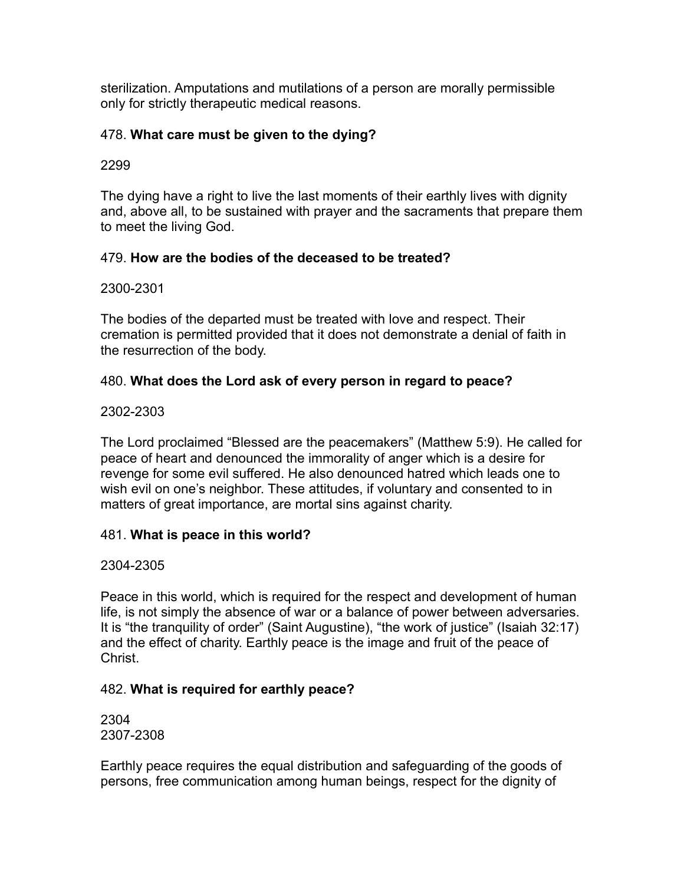sterilization. Amputations and mutilations of a person are morally permissible only for strictly therapeutic medical reasons.

# 478. **What care must be given to the dying?**

# 2299

The dying have a right to live the last moments of their earthly lives with dignity and, above all, to be sustained with prayer and the sacraments that prepare them to meet the living God.

# 479. **How are the bodies of the deceased to be treated?**

# 2300-2301

The bodies of the departed must be treated with love and respect. Their cremation is permitted provided that it does not demonstrate a denial of faith in the resurrection of the body.

# 480. **What does the Lord ask of every person in regard to peace?**

# 2302-2303

The Lord proclaimed "Blessed are the peacemakers" (Matthew 5:9). He called for peace of heart and denounced the immorality of anger which is a desire for revenge for some evil suffered. He also denounced hatred which leads one to wish evil on one's neighbor. These attitudes, if voluntary and consented to in matters of great importance, are mortal sins against charity.

# 481. **What is peace in this world?**

# 2304-2305

Peace in this world, which is required for the respect and development of human life, is not simply the absence of war or a balance of power between adversaries. It is "the tranquility of order" (Saint Augustine), "the work of justice" (Isaiah 32:17) and the effect of charity. Earthly peace is the image and fruit of the peace of Christ.

# 482. **What is required for earthly peace?**

2304 2307-2308

Earthly peace requires the equal distribution and safeguarding of the goods of persons, free communication among human beings, respect for the dignity of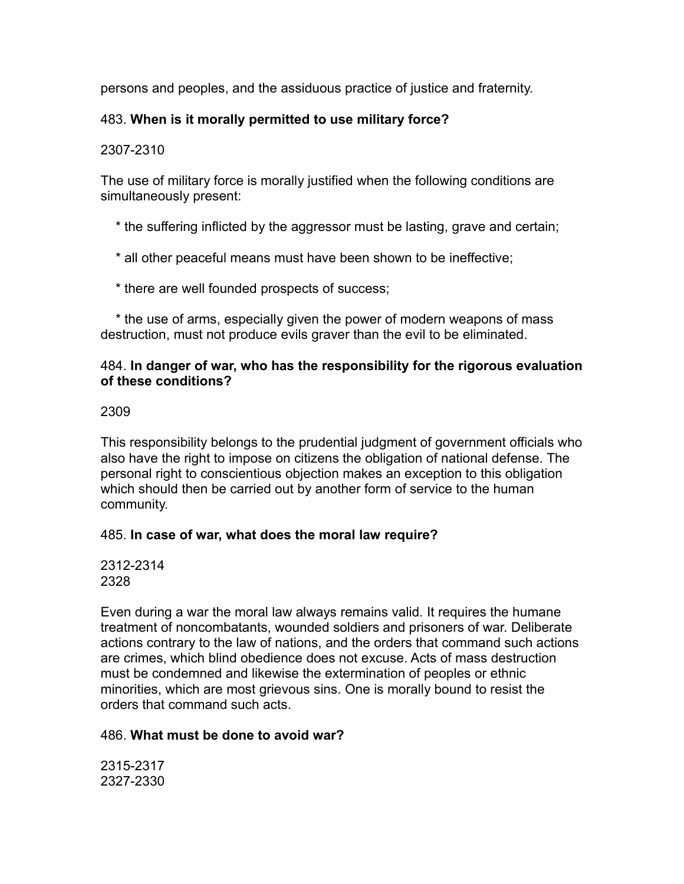persons and peoples, and the assiduous practice of justice and fraternity.

# 483. **When is it morally permitted to use military force?**

# 2307-2310

The use of military force is morally justified when the following conditions are simultaneously present:

\* the suffering inflicted by the aggressor must be lasting, grave and certain;

- \* all other peaceful means must have been shown to be ineffective;
- \* there are well founded prospects of success;

 \* the use of arms, especially given the power of modern weapons of mass destruction, must not produce evils graver than the evil to be eliminated.

# 484. **In danger of war, who has the responsibility for the rigorous evaluation of these conditions?**

# 2309

This responsibility belongs to the prudential judgment of government officials who also have the right to impose on citizens the obligation of national defense. The personal right to conscientious objection makes an exception to this obligation which should then be carried out by another form of service to the human community.

# 485. **In case of war, what does the moral law require?**

2312-2314 2328

Even during a war the moral law always remains valid. It requires the humane treatment of noncombatants, wounded soldiers and prisoners of war. Deliberate actions contrary to the law of nations, and the orders that command such actions are crimes, which blind obedience does not excuse. Acts of mass destruction must be condemned and likewise the extermination of peoples or ethnic minorities, which are most grievous sins. One is morally bound to resist the orders that command such acts.

# 486. **What must be done to avoid war?**

2315-2317 2327-2330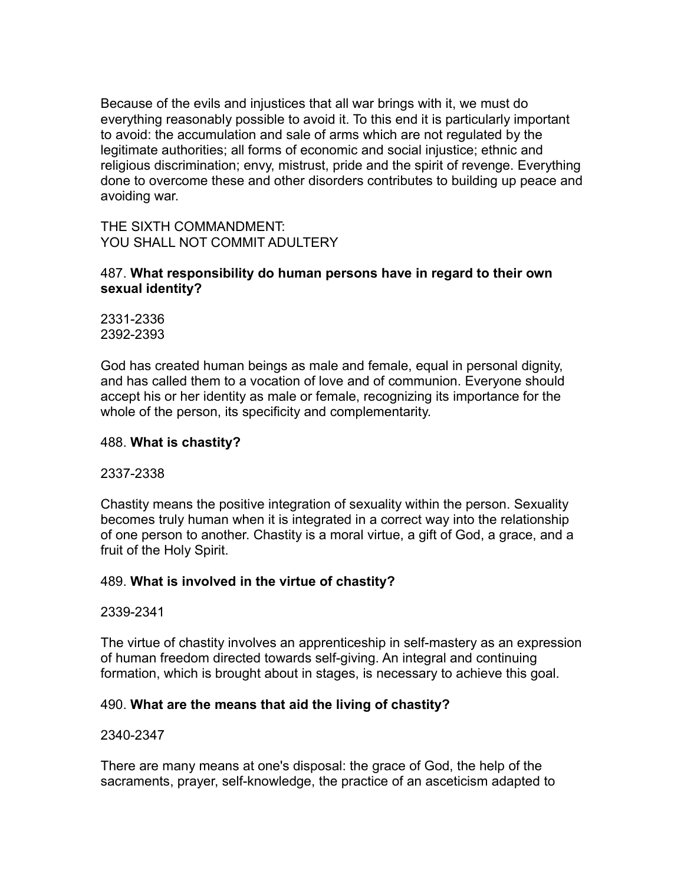Because of the evils and injustices that all war brings with it, we must do everything reasonably possible to avoid it. To this end it is particularly important to avoid: the accumulation and sale of arms which are not regulated by the legitimate authorities; all forms of economic and social injustice; ethnic and religious discrimination; envy, mistrust, pride and the spirit of revenge. Everything done to overcome these and other disorders contributes to building up peace and avoiding war.

THE SIXTH COMMANDMENT: YOU SHALL NOT COMMIT ADULTERY

### 487. **What responsibility do human persons have in regard to their own sexual identity?**

2331-2336 2392-2393

God has created human beings as male and female, equal in personal dignity, and has called them to a vocation of love and of communion. Everyone should accept his or her identity as male or female, recognizing its importance for the whole of the person, its specificity and complementarity.

## 488. **What is chastity?**

### 2337-2338

Chastity means the positive integration of sexuality within the person. Sexuality becomes truly human when it is integrated in a correct way into the relationship of one person to another. Chastity is a moral virtue, a gift of God, a grace, and a fruit of the Holy Spirit.

### 489. **What is involved in the virtue of chastity?**

### 2339-2341

The virtue of chastity involves an apprenticeship in self-mastery as an expression of human freedom directed towards self-giving. An integral and continuing formation, which is brought about in stages, is necessary to achieve this goal.

### 490. **What are the means that aid the living of chastity?**

### 2340-2347

There are many means at one's disposal: the grace of God, the help of the sacraments, prayer, self-knowledge, the practice of an asceticism adapted to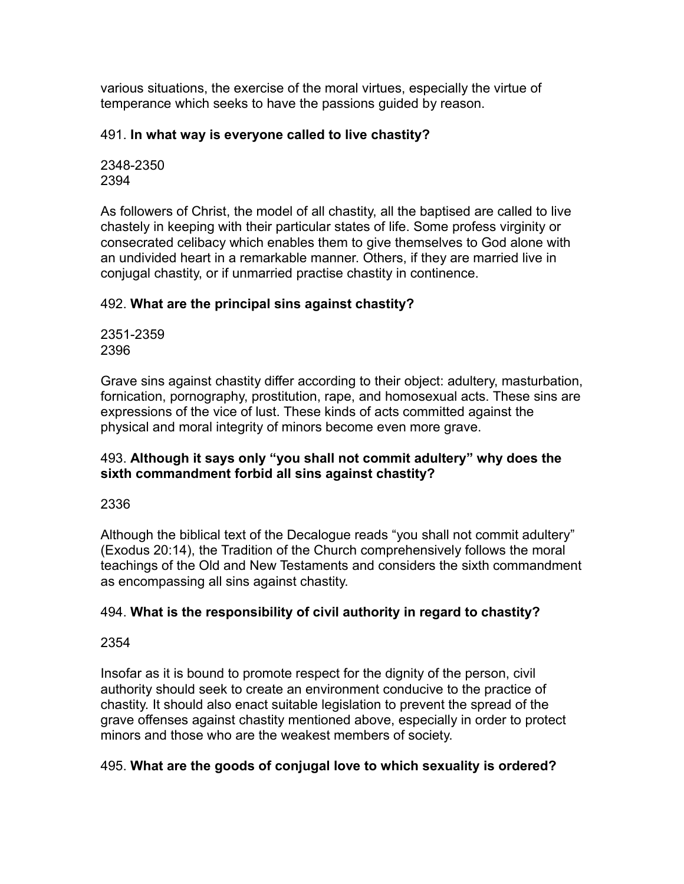various situations, the exercise of the moral virtues, especially the virtue of temperance which seeks to have the passions guided by reason.

# 491. **In what way is everyone called to live chastity?**

2348-2350 2394

As followers of Christ, the model of all chastity, all the baptised are called to live chastely in keeping with their particular states of life. Some profess virginity or consecrated celibacy which enables them to give themselves to God alone with an undivided heart in a remarkable manner. Others, if they are married live in conjugal chastity, or if unmarried practise chastity in continence.

# 492. **What are the principal sins against chastity?**

2351-2359 2396

Grave sins against chastity differ according to their object: adultery, masturbation, fornication, pornography, prostitution, rape, and homosexual acts. These sins are expressions of the vice of lust. These kinds of acts committed against the physical and moral integrity of minors become even more grave.

## 493. **Although it says only "you shall not commit adultery" why does the sixth commandment forbid all sins against chastity?**

2336

Although the biblical text of the Decalogue reads "you shall not commit adultery" (Exodus 20:14), the Tradition of the Church comprehensively follows the moral teachings of the Old and New Testaments and considers the sixth commandment as encompassing all sins against chastity.

# 494. **What is the responsibility of civil authority in regard to chastity?**

# 2354

Insofar as it is bound to promote respect for the dignity of the person, civil authority should seek to create an environment conducive to the practice of chastity. It should also enact suitable legislation to prevent the spread of the grave offenses against chastity mentioned above, especially in order to protect minors and those who are the weakest members of society.

# 495. **What are the goods of conjugal love to which sexuality is ordered?**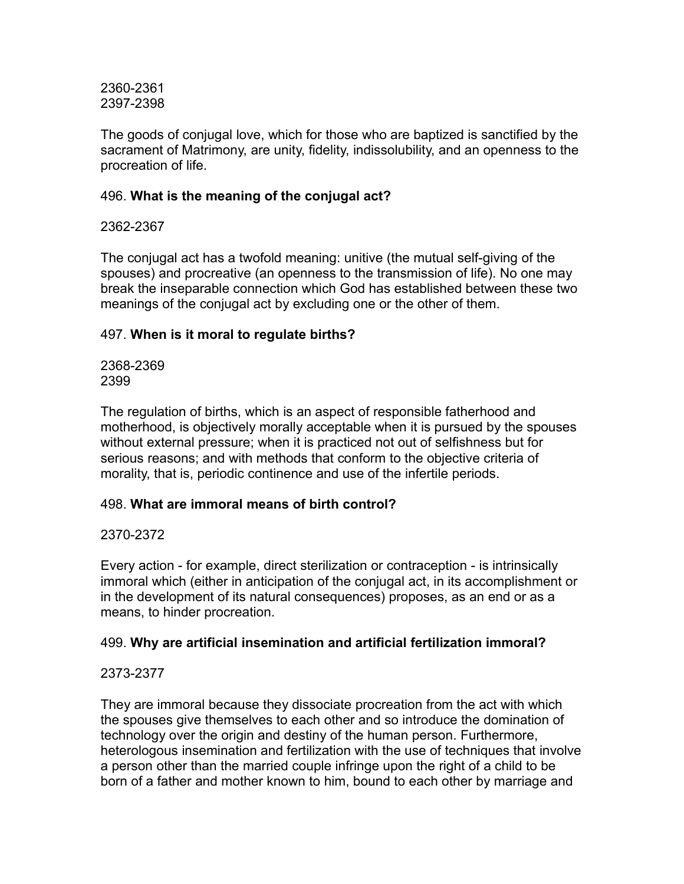2360-2361 2397-2398

The goods of conjugal love, which for those who are baptized is sanctified by the sacrament of Matrimony, are unity, fidelity, indissolubility, and an openness to the procreation of life.

# 496. **What is the meaning of the conjugal act?**

2362-2367

The conjugal act has a twofold meaning: unitive (the mutual self-giving of the spouses) and procreative (an openness to the transmission of life). No one may break the inseparable connection which God has established between these two meanings of the conjugal act by excluding one or the other of them.

## 497. **When is it moral to regulate births?**

2368-2369 2399

The regulation of births, which is an aspect of responsible fatherhood and motherhood, is objectively morally acceptable when it is pursued by the spouses without external pressure; when it is practiced not out of selfishness but for serious reasons; and with methods that conform to the objective criteria of morality, that is, periodic continence and use of the infertile periods.

# 498. **What are immoral means of birth control?**

### 2370-2372

Every action - for example, direct sterilization or contraception - is intrinsically immoral which (either in anticipation of the conjugal act, in its accomplishment or in the development of its natural consequences) proposes, as an end or as a means, to hinder procreation.

# 499. **Why are artificial insemination and artificial fertilization immoral?**

# 2373-2377

They are immoral because they dissociate procreation from the act with which the spouses give themselves to each other and so introduce the domination of technology over the origin and destiny of the human person. Furthermore, heterologous insemination and fertilization with the use of techniques that involve a person other than the married couple infringe upon the right of a child to be born of a father and mother known to him, bound to each other by marriage and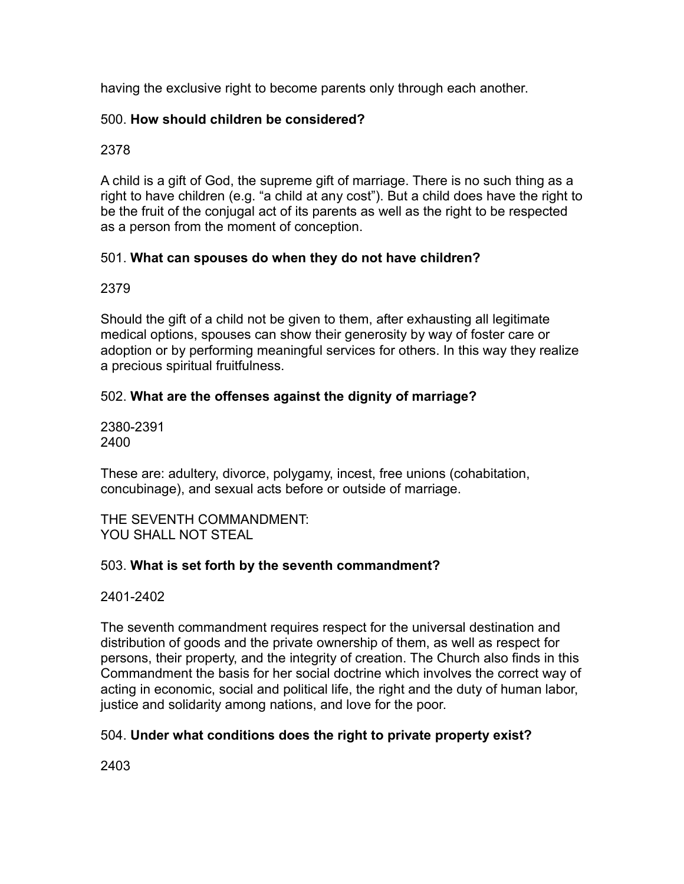having the exclusive right to become parents only through each another.

# 500. **How should children be considered?**

# 2378

A child is a gift of God, the supreme gift of marriage. There is no such thing as a right to have children (e.g. "a child at any cost"). But a child does have the right to be the fruit of the conjugal act of its parents as well as the right to be respected as a person from the moment of conception.

# 501. **What can spouses do when they do not have children?**

# 2379

Should the gift of a child not be given to them, after exhausting all legitimate medical options, spouses can show their generosity by way of foster care or adoption or by performing meaningful services for others. In this way they realize a precious spiritual fruitfulness.

# 502. **What are the offenses against the dignity of marriage?**

2380-2391 2400

These are: adultery, divorce, polygamy, incest, free unions (cohabitation, concubinage), and sexual acts before or outside of marriage.

THE SEVENTH COMMANDMENT: YOU SHALL NOT STEAL

# 503. **What is set forth by the seventh commandment?**

2401-2402

The seventh commandment requires respect for the universal destination and distribution of goods and the private ownership of them, as well as respect for persons, their property, and the integrity of creation. The Church also finds in this Commandment the basis for her social doctrine which involves the correct way of acting in economic, social and political life, the right and the duty of human labor, justice and solidarity among nations, and love for the poor.

# 504. **Under what conditions does the right to private property exist?**

2403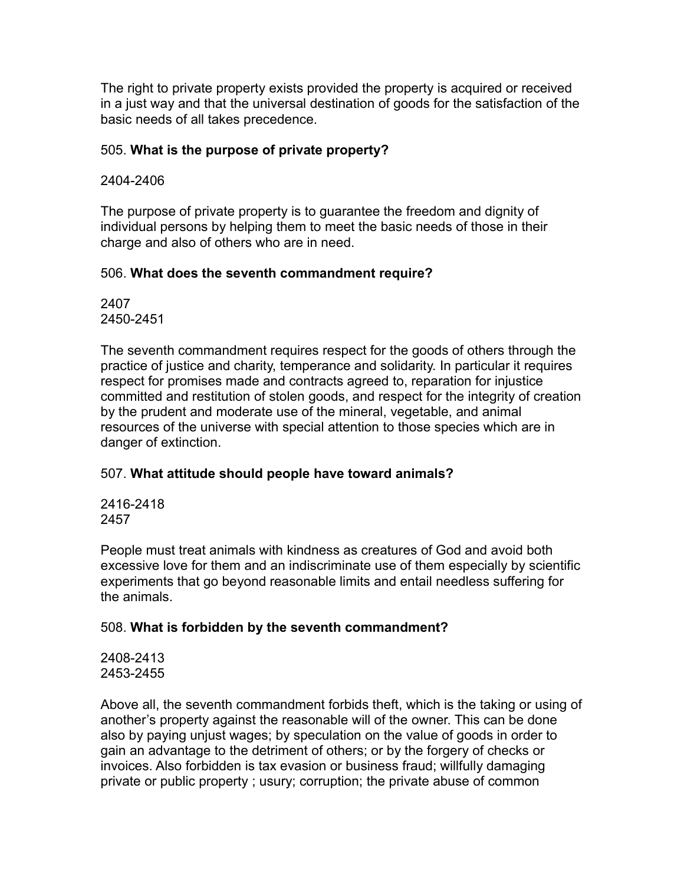The right to private property exists provided the property is acquired or received in a just way and that the universal destination of goods for the satisfaction of the basic needs of all takes precedence.

## 505. **What is the purpose of private property?**

2404-2406

The purpose of private property is to guarantee the freedom and dignity of individual persons by helping them to meet the basic needs of those in their charge and also of others who are in need.

# 506. **What does the seventh commandment require?**

2407 2450-2451

The seventh commandment requires respect for the goods of others through the practice of justice and charity, temperance and solidarity. In particular it requires respect for promises made and contracts agreed to, reparation for injustice committed and restitution of stolen goods, and respect for the integrity of creation by the prudent and moderate use of the mineral, vegetable, and animal resources of the universe with special attention to those species which are in danger of extinction.

# 507. **What attitude should people have toward animals?**

2416-2418 2457

People must treat animals with kindness as creatures of God and avoid both excessive love for them and an indiscriminate use of them especially by scientific experiments that go beyond reasonable limits and entail needless suffering for the animals.

# 508. **What is forbidden by the seventh commandment?**

2408-2413 2453-2455

Above all, the seventh commandment forbids theft, which is the taking or using of another's property against the reasonable will of the owner. This can be done also by paying unjust wages; by speculation on the value of goods in order to gain an advantage to the detriment of others; or by the forgery of checks or invoices. Also forbidden is tax evasion or business fraud; willfully damaging private or public property ; usury; corruption; the private abuse of common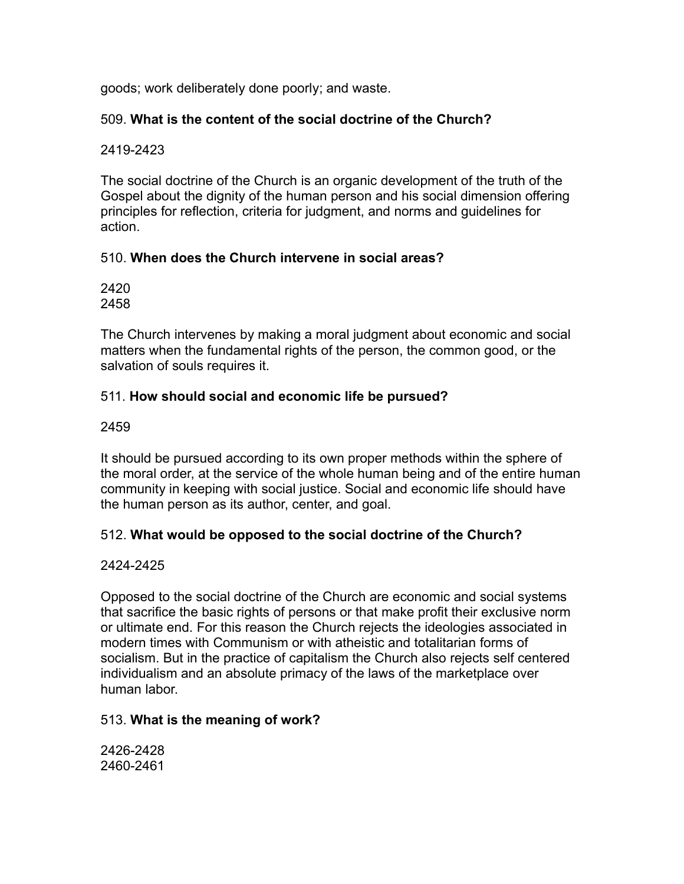goods; work deliberately done poorly; and waste.

# 509. **What is the content of the social doctrine of the Church?**

# 2419-2423

The social doctrine of the Church is an organic development of the truth of the Gospel about the dignity of the human person and his social dimension offering principles for reflection, criteria for judgment, and norms and guidelines for action.

# 510. **When does the Church intervene in social areas?**

2420 2458

The Church intervenes by making a moral judgment about economic and social matters when the fundamental rights of the person, the common good, or the salvation of souls requires it.

# 511. **How should social and economic life be pursued?**

## 2459

It should be pursued according to its own proper methods within the sphere of the moral order, at the service of the whole human being and of the entire human community in keeping with social justice. Social and economic life should have the human person as its author, center, and goal.

# 512. **What would be opposed to the social doctrine of the Church?**

### 2424-2425

Opposed to the social doctrine of the Church are economic and social systems that sacrifice the basic rights of persons or that make profit their exclusive norm or ultimate end. For this reason the Church rejects the ideologies associated in modern times with Communism or with atheistic and totalitarian forms of socialism. But in the practice of capitalism the Church also rejects self centered individualism and an absolute primacy of the laws of the marketplace over human labor.

### 513. **What is the meaning of work?**

2426-2428 2460-2461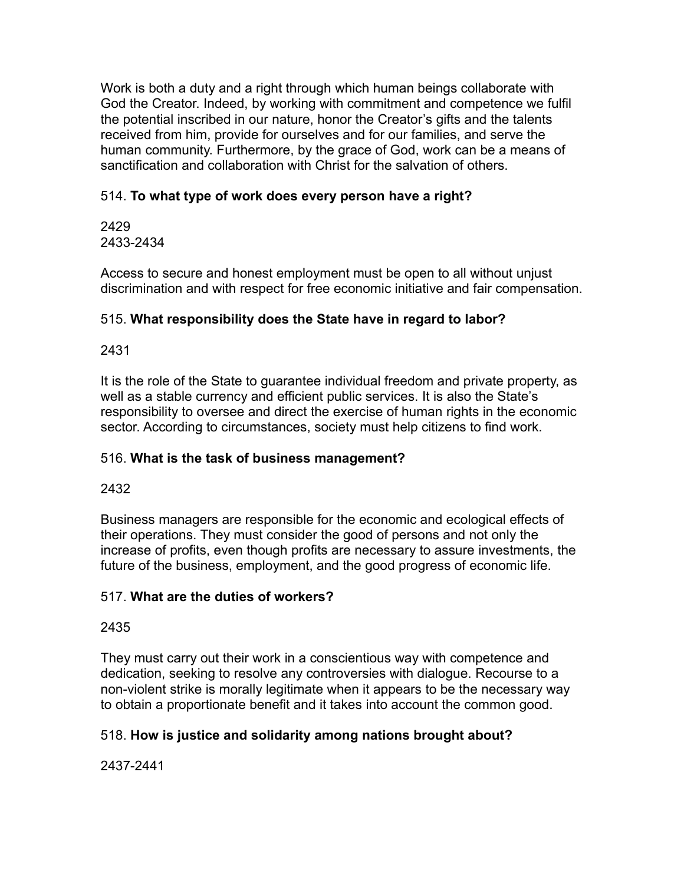Work is both a duty and a right through which human beings collaborate with God the Creator. Indeed, by working with commitment and competence we fulfil the potential inscribed in our nature, honor the Creator's gifts and the talents received from him, provide for ourselves and for our families, and serve the human community. Furthermore, by the grace of God, work can be a means of sanctification and collaboration with Christ for the salvation of others.

# 514. **To what type of work does every person have a right?**

2429 2433-2434

Access to secure and honest employment must be open to all without unjust discrimination and with respect for free economic initiative and fair compensation.

# 515. **What responsibility does the State have in regard to labor?**

# 2431

It is the role of the State to guarantee individual freedom and private property, as well as a stable currency and efficient public services. It is also the State's responsibility to oversee and direct the exercise of human rights in the economic sector. According to circumstances, society must help citizens to find work.

# 516. **What is the task of business management?**

# 2432

Business managers are responsible for the economic and ecological effects of their operations. They must consider the good of persons and not only the increase of profits, even though profits are necessary to assure investments, the future of the business, employment, and the good progress of economic life.

# 517. **What are the duties of workers?**

# 2435

They must carry out their work in a conscientious way with competence and dedication, seeking to resolve any controversies with dialogue. Recourse to a non-violent strike is morally legitimate when it appears to be the necessary way to obtain a proportionate benefit and it takes into account the common good.

# 518. **How is justice and solidarity among nations brought about?**

2437-2441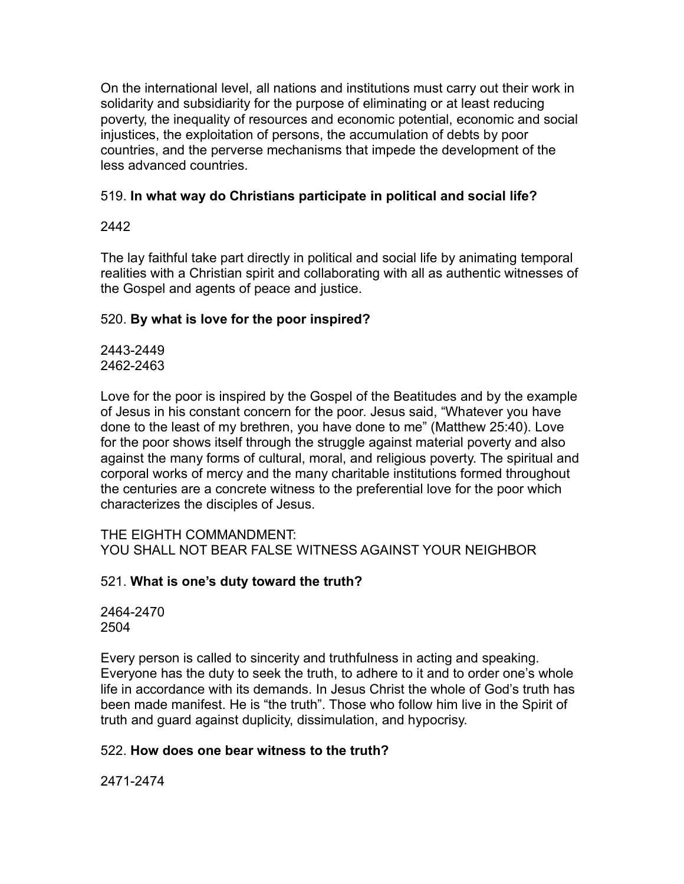On the international level, all nations and institutions must carry out their work in solidarity and subsidiarity for the purpose of eliminating or at least reducing poverty, the inequality of resources and economic potential, economic and social injustices, the exploitation of persons, the accumulation of debts by poor countries, and the perverse mechanisms that impede the development of the less advanced countries.

# 519. **In what way do Christians participate in political and social life?**

# 2442

The lay faithful take part directly in political and social life by animating temporal realities with a Christian spirit and collaborating with all as authentic witnesses of the Gospel and agents of peace and justice.

# 520. **By what is love for the poor inspired?**

2443-2449 2462-2463

Love for the poor is inspired by the Gospel of the Beatitudes and by the example of Jesus in his constant concern for the poor. Jesus said, "Whatever you have done to the least of my brethren, you have done to me" (Matthew 25:40). Love for the poor shows itself through the struggle against material poverty and also against the many forms of cultural, moral, and religious poverty. The spiritual and corporal works of mercy and the many charitable institutions formed throughout the centuries are a concrete witness to the preferential love for the poor which characterizes the disciples of Jesus.

THE EIGHTH COMMANDMENT: YOU SHALL NOT BEAR FALSE WITNESS AGAINST YOUR NEIGHBOR

### 521. **What is one's duty toward the truth?**

2464-2470 2504

Every person is called to sincerity and truthfulness in acting and speaking. Everyone has the duty to seek the truth, to adhere to it and to order one's whole life in accordance with its demands. In Jesus Christ the whole of God's truth has been made manifest. He is "the truth". Those who follow him live in the Spirit of truth and guard against duplicity, dissimulation, and hypocrisy.

# 522. **How does one bear witness to the truth?**

2471-2474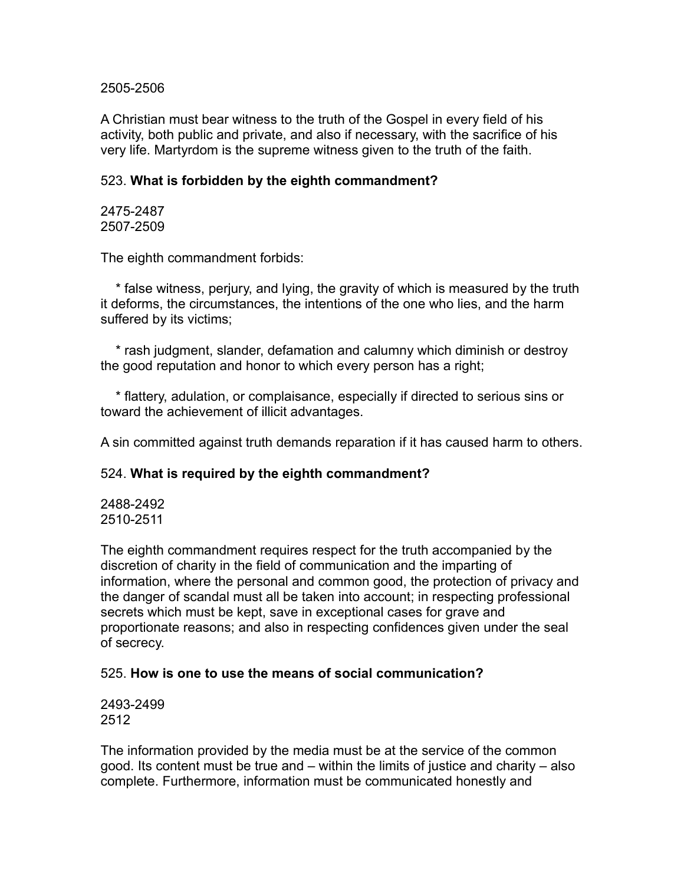#### 2505-2506

A Christian must bear witness to the truth of the Gospel in every field of his activity, both public and private, and also if necessary, with the sacrifice of his very life. Martyrdom is the supreme witness given to the truth of the faith.

### 523. **What is forbidden by the eighth commandment?**

2475-2487 2507-2509

The eighth commandment forbids:

 \* false witness, perjury, and lying, the gravity of which is measured by the truth it deforms, the circumstances, the intentions of the one who lies, and the harm suffered by its victims;

 \* rash judgment, slander, defamation and calumny which diminish or destroy the good reputation and honor to which every person has a right;

 \* flattery, adulation, or complaisance, especially if directed to serious sins or toward the achievement of illicit advantages.

A sin committed against truth demands reparation if it has caused harm to others.

# 524. **What is required by the eighth commandment?**

2488-2492 2510-2511

The eighth commandment requires respect for the truth accompanied by the discretion of charity in the field of communication and the imparting of information, where the personal and common good, the protection of privacy and the danger of scandal must all be taken into account; in respecting professional secrets which must be kept, save in exceptional cases for grave and proportionate reasons; and also in respecting confidences given under the seal of secrecy.

### 525. **How is one to use the means of social communication?**

2493-2499 2512

The information provided by the media must be at the service of the common good. Its content must be true and – within the limits of justice and charity – also complete. Furthermore, information must be communicated honestly and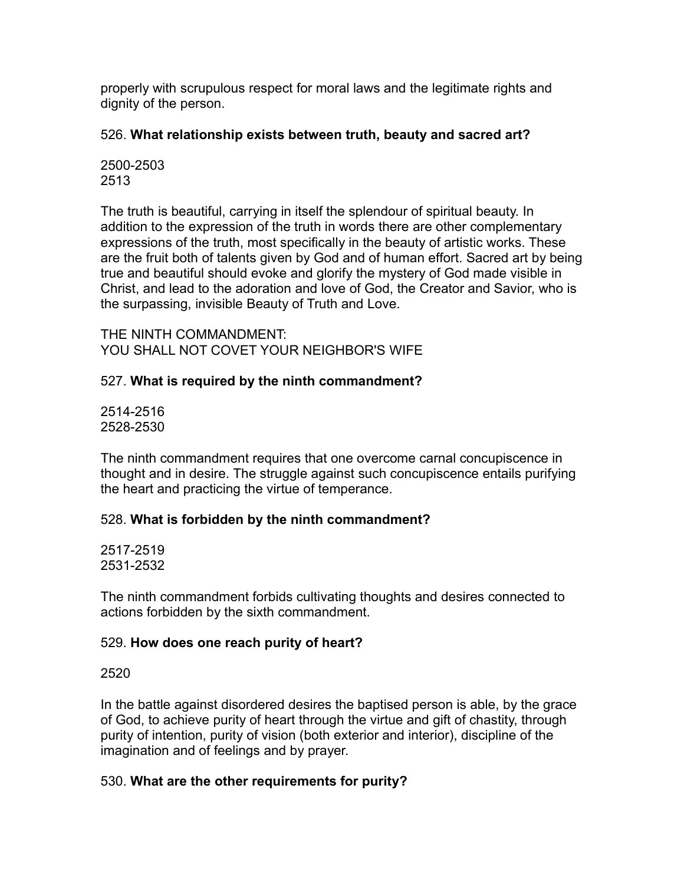properly with scrupulous respect for moral laws and the legitimate rights and dignity of the person.

### 526. **What relationship exists between truth, beauty and sacred art?**

2500-2503 2513

The truth is beautiful, carrying in itself the splendour of spiritual beauty. In addition to the expression of the truth in words there are other complementary expressions of the truth, most specifically in the beauty of artistic works. These are the fruit both of talents given by God and of human effort. Sacred art by being true and beautiful should evoke and glorify the mystery of God made visible in Christ, and lead to the adoration and love of God, the Creator and Savior, who is the surpassing, invisible Beauty of Truth and Love.

THE NINTH COMMANDMENT: YOU SHALL NOT COVET YOUR NEIGHBOR'S WIFE

## 527. **What is required by the ninth commandment?**

2514-2516 2528-2530

The ninth commandment requires that one overcome carnal concupiscence in thought and in desire. The struggle against such concupiscence entails purifying the heart and practicing the virtue of temperance.

# 528. **What is forbidden by the ninth commandment?**

2517-2519 2531-2532

The ninth commandment forbids cultivating thoughts and desires connected to actions forbidden by the sixth commandment.

# 529. **How does one reach purity of heart?**

2520

In the battle against disordered desires the baptised person is able, by the grace of God, to achieve purity of heart through the virtue and gift of chastity, through purity of intention, purity of vision (both exterior and interior), discipline of the imagination and of feelings and by prayer.

### 530. **What are the other requirements for purity?**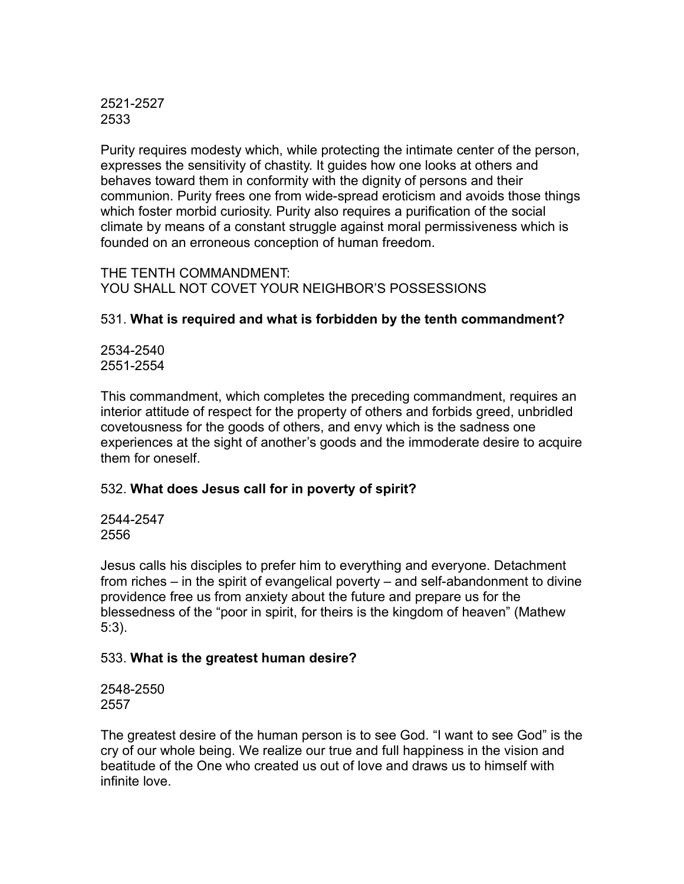2521-2527 2533

Purity requires modesty which, while protecting the intimate center of the person, expresses the sensitivity of chastity. It guides how one looks at others and behaves toward them in conformity with the dignity of persons and their communion. Purity frees one from wide-spread eroticism and avoids those things which foster morbid curiosity. Purity also requires a purification of the social climate by means of a constant struggle against moral permissiveness which is founded on an erroneous conception of human freedom.

THE TENTH COMMANDMENT: YOU SHALL NOT COVET YOUR NEIGHBOR'S POSSESSIONS

## 531. **What is required and what is forbidden by the tenth commandment?**

2534-2540 2551-2554

This commandment, which completes the preceding commandment, requires an interior attitude of respect for the property of others and forbids greed, unbridled covetousness for the goods of others, and envy which is the sadness one experiences at the sight of another's goods and the immoderate desire to acquire them for oneself.

# 532. **What does Jesus call for in poverty of spirit?**

2544-2547 2556

Jesus calls his disciples to prefer him to everything and everyone. Detachment from riches – in the spirit of evangelical poverty – and self-abandonment to divine providence free us from anxiety about the future and prepare us for the blessedness of the "poor in spirit, for theirs is the kingdom of heaven" (Mathew 5:3).

# 533. **What is the greatest human desire?**

2548-2550 2557

The greatest desire of the human person is to see God. "I want to see God" is the cry of our whole being. We realize our true and full happiness in the vision and beatitude of the One who created us out of love and draws us to himself with infinite love.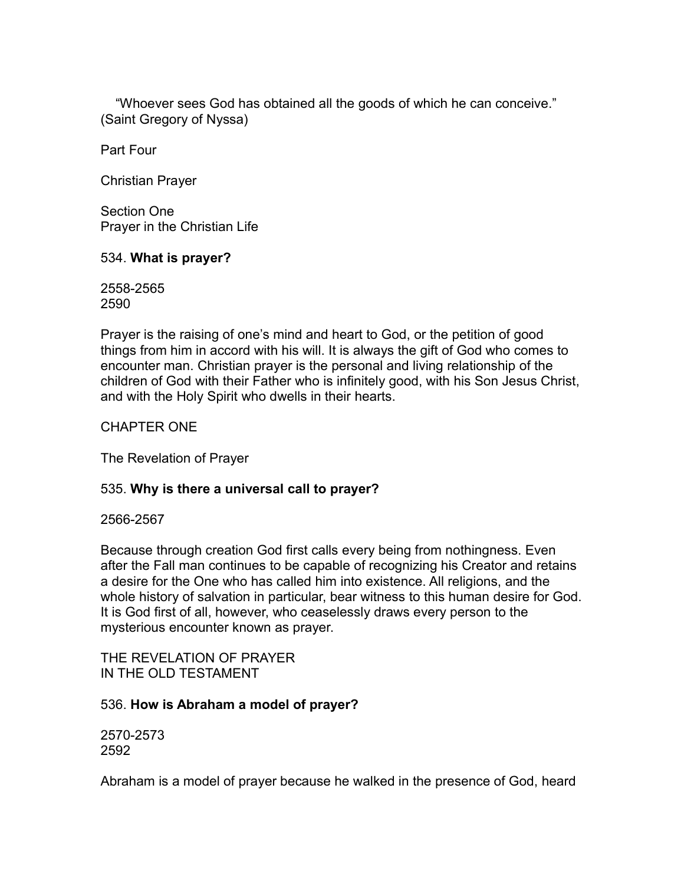"Whoever sees God has obtained all the goods of which he can conceive." (Saint Gregory of Nyssa)

Part Four

Christian Prayer

Section One Prayer in the Christian Life

## 534. **What is prayer?**

2558-2565 2590

Prayer is the raising of one's mind and heart to God, or the petition of good things from him in accord with his will. It is always the gift of God who comes to encounter man. Christian prayer is the personal and living relationship of the children of God with their Father who is infinitely good, with his Son Jesus Christ, and with the Holy Spirit who dwells in their hearts.

## CHAPTER ONE

The Revelation of Prayer

# 535. **Why is there a universal call to prayer?**

2566-2567

Because through creation God first calls every being from nothingness. Even after the Fall man continues to be capable of recognizing his Creator and retains a desire for the One who has called him into existence. All religions, and the whole history of salvation in particular, bear witness to this human desire for God. It is God first of all, however, who ceaselessly draws every person to the mysterious encounter known as prayer.

THE REVELATION OF PRAYER IN THE OLD TESTAMENT

### 536. **How is Abraham a model of prayer?**

2570-2573 2592

Abraham is a model of prayer because he walked in the presence of God, heard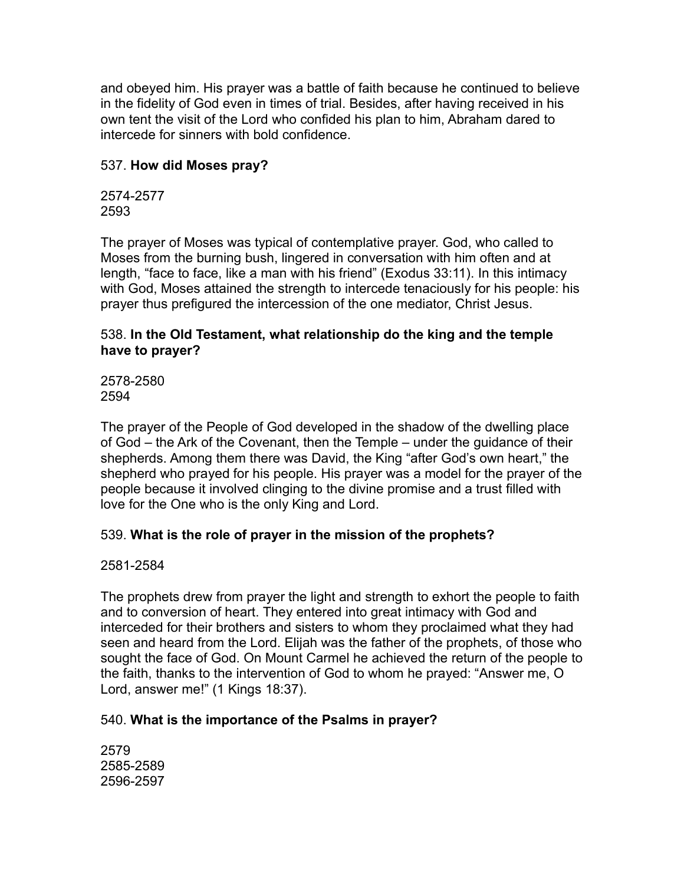and obeyed him. His prayer was a battle of faith because he continued to believe in the fidelity of God even in times of trial. Besides, after having received in his own tent the visit of the Lord who confided his plan to him, Abraham dared to intercede for sinners with bold confidence.

## 537. **How did Moses pray?**

2574-2577 2593

The prayer of Moses was typical of contemplative prayer. God, who called to Moses from the burning bush, lingered in conversation with him often and at length, "face to face, like a man with his friend" (Exodus 33:11). In this intimacy with God, Moses attained the strength to intercede tenaciously for his people: his prayer thus prefigured the intercession of the one mediator, Christ Jesus.

## 538. **In the Old Testament, what relationship do the king and the temple have to prayer?**

2578-2580 2594

The prayer of the People of God developed in the shadow of the dwelling place of God – the Ark of the Covenant, then the Temple – under the guidance of their shepherds. Among them there was David, the King "after God's own heart," the shepherd who prayed for his people. His prayer was a model for the prayer of the people because it involved clinging to the divine promise and a trust filled with love for the One who is the only King and Lord.

# 539. **What is the role of prayer in the mission of the prophets?**

2581-2584

The prophets drew from prayer the light and strength to exhort the people to faith and to conversion of heart. They entered into great intimacy with God and interceded for their brothers and sisters to whom they proclaimed what they had seen and heard from the Lord. Elijah was the father of the prophets, of those who sought the face of God. On Mount Carmel he achieved the return of the people to the faith, thanks to the intervention of God to whom he prayed: "Answer me, O Lord, answer me!" (1 Kings 18:37).

### 540. **What is the importance of the Psalms in prayer?**

2579 2585-2589 2596-2597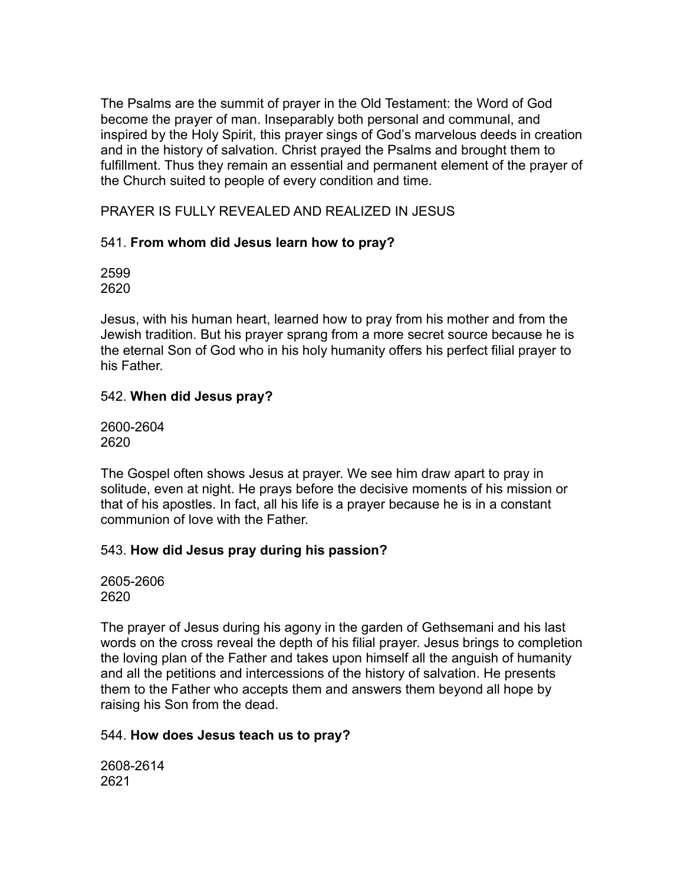The Psalms are the summit of prayer in the Old Testament: the Word of God become the prayer of man. Inseparably both personal and communal, and inspired by the Holy Spirit, this prayer sings of God's marvelous deeds in creation and in the history of salvation. Christ prayed the Psalms and brought them to fulfillment. Thus they remain an essential and permanent element of the prayer of the Church suited to people of every condition and time.

PRAYER IS FULLY REVEALED AND REALIZED IN JESUS

# 541. **From whom did Jesus learn how to pray?**

2599 2620

Jesus, with his human heart, learned how to pray from his mother and from the Jewish tradition. But his prayer sprang from a more secret source because he is the eternal Son of God who in his holy humanity offers his perfect filial prayer to his Father.

# 542. **When did Jesus pray?**

2600-2604 2620

The Gospel often shows Jesus at prayer. We see him draw apart to pray in solitude, even at night. He prays before the decisive moments of his mission or that of his apostles. In fact, all his life is a prayer because he is in a constant communion of love with the Father.

# 543. **How did Jesus pray during his passion?**

2605-2606 2620

The prayer of Jesus during his agony in the garden of Gethsemani and his last words on the cross reveal the depth of his filial prayer. Jesus brings to completion the loving plan of the Father and takes upon himself all the anguish of humanity and all the petitions and intercessions of the history of salvation. He presents them to the Father who accepts them and answers them beyond all hope by raising his Son from the dead.

#### 544. **How does Jesus teach us to pray?**

2608-2614 2621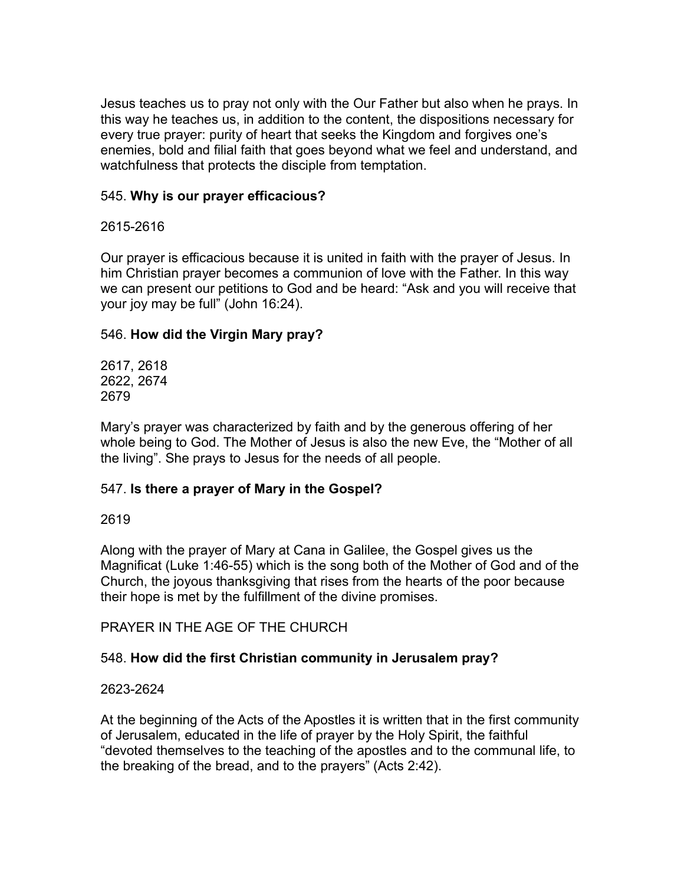Jesus teaches us to pray not only with the Our Father but also when he prays. In this way he teaches us, in addition to the content, the dispositions necessary for every true prayer: purity of heart that seeks the Kingdom and forgives one's enemies, bold and filial faith that goes beyond what we feel and understand, and watchfulness that protects the disciple from temptation.

## 545. **Why is our prayer efficacious?**

## 2615-2616

Our prayer is efficacious because it is united in faith with the prayer of Jesus. In him Christian prayer becomes a communion of love with the Father. In this way we can present our petitions to God and be heard: "Ask and you will receive that your joy may be full" (John 16:24).

## 546. **How did the Virgin Mary pray?**

2617, 2618 2622, 2674 2679

Mary's prayer was characterized by faith and by the generous offering of her whole being to God. The Mother of Jesus is also the new Eve, the "Mother of all the living". She prays to Jesus for the needs of all people.

# 547. **Is there a prayer of Mary in the Gospel?**

#### 2619

Along with the prayer of Mary at Cana in Galilee, the Gospel gives us the Magnificat (Luke 1:46-55) which is the song both of the Mother of God and of the Church, the joyous thanksgiving that rises from the hearts of the poor because their hope is met by the fulfillment of the divine promises.

#### PRAYER IN THE AGE OF THE CHURCH

# 548. **How did the first Christian community in Jerusalem pray?**

#### 2623-2624

At the beginning of the Acts of the Apostles it is written that in the first community of Jerusalem, educated in the life of prayer by the Holy Spirit, the faithful "devoted themselves to the teaching of the apostles and to the communal life, to the breaking of the bread, and to the prayers" (Acts 2:42).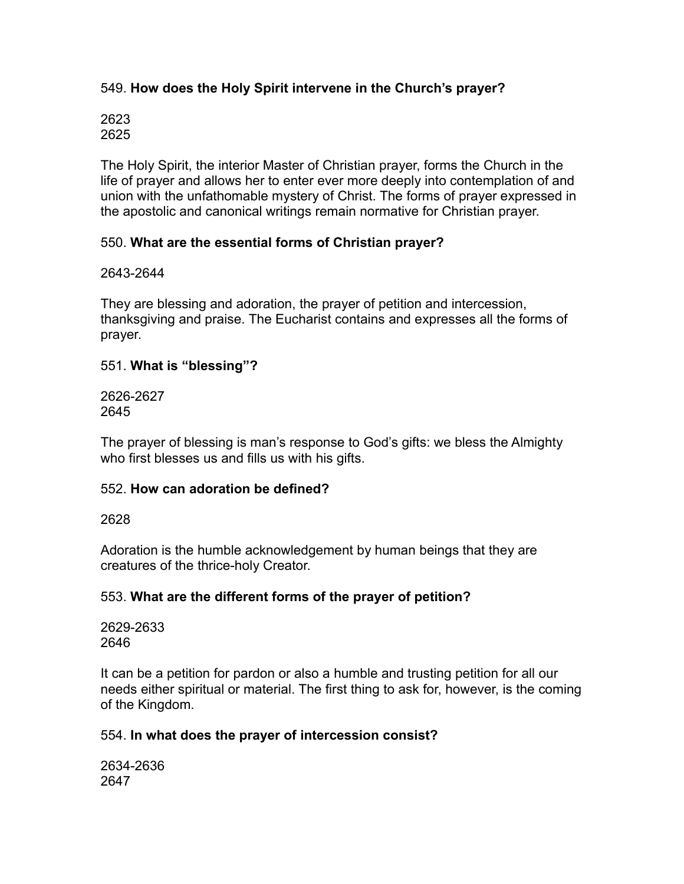# 549. **How does the Holy Spirit intervene in the Church's prayer?**

2623 2625

The Holy Spirit, the interior Master of Christian prayer, forms the Church in the life of prayer and allows her to enter ever more deeply into contemplation of and union with the unfathomable mystery of Christ. The forms of prayer expressed in the apostolic and canonical writings remain normative for Christian prayer.

# 550. **What are the essential forms of Christian prayer?**

## 2643-2644

They are blessing and adoration, the prayer of petition and intercession, thanksgiving and praise. The Eucharist contains and expresses all the forms of prayer.

## 551. **What is "blessing"?**

2626-2627 2645

The prayer of blessing is man's response to God's gifts: we bless the Almighty who first blesses us and fills us with his gifts.

# 552. **How can adoration be defined?**

#### 2628

Adoration is the humble acknowledgement by human beings that they are creatures of the thrice-holy Creator.

# 553. **What are the different forms of the prayer of petition?**

2629-2633 2646

It can be a petition for pardon or also a humble and trusting petition for all our needs either spiritual or material. The first thing to ask for, however, is the coming of the Kingdom.

#### 554. **In what does the prayer of intercession consist?**

2634-2636 2647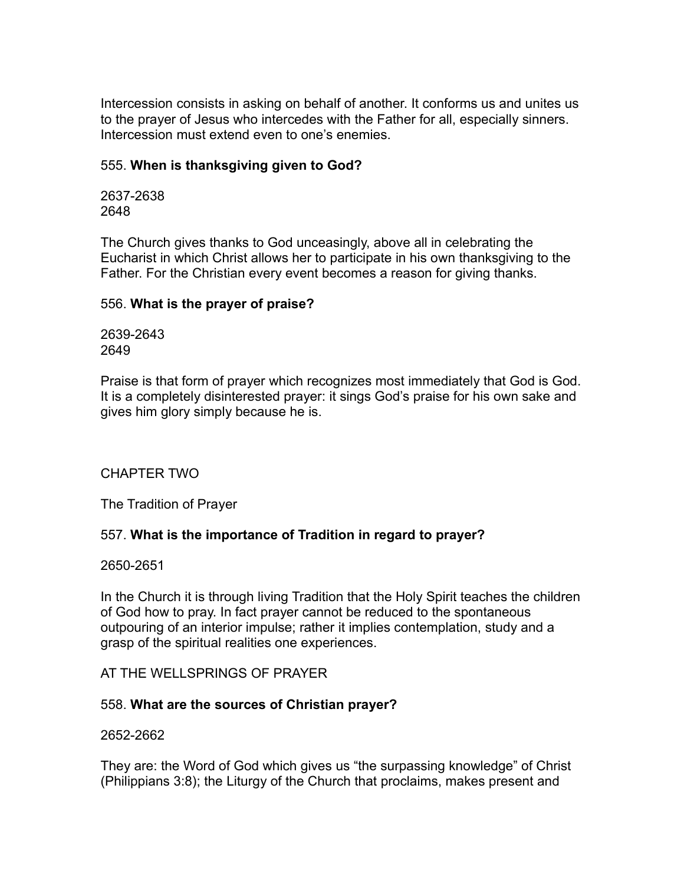Intercession consists in asking on behalf of another. It conforms us and unites us to the prayer of Jesus who intercedes with the Father for all, especially sinners. Intercession must extend even to one's enemies.

## 555. **When is thanksgiving given to God?**

2637-2638 2648

The Church gives thanks to God unceasingly, above all in celebrating the Eucharist in which Christ allows her to participate in his own thanksgiving to the Father. For the Christian every event becomes a reason for giving thanks.

#### 556. **What is the prayer of praise?**

2639-2643 2649

Praise is that form of prayer which recognizes most immediately that God is God. It is a completely disinterested prayer: it sings God's praise for his own sake and gives him glory simply because he is.

# CHAPTER TWO

The Tradition of Prayer

#### 557. **What is the importance of Tradition in regard to prayer?**

2650-2651

In the Church it is through living Tradition that the Holy Spirit teaches the children of God how to pray. In fact prayer cannot be reduced to the spontaneous outpouring of an interior impulse; rather it implies contemplation, study and a grasp of the spiritual realities one experiences.

#### AT THE WELLSPRINGS OF PRAYER

#### 558. **What are the sources of Christian prayer?**

#### 2652-2662

They are: the Word of God which gives us "the surpassing knowledge" of Christ (Philippians 3:8); the Liturgy of the Church that proclaims, makes present and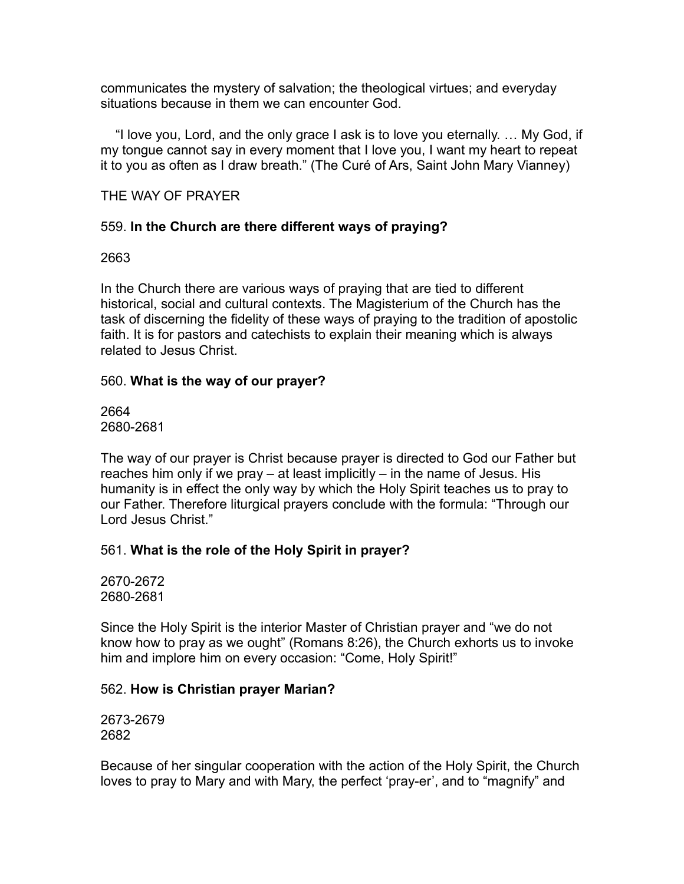communicates the mystery of salvation; the theological virtues; and everyday situations because in them we can encounter God.

 "I love you, Lord, and the only grace I ask is to love you eternally. … My God, if my tongue cannot say in every moment that I love you, I want my heart to repeat it to you as often as I draw breath." (The Curé of Ars, Saint John Mary Vianney)

#### THE WAY OF PRAYER

#### 559. **In the Church are there different ways of praying?**

#### 2663

In the Church there are various ways of praying that are tied to different historical, social and cultural contexts. The Magisterium of the Church has the task of discerning the fidelity of these ways of praying to the tradition of apostolic faith. It is for pastors and catechists to explain their meaning which is always related to Jesus Christ.

#### 560. **What is the way of our prayer?**

2664 2680-2681

The way of our prayer is Christ because prayer is directed to God our Father but reaches him only if we pray – at least implicitly – in the name of Jesus. His humanity is in effect the only way by which the Holy Spirit teaches us to pray to our Father. Therefore liturgical prayers conclude with the formula: "Through our Lord Jesus Christ."

#### 561. **What is the role of the Holy Spirit in prayer?**

2670-2672 2680-2681

Since the Holy Spirit is the interior Master of Christian prayer and "we do not know how to pray as we ought" (Romans 8:26), the Church exhorts us to invoke him and implore him on every occasion: "Come, Holy Spirit!"

#### 562. **How is Christian prayer Marian?**

2673-2679 2682

Because of her singular cooperation with the action of the Holy Spirit, the Church loves to pray to Mary and with Mary, the perfect 'pray-er', and to "magnify" and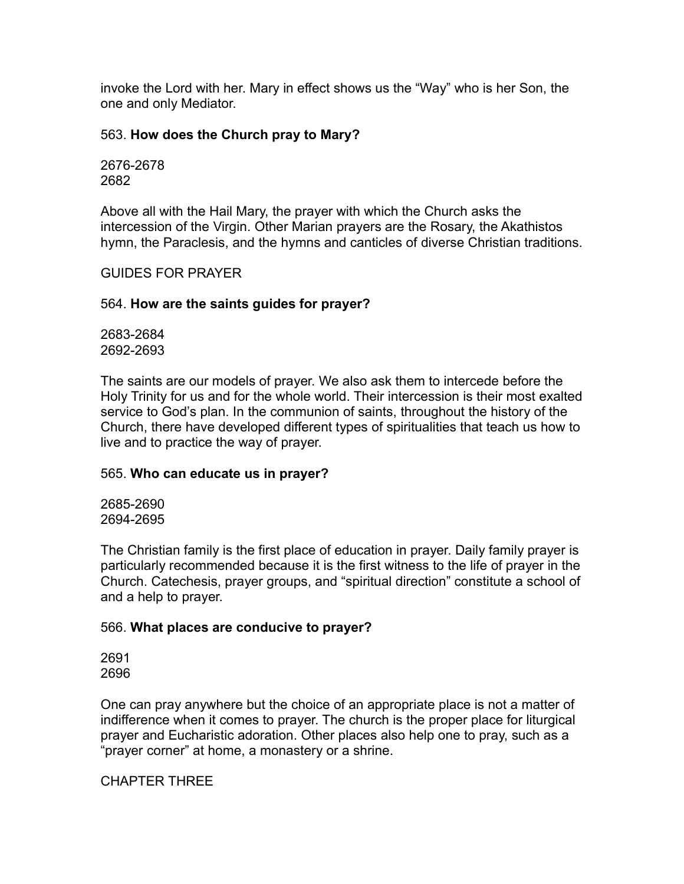invoke the Lord with her. Mary in effect shows us the "Way" who is her Son, the one and only Mediator.

#### 563. **How does the Church pray to Mary?**

2676-2678 2682

Above all with the Hail Mary, the prayer with which the Church asks the intercession of the Virgin. Other Marian prayers are the Rosary, the Akathistos hymn, the Paraclesis, and the hymns and canticles of diverse Christian traditions.

#### GUIDES FOR PRAYER

#### 564. **How are the saints guides for prayer?**

2683-2684 2692-2693

The saints are our models of prayer. We also ask them to intercede before the Holy Trinity for us and for the whole world. Their intercession is their most exalted service to God's plan. In the communion of saints, throughout the history of the Church, there have developed different types of spiritualities that teach us how to live and to practice the way of prayer.

#### 565. **Who can educate us in prayer?**

2685-2690 2694-2695

The Christian family is the first place of education in prayer. Daily family prayer is particularly recommended because it is the first witness to the life of prayer in the Church. Catechesis, prayer groups, and "spiritual direction" constitute a school of and a help to prayer.

#### 566. **What places are conducive to prayer?**

2691 2696

One can pray anywhere but the choice of an appropriate place is not a matter of indifference when it comes to prayer. The church is the proper place for liturgical prayer and Eucharistic adoration. Other places also help one to pray, such as a "prayer corner" at home, a monastery or a shrine.

#### CHAPTER THREE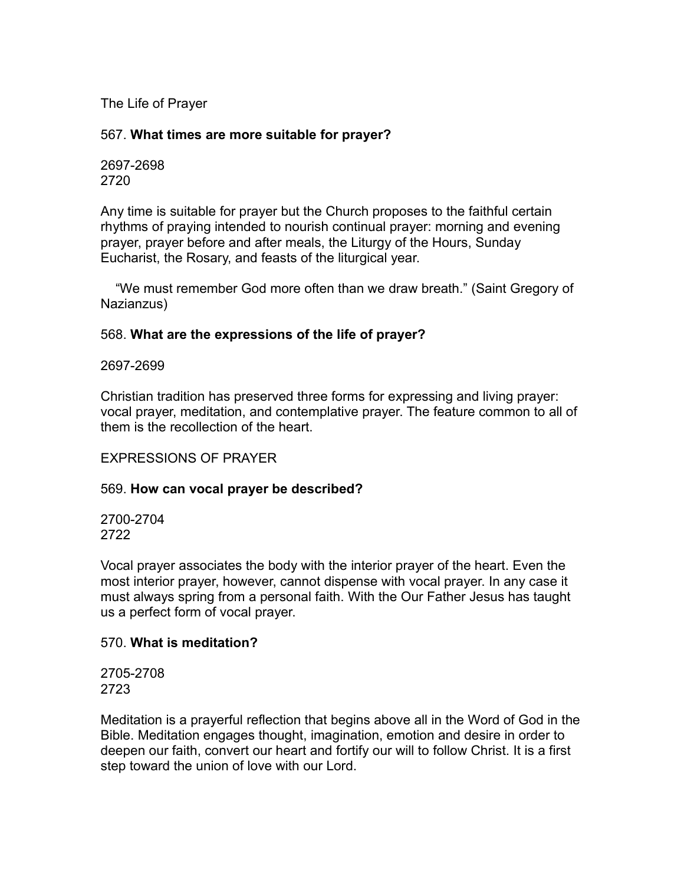The Life of Prayer

#### 567. **What times are more suitable for prayer?**

2697-2698 2720

Any time is suitable for prayer but the Church proposes to the faithful certain rhythms of praying intended to nourish continual prayer: morning and evening prayer, prayer before and after meals, the Liturgy of the Hours, Sunday Eucharist, the Rosary, and feasts of the liturgical year.

 "We must remember God more often than we draw breath." (Saint Gregory of Nazianzus)

#### 568. **What are the expressions of the life of prayer?**

2697-2699

Christian tradition has preserved three forms for expressing and living prayer: vocal prayer, meditation, and contemplative prayer. The feature common to all of them is the recollection of the heart.

#### EXPRESSIONS OF PRAYER

#### 569. **How can vocal prayer be described?**

2700-2704 2722

Vocal prayer associates the body with the interior prayer of the heart. Even the most interior prayer, however, cannot dispense with vocal prayer. In any case it must always spring from a personal faith. With the Our Father Jesus has taught us a perfect form of vocal prayer.

#### 570. **What is meditation?**

2705-2708 2723

Meditation is a prayerful reflection that begins above all in the Word of God in the Bible. Meditation engages thought, imagination, emotion and desire in order to deepen our faith, convert our heart and fortify our will to follow Christ. It is a first step toward the union of love with our Lord.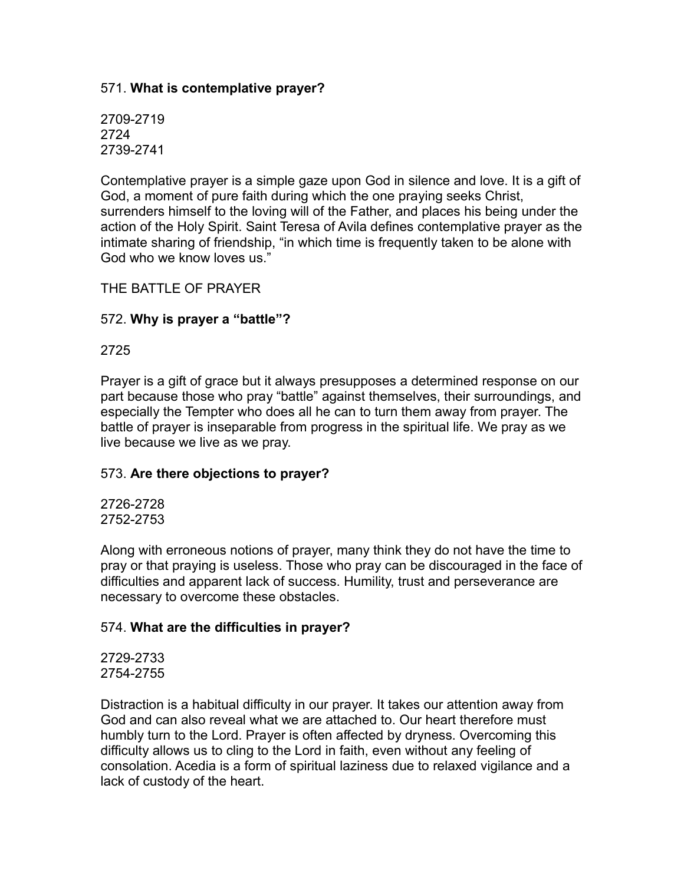# 571. **What is contemplative prayer?**

2709-2719 2724 2739-2741

Contemplative prayer is a simple gaze upon God in silence and love. It is a gift of God, a moment of pure faith during which the one praying seeks Christ, surrenders himself to the loving will of the Father, and places his being under the action of the Holy Spirit. Saint Teresa of Avila defines contemplative prayer as the intimate sharing of friendship, "in which time is frequently taken to be alone with God who we know loves us."

THE BATTLE OF PRAYER

## 572. **Why is prayer a "battle"?**

## 2725

Prayer is a gift of grace but it always presupposes a determined response on our part because those who pray "battle" against themselves, their surroundings, and especially the Tempter who does all he can to turn them away from prayer. The battle of prayer is inseparable from progress in the spiritual life. We pray as we live because we live as we pray.

# 573. **Are there objections to prayer?**

2726-2728 2752-2753

Along with erroneous notions of prayer, many think they do not have the time to pray or that praying is useless. Those who pray can be discouraged in the face of difficulties and apparent lack of success. Humility, trust and perseverance are necessary to overcome these obstacles.

#### 574. **What are the difficulties in prayer?**

2729-2733 2754-2755

Distraction is a habitual difficulty in our prayer. It takes our attention away from God and can also reveal what we are attached to. Our heart therefore must humbly turn to the Lord. Prayer is often affected by dryness. Overcoming this difficulty allows us to cling to the Lord in faith, even without any feeling of consolation. Acedia is a form of spiritual laziness due to relaxed vigilance and a lack of custody of the heart.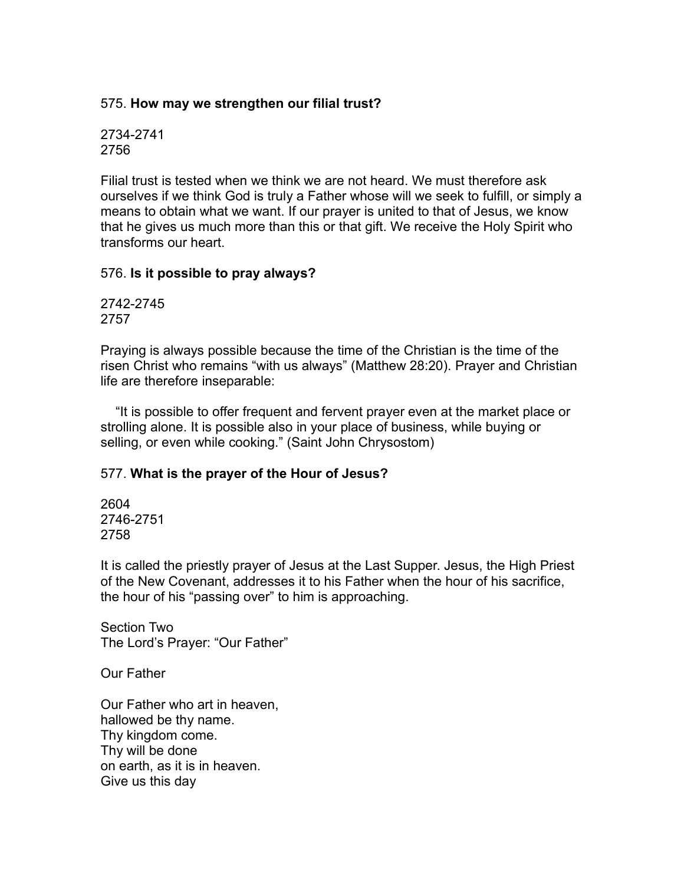#### 575. **How may we strengthen our filial trust?**

2734-2741 2756

Filial trust is tested when we think we are not heard. We must therefore ask ourselves if we think God is truly a Father whose will we seek to fulfill, or simply a means to obtain what we want. If our prayer is united to that of Jesus, we know that he gives us much more than this or that gift. We receive the Holy Spirit who transforms our heart.

#### 576. **Is it possible to pray always?**

2742-2745 2757

Praying is always possible because the time of the Christian is the time of the risen Christ who remains "with us always" (Matthew 28:20). Prayer and Christian life are therefore inseparable:

 "It is possible to offer frequent and fervent prayer even at the market place or strolling alone. It is possible also in your place of business, while buying or selling, or even while cooking." (Saint John Chrysostom)

# 577. **What is the prayer of the Hour of Jesus?**

2604 2746-2751 2758

It is called the priestly prayer of Jesus at the Last Supper. Jesus, the High Priest of the New Covenant, addresses it to his Father when the hour of his sacrifice, the hour of his "passing over" to him is approaching.

Section Two The Lord's Prayer: "Our Father"

Our Father

Our Father who art in heaven, hallowed be thy name. Thy kingdom come. Thy will be done on earth, as it is in heaven. Give us this day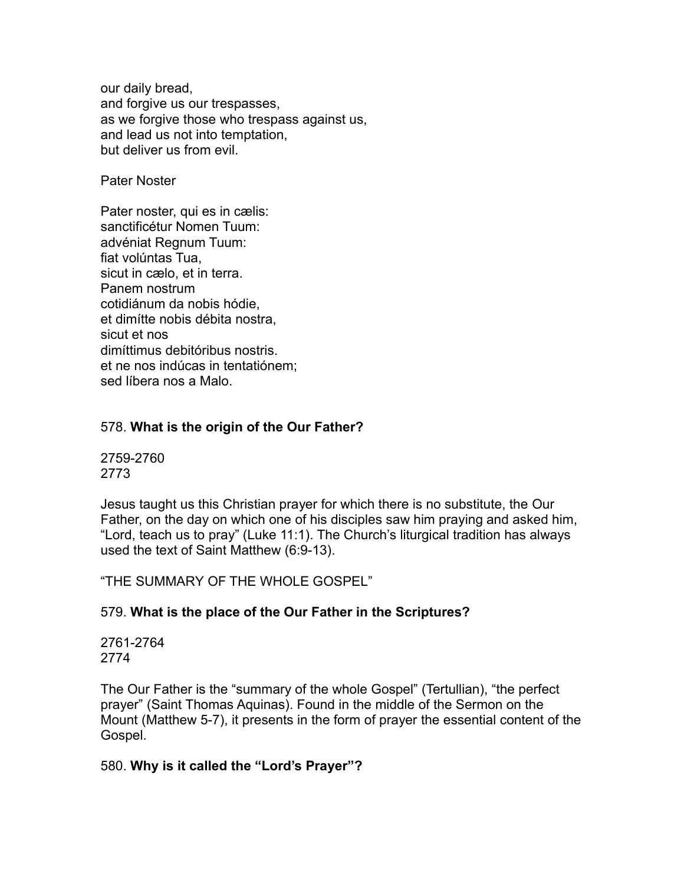our daily bread, and forgive us our trespasses, as we forgive those who trespass against us, and lead us not into temptation, but deliver us from evil.

Pater Noster

Pater noster, qui es in cælis: sanctificétur Nomen Tuum: advéniat Regnum Tuum: fiat volúntas Tua, sicut in cælo, et in terra. Panem nostrum cotidiánum da nobis hódie, et dimítte nobis débita nostra, sicut et nos dimíttimus debitóribus nostris. et ne nos indúcas in tentatiónem; sed líbera nos a Malo.

## 578. **What is the origin of the Our Father?**

2759-2760 2773

Jesus taught us this Christian prayer for which there is no substitute, the Our Father, on the day on which one of his disciples saw him praying and asked him, "Lord, teach us to pray" (Luke 11:1). The Church's liturgical tradition has always used the text of Saint Matthew (6:9-13).

"THE SUMMARY OF THE WHOLE GOSPEL"

#### 579. **What is the place of the Our Father in the Scriptures?**

2761-2764 2774

The Our Father is the "summary of the whole Gospel" (Tertullian), "the perfect prayer" (Saint Thomas Aquinas). Found in the middle of the Sermon on the Mount (Matthew 5-7), it presents in the form of prayer the essential content of the Gospel.

#### 580. **Why is it called the "Lord's Prayer"?**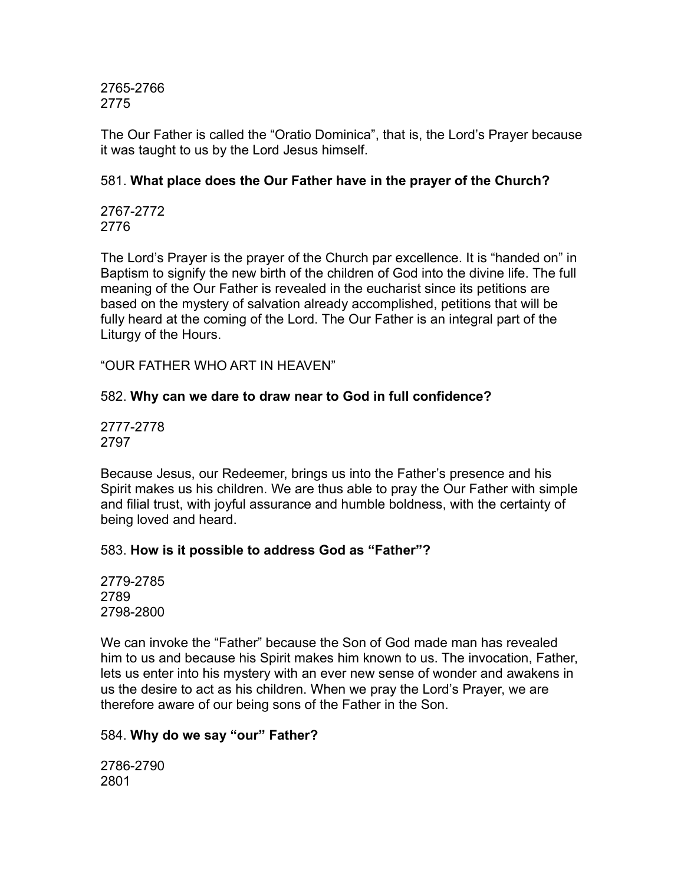2765-2766 2775

The Our Father is called the "Oratio Dominica", that is, the Lord's Prayer because it was taught to us by the Lord Jesus himself.

# 581. **What place does the Our Father have in the prayer of the Church?**

2767-2772 2776

The Lord's Prayer is the prayer of the Church par excellence. It is "handed on" in Baptism to signify the new birth of the children of God into the divine life. The full meaning of the Our Father is revealed in the eucharist since its petitions are based on the mystery of salvation already accomplished, petitions that will be fully heard at the coming of the Lord. The Our Father is an integral part of the Liturgy of the Hours.

"OUR FATHER WHO ART IN HEAVEN"

# 582. **Why can we dare to draw near to God in full confidence?**

2777-2778 2797

Because Jesus, our Redeemer, brings us into the Father's presence and his Spirit makes us his children. We are thus able to pray the Our Father with simple and filial trust, with joyful assurance and humble boldness, with the certainty of being loved and heard.

# 583. **How is it possible to address God as "Father"?**

2779-2785 2789 2798-2800

We can invoke the "Father" because the Son of God made man has revealed him to us and because his Spirit makes him known to us. The invocation, Father, lets us enter into his mystery with an ever new sense of wonder and awakens in us the desire to act as his children. When we pray the Lord's Prayer, we are therefore aware of our being sons of the Father in the Son.

# 584. **Why do we say "our" Father?**

2786-2790 2801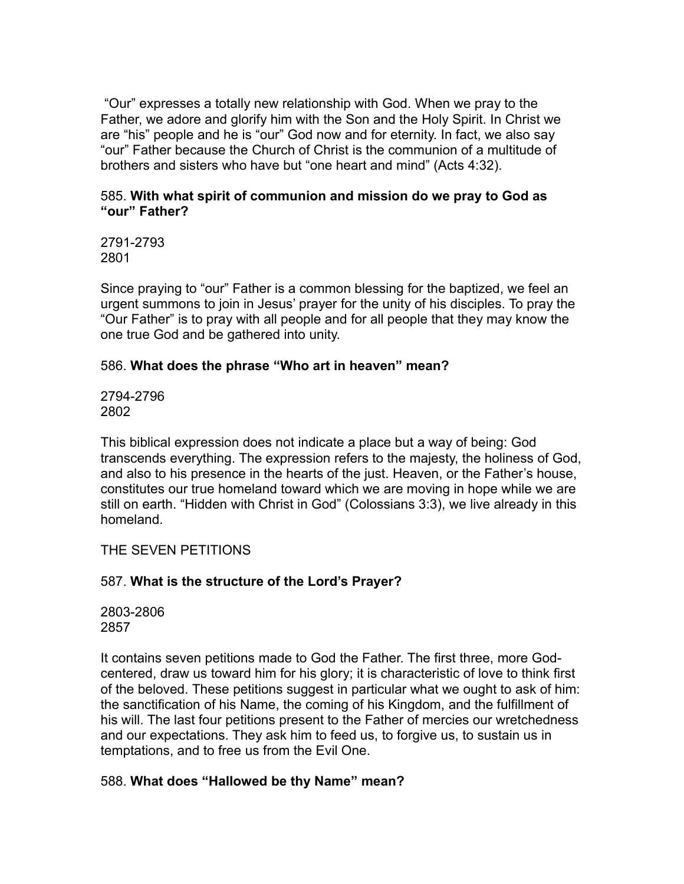"Our" expresses a totally new relationship with God. When we pray to the Father, we adore and glorify him with the Son and the Holy Spirit. In Christ we are "his" people and he is "our" God now and for eternity. In fact, we also say "our" Father because the Church of Christ is the communion of a multitude of brothers and sisters who have but "one heart and mind" (Acts 4:32).

#### 585. **With what spirit of communion and mission do we pray to God as "our" Father?**

2791-2793 2801

Since praying to "our" Father is a common blessing for the baptized, we feel an urgent summons to join in Jesus' prayer for the unity of his disciples. To pray the "Our Father" is to pray with all people and for all people that they may know the one true God and be gathered into unity.

## 586. **What does the phrase "Who art in heaven" mean?**

2794-2796 2802

This biblical expression does not indicate a place but a way of being: God transcends everything. The expression refers to the majesty, the holiness of God, and also to his presence in the hearts of the just. Heaven, or the Father's house, constitutes our true homeland toward which we are moving in hope while we are still on earth. "Hidden with Christ in God" (Colossians 3:3), we live already in this homeland.

THE SEVEN PETITIONS

# 587. **What is the structure of the Lord's Prayer?**

2803-2806 2857

It contains seven petitions made to God the Father. The first three, more Godcentered, draw us toward him for his glory; it is characteristic of love to think first of the beloved. These petitions suggest in particular what we ought to ask of him: the sanctification of his Name, the coming of his Kingdom, and the fulfillment of his will. The last four petitions present to the Father of mercies our wretchedness and our expectations. They ask him to feed us, to forgive us, to sustain us in temptations, and to free us from the Evil One.

#### 588. **What does "Hallowed be thy Name" mean?**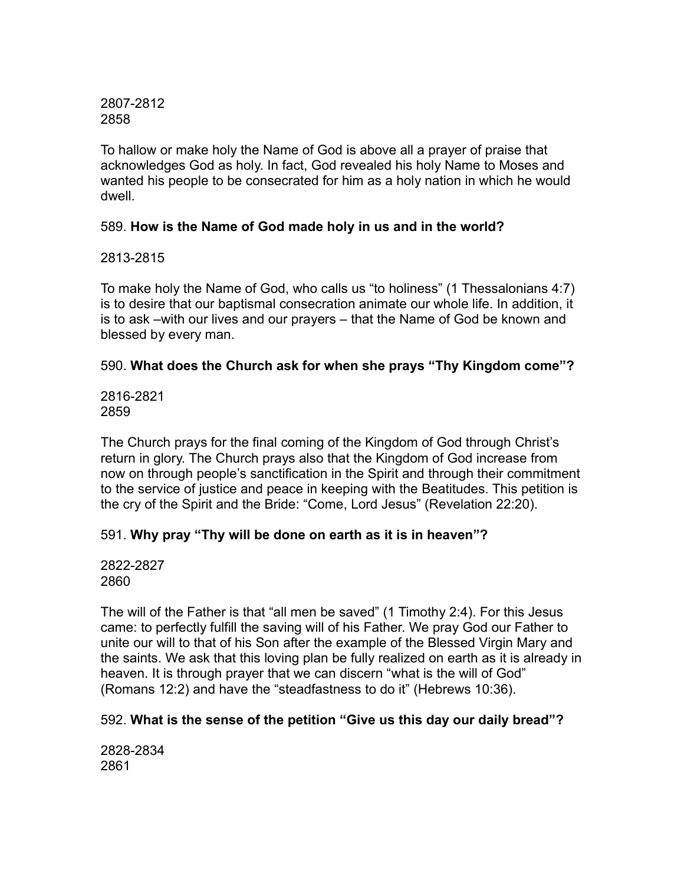2807-2812 2858

To hallow or make holy the Name of God is above all a prayer of praise that acknowledges God as holy. In fact, God revealed his holy Name to Moses and wanted his people to be consecrated for him as a holy nation in which he would dwell.

## 589. **How is the Name of God made holy in us and in the world?**

2813-2815

To make holy the Name of God, who calls us "to holiness" (1 Thessalonians 4:7) is to desire that our baptismal consecration animate our whole life. In addition, it is to ask –with our lives and our prayers – that the Name of God be known and blessed by every man.

## 590. **What does the Church ask for when she prays "Thy Kingdom come"?**

2816-2821 2859

The Church prays for the final coming of the Kingdom of God through Christ's return in glory. The Church prays also that the Kingdom of God increase from now on through people's sanctification in the Spirit and through their commitment to the service of justice and peace in keeping with the Beatitudes. This petition is the cry of the Spirit and the Bride: "Come, Lord Jesus" (Revelation 22:20).

# 591. **Why pray "Thy will be done on earth as it is in heaven"?**

2822-2827 2860

The will of the Father is that "all men be saved" (1 Timothy 2:4). For this Jesus came: to perfectly fulfill the saving will of his Father. We pray God our Father to unite our will to that of his Son after the example of the Blessed Virgin Mary and the saints. We ask that this loving plan be fully realized on earth as it is already in heaven. It is through prayer that we can discern "what is the will of God" (Romans 12:2) and have the "steadfastness to do it" (Hebrews 10:36).

# 592. **What is the sense of the petition "Give us this day our daily bread"?**

2828-2834 2861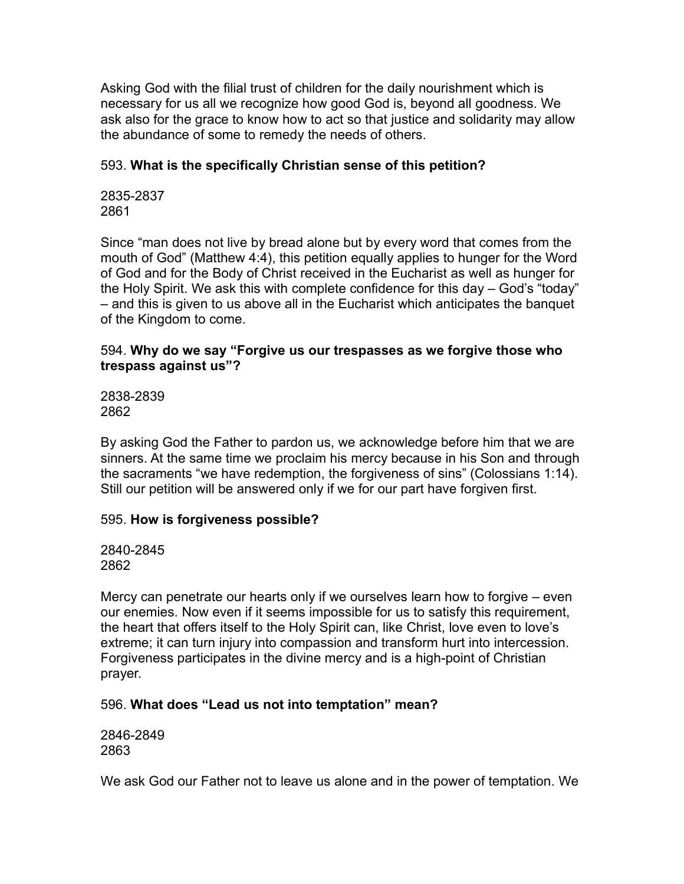Asking God with the filial trust of children for the daily nourishment which is necessary for us all we recognize how good God is, beyond all goodness. We ask also for the grace to know how to act so that justice and solidarity may allow the abundance of some to remedy the needs of others.

#### 593. **What is the specifically Christian sense of this petition?**

2835-2837 2861

Since "man does not live by bread alone but by every word that comes from the mouth of God" (Matthew 4:4), this petition equally applies to hunger for the Word of God and for the Body of Christ received in the Eucharist as well as hunger for the Holy Spirit. We ask this with complete confidence for this day – God's "today" – and this is given to us above all in the Eucharist which anticipates the banquet of the Kingdom to come.

#### 594. **Why do we say "Forgive us our trespasses as we forgive those who trespass against us"?**

2838-2839 2862

By asking God the Father to pardon us, we acknowledge before him that we are sinners. At the same time we proclaim his mercy because in his Son and through the sacraments "we have redemption, the forgiveness of sins" (Colossians 1:14). Still our petition will be answered only if we for our part have forgiven first.

#### 595. **How is forgiveness possible?**

2840-2845 2862

Mercy can penetrate our hearts only if we ourselves learn how to forgive – even our enemies. Now even if it seems impossible for us to satisfy this requirement, the heart that offers itself to the Holy Spirit can, like Christ, love even to love's extreme; it can turn injury into compassion and transform hurt into intercession. Forgiveness participates in the divine mercy and is a high-point of Christian prayer.

# 596. **What does "Lead us not into temptation" mean?**

2846-2849 2863

We ask God our Father not to leave us alone and in the power of temptation. We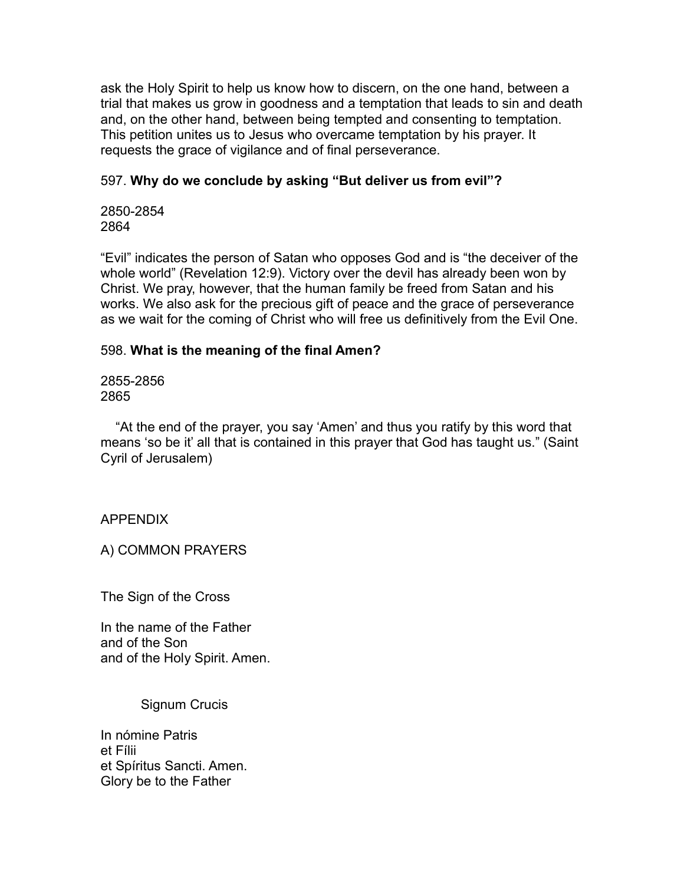ask the Holy Spirit to help us know how to discern, on the one hand, between a trial that makes us grow in goodness and a temptation that leads to sin and death and, on the other hand, between being tempted and consenting to temptation. This petition unites us to Jesus who overcame temptation by his prayer. It requests the grace of vigilance and of final perseverance.

## 597. **Why do we conclude by asking "But deliver us from evil"?**

2850-2854 2864

"Evil" indicates the person of Satan who opposes God and is "the deceiver of the whole world" (Revelation 12:9). Victory over the devil has already been won by Christ. We pray, however, that the human family be freed from Satan and his works. We also ask for the precious gift of peace and the grace of perseverance as we wait for the coming of Christ who will free us definitively from the Evil One.

## 598. **What is the meaning of the final Amen?**

2855-2856 2865

 "At the end of the prayer, you say 'Amen' and thus you ratify by this word that means 'so be it' all that is contained in this prayer that God has taught us." (Saint Cyril of Jerusalem)

#### APPENDIX

A) COMMON PRAYERS

The Sign of the Cross

In the name of the Father and of the Son and of the Holy Spirit. Amen.

Signum Crucis

In nómine Patris et Fílii et Spíritus Sancti. Amen. Glory be to the Father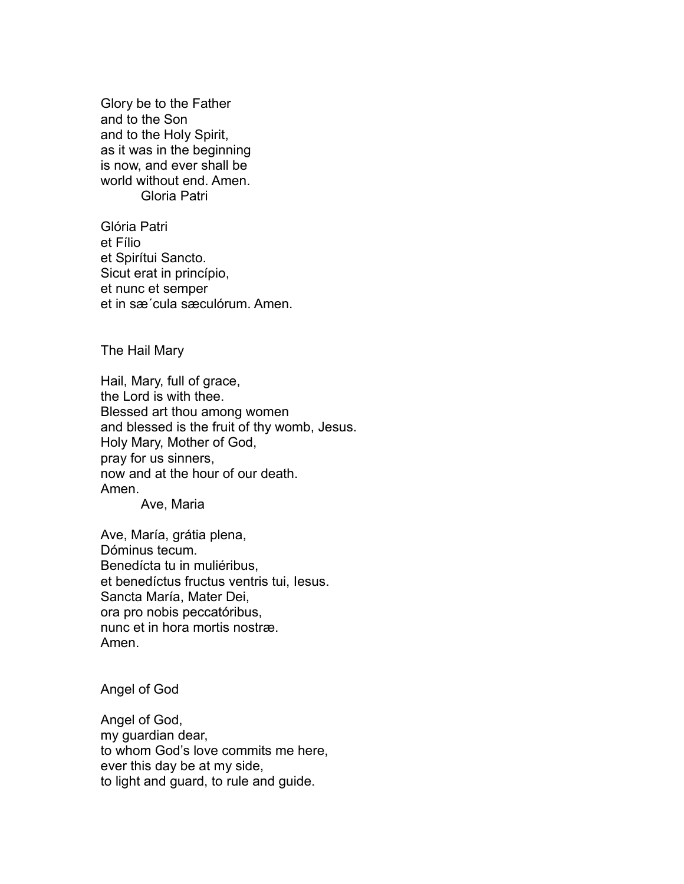Glory be to the Father and to the Son and to the Holy Spirit, as it was in the beginning is now, and ever shall be world without end. Amen. Gloria Patri

Glória Patri et Fílio et Spirítui Sancto. Sicut erat in princípio, et nunc et semper et in sæ´cula sæculórum. Amen.

The Hail Mary

Hail, Mary, full of grace, the Lord is with thee. Blessed art thou among women and blessed is the fruit of thy womb, Jesus. Holy Mary, Mother of God, pray for us sinners, now and at the hour of our death. Amen.

Ave, Maria

Ave, María, grátia plena, Dóminus tecum. Benedícta tu in muliéribus, et benedíctus fructus ventris tui, Iesus. Sancta María, Mater Dei, ora pro nobis peccatóribus, nunc et in hora mortis nostræ. Amen.

Angel of God

Angel of God, my guardian dear, to whom God's love commits me here, ever this day be at my side, to light and guard, to rule and guide.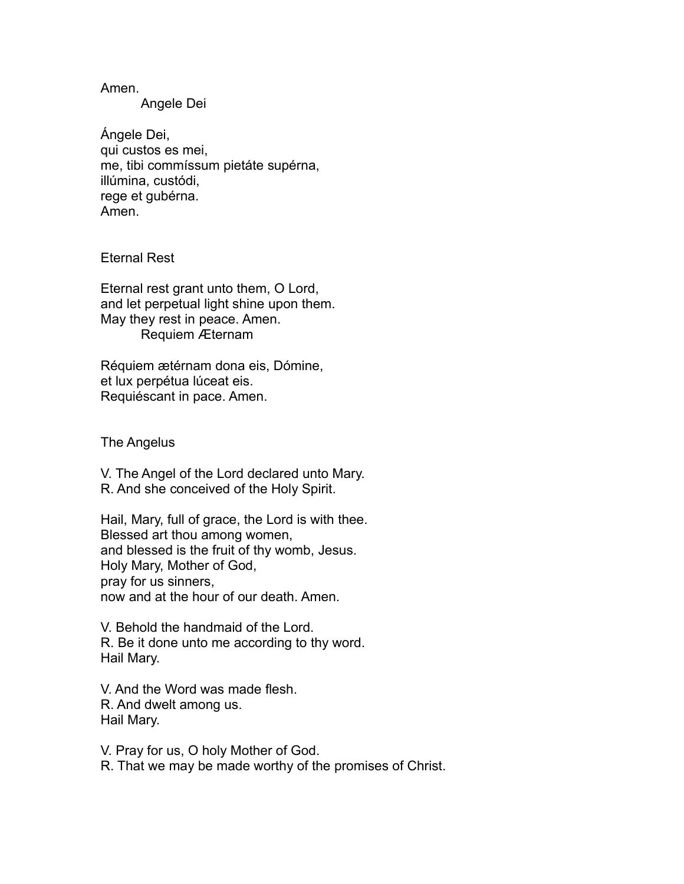Amen.

Angele Dei

Ángele Dei, qui custos es mei, me, tibi commíssum pietáte supérna, illúmina, custódi, rege et gubérna. Amen.

Eternal Rest

Eternal rest grant unto them, O Lord, and let perpetual light shine upon them. May they rest in peace. Amen. Requiem Æternam

Réquiem ætérnam dona eis, Dómine, et lux perpétua lúceat eis. Requiéscant in pace. Amen.

The Angelus

V. The Angel of the Lord declared unto Mary. R. And she conceived of the Holy Spirit.

Hail, Mary, full of grace, the Lord is with thee. Blessed art thou among women, and blessed is the fruit of thy womb, Jesus. Holy Mary, Mother of God, pray for us sinners, now and at the hour of our death. Amen.

V. Behold the handmaid of the Lord. R. Be it done unto me according to thy word. Hail Mary.

V. And the Word was made flesh. R. And dwelt among us. Hail Mary.

V. Pray for us, O holy Mother of God. R. That we may be made worthy of the promises of Christ.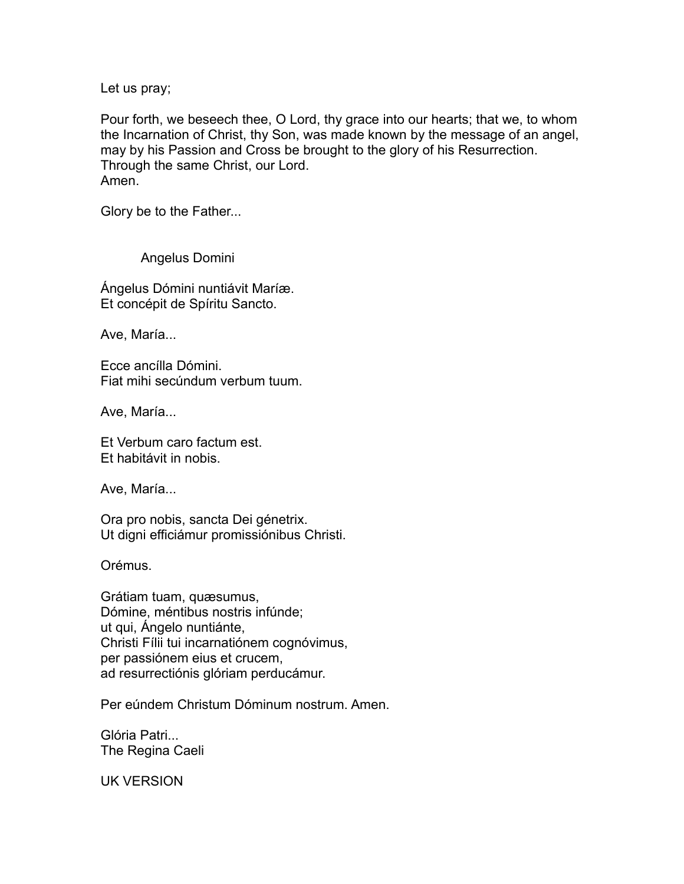Let us pray;

Pour forth, we beseech thee, O Lord, thy grace into our hearts; that we, to whom the Incarnation of Christ, thy Son, was made known by the message of an angel, may by his Passion and Cross be brought to the glory of his Resurrection. Through the same Christ, our Lord. Amen.

Glory be to the Father...

Angelus Domini

Ángelus Dómini nuntiávit Maríæ. Et concépit de Spíritu Sancto.

Ave, María...

Ecce ancílla Dómini. Fiat mihi secúndum verbum tuum.

Ave, María...

Et Verbum caro factum est. Et habitávit in nobis.

Ave, María...

Ora pro nobis, sancta Dei génetrix. Ut digni efficiámur promissiónibus Christi.

Orémus.

Grátiam tuam, quæsumus, Dómine, méntibus nostris infúnde; ut qui, Ángelo nuntiánte, Christi Fílii tui incarnatiónem cognóvimus, per passiónem eius et crucem, ad resurrectiónis glóriam perducámur.

Per eúndem Christum Dóminum nostrum. Amen.

Glória Patri... The Regina Caeli

UK VERSION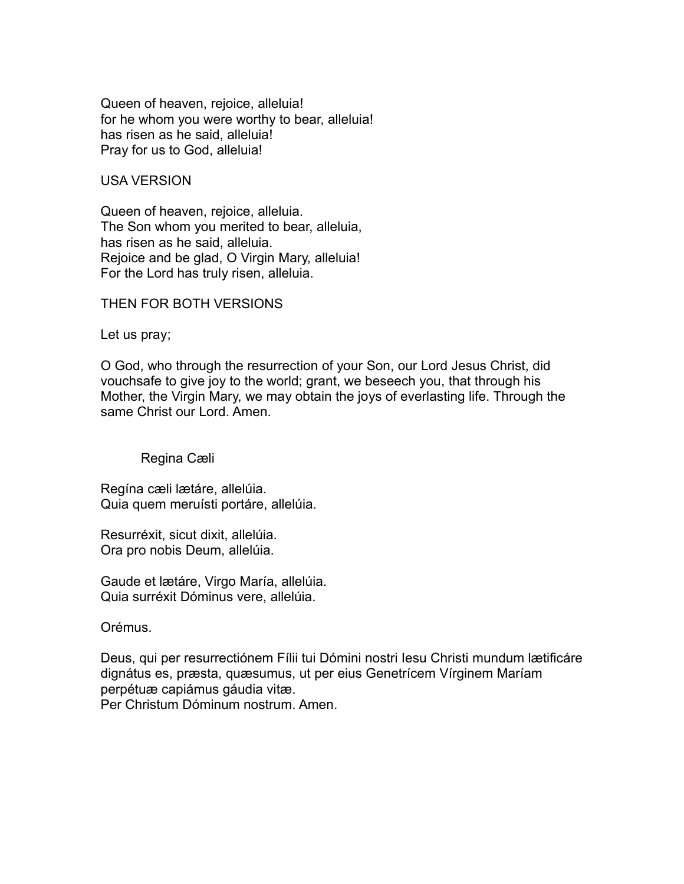Queen of heaven, rejoice, alleluia! for he whom you were worthy to bear, alleluia! has risen as he said, alleluia! Pray for us to God, alleluia!

USA VERSION

Queen of heaven, rejoice, alleluia. The Son whom you merited to bear, alleluia, has risen as he said, alleluia. Rejoice and be glad, O Virgin Mary, alleluia! For the Lord has truly risen, alleluia.

THEN FOR BOTH VERSIONS

Let us pray;

O God, who through the resurrection of your Son, our Lord Jesus Christ, did vouchsafe to give joy to the world; grant, we beseech you, that through his Mother, the Virgin Mary, we may obtain the joys of everlasting life. Through the same Christ our Lord. Amen.

Regina Cæli

Regína cæli lætáre, allelúia. Quia quem meruísti portáre, allelúia.

Resurréxit, sicut dixit, allelúia. Ora pro nobis Deum, allelúia.

Gaude et lætáre, Virgo María, allelúia. Quia surréxit Dóminus vere, allelúia.

Orémus.

Deus, qui per resurrectiónem Fílii tui Dómini nostri Iesu Christi mundum lætificáre dignátus es, præsta, quæsumus, ut per eius Genetrícem Vírginem Maríam perpétuæ capiámus gáudia vitæ. Per Christum Dóminum nostrum. Amen.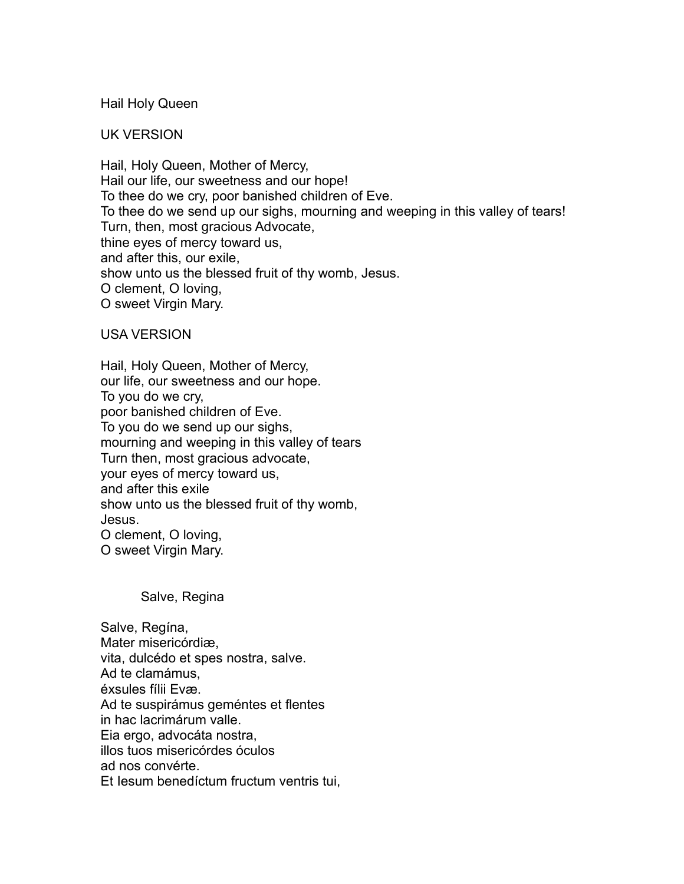#### Hail Holy Queen

#### UK VERSION

Hail, Holy Queen, Mother of Mercy, Hail our life, our sweetness and our hope! To thee do we cry, poor banished children of Eve. To thee do we send up our sighs, mourning and weeping in this valley of tears! Turn, then, most gracious Advocate, thine eyes of mercy toward us, and after this, our exile, show unto us the blessed fruit of thy womb, Jesus. O clement, O loving, O sweet Virgin Mary.

USA VERSION

Hail, Holy Queen, Mother of Mercy, our life, our sweetness and our hope. To you do we cry, poor banished children of Eve. To you do we send up our sighs, mourning and weeping in this valley of tears Turn then, most gracious advocate, your eyes of mercy toward us, and after this exile show unto us the blessed fruit of thy womb, Jesus. O clement, O loving,

O sweet Virgin Mary.

#### Salve, Regina

Salve, Regína, Mater misericórdiæ, vita, dulcédo et spes nostra, salve. Ad te clamámus, éxsules fílii Evæ. Ad te suspirámus geméntes et flentes in hac lacrimárum valle. Eia ergo, advocáta nostra, illos tuos misericórdes óculos ad nos convérte. Et Iesum benedíctum fructum ventris tui,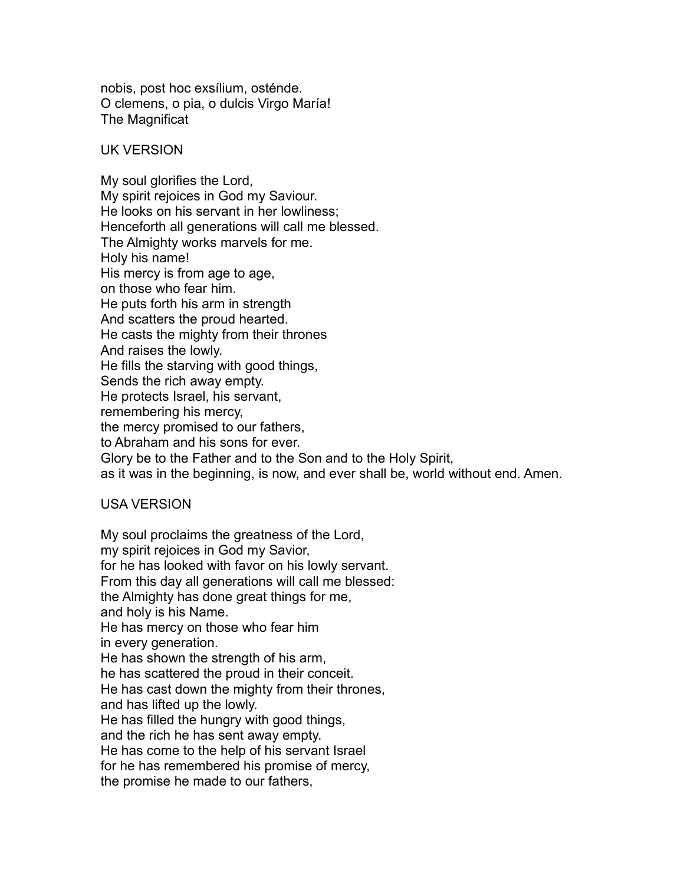nobis, post hoc exsílium, osténde. O clemens, o pia, o dulcis Virgo María! The Magnificat

#### UK VERSION

My soul glorifies the Lord, My spirit rejoices in God my Saviour. He looks on his servant in her lowliness; Henceforth all generations will call me blessed. The Almighty works marvels for me. Holy his name! His mercy is from age to age, on those who fear him. He puts forth his arm in strength And scatters the proud hearted. He casts the mighty from their thrones And raises the lowly. He fills the starving with good things, Sends the rich away empty. He protects Israel, his servant, remembering his mercy, the mercy promised to our fathers, to Abraham and his sons for ever. Glory be to the Father and to the Son and to the Holy Spirit, as it was in the beginning, is now, and ever shall be, world without end. Amen.

#### USA VERSION

My soul proclaims the greatness of the Lord, my spirit rejoices in God my Savior, for he has looked with favor on his lowly servant. From this day all generations will call me blessed: the Almighty has done great things for me, and holy is his Name. He has mercy on those who fear him in every generation. He has shown the strength of his arm, he has scattered the proud in their conceit. He has cast down the mighty from their thrones, and has lifted up the lowly. He has filled the hungry with good things, and the rich he has sent away empty. He has come to the help of his servant Israel for he has remembered his promise of mercy, the promise he made to our fathers,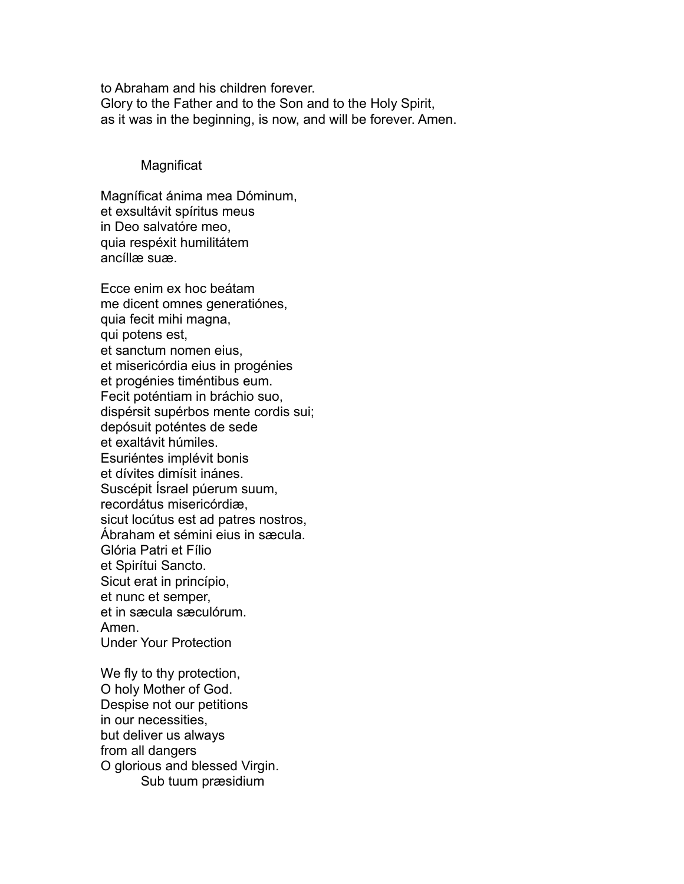to Abraham and his children forever. Glory to the Father and to the Son and to the Holy Spirit, as it was in the beginning, is now, and will be forever. Amen.

#### **Magnificat**

Magníficat ánima mea Dóminum, et exsultávit spíritus meus in Deo salvatóre meo, quia respéxit humilitátem ancíllæ suæ.

Ecce enim ex hoc beátam me dicent omnes generatiónes, quia fecit mihi magna, qui potens est, et sanctum nomen eius, et misericórdia eius in progénies et progénies timéntibus eum. Fecit poténtiam in bráchio suo, dispérsit supérbos mente cordis sui; depósuit poténtes de sede et exaltávit húmiles. Esuriéntes implévit bonis et dívites dimísit inánes. Suscépit Ísrael púerum suum, recordátus misericórdiæ, sicut locútus est ad patres nostros, Ábraham et sémini eius in sæcula. Glória Patri et Fílio et Spirítui Sancto. Sicut erat in princípio, et nunc et semper, et in sæcula sæculórum. Amen. Under Your Protection

We fly to thy protection, O holy Mother of God. Despise not our petitions in our necessities, but deliver us always from all dangers O glorious and blessed Virgin. Sub tuum præsidium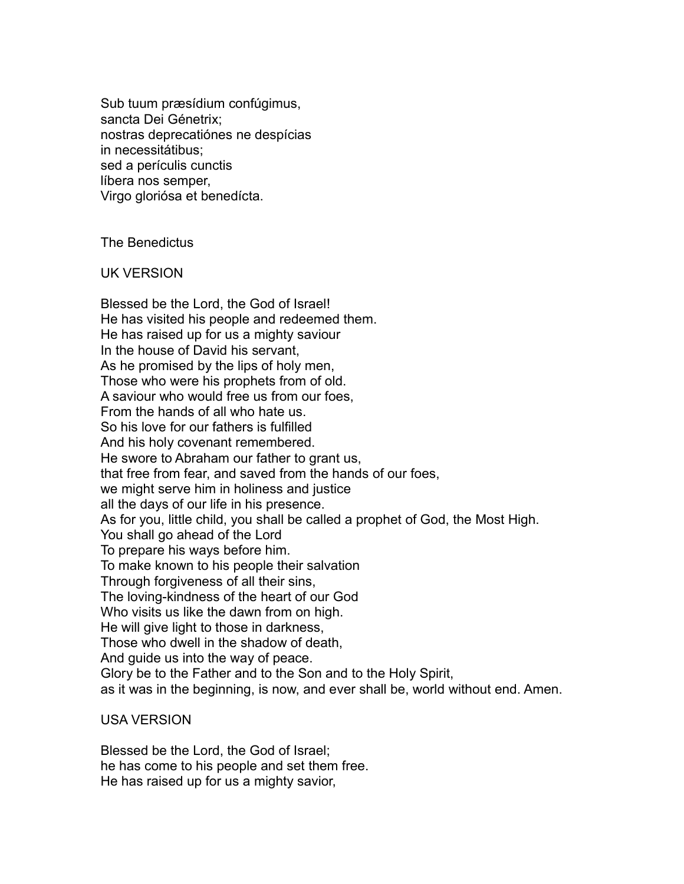Sub tuum præsídium confúgimus, sancta Dei Génetrix; nostras deprecatiónes ne despícias in necessitátibus; sed a perículis cunctis líbera nos semper, Virgo gloriósa et benedícta.

#### The Benedictus

#### UK VERSION

Blessed be the Lord, the God of Israel! He has visited his people and redeemed them. He has raised up for us a mighty saviour In the house of David his servant, As he promised by the lips of holy men, Those who were his prophets from of old. A saviour who would free us from our foes, From the hands of all who hate us. So his love for our fathers is fulfilled And his holy covenant remembered. He swore to Abraham our father to grant us, that free from fear, and saved from the hands of our foes, we might serve him in holiness and justice all the days of our life in his presence. As for you, little child, you shall be called a prophet of God, the Most High. You shall go ahead of the Lord To prepare his ways before him. To make known to his people their salvation Through forgiveness of all their sins, The loving-kindness of the heart of our God Who visits us like the dawn from on high. He will give light to those in darkness, Those who dwell in the shadow of death, And guide us into the way of peace. Glory be to the Father and to the Son and to the Holy Spirit, as it was in the beginning, is now, and ever shall be, world without end. Amen.

#### USA VERSION

Blessed be the Lord, the God of Israel; he has come to his people and set them free. He has raised up for us a mighty savior,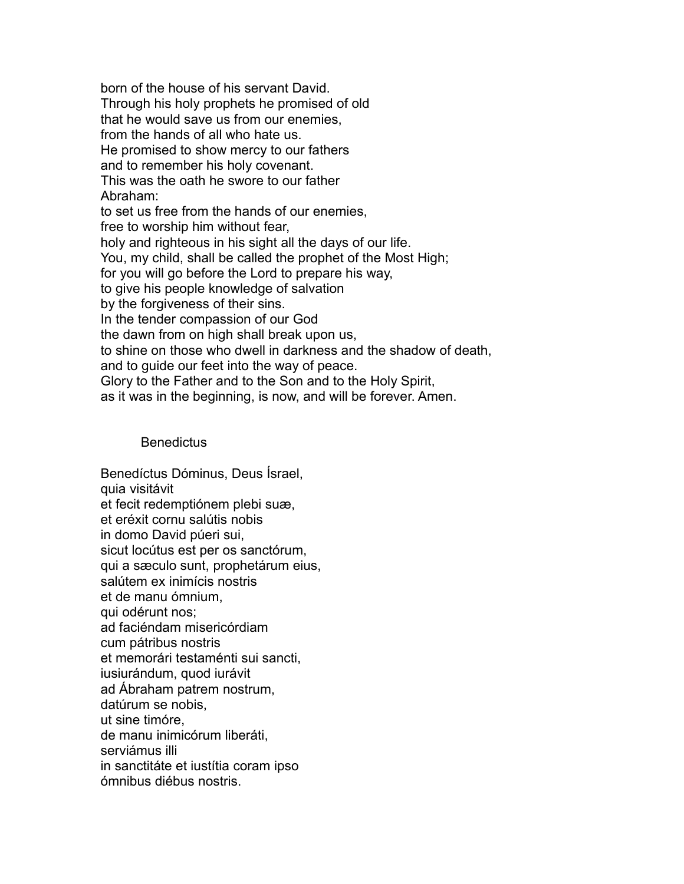born of the house of his servant David. Through his holy prophets he promised of old that he would save us from our enemies, from the hands of all who hate us. He promised to show mercy to our fathers and to remember his holy covenant. This was the oath he swore to our father Abraham: to set us free from the hands of our enemies, free to worship him without fear, holy and righteous in his sight all the days of our life. You, my child, shall be called the prophet of the Most High; for you will go before the Lord to prepare his way, to give his people knowledge of salvation by the forgiveness of their sins. In the tender compassion of our God the dawn from on high shall break upon us, to shine on those who dwell in darkness and the shadow of death, and to guide our feet into the way of peace. Glory to the Father and to the Son and to the Holy Spirit, as it was in the beginning, is now, and will be forever. Amen.

#### **Benedictus**

Benedíctus Dóminus, Deus Ísrael, quia visitávit et fecit redemptiónem plebi suæ, et eréxit cornu salútis nobis in domo David púeri sui, sicut locútus est per os sanctórum, qui a sæculo sunt, prophetárum eius, salútem ex inimícis nostris et de manu ómnium, qui odérunt nos; ad faciéndam misericórdiam cum pátribus nostris et memorári testaménti sui sancti, iusiurándum, quod iurávit ad Ábraham patrem nostrum, datúrum se nobis, ut sine timóre, de manu inimicórum liberáti, serviámus illi in sanctitáte et iustítia coram ipso ómnibus diébus nostris.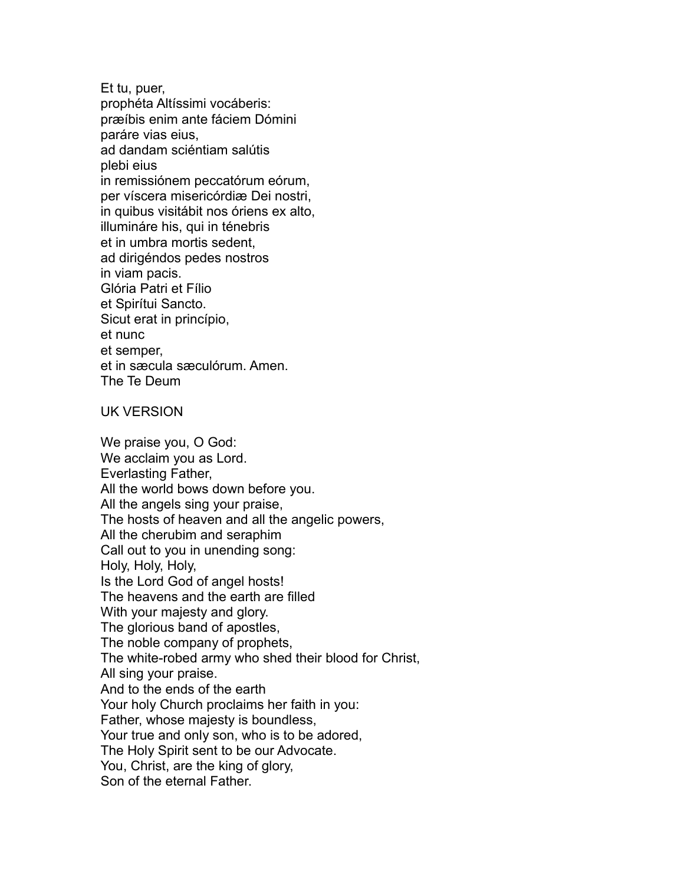Et tu, puer, prophéta Altíssimi vocáberis: præíbis enim ante fáciem Dómini paráre vias eius, ad dandam sciéntiam salútis plebi eius in remissiónem peccatórum eórum, per víscera misericórdiæ Dei nostri, in quibus visitábit nos óriens ex alto, illumináre his, qui in ténebris et in umbra mortis sedent, ad dirigéndos pedes nostros in viam pacis. Glória Patri et Fílio et Spirítui Sancto. Sicut erat in princípio, et nunc et semper, et in sæcula sæculórum. Amen. The Te Deum

#### UK VERSION

We praise you, O God: We acclaim you as Lord. Everlasting Father, All the world bows down before you. All the angels sing your praise, The hosts of heaven and all the angelic powers, All the cherubim and seraphim Call out to you in unending song: Holy, Holy, Holy, Is the Lord God of angel hosts! The heavens and the earth are filled With your majesty and glory. The glorious band of apostles, The noble company of prophets, The white-robed army who shed their blood for Christ, All sing your praise. And to the ends of the earth Your holy Church proclaims her faith in you: Father, whose majesty is boundless, Your true and only son, who is to be adored, The Holy Spirit sent to be our Advocate. You, Christ, are the king of glory,

Son of the eternal Father.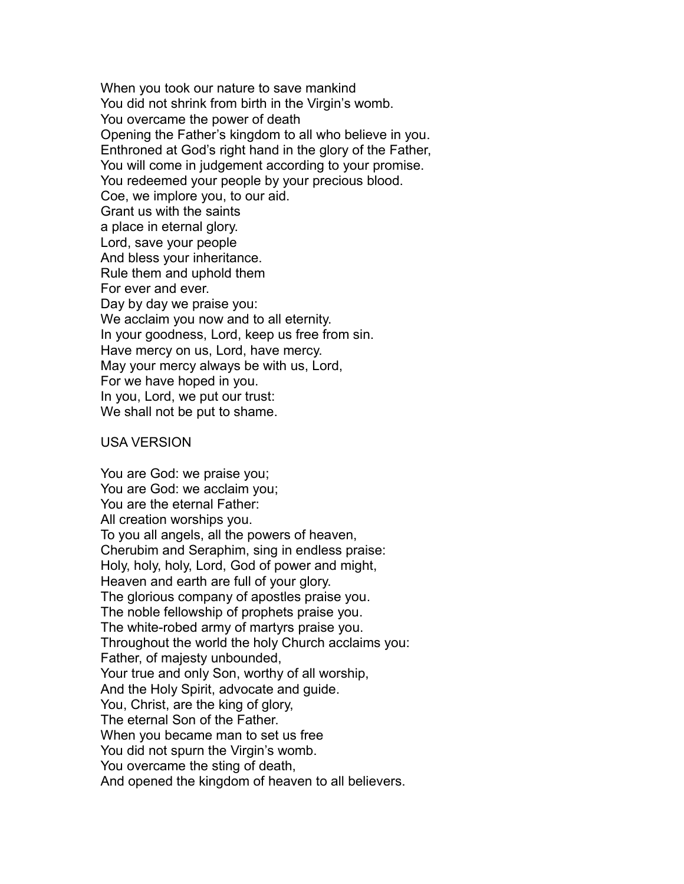When you took our nature to save mankind You did not shrink from birth in the Virgin's womb. You overcame the power of death Opening the Father's kingdom to all who believe in you. Enthroned at God's right hand in the glory of the Father, You will come in judgement according to your promise. You redeemed your people by your precious blood. Coe, we implore you, to our aid. Grant us with the saints a place in eternal glory. Lord, save your people And bless your inheritance. Rule them and uphold them For ever and ever. Day by day we praise you: We acclaim you now and to all eternity. In your goodness, Lord, keep us free from sin. Have mercy on us, Lord, have mercy. May your mercy always be with us, Lord, For we have hoped in you. In you, Lord, we put our trust: We shall not be put to shame.

#### USA VERSION

You are God: we praise you; You are God: we acclaim you; You are the eternal Father: All creation worships you. To you all angels, all the powers of heaven, Cherubim and Seraphim, sing in endless praise: Holy, holy, holy, Lord, God of power and might, Heaven and earth are full of your glory. The glorious company of apostles praise you. The noble fellowship of prophets praise you. The white-robed army of martyrs praise you. Throughout the world the holy Church acclaims you: Father, of majesty unbounded, Your true and only Son, worthy of all worship, And the Holy Spirit, advocate and guide. You, Christ, are the king of glory, The eternal Son of the Father. When you became man to set us free You did not spurn the Virgin's womb. You overcame the sting of death, And opened the kingdom of heaven to all believers.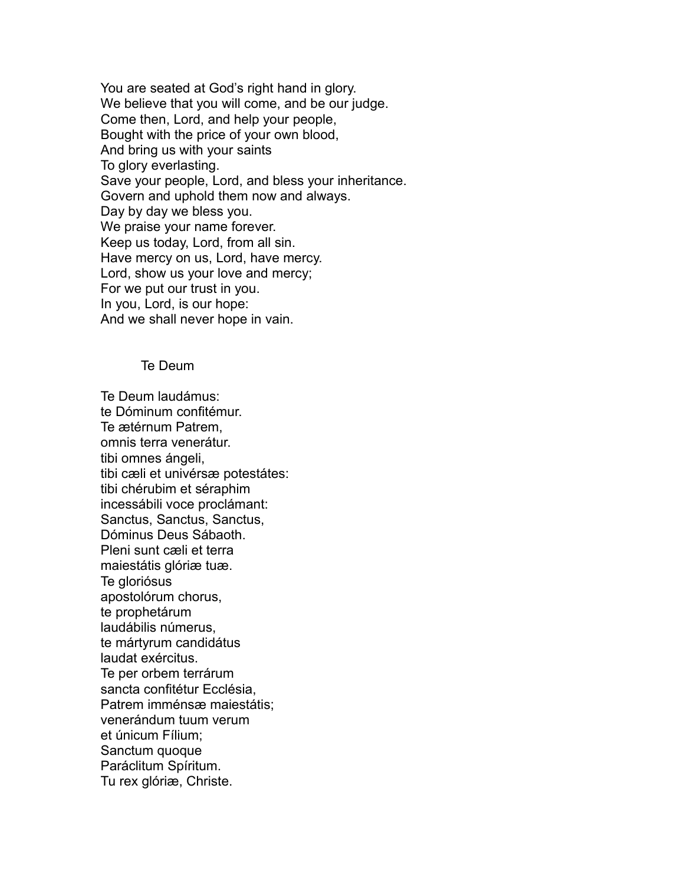You are seated at God's right hand in glory. We believe that you will come, and be our judge. Come then, Lord, and help your people, Bought with the price of your own blood, And bring us with your saints To glory everlasting. Save your people, Lord, and bless your inheritance. Govern and uphold them now and always. Day by day we bless you. We praise your name forever. Keep us today, Lord, from all sin. Have mercy on us, Lord, have mercy. Lord, show us your love and mercy; For we put our trust in you. In you, Lord, is our hope: And we shall never hope in vain.

#### Te Deum

Te Deum laudámus: te Dóminum confitémur. Te ætérnum Patrem, omnis terra venerátur. tibi omnes ángeli, tibi cæli et univérsæ potestátes: tibi chérubim et séraphim incessábili voce proclámant: Sanctus, Sanctus, Sanctus, Dóminus Deus Sábaoth. Pleni sunt cæli et terra maiestátis glóriæ tuæ. Te gloriósus apostolórum chorus, te prophetárum laudábilis númerus, te mártyrum candidátus laudat exércitus. Te per orbem terrárum sancta confitétur Ecclésia, Patrem imménsæ maiestátis; venerándum tuum verum et únicum Fílium; Sanctum quoque Paráclitum Spíritum. Tu rex glóriæ, Christe.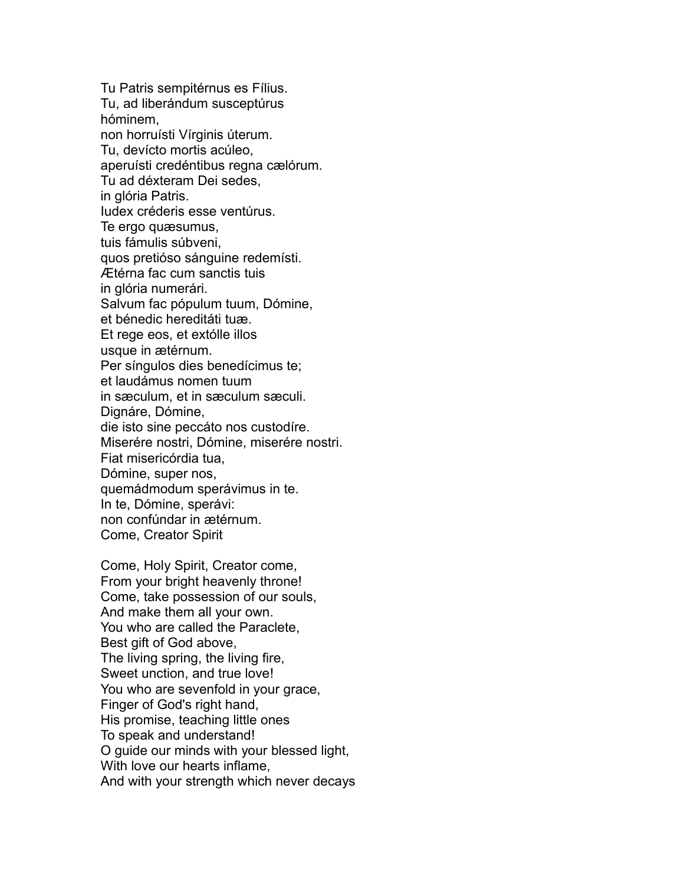Tu Patris sempitérnus es Fílius. Tu, ad liberándum susceptúrus hóminem, non horruísti Vírginis úterum. Tu, devícto mortis acúleo, aperuísti credéntibus regna cælórum. Tu ad déxteram Dei sedes, in glória Patris. Iudex créderis esse ventúrus. Te ergo quæsumus, tuis fámulis súbveni, quos pretióso sánguine redemísti. Ætérna fac cum sanctis tuis in glória numerári. Salvum fac pópulum tuum, Dómine, et bénedic hereditáti tuæ. Et rege eos, et extólle illos usque in ætérnum. Per síngulos dies benedícimus te; et laudámus nomen tuum in sæculum, et in sæculum sæculi. Dignáre, Dómine, die isto sine peccáto nos custodíre. Miserére nostri, Dómine, miserére nostri. Fiat misericórdia tua, Dómine, super nos, quemádmodum sperávimus in te. In te, Dómine, sperávi: non confúndar in ætérnum. Come, Creator Spirit

Come, Holy Spirit, Creator come, From your bright heavenly throne! Come, take possession of our souls, And make them all your own. You who are called the Paraclete, Best gift of God above, The living spring, the living fire, Sweet unction, and true love! You who are sevenfold in your grace, Finger of God's right hand, His promise, teaching little ones To speak and understand! O guide our minds with your blessed light, With love our hearts inflame, And with your strength which never decays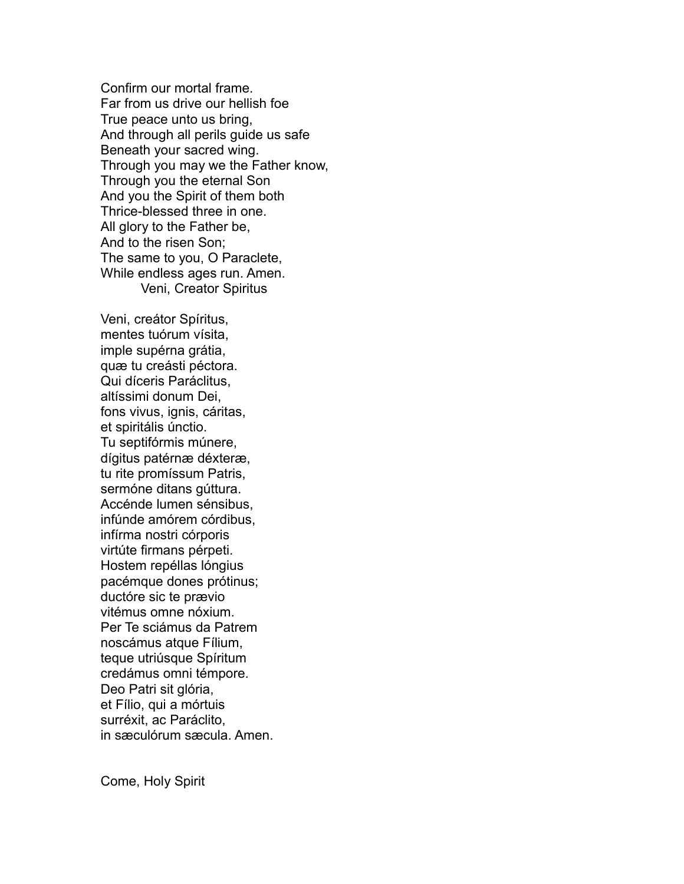Confirm our mortal frame. Far from us drive our hellish foe True peace unto us bring, And through all perils guide us safe Beneath your sacred wing. Through you may we the Father know, Through you the eternal Son And you the Spirit of them both Thrice-blessed three in one. All glory to the Father be, And to the risen Son; The same to you, O Paraclete, While endless ages run. Amen. Veni, Creator Spiritus

Veni, creátor Spíritus, mentes tuórum vísita, imple supérna grátia, quæ tu creásti péctora. Qui díceris Paráclitus, altíssimi donum Dei, fons vivus, ignis, cáritas, et spiritális únctio. Tu septifórmis múnere, dígitus patérnæ déxteræ, tu rite promíssum Patris, sermóne ditans gúttura. Accénde lumen sénsibus, infúnde amórem córdibus, infírma nostri córporis virtúte firmans pérpeti. Hostem repéllas lóngius pacémque dones prótinus; ductóre sic te prævio vitémus omne nóxium. Per Te sciámus da Patrem noscámus atque Fílium, teque utriúsque Spíritum credámus omni témpore. Deo Patri sit glória, et Fílio, qui a mórtuis surréxit, ac Paráclito, in sæculórum sæcula. Amen.

Come, Holy Spirit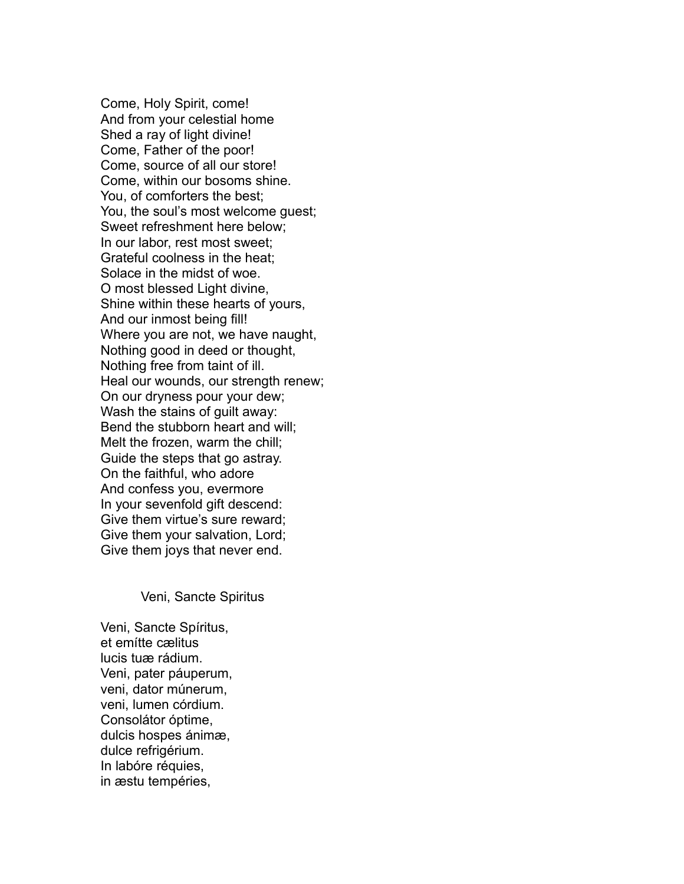Come, Holy Spirit, come! And from your celestial home Shed a ray of light divine! Come, Father of the poor! Come, source of all our store! Come, within our bosoms shine. You, of comforters the best; You, the soul's most welcome guest; Sweet refreshment here below; In our labor, rest most sweet; Grateful coolness in the heat; Solace in the midst of woe. O most blessed Light divine, Shine within these hearts of yours, And our inmost being fill! Where you are not, we have naught, Nothing good in deed or thought, Nothing free from taint of ill. Heal our wounds, our strength renew; On our dryness pour your dew; Wash the stains of guilt away: Bend the stubborn heart and will; Melt the frozen, warm the chill; Guide the steps that go astray. On the faithful, who adore And confess you, evermore In your sevenfold gift descend: Give them virtue's sure reward; Give them your salvation, Lord; Give them joys that never end.

#### Veni, Sancte Spiritus

Veni, Sancte Spíritus, et emítte cælitus lucis tuæ rádium. Veni, pater páuperum, veni, dator múnerum, veni, lumen córdium. Consolátor óptime, dulcis hospes ánimæ, dulce refrigérium. In labóre réquies, in æstu tempéries,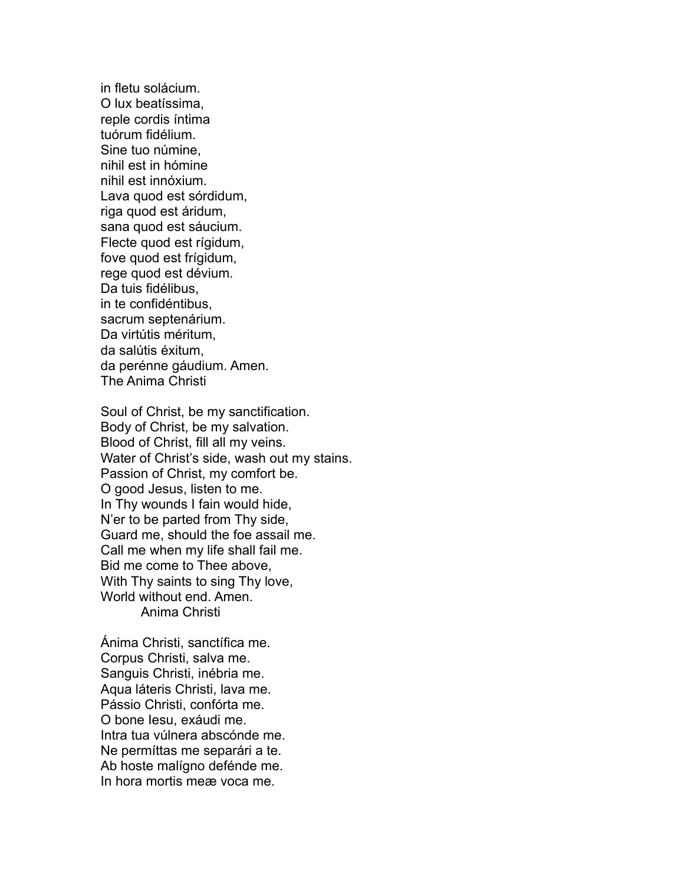in fletu solácium. O lux beatíssima, reple cordis íntima tuórum fidélium. Sine tuo númine, nihil est in hómine nihil est innóxium. Lava quod est sórdidum, riga quod est áridum, sana quod est sáucium. Flecte quod est rígidum, fove quod est frígidum, rege quod est dévium. Da tuis fidélibus. in te confidéntibus, sacrum septenárium. Da virtútis méritum, da salútis éxitum, da perénne gáudium. Amen. The Anima Christi

Soul of Christ, be my sanctification. Body of Christ, be my salvation. Blood of Christ, fill all my veins. Water of Christ's side, wash out my stains. Passion of Christ, my comfort be. O good Jesus, listen to me. In Thy wounds I fain would hide, N'er to be parted from Thy side, Guard me, should the foe assail me. Call me when my life shall fail me. Bid me come to Thee above, With Thy saints to sing Thy love, World without end. Amen. Anima Christi

Ánima Christi, sanctífica me. Corpus Christi, salva me. Sanguis Christi, inébria me. Aqua láteris Christi, lava me. Pássio Christi, confórta me. O bone Iesu, exáudi me. Intra tua vúlnera abscónde me. Ne permíttas me separári a te. Ab hoste malígno defénde me. In hora mortis meæ voca me.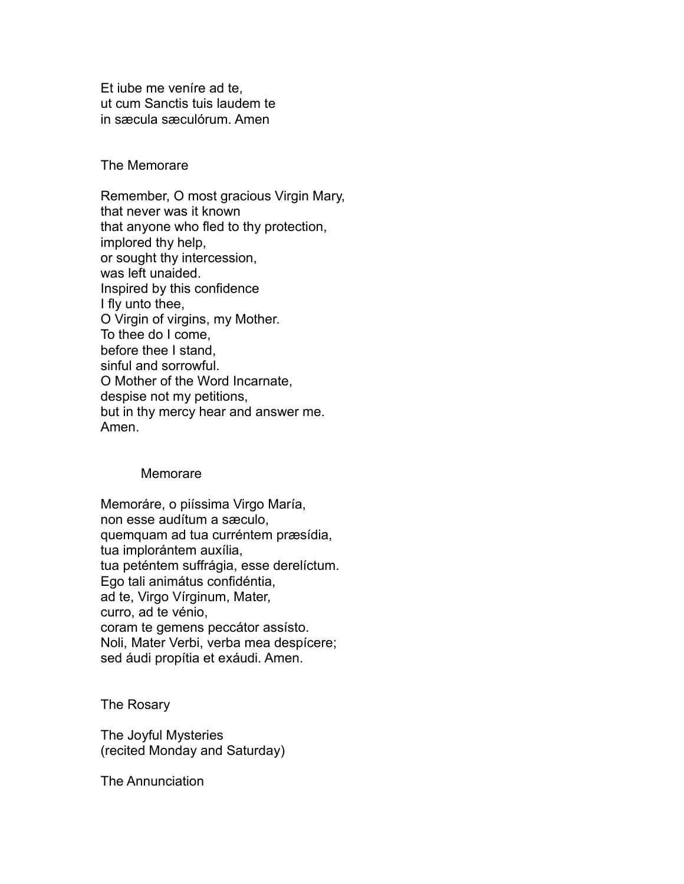Et iube me veníre ad te, ut cum Sanctis tuis laudem te in sæcula sæculórum. Amen

The Memorare

Remember, O most gracious Virgin Mary, that never was it known that anyone who fled to thy protection, implored thy help, or sought thy intercession, was left unaided. Inspired by this confidence I fly unto thee, O Virgin of virgins, my Mother. To thee do I come, before thee I stand, sinful and sorrowful. O Mother of the Word Incarnate, despise not my petitions, but in thy mercy hear and answer me. Amen.

#### **Memorare**

Memoráre, o piíssima Virgo María, non esse audítum a sæculo, quemquam ad tua curréntem præsídia, tua implorántem auxília, tua peténtem suffrágia, esse derelíctum. Ego tali animátus confidéntia, ad te, Virgo Vírginum, Mater, curro, ad te vénio, coram te gemens peccátor assísto. Noli, Mater Verbi, verba mea despícere; sed áudi propítia et exáudi. Amen.

The Rosary

The Joyful Mysteries (recited Monday and Saturday)

The Annunciation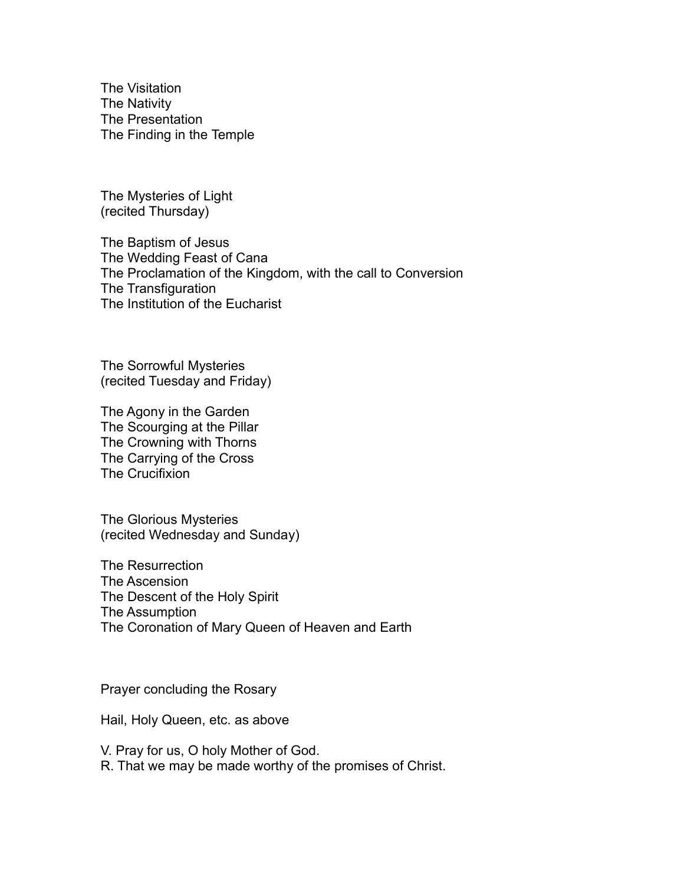The Visitation The Nativity The Presentation The Finding in the Temple

The Mysteries of Light (recited Thursday)

The Baptism of Jesus The Wedding Feast of Cana The Proclamation of the Kingdom, with the call to Conversion The Transfiguration The Institution of the Eucharist

The Sorrowful Mysteries (recited Tuesday and Friday)

The Agony in the Garden The Scourging at the Pillar The Crowning with Thorns The Carrying of the Cross The Crucifixion

The Glorious Mysteries (recited Wednesday and Sunday)

The Resurrection The Ascension The Descent of the Holy Spirit The Assumption The Coronation of Mary Queen of Heaven and Earth

Prayer concluding the Rosary

Hail, Holy Queen, etc. as above

V. Pray for us, O holy Mother of God. R. That we may be made worthy of the promises of Christ.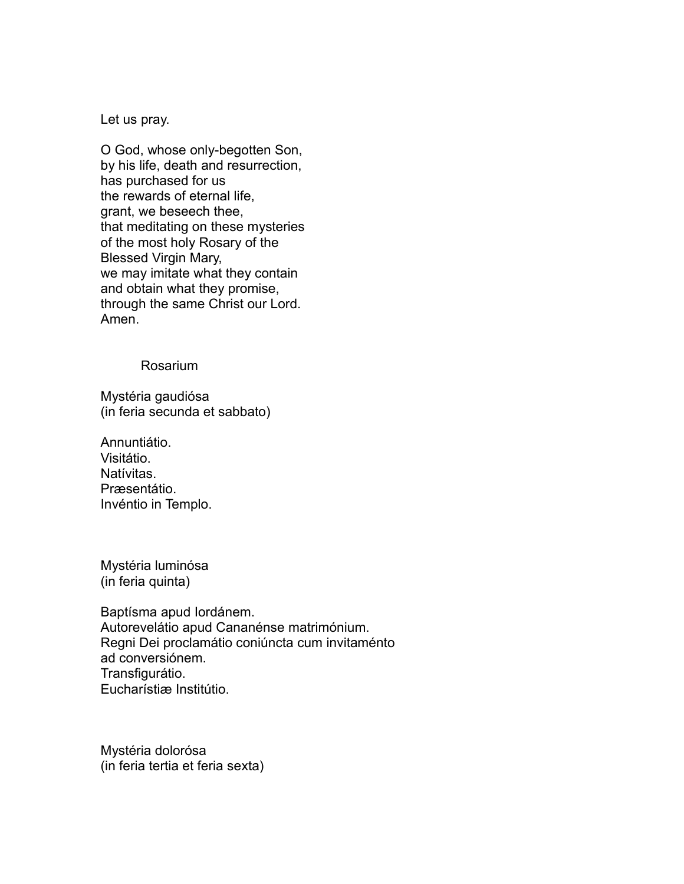Let us pray.

O God, whose only-begotten Son, by his life, death and resurrection, has purchased for us the rewards of eternal life, grant, we beseech thee, that meditating on these mysteries of the most holy Rosary of the Blessed Virgin Mary, we may imitate what they contain and obtain what they promise, through the same Christ our Lord. Amen.

#### Rosarium

Mystéria gaudiósa (in feria secunda et sabbato)

Annuntiátio. Visitátio. Natívitas. Præsentátio. Invéntio in Templo.

Mystéria luminósa (in feria quinta)

Baptísma apud Iordánem. Autorevelátio apud Cananénse matrimónium. Regni Dei proclamátio coniúncta cum invitaménto ad conversiónem. Transfigurátio. Eucharístiæ Institútio.

Mystéria dolorósa (in feria tertia et feria sexta)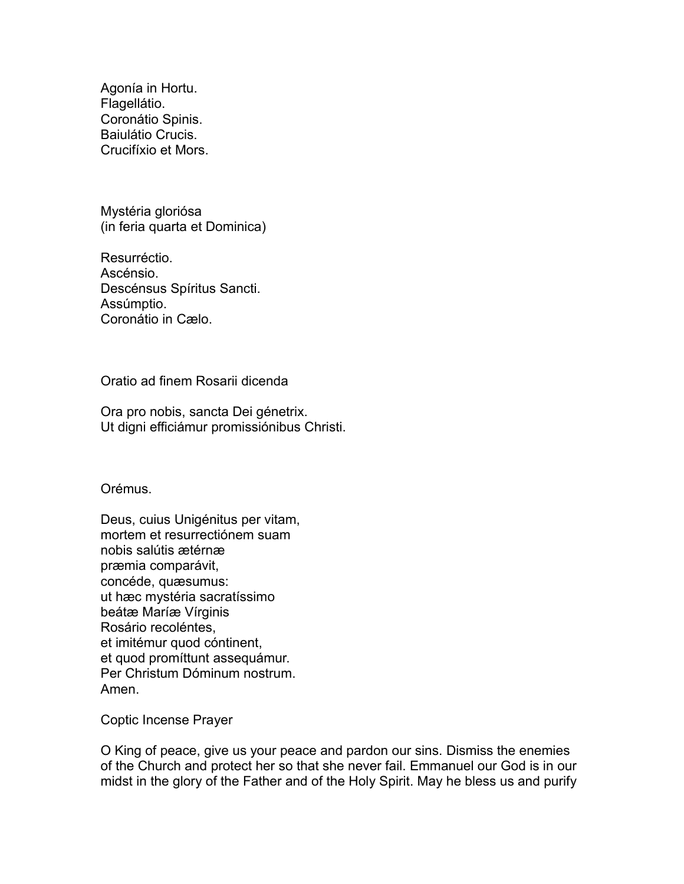Agonía in Hortu. Flagellátio. Coronátio Spinis. Baiulátio Crucis. Crucifíxio et Mors.

Mystéria gloriósa (in feria quarta et Dominica)

Resurréctio. Ascénsio. Descénsus Spíritus Sancti. Assúmptio. Coronátio in Cælo.

Oratio ad finem Rosarii dicenda

Ora pro nobis, sancta Dei génetrix. Ut digni efficiámur promissiónibus Christi.

**Orémus** 

Deus, cuius Unigénitus per vitam, mortem et resurrectiónem suam nobis salútis ætérnæ præmia comparávit, concéde, quæsumus: ut hæc mystéria sacratíssimo beátæ Maríæ Vírginis Rosário recoléntes, et imitémur quod cóntinent, et quod promíttunt assequámur. Per Christum Dóminum nostrum. Amen.

Coptic Incense Prayer

O King of peace, give us your peace and pardon our sins. Dismiss the enemies of the Church and protect her so that she never fail. Emmanuel our God is in our midst in the glory of the Father and of the Holy Spirit. May he bless us and purify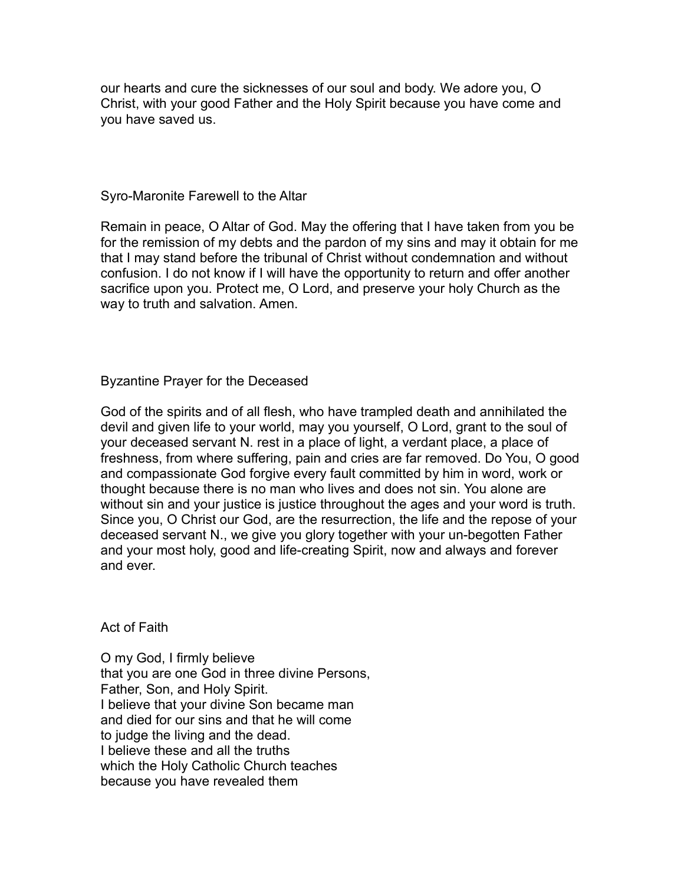our hearts and cure the sicknesses of our soul and body. We adore you, O Christ, with your good Father and the Holy Spirit because you have come and you have saved us.

Syro-Maronite Farewell to the Altar

Remain in peace, O Altar of God. May the offering that I have taken from you be for the remission of my debts and the pardon of my sins and may it obtain for me that I may stand before the tribunal of Christ without condemnation and without confusion. I do not know if I will have the opportunity to return and offer another sacrifice upon you. Protect me, O Lord, and preserve your holy Church as the way to truth and salvation. Amen.

Byzantine Prayer for the Deceased

God of the spirits and of all flesh, who have trampled death and annihilated the devil and given life to your world, may you yourself, O Lord, grant to the soul of your deceased servant N. rest in a place of light, a verdant place, a place of freshness, from where suffering, pain and cries are far removed. Do You, O good and compassionate God forgive every fault committed by him in word, work or thought because there is no man who lives and does not sin. You alone are without sin and your justice is justice throughout the ages and your word is truth. Since you, O Christ our God, are the resurrection, the life and the repose of your deceased servant N., we give you glory together with your un-begotten Father and your most holy, good and life-creating Spirit, now and always and forever and ever.

Act of Faith

O my God, I firmly believe that you are one God in three divine Persons, Father, Son, and Holy Spirit. I believe that your divine Son became man and died for our sins and that he will come to judge the living and the dead. I believe these and all the truths which the Holy Catholic Church teaches because you have revealed them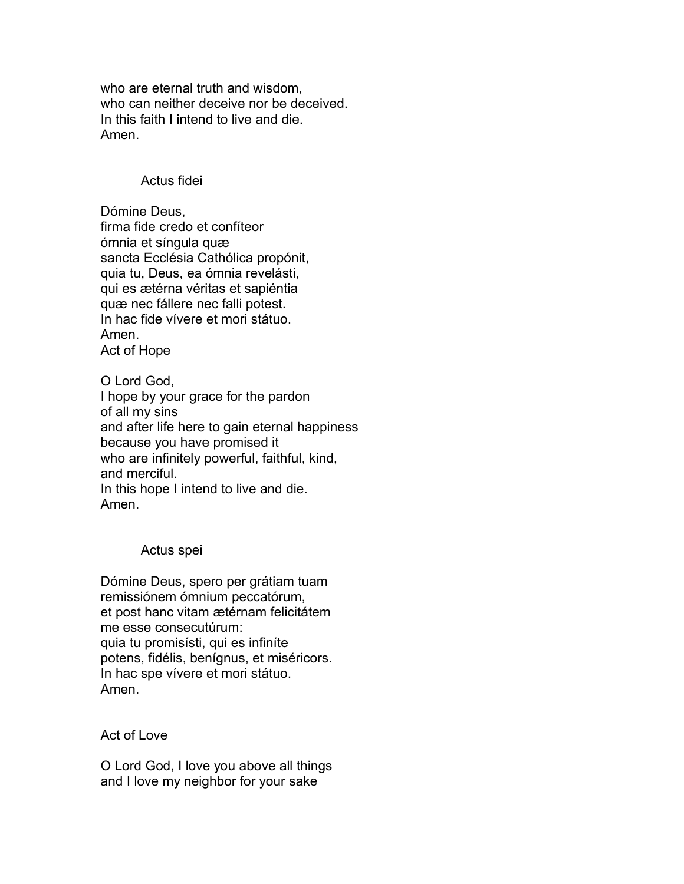who are eternal truth and wisdom, who can neither deceive nor be deceived. In this faith I intend to live and die. Amen.

## Actus fidei

Dómine Deus, firma fide credo et confíteor ómnia et síngula quæ sancta Ecclésia Cathólica propónit, quia tu, Deus, ea ómnia revelásti, qui es ætérna véritas et sapiéntia quæ nec fállere nec falli potest. In hac fide vívere et mori státuo. Amen.

Act of Hope

## O Lord God,

I hope by your grace for the pardon of all my sins and after life here to gain eternal happiness because you have promised it who are infinitely powerful, faithful, kind, and merciful. In this hope I intend to live and die. Amen.

#### Actus spei

Dómine Deus, spero per grátiam tuam remissiónem ómnium peccatórum, et post hanc vitam ætérnam felicitátem me esse consecutúrum: quia tu promisísti, qui es infiníte potens, fidélis, benígnus, et miséricors. In hac spe vívere et mori státuo. Amen.

# Act of Love

O Lord God, I love you above all things and I love my neighbor for your sake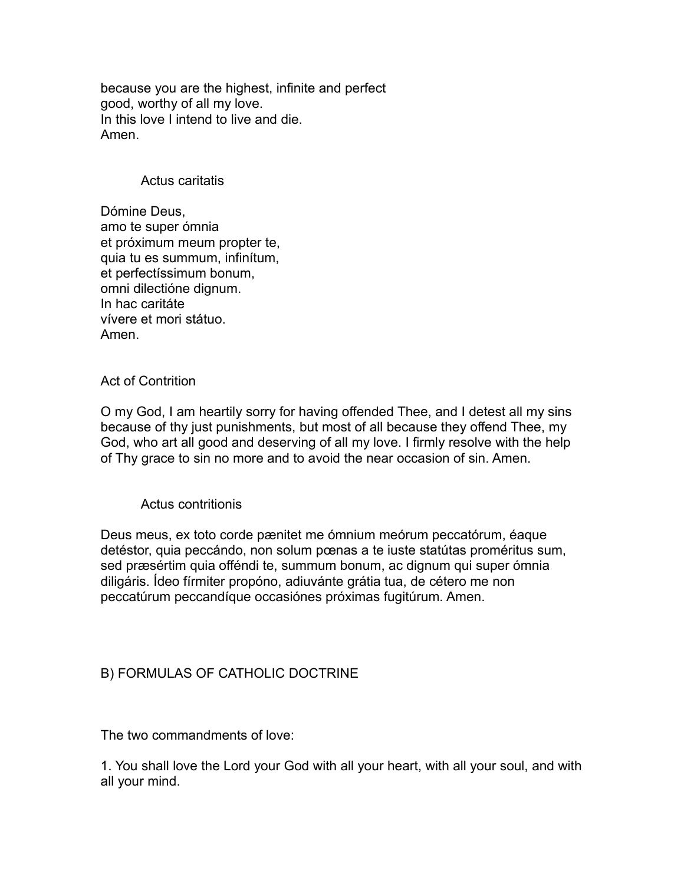because you are the highest, infinite and perfect good, worthy of all my love. In this love I intend to live and die. Amen.

# Actus caritatis

Dómine Deus, amo te super ómnia et próximum meum propter te, quia tu es summum, infinítum, et perfectíssimum bonum, omni dilectióne dignum. In hac caritáte vívere et mori státuo. Amen.

# Act of Contrition

O my God, I am heartily sorry for having offended Thee, and I detest all my sins because of thy just punishments, but most of all because they offend Thee, my God, who art all good and deserving of all my love. I firmly resolve with the help of Thy grace to sin no more and to avoid the near occasion of sin. Amen.

#### Actus contritionis

Deus meus, ex toto corde pænitet me ómnium meórum peccatórum, éaque detéstor, quia peccándo, non solum pœnas a te iuste statútas proméritus sum, sed præsértim quia offéndi te, summum bonum, ac dignum qui super ómnia diligáris. Ídeo fírmiter propóno, adiuvánte grátia tua, de cétero me non peccatúrum peccandíque occasiónes próximas fugitúrum. Amen.

# B) FORMULAS OF CATHOLIC DOCTRINE

The two commandments of love:

1. You shall love the Lord your God with all your heart, with all your soul, and with all your mind.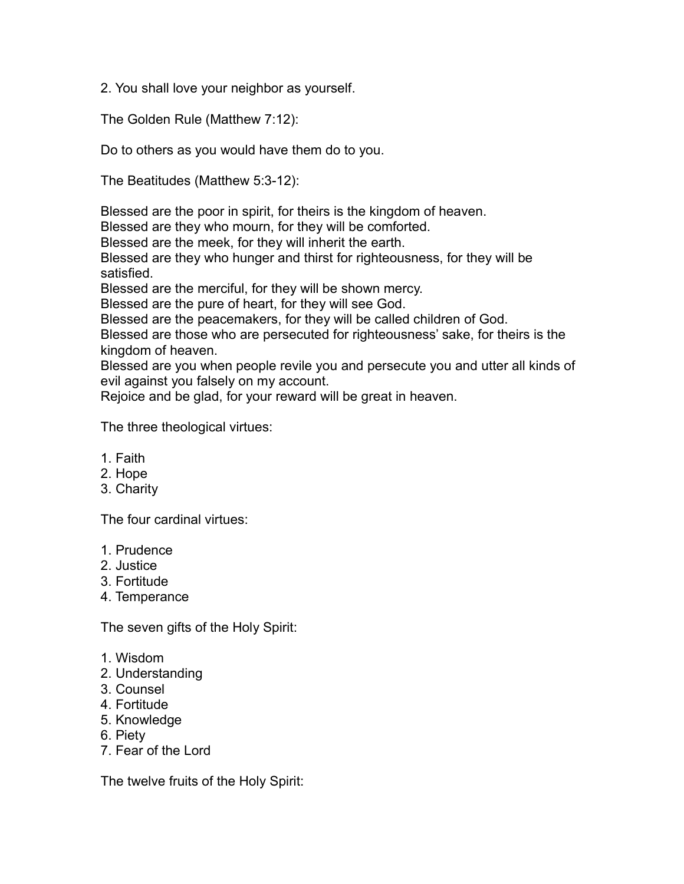2. You shall love your neighbor as yourself.

The Golden Rule (Matthew 7:12):

Do to others as you would have them do to you.

The Beatitudes (Matthew 5:3-12):

Blessed are the poor in spirit, for theirs is the kingdom of heaven.

Blessed are they who mourn, for they will be comforted.

Blessed are the meek, for they will inherit the earth.

Blessed are they who hunger and thirst for righteousness, for they will be satisfied.

Blessed are the merciful, for they will be shown mercy.

Blessed are the pure of heart, for they will see God.

Blessed are the peacemakers, for they will be called children of God.

Blessed are those who are persecuted for righteousness' sake, for theirs is the kingdom of heaven.

Blessed are you when people revile you and persecute you and utter all kinds of evil against you falsely on my account.

Rejoice and be glad, for your reward will be great in heaven.

The three theological virtues:

- 1. Faith
- 2. Hope
- 3. Charity

The four cardinal virtues:

- 1. Prudence
- 2. Justice
- 3. Fortitude
- 4. Temperance

The seven gifts of the Holy Spirit:

- 1. Wisdom
- 2. Understanding
- 3. Counsel
- 4. Fortitude
- 5. Knowledge
- 6. Piety
- 7. Fear of the Lord

The twelve fruits of the Holy Spirit: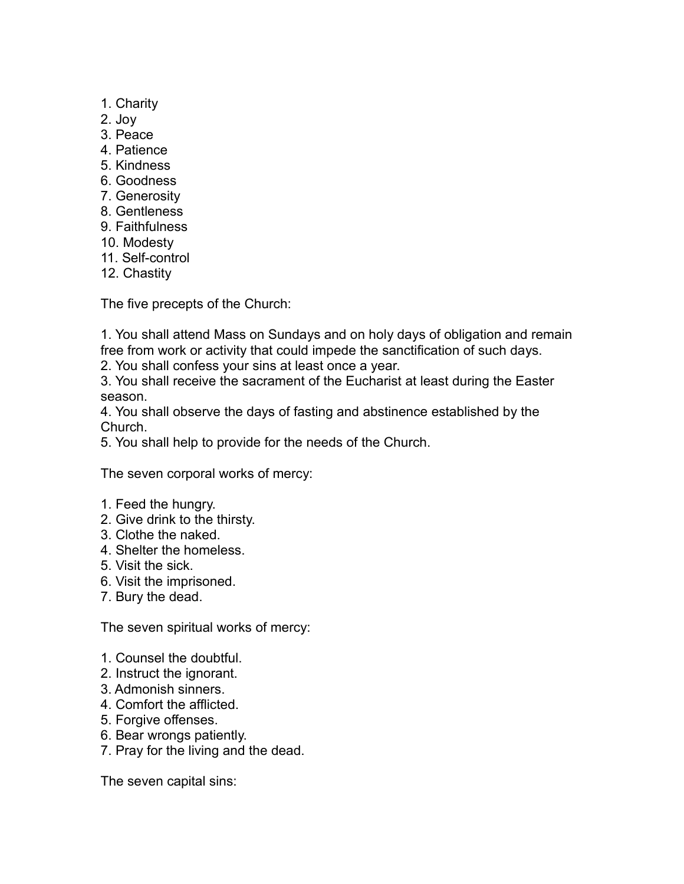- 1. Charity
- 2. Joy
- 3. Peace
- 4. Patience
- 5. Kindness
- 6. Goodness
- 7. Generosity
- 8. Gentleness
- 9. Faithfulness
- 10. Modesty
- 11. Self-control
- 12. Chastity

The five precepts of the Church:

1. You shall attend Mass on Sundays and on holy days of obligation and remain free from work or activity that could impede the sanctification of such days.

2. You shall confess your sins at least once a year.

3. You shall receive the sacrament of the Eucharist at least during the Easter season.

4. You shall observe the days of fasting and abstinence established by the Church.

5. You shall help to provide for the needs of the Church.

The seven corporal works of mercy:

- 1. Feed the hungry.
- 2. Give drink to the thirsty.
- 3. Clothe the naked.
- 4. Shelter the homeless.
- 5. Visit the sick.
- 6. Visit the imprisoned.
- 7. Bury the dead.

The seven spiritual works of mercy:

- 1. Counsel the doubtful.
- 2. Instruct the ignorant.
- 3. Admonish sinners.
- 4. Comfort the afflicted.
- 5. Forgive offenses.
- 6. Bear wrongs patiently.
- 7. Pray for the living and the dead.

The seven capital sins: